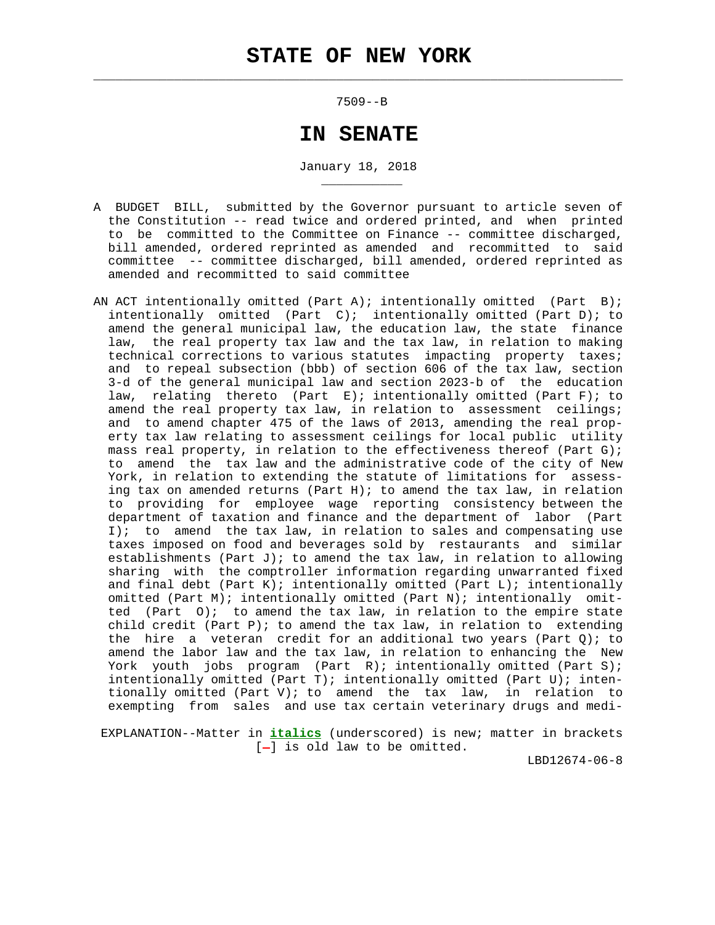$\mathcal{L}_\text{max} = \frac{1}{2} \sum_{i=1}^{n} \frac{1}{2} \sum_{i=1}^{n} \frac{1}{2} \sum_{i=1}^{n} \frac{1}{2} \sum_{i=1}^{n} \frac{1}{2} \sum_{i=1}^{n} \frac{1}{2} \sum_{i=1}^{n} \frac{1}{2} \sum_{i=1}^{n} \frac{1}{2} \sum_{i=1}^{n} \frac{1}{2} \sum_{i=1}^{n} \frac{1}{2} \sum_{i=1}^{n} \frac{1}{2} \sum_{i=1}^{n} \frac{1}{2} \sum_{i=1}^{n} \frac{1$ 

\_\_\_\_\_\_\_\_\_\_\_

7509--B

# **IN SENATE**

January 18, 2018

- A BUDGET BILL, submitted by the Governor pursuant to article seven of the Constitution -- read twice and ordered printed, and when printed to be committed to the Committee on Finance -- committee discharged, bill amended, ordered reprinted as amended and recommitted to said committee -- committee discharged, bill amended, ordered reprinted as amended and recommitted to said committee
- AN ACT intentionally omitted (Part A); intentionally omitted (Part B); intentionally omitted (Part C); intentionally omitted (Part D); to amend the general municipal law, the education law, the state finance law, the real property tax law and the tax law, in relation to making technical corrections to various statutes impacting property taxes; and to repeal subsection (bbb) of section 606 of the tax law, section 3-d of the general municipal law and section 2023-b of the education law, relating thereto (Part E); intentionally omitted (Part F); to amend the real property tax law, in relation to assessment ceilings; and to amend chapter 475 of the laws of 2013, amending the real prop erty tax law relating to assessment ceilings for local public utility mass real property, in relation to the effectiveness thereof (Part G); to amend the tax law and the administrative code of the city of New York, in relation to extending the statute of limitations for assess ing tax on amended returns (Part H); to amend the tax law, in relation to providing for employee wage reporting consistency between the department of taxation and finance and the department of labor (Part I); to amend the tax law, in relation to sales and compensating use taxes imposed on food and beverages sold by restaurants and similar establishments (Part J); to amend the tax law, in relation to allowing sharing with the comptroller information regarding unwarranted fixed and final debt (Part K); intentionally omitted (Part L); intentionally omitted (Part M); intentionally omitted (Part N); intentionally omitted (Part  $0$ ); to amend the tax law, in relation to the empire state child credit (Part P); to amend the tax law, in relation to extending the hire a veteran credit for an additional two years (Part Q); to amend the labor law and the tax law, in relation to enhancing the New York youth jobs program (Part R); intentionally omitted (Part S); intentionally omitted (Part T); intentionally omitted (Part U); inten tionally omitted (Part V); to amend the tax law, in relation to exempting from sales and use tax certain veterinary drugs and medi-

 EXPLANATION--Matter in **italics** (underscored) is new; matter in brackets  $[-]$  is old law to be omitted.

LBD12674-06-8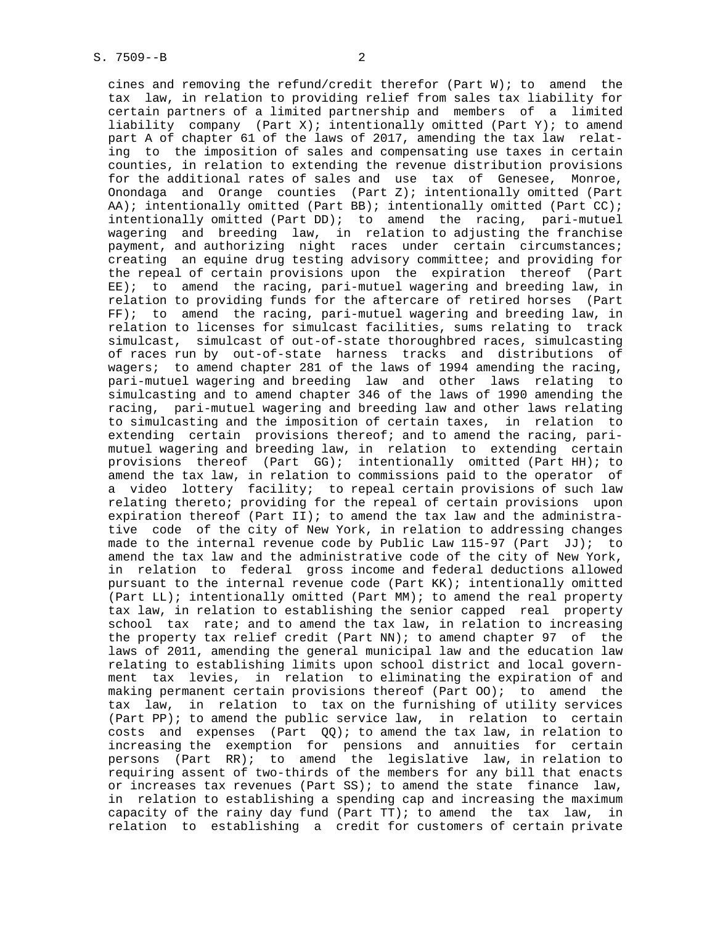cines and removing the refund/credit therefor (Part W); to amend the tax law, in relation to providing relief from sales tax liability for certain partners of a limited partnership and members of a limited liability company (Part X); intentionally omitted (Part Y); to amend part A of chapter 61 of the laws of 2017, amending the tax law relat ing to the imposition of sales and compensating use taxes in certain counties, in relation to extending the revenue distribution provisions for the additional rates of sales and use tax of Genesee, Monroe, Onondaga and Orange counties (Part Z); intentionally omitted (Part AA); intentionally omitted (Part BB); intentionally omitted (Part CC); intentionally omitted (Part DD); to amend the racing, pari-mutuel wagering and breeding law, in relation to adjusting the franchise payment, and authorizing night races under certain circumstances; creating an equine drug testing advisory committee; and providing for the repeal of certain provisions upon the expiration thereof (Part EE); to amend the racing, pari-mutuel wagering and breeding law, in relation to providing funds for the aftercare of retired horses (Part FF); to amend the racing, pari-mutuel wagering and breeding law, in relation to licenses for simulcast facilities, sums relating to track simulcast, simulcast of out-of-state thoroughbred races, simulcasting of races run by out-of-state harness tracks and distributions of wagers; to amend chapter 281 of the laws of 1994 amending the racing, pari-mutuel wagering and breeding law and other laws relating to simulcasting and to amend chapter 346 of the laws of 1990 amending the racing, pari-mutuel wagering and breeding law and other laws relating to simulcasting and the imposition of certain taxes, in relation to extending certain provisions thereof; and to amend the racing, pari mutuel wagering and breeding law, in relation to extending certain provisions thereof (Part GG); intentionally omitted (Part HH); to amend the tax law, in relation to commissions paid to the operator of a video lottery facility; to repeal certain provisions of such law relating thereto; providing for the repeal of certain provisions upon expiration thereof (Part II); to amend the tax law and the administra tive code of the city of New York, in relation to addressing changes made to the internal revenue code by Public Law 115-97 (Part JJ); to amend the tax law and the administrative code of the city of New York, in relation to federal gross income and federal deductions allowed pursuant to the internal revenue code (Part KK); intentionally omitted (Part LL); intentionally omitted (Part MM); to amend the real property tax law, in relation to establishing the senior capped real property school tax rate; and to amend the tax law, in relation to increasing the property tax relief credit (Part NN); to amend chapter 97 of the laws of 2011, amending the general municipal law and the education law relating to establishing limits upon school district and local govern ment tax levies, in relation to eliminating the expiration of and making permanent certain provisions thereof (Part OO); to amend the tax law, in relation to tax on the furnishing of utility services (Part PP); to amend the public service law, in relation to certain costs and expenses (Part QQ); to amend the tax law, in relation to increasing the exemption for pensions and annuities for certain persons (Part RR); to amend the legislative law, in relation to requiring assent of two-thirds of the members for any bill that enacts or increases tax revenues (Part SS); to amend the state finance law, in relation to establishing a spending cap and increasing the maximum capacity of the rainy day fund (Part TT); to amend the tax law, in relation to establishing a credit for customers of certain private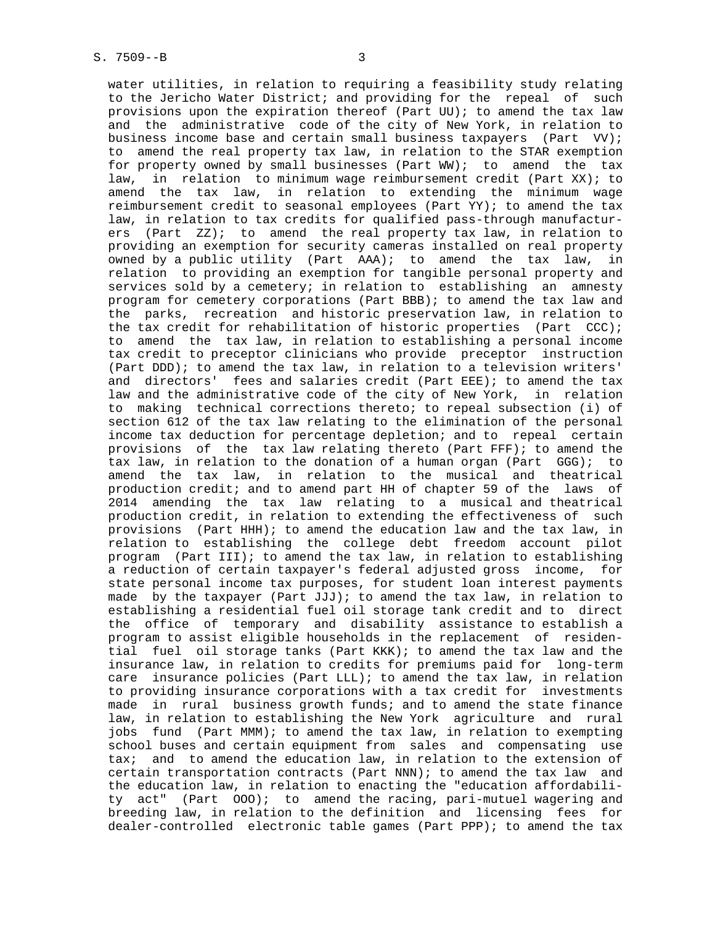water utilities, in relation to requiring a feasibility study relating

 to the Jericho Water District; and providing for the repeal of such provisions upon the expiration thereof (Part UU); to amend the tax law and the administrative code of the city of New York, in relation to business income base and certain small business taxpayers (Part VV); to amend the real property tax law, in relation to the STAR exemption for property owned by small businesses (Part WW); to amend the tax law, in relation to minimum wage reimbursement credit (Part XX); to amend the tax law, in relation to extending the minimum wage reimbursement credit to seasonal employees (Part YY); to amend the tax law, in relation to tax credits for qualified pass-through manufactur ers (Part ZZ); to amend the real property tax law, in relation to providing an exemption for security cameras installed on real property owned by a public utility (Part AAA); to amend the tax law, in relation to providing an exemption for tangible personal property and services sold by a cemetery; in relation to establishing an amnesty program for cemetery corporations (Part BBB); to amend the tax law and the parks, recreation and historic preservation law, in relation to the tax credit for rehabilitation of historic properties (Part CCC); to amend the tax law, in relation to establishing a personal income tax credit to preceptor clinicians who provide preceptor instruction (Part DDD); to amend the tax law, in relation to a television writers' and directors' fees and salaries credit (Part EEE); to amend the tax law and the administrative code of the city of New York, in relation to making technical corrections thereto; to repeal subsection (i) of section 612 of the tax law relating to the elimination of the personal income tax deduction for percentage depletion; and to repeal certain provisions of the tax law relating thereto (Part FFF); to amend the tax law, in relation to the donation of a human organ (Part GGG); to amend the tax law, in relation to the musical and theatrical production credit; and to amend part HH of chapter 59 of the laws of 2014 amending the tax law relating to a musical and theatrical production credit, in relation to extending the effectiveness of such provisions (Part HHH); to amend the education law and the tax law, in relation to establishing the college debt freedom account pilot program (Part III); to amend the tax law, in relation to establishing a reduction of certain taxpayer's federal adjusted gross income, for state personal income tax purposes, for student loan interest payments made by the taxpayer (Part JJJ); to amend the tax law, in relation to establishing a residential fuel oil storage tank credit and to direct the office of temporary and disability assistance to establish a program to assist eligible households in the replacement of residen tial fuel oil storage tanks (Part KKK); to amend the tax law and the insurance law, in relation to credits for premiums paid for long-term care insurance policies (Part LLL); to amend the tax law, in relation to providing insurance corporations with a tax credit for investments made in rural business growth funds; and to amend the state finance law, in relation to establishing the New York agriculture and rural jobs fund (Part MMM); to amend the tax law, in relation to exempting school buses and certain equipment from sales and compensating use tax; and to amend the education law, in relation to the extension of certain transportation contracts (Part NNN); to amend the tax law and the education law, in relation to enacting the "education affordabili ty act" (Part OOO); to amend the racing, pari-mutuel wagering and breeding law, in relation to the definition and licensing fees for dealer-controlled electronic table games (Part PPP); to amend the tax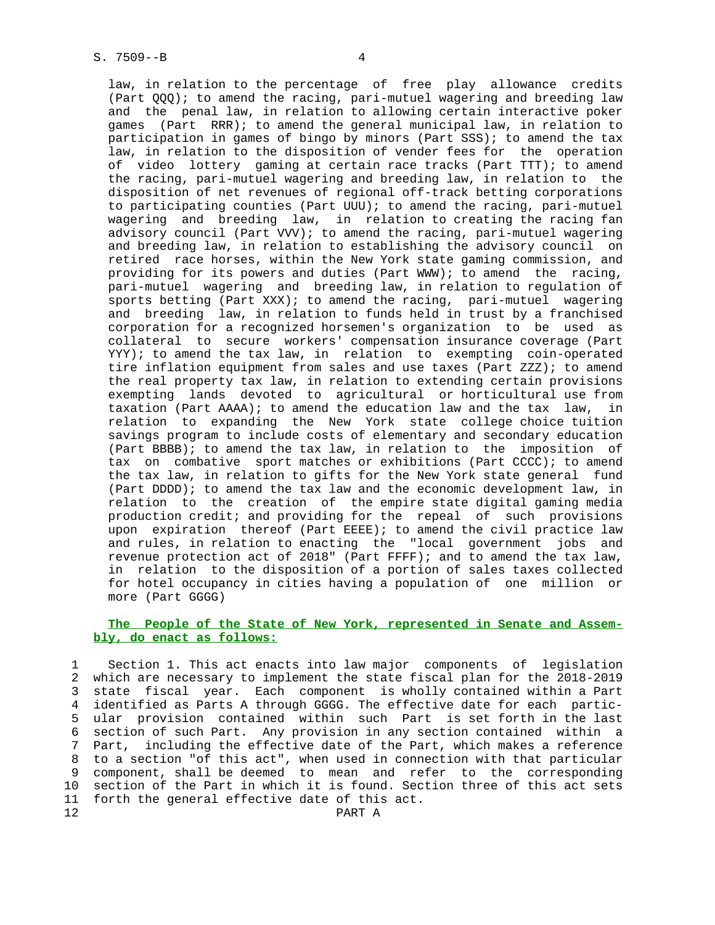law, in relation to the percentage of free play allowance credits (Part QQQ); to amend the racing, pari-mutuel wagering and breeding law and the penal law, in relation to allowing certain interactive poker games (Part RRR); to amend the general municipal law, in relation to participation in games of bingo by minors (Part SSS); to amend the tax law, in relation to the disposition of vender fees for the operation of video lottery gaming at certain race tracks (Part TTT); to amend the racing, pari-mutuel wagering and breeding law, in relation to the disposition of net revenues of regional off-track betting corporations to participating counties (Part UUU); to amend the racing, pari-mutuel wagering and breeding law, in relation to creating the racing fan advisory council (Part VVV); to amend the racing, pari-mutuel wagering and breeding law, in relation to establishing the advisory council on retired race horses, within the New York state gaming commission, and providing for its powers and duties (Part WWW); to amend the racing, pari-mutuel wagering and breeding law, in relation to regulation of sports betting (Part XXX); to amend the racing, pari-mutuel wagering and breeding law, in relation to funds held in trust by a franchised corporation for a recognized horsemen's organization to be used as collateral to secure workers' compensation insurance coverage (Part YYY); to amend the tax law, in relation to exempting coin-operated tire inflation equipment from sales and use taxes (Part ZZZ); to amend the real property tax law, in relation to extending certain provisions exempting lands devoted to agricultural or horticultural use from taxation (Part AAAA); to amend the education law and the tax law, in relation to expanding the New York state college choice tuition savings program to include costs of elementary and secondary education (Part BBBB); to amend the tax law, in relation to the imposition of tax on combative sport matches or exhibitions (Part CCCC); to amend the tax law, in relation to gifts for the New York state general fund (Part DDDD); to amend the tax law and the economic development law, in relation to the creation of the empire state digital gaming media production credit; and providing for the repeal of such provisions upon expiration thereof (Part EEEE); to amend the civil practice law and rules, in relation to enacting the "local government jobs and revenue protection act of 2018" (Part FFFF); and to amend the tax law,

# in relation to the disposition of a portion of sales taxes collected for hotel occupancy in cities having a population of one million or more (Part GGGG)

## **The People of the State of New York, represented in Senate and Assem bly, do enact as follows:**

 1 Section 1. This act enacts into law major components of legislation 2 which are necessary to implement the state fiscal plan for the 2018-2019 3 state fiscal year. Each component is wholly contained within a Part 4 identified as Parts A through GGGG. The effective date for each partic- 5 ular provision contained within such Part is set forth in the last 6 section of such Part. Any provision in any section contained within a 7 Part, including the effective date of the Part, which makes a reference 8 to a section "of this act", when used in connection with that particular 9 component, shall be deemed to mean and refer to the corresponding 10 section of the Part in which it is found. Section three of this act sets 11 forth the general effective date of this act. 12 PART A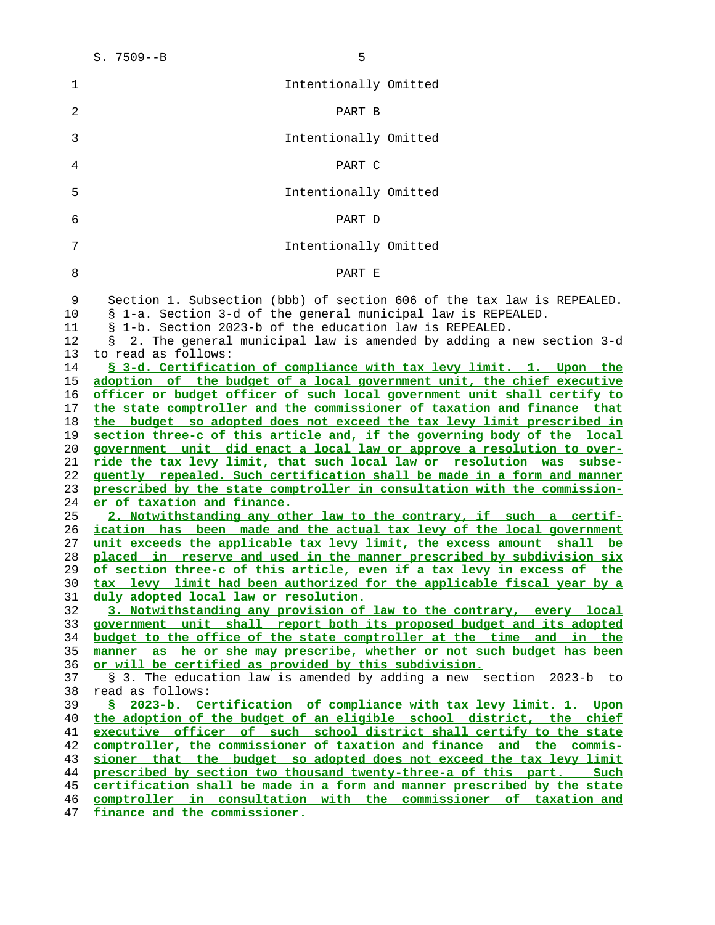| 1                                                                                                                                                       | Intentionally Omitted                                                                                                                                                                                                                                                                                                                                                                                                                                                                                                                                                                                                                                                                                                                                                                                                                                                                                                                                                                                                                                                                                                                                                                                                                                                                                                                                                                                                                                                                                                                                                                                                                                                                                                                                             |
|---------------------------------------------------------------------------------------------------------------------------------------------------------|-------------------------------------------------------------------------------------------------------------------------------------------------------------------------------------------------------------------------------------------------------------------------------------------------------------------------------------------------------------------------------------------------------------------------------------------------------------------------------------------------------------------------------------------------------------------------------------------------------------------------------------------------------------------------------------------------------------------------------------------------------------------------------------------------------------------------------------------------------------------------------------------------------------------------------------------------------------------------------------------------------------------------------------------------------------------------------------------------------------------------------------------------------------------------------------------------------------------------------------------------------------------------------------------------------------------------------------------------------------------------------------------------------------------------------------------------------------------------------------------------------------------------------------------------------------------------------------------------------------------------------------------------------------------------------------------------------------------------------------------------------------------|
| $\overline{2}$                                                                                                                                          | PART B                                                                                                                                                                                                                                                                                                                                                                                                                                                                                                                                                                                                                                                                                                                                                                                                                                                                                                                                                                                                                                                                                                                                                                                                                                                                                                                                                                                                                                                                                                                                                                                                                                                                                                                                                            |
| 3                                                                                                                                                       | Intentionally Omitted                                                                                                                                                                                                                                                                                                                                                                                                                                                                                                                                                                                                                                                                                                                                                                                                                                                                                                                                                                                                                                                                                                                                                                                                                                                                                                                                                                                                                                                                                                                                                                                                                                                                                                                                             |
| 4                                                                                                                                                       | PART C                                                                                                                                                                                                                                                                                                                                                                                                                                                                                                                                                                                                                                                                                                                                                                                                                                                                                                                                                                                                                                                                                                                                                                                                                                                                                                                                                                                                                                                                                                                                                                                                                                                                                                                                                            |
| 5                                                                                                                                                       | Intentionally Omitted                                                                                                                                                                                                                                                                                                                                                                                                                                                                                                                                                                                                                                                                                                                                                                                                                                                                                                                                                                                                                                                                                                                                                                                                                                                                                                                                                                                                                                                                                                                                                                                                                                                                                                                                             |
| 6                                                                                                                                                       | PART D                                                                                                                                                                                                                                                                                                                                                                                                                                                                                                                                                                                                                                                                                                                                                                                                                                                                                                                                                                                                                                                                                                                                                                                                                                                                                                                                                                                                                                                                                                                                                                                                                                                                                                                                                            |
| 7                                                                                                                                                       | Intentionally Omitted                                                                                                                                                                                                                                                                                                                                                                                                                                                                                                                                                                                                                                                                                                                                                                                                                                                                                                                                                                                                                                                                                                                                                                                                                                                                                                                                                                                                                                                                                                                                                                                                                                                                                                                                             |
| 8                                                                                                                                                       | PART E                                                                                                                                                                                                                                                                                                                                                                                                                                                                                                                                                                                                                                                                                                                                                                                                                                                                                                                                                                                                                                                                                                                                                                                                                                                                                                                                                                                                                                                                                                                                                                                                                                                                                                                                                            |
| 9<br>10<br>11<br>12<br>13<br>14<br>15<br>16<br>17<br>18<br>19<br>20<br>21<br>22<br>23<br>24<br>25<br>26<br>27<br>28<br>29<br>30<br>31<br>32<br>33<br>34 | Section 1. Subsection (bbb) of section 606 of the tax law is REPEALED.<br>§ 1-a. Section 3-d of the general municipal law is REPEALED.<br>§ 1-b. Section 2023-b of the education law is REPEALED.<br>§ 2. The general municipal law is amended by adding a new section 3-d<br>to read as follows:<br>§ 3-d. Certification of compliance with tax levy limit. 1. Upon the<br>adoption of the budget of a local government unit, the chief executive<br>officer or budget officer of such local government unit shall certify to<br>the state comptroller and the commissioner of taxation and finance that<br>the budget so adopted does not exceed the tax levy limit prescribed in<br>section three-c of this article and, if the governing body of the local<br>government unit did enact a local law or approve a resolution to over-<br>ride the tax levy limit, that such local law or resolution was subse-<br>quently repealed. Such certification shall be made in a form and manner<br>prescribed by the state comptroller in consultation with the commission-<br>er of taxation and finance.<br>2. Notwithstanding any other law to the contrary, if such a certif-<br>ication has been made and the actual tax levy of the local government<br>unit exceeds the applicable tax levy limit, the excess amount shall be<br>placed in reserve and used in the manner prescribed by subdivision six<br>of section three-c of this article, even if a tax levy in excess of the<br>tax levy limit had been authorized for the applicable fiscal year by a<br><u>duly adopted local law or resolution.</u><br>3. Notwithstanding any provision of law to the contrary, every local<br>government unit shall report both its proposed budget and its adopted |
| 35<br>36<br>37<br>38                                                                                                                                    | budget to the office of the state comptroller at the time and in the<br>manner as he or she may prescribe, whether or not such budget has been<br>or will be certified as provided by this subdivision.<br>§ 3. The education law is amended by adding a new section 2023-b to<br>read as follows:                                                                                                                                                                                                                                                                                                                                                                                                                                                                                                                                                                                                                                                                                                                                                                                                                                                                                                                                                                                                                                                                                                                                                                                                                                                                                                                                                                                                                                                                |
| 39<br>40                                                                                                                                                | § 2023-b. Certification of compliance with tax levy limit. 1. Upon<br>the adoption of the budget of an eligible school district, the chief                                                                                                                                                                                                                                                                                                                                                                                                                                                                                                                                                                                                                                                                                                                                                                                                                                                                                                                                                                                                                                                                                                                                                                                                                                                                                                                                                                                                                                                                                                                                                                                                                        |
| 41                                                                                                                                                      | executive officer of such school district shall certify to the state                                                                                                                                                                                                                                                                                                                                                                                                                                                                                                                                                                                                                                                                                                                                                                                                                                                                                                                                                                                                                                                                                                                                                                                                                                                                                                                                                                                                                                                                                                                                                                                                                                                                                              |
| 42                                                                                                                                                      | comptroller, the commissioner of taxation and finance and the commis-                                                                                                                                                                                                                                                                                                                                                                                                                                                                                                                                                                                                                                                                                                                                                                                                                                                                                                                                                                                                                                                                                                                                                                                                                                                                                                                                                                                                                                                                                                                                                                                                                                                                                             |
| 43                                                                                                                                                      | sioner that the budget so adopted does not exceed the tax levy limit                                                                                                                                                                                                                                                                                                                                                                                                                                                                                                                                                                                                                                                                                                                                                                                                                                                                                                                                                                                                                                                                                                                                                                                                                                                                                                                                                                                                                                                                                                                                                                                                                                                                                              |
| 44                                                                                                                                                      | prescribed by section two thousand twenty-three-a of this part. Such                                                                                                                                                                                                                                                                                                                                                                                                                                                                                                                                                                                                                                                                                                                                                                                                                                                                                                                                                                                                                                                                                                                                                                                                                                                                                                                                                                                                                                                                                                                                                                                                                                                                                              |
| 45                                                                                                                                                      | certification shall be made in a form and manner prescribed by the state                                                                                                                                                                                                                                                                                                                                                                                                                                                                                                                                                                                                                                                                                                                                                                                                                                                                                                                                                                                                                                                                                                                                                                                                                                                                                                                                                                                                                                                                                                                                                                                                                                                                                          |
| 46<br>47                                                                                                                                                | comptroller in consultation with the commissioner of taxation and<br>finance and the commissioner.                                                                                                                                                                                                                                                                                                                                                                                                                                                                                                                                                                                                                                                                                                                                                                                                                                                                                                                                                                                                                                                                                                                                                                                                                                                                                                                                                                                                                                                                                                                                                                                                                                                                |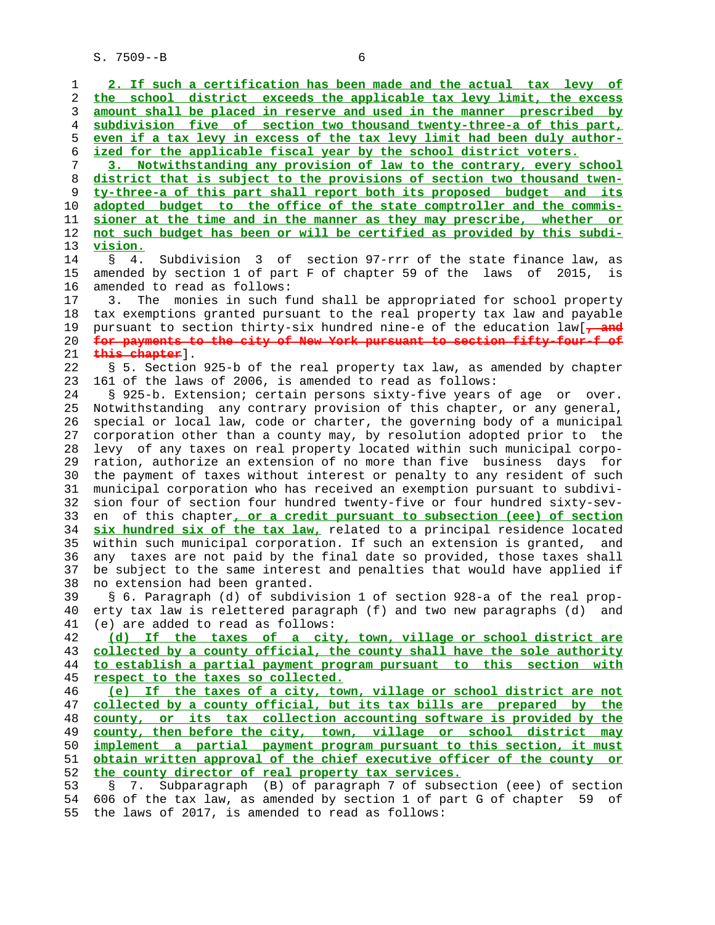1 **2. If such a certification has been made and the actual tax levy of** 2 **the school district exceeds the applicable tax levy limit, the excess** 3 **amount shall be placed in reserve and used in the manner prescribed by** 4 **subdivision five of section two thousand twenty-three-a of this part,** 5 **even if a tax levy in excess of the tax levy limit had been duly author-** 6 **ized for the applicable fiscal year by the school district voters.** 7 **3. Notwithstanding any provision of law to the contrary, every school** 8 **district that is subject to the provisions of section two thousand twen-** 9 **ty-three-a of this part shall report both its proposed budget and its** 10 **adopted budget to the office of the state comptroller and the commis-** 11 **sioner at the time and in the manner as they may prescribe, whether or** 12 **not such budget has been or will be certified as provided by this subdi-** 13 **vision.** 14 § 4. Subdivision 3 of section 97-rrr of the state finance law, as 15 amended by section 1 of part F of chapter 59 of the laws of 2015, is 16 amended to read as follows: 17 3. The monies in such fund shall be appropriated for school property 18 tax exemptions granted pursuant to the real property tax law and payable 19 pursuant to section thirty-six hundred nine-e of the education law[**, and** 20 **for payments to the city of New York pursuant to section fifty-four-f of** 21 **this chapter**]. 22 § 5. Section 925-b of the real property tax law, as amended by chapter 23 161 of the laws of 2006, is amended to read as follows: 24 § 925-b. Extension; certain persons sixty-five years of age or over. 25 Notwithstanding any contrary provision of this chapter, or any general, 26 special or local law, code or charter, the governing body of a municipal 27 corporation other than a county may, by resolution adopted prior to the 28 levy of any taxes on real property located within such municipal corpo- 29 ration, authorize an extension of no more than five business days for 30 the payment of taxes without interest or penalty to any resident of such 31 municipal corporation who has received an exemption pursuant to subdivi- 32 sion four of section four hundred twenty-five or four hundred sixty-sev- 33 en of this chapter**, or a credit pursuant to subsection (eee) of section** 34 **six hundred six of the tax law,** related to a principal residence located 35 within such municipal corporation. If such an extension is granted, and 36 any taxes are not paid by the final date so provided, those taxes shall 37 be subject to the same interest and penalties that would have applied if 38 no extension had been granted. 39 § 6. Paragraph (d) of subdivision 1 of section 928-a of the real prop- 40 erty tax law is relettered paragraph (f) and two new paragraphs (d) and 41 (e) are added to read as follows: 42 **(d) If the taxes of a city, town, village or school district are** 43 **collected by a county official, the county shall have the sole authority** 44 **to establish a partial payment program pursuant to this section with** 45 **respect to the taxes so collected.** 46 **(e) If the taxes of a city, town, village or school district are not** 47 **collected by a county official, but its tax bills are prepared by the** 48 **county, or its tax collection accounting software is provided by the** 49 **county, then before the city, town, village or school district may** 50 **implement a partial payment program pursuant to this section, it must** 51 **obtain written approval of the chief executive officer of the county or** 52 **the county director of real property tax services.** 53 § 7. Subparagraph (B) of paragraph 7 of subsection (eee) of section 54 606 of the tax law, as amended by section 1 of part G of chapter 59 of 55 the laws of 2017, is amended to read as follows: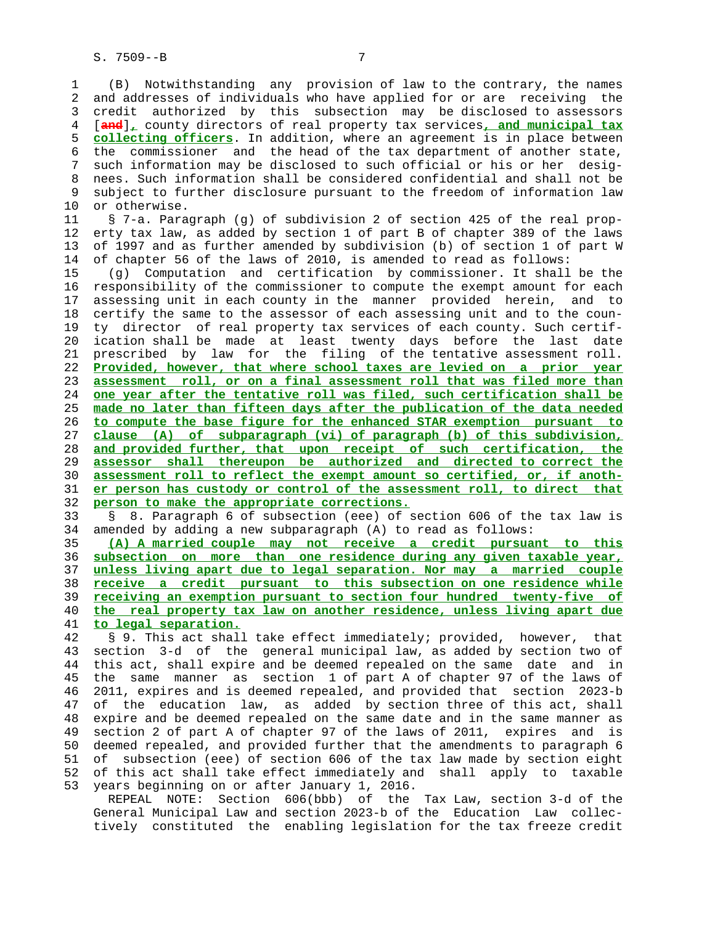1 (B) Notwithstanding any provision of law to the contrary, the names 2 and addresses of individuals who have applied for or are receiving the 3 credit authorized by this subsection may be disclosed to assessors 4 [**and**]**,** county directors of real property tax services**, and municipal tax** 5 **collecting officers**. In addition, where an agreement is in place between 6 the commissioner and the head of the tax department of another state, 7 such information may be disclosed to such official or his or her desig- 8 nees. Such information shall be considered confidential and shall not be subject to further disclosure pursuant to the freedom of information law 10 or otherwise.

 11 § 7-a. Paragraph (g) of subdivision 2 of section 425 of the real prop- 12 erty tax law, as added by section 1 of part B of chapter 389 of the laws 13 of 1997 and as further amended by subdivision (b) of section 1 of part W 14 of chapter 56 of the laws of 2010, is amended to read as follows:

 15 (g) Computation and certification by commissioner. It shall be the 16 responsibility of the commissioner to compute the exempt amount for each 17 assessing unit in each county in the manner provided herein, and to 18 certify the same to the assessor of each assessing unit and to the coun- 19 ty director of real property tax services of each county. Such certif- 20 ication shall be made at least twenty days before the last date 21 prescribed by law for the filing of the tentative assessment roll. **Provided, however, that where school taxes are levied on a prior year assessment roll, or on a final assessment roll that was filed more than one year after the tentative roll was filed, such certification shall be made no later than fifteen days after the publication of the data needed to compute the base figure for the enhanced STAR exemption pursuant to clause (A) of subparagraph (vi) of paragraph (b) of this subdivision, and provided further, that upon receipt of such certification, the assessor shall thereupon be authorized and directed to correct the assessment roll to reflect the exempt amount so certified, or, if anoth- er person has custody or control of the assessment roll, to direct that person to make the appropriate corrections.**

 33 § 8. Paragraph 6 of subsection (eee) of section 606 of the tax law is 34 amended by adding a new subparagraph (A) to read as follows:

**(A) A married couple may not receive a credit pursuant to this subsection on more than one residence during any given taxable year, unless living apart due to legal separation. Nor may a married couple receive a credit pursuant to this subsection on one residence while receiving an exemption pursuant to section four hundred twenty-five of the real property tax law on another residence, unless living apart due to legal separation.**

 42 § 9. This act shall take effect immediately; provided, however, that 43 section 3-d of the general municipal law, as added by section two of 44 this act, shall expire and be deemed repealed on the same date and in 45 the same manner as section 1 of part A of chapter 97 of the laws of 46 2011, expires and is deemed repealed, and provided that section 2023-b 47 of the education law, as added by section three of this act, shall 48 expire and be deemed repealed on the same date and in the same manner as 49 section 2 of part A of chapter 97 of the laws of 2011, expires and is 50 deemed repealed, and provided further that the amendments to paragraph 6 51 of subsection (eee) of section 606 of the tax law made by section eight 52 of this act shall take effect immediately and shall apply to taxable 53 years beginning on or after January 1, 2016.

 REPEAL NOTE: Section 606(bbb) of the Tax Law, section 3-d of the General Municipal Law and section 2023-b of the Education Law collec tively constituted the enabling legislation for the tax freeze credit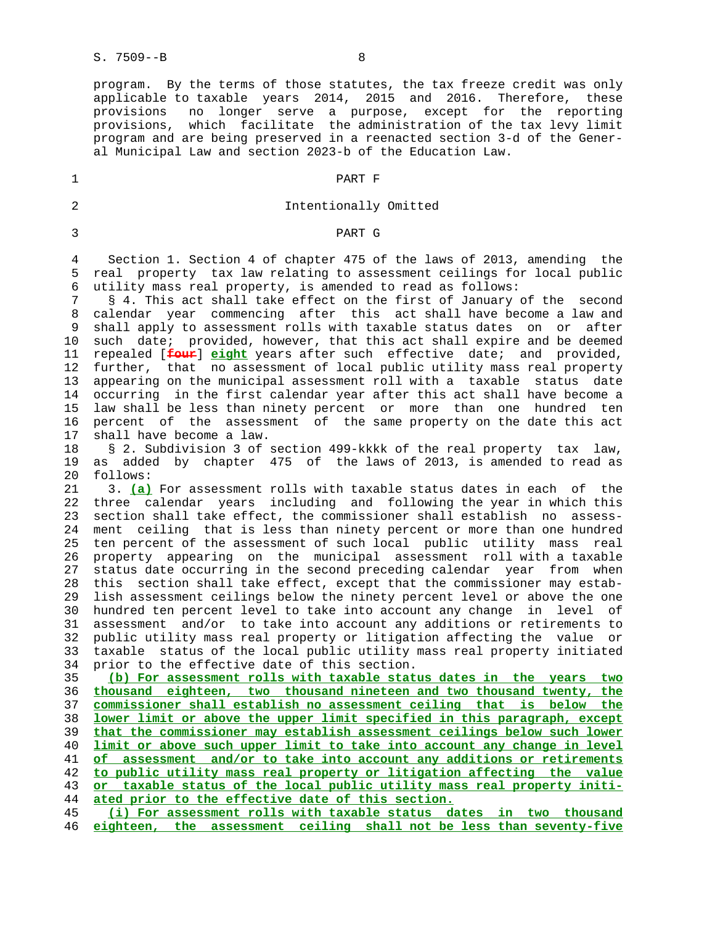program. By the terms of those statutes, the tax freeze credit was only applicable to taxable years 2014, 2015 and 2016. Therefore, these provisions no longer serve a purpose, except for the reporting provisions, which facilitate the administration of the tax levy limit program and are being preserved in a reenacted section 3-d of the Gener al Municipal Law and section 2023-b of the Education Law.

#### 1 PART F

### 2 Intentionally Omitted

## 3 PART G

 4 Section 1. Section 4 of chapter 475 of the laws of 2013, amending the 5 real property tax law relating to assessment ceilings for local public 6 utility mass real property, is amended to read as follows:

 7 § 4. This act shall take effect on the first of January of the second 8 calendar year commencing after this act shall have become a law and 9 shall apply to assessment rolls with taxable status dates on or after 10 such date; provided, however, that this act shall expire and be deemed 11 repealed [**four**] **eight** years after such effective date; and provided, 12 further, that no assessment of local public utility mass real property 13 appearing on the municipal assessment roll with a taxable status date 14 occurring in the first calendar year after this act shall have become a 15 law shall be less than ninety percent or more than one hundred ten 16 percent of the assessment of the same property on the date this act 17 shall have become a law.

 18 § 2. Subdivision 3 of section 499-kkkk of the real property tax law, 19 as added by chapter 475 of the laws of 2013, is amended to read as 20 follows:

 21 3. **(a)** For assessment rolls with taxable status dates in each of the 22 three calendar years including and following the year in which this 23 section shall take effect, the commissioner shall establish no assess- 24 ment ceiling that is less than ninety percent or more than one hundred 25 ten percent of the assessment of such local public utility mass real 26 property appearing on the municipal assessment roll with a taxable 27 status date occurring in the second preceding calendar year from when 28 this section shall take effect, except that the commissioner may estab- 29 lish assessment ceilings below the ninety percent level or above the one 30 hundred ten percent level to take into account any change in level of 31 assessment and/or to take into account any additions or retirements to 32 public utility mass real property or litigation affecting the value or 33 taxable status of the local public utility mass real property initiated 34 prior to the effective date of this section.

**(b) For assessment rolls with taxable status dates in the years two thousand eighteen, two thousand nineteen and two thousand twenty, the commissioner shall establish no assessment ceiling that is below the lower limit or above the upper limit specified in this paragraph, except that the commissioner may establish assessment ceilings below such lower limit or above such upper limit to take into account any change in level of assessment and/or to take into account any additions or retirements to public utility mass real property or litigation affecting the value or taxable status of the local public utility mass real property initi- ated prior to the effective date of this section. (i) For assessment rolls with taxable status dates in two thousand**

46 **eighteen, the assessment ceiling shall not be less than seventy-five**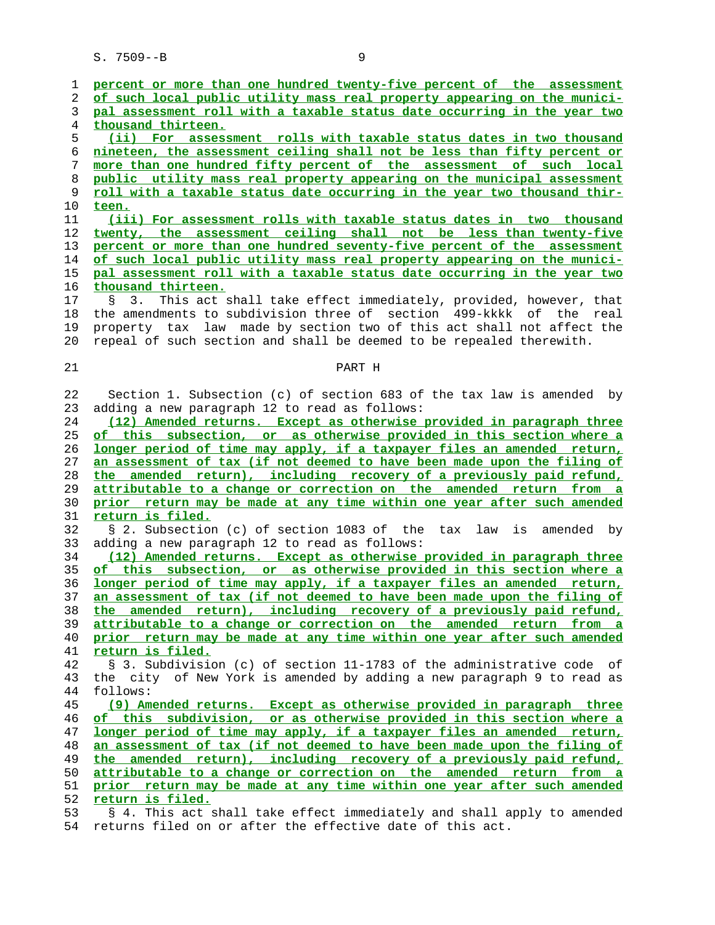| 1  | percent or more than one hundred twenty-five percent of the assessment                 |
|----|----------------------------------------------------------------------------------------|
| 2  | of such local public utility mass real property appearing on the munici-               |
| 3  | pal assessment roll with a taxable status date occurring in the year two               |
| 4  | thousand thirteen.                                                                     |
| 5  | (ii) For assessment rolls with taxable status dates in two thousand                    |
| 6  | nineteen, the assessment ceiling shall not be less than fifty percent or               |
| 7  | more than one hundred fifty percent of the assessment of such local                    |
| 8  | public utility mass real property appearing on the municipal assessment                |
| 9  | roll with a taxable status date occurring in the year two thousand thir-               |
| 10 | teen.                                                                                  |
| 11 | (iii) For assessment rolls with taxable status dates in two thousand                   |
| 12 | twenty, the assessment ceiling shall not be less than twenty-five                      |
| 13 | percent or more than one hundred seventy-five percent of the assessment                |
| 14 | of such local public utility mass real property appearing on the munici-               |
| 15 | pal assessment roll with a taxable status date occurring in the year two               |
| 16 | thousand thirteen.                                                                     |
| 17 | This act shall take effect immediately, provided, however, that<br>3.<br>$\mathcal{S}$ |
| 18 | the amendments to subdivision three of section 499-kkkk of the<br>real                 |
| 19 | property tax law made by section two of this act shall not affect the                  |
| 20 | repeal of such section and shall be deemed to be repealed therewith.                   |
|    |                                                                                        |
| 21 | PART H                                                                                 |
|    |                                                                                        |
| 22 | Section 1. Subsection (c) of section 683 of the tax law is amended by                  |
| 23 | adding a new paragraph 12 to read as follows:                                          |
| 24 | (12) Amended returns. Except as otherwise provided in paragraph three                  |
| 25 | of this subsection, or as otherwise provided in this section where a                   |
| 26 | longer period of time may apply, if a taxpayer files an amended return,                |
| 27 | an assessment of tax (if not deemed to have been made upon the filing of               |
| 28 | the amended return), including recovery of a previously paid refund,                   |
| 29 | attributable to a change or correction on the amended return from a                    |
| 30 | prior return may be made at any time within one year after such amended                |
| 31 | <u>return is filed.</u>                                                                |
| 32 | § 2. Subsection (c) of section 1083 of the<br>tax<br>law<br>is<br>amended by           |
| 33 | adding a new paragraph 12 to read as follows:                                          |
| 34 | (12) Amended returns. Except as otherwise provided in paragraph three                  |
| 35 | of this subsection, or as otherwise provided in this section where a                   |
| 36 | longer period of time may apply, if a taxpayer files an amended return,                |
| 37 | an assessment of tax (if not deemed to have been made upon the filing of               |
| 38 | the amended return), including recovery of a previously paid refund,                   |
| 39 | attributable to a change or correction on the amended return from a                    |
| 40 | prior return may be made at any time within one year after such amended                |
| 41 | return is filed.                                                                       |
| 42 | § 3. Subdivision (c) of section 11-1783 of the administrative code of                  |
| 43 | the city of New York is amended by adding a new paragraph 9 to read as                 |
| 44 | follows:                                                                               |
| 45 | (9) Amended returns. Except as otherwise provided in paragraph three                   |
| 46 | of this subdivision, or as otherwise provided in this section where a                  |
| 47 | longer period of time may apply, if a taxpayer files an amended return,                |
| 48 | an assessment of tax (if not deemed to have been made upon the filing of               |
| 49 | the amended return), including recovery of a previously paid refund,                   |
| 50 | attributable to a change or correction on the amended return from a                    |
| 51 | prior return may be made at any time within one year after such amended                |
| 52 | return is filed.                                                                       |
| 53 | § 4. This act shall take effect immediately and shall apply to amended                 |
|    |                                                                                        |

54 returns filed on or after the effective date of this act.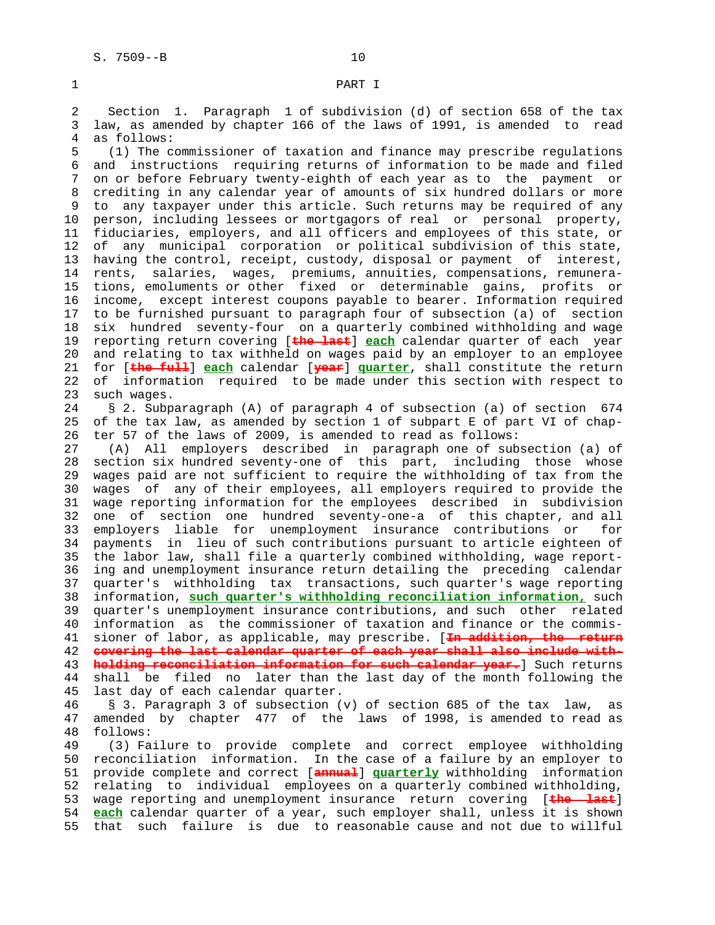### 1 PART I

 2 Section 1. Paragraph 1 of subdivision (d) of section 658 of the tax 3 law, as amended by chapter 166 of the laws of 1991, is amended to read 4 as follows:

 5 (1) The commissioner of taxation and finance may prescribe regulations 6 and instructions requiring returns of information to be made and filed 7 on or before February twenty-eighth of each year as to the payment or 8 crediting in any calendar year of amounts of six hundred dollars or more 9 to any taxpayer under this article. Such returns may be required of any 10 person, including lessees or mortgagors of real or personal property, 11 fiduciaries, employers, and all officers and employees of this state, or 12 of any municipal corporation or political subdivision of this state, 13 having the control, receipt, custody, disposal or payment of interest, 14 rents, salaries, wages, premiums, annuities, compensations, remunera- 15 tions, emoluments or other fixed or determinable gains, profits or 16 income, except interest coupons payable to bearer. Information required 17 to be furnished pursuant to paragraph four of subsection (a) of section 18 six hundred seventy-four on a quarterly combined withholding and wage 19 reporting return covering [**the last**] **each** calendar quarter of each year 20 and relating to tax withheld on wages paid by an employer to an employee 21 for [**the full**] **each** calendar [**year**] **quarter**, shall constitute the return 22 of information required to be made under this section with respect to 23 such wages.

 24 § 2. Subparagraph (A) of paragraph 4 of subsection (a) of section 674 25 of the tax law, as amended by section 1 of subpart E of part VI of chap- 26 ter 57 of the laws of 2009, is amended to read as follows:

 27 (A) All employers described in paragraph one of subsection (a) of 28 section six hundred seventy-one of this part, including those whose 29 wages paid are not sufficient to require the withholding of tax from the 30 wages of any of their employees, all employers required to provide the 31 wage reporting information for the employees described in subdivision 32 one of section one hundred seventy-one-a of this chapter, and all 33 employers liable for unemployment insurance contributions or for 34 payments in lieu of such contributions pursuant to article eighteen of 35 the labor law, shall file a quarterly combined withholding, wage report- 36 ing and unemployment insurance return detailing the preceding calendar 37 quarter's withholding tax transactions, such quarter's wage reporting 38 information, **such quarter's withholding reconciliation information,** such 39 quarter's unemployment insurance contributions, and such other related 40 information as the commissioner of taxation and finance or the commis- 41 sioner of labor, as applicable, may prescribe. [**In addition, the return** 42 **covering the last calendar quarter of each year shall also include with-** 43 **holding reconciliation information for such calendar year.**] Such returns 44 shall be filed no later than the last day of the month following the 45 last day of each calendar quarter.

 46 § 3. Paragraph 3 of subsection (v) of section 685 of the tax law, as 47 amended by chapter 477 of the laws of 1998, is amended to read as 48 follows:

 49 (3) Failure to provide complete and correct employee withholding 50 reconciliation information. In the case of a failure by an employer to 51 provide complete and correct [**annual**] **quarterly** withholding information 52 relating to individual employees on a quarterly combined withholding, 53 wage reporting and unemployment insurance return covering [**the last**] 54 **each** calendar quarter of a year, such employer shall, unless it is shown 55 that such failure is due to reasonable cause and not due to willful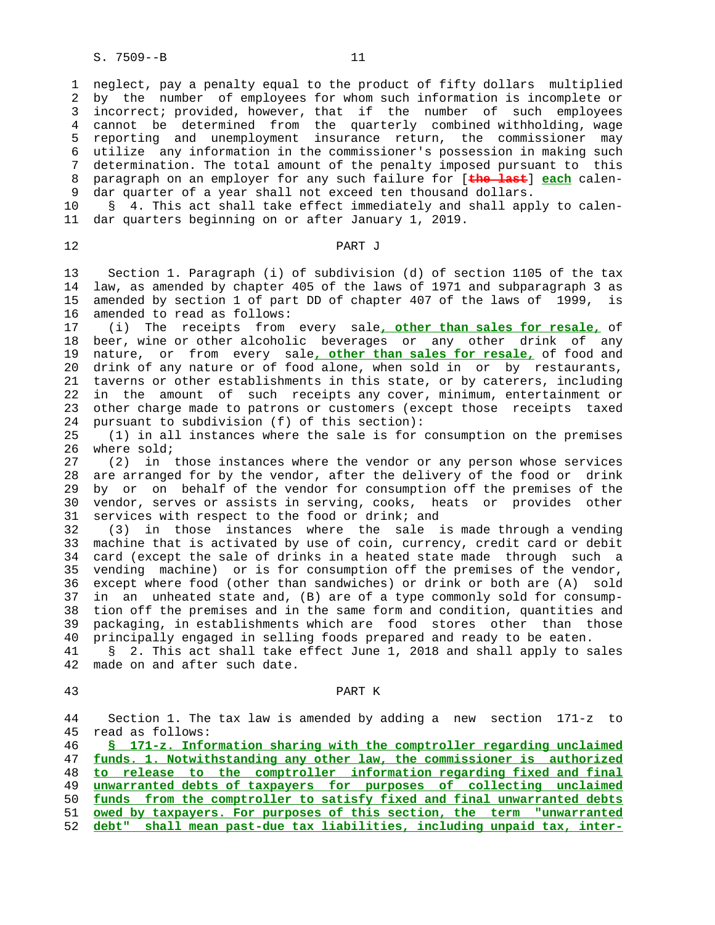1 neglect, pay a penalty equal to the product of fifty dollars multiplied 2 by the number of employees for whom such information is incomplete or 3 incorrect; provided, however, that if the number of such employees 4 cannot be determined from the quarterly combined withholding, wage 5 reporting and unemployment insurance return, the commissioner may 6 utilize any information in the commissioner's possession in making such 7 determination. The total amount of the penalty imposed pursuant to this 8 paragraph on an employer for any such failure for [**the last**] **each** calen dar quarter of a year shall not exceed ten thousand dollars.

 10 § 4. This act shall take effect immediately and shall apply to calen- 11 dar quarters beginning on or after January 1, 2019.

#### 12 PART J

 13 Section 1. Paragraph (i) of subdivision (d) of section 1105 of the tax 14 law, as amended by chapter 405 of the laws of 1971 and subparagraph 3 as 15 amended by section 1 of part DD of chapter 407 of the laws of 1999, is 16 amended to read as follows:

 17 (i) The receipts from every sale**, other than sales for resale,** of 18 beer, wine or other alcoholic beverages or any other drink of any 19 nature, or from every sale**, other than sales for resale,** of food and 20 drink of any nature or of food alone, when sold in or by restaurants, 21 taverns or other establishments in this state, or by caterers, including 22 in the amount of such receipts any cover, minimum, entertainment or 23 other charge made to patrons or customers (except those receipts taxed 24 pursuant to subdivision (f) of this section):

 25 (1) in all instances where the sale is for consumption on the premises 26 where sold;

 27 (2) in those instances where the vendor or any person whose services 28 are arranged for by the vendor, after the delivery of the food or drink 29 by or on behalf of the vendor for consumption off the premises of the 30 vendor, serves or assists in serving, cooks, heats or provides other 31 services with respect to the food or drink; and

 32 (3) in those instances where the sale is made through a vending 33 machine that is activated by use of coin, currency, credit card or debit 34 card (except the sale of drinks in a heated state made through such a 35 vending machine) or is for consumption off the premises of the vendor, 36 except where food (other than sandwiches) or drink or both are (A) sold 37 in an unheated state and, (B) are of a type commonly sold for consump- 38 tion off the premises and in the same form and condition, quantities and 39 packaging, in establishments which are food stores other than those 40 principally engaged in selling foods prepared and ready to be eaten.

 41 § 2. This act shall take effect June 1, 2018 and shall apply to sales 42 made on and after such date.

#### 43 PART K

 44 Section 1. The tax law is amended by adding a new section 171-z to 45 read as follows:

**§ 171-z. Information sharing with the comptroller regarding unclaimed funds. 1. Notwithstanding any other law, the commissioner is authorized to release to the comptroller information regarding fixed and final unwarranted debts of taxpayers for purposes of collecting unclaimed funds from the comptroller to satisfy fixed and final unwarranted debts owed by taxpayers. For purposes of this section, the term "unwarranted debt" shall mean past-due tax liabilities, including unpaid tax, inter-**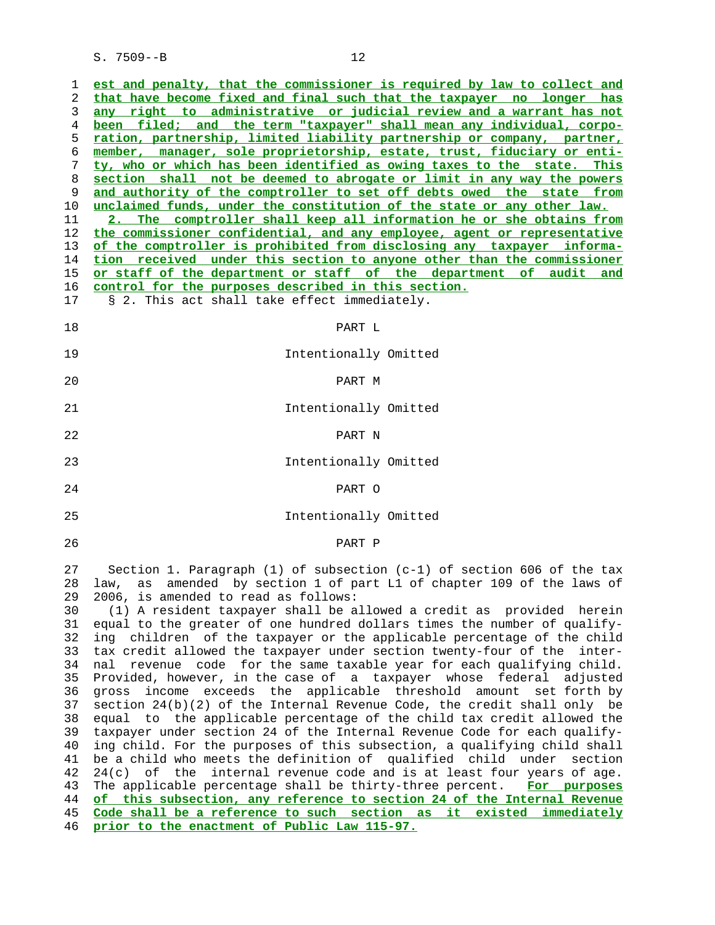**est and penalty, that the commissioner is required by law to collect and that have become fixed and final such that the taxpayer no longer has any right to administrative or judicial review and a warrant has not been filed; and the term "taxpayer" shall mean any individual, corpo- ration, partnership, limited liability partnership or company, partner, member, manager, sole proprietorship, estate, trust, fiduciary or enti- ty, who or which has been identified as owing taxes to the state. This section shall not be deemed to abrogate or limit in any way the powers and authority of the comptroller to set off debts owed the state from unclaimed funds, under the constitution of the state or any other law. 2. The comptroller shall keep all information he or she obtains from the commissioner confidential, and any employee, agent or representative of the comptroller is prohibited from disclosing any taxpayer informa- tion received under this section to anyone other than the commissioner or staff of the department or staff of the department of audit and control for the purposes described in this section.** 17 § 2. This act shall take effect immediately. 18 PART L 19 Intentionally Omitted 20 PART M 21 Intentionally Omitted 22 PART N 23 Intentionally Omitted 24 PART O 25 Intentionally Omitted

 27 Section 1. Paragraph (1) of subsection (c-1) of section 606 of the tax 28 law, as amended by section 1 of part L1 of chapter 109 of the laws of 29 2006, is amended to read as follows:

26 PART P

 30 (1) A resident taxpayer shall be allowed a credit as provided herein 31 equal to the greater of one hundred dollars times the number of qualify- 32 ing children of the taxpayer or the applicable percentage of the child 33 tax credit allowed the taxpayer under section twenty-four of the inter- 34 nal revenue code for the same taxable year for each qualifying child. 35 Provided, however, in the case of a taxpayer whose federal adjusted 36 gross income exceeds the applicable threshold amount set forth by 37 section 24(b)(2) of the Internal Revenue Code, the credit shall only be 38 equal to the applicable percentage of the child tax credit allowed the<br>39 taxpayer under section 24 of the Internal Revenue Code for each qualifytaxpayer under section 24 of the Internal Revenue Code for each qualify- 40 ing child. For the purposes of this subsection, a qualifying child shall 41 be a child who meets the definition of qualified child under section  $42 \quad 24(c)$  of the internal revenue code and is at least four years of age. 43 The applicable percentage shall be thirty-three percent. **For purposes** 44 **of this subsection, any reference to section 24 of the Internal Revenue** 45 **Code shall be a reference to such section as it existed immediately** 46 **prior to the enactment of Public Law 115-97.**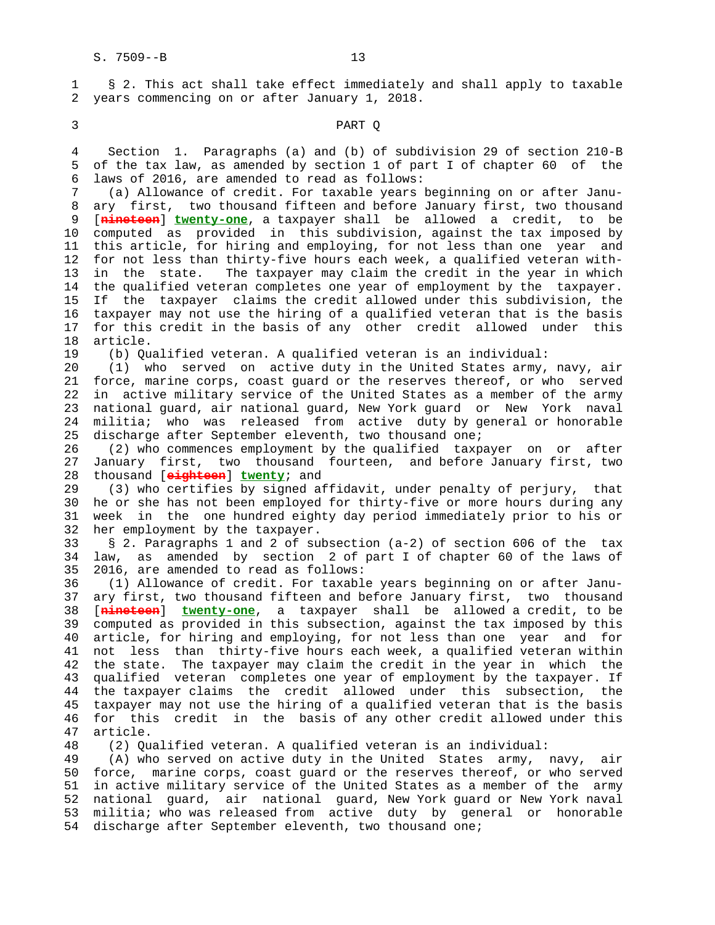1 § 2. This act shall take effect immediately and shall apply to taxable 2 years commencing on or after January 1, 2018.

3 PART Q

 4 Section 1. Paragraphs (a) and (b) of subdivision 29 of section 210-B 5 of the tax law, as amended by section 1 of part I of chapter 60 of the 6 laws of 2016, are amended to read as follows:

(a) Allowance of credit. For taxable years beginning on or after Janu- 8 ary first, two thousand fifteen and before January first, two thousand 9 [**nineteen**] **twenty-one**, a taxpayer shall be allowed a credit, to be 10 computed as provided in this subdivision, against the tax imposed by 11 this article, for hiring and employing, for not less than one year and 12 for not less than thirty-five hours each week, a qualified veteran with- 13 in the state. The taxpayer may claim the credit in the year in which 14 the qualified veteran completes one year of employment by the taxpayer. 15 If the taxpayer claims the credit allowed under this subdivision, the 16 taxpayer may not use the hiring of a qualified veteran that is the basis 17 for this credit in the basis of any other credit allowed under this 18 article.

19 (b) Qualified veteran. A qualified veteran is an individual:

 20 (1) who served on active duty in the United States army, navy, air 21 force, marine corps, coast guard or the reserves thereof, or who served 22 in active military service of the United States as a member of the army 23 national guard, air national guard, New York guard or New York naval 24 militia; who was released from active duty by general or honorable 25 discharge after September eleventh, two thousand one;

 26 (2) who commences employment by the qualified taxpayer on or after 27 January first, two thousand fourteen, and before January first, two 28 thousand [**eighteen**] **twenty**; and

 29 (3) who certifies by signed affidavit, under penalty of perjury, that 30 he or she has not been employed for thirty-five or more hours during any 31 week in the one hundred eighty day period immediately prior to his or 32 her employment by the taxpayer.

 33 § 2. Paragraphs 1 and 2 of subsection (a-2) of section 606 of the tax 34 law, as amended by section 2 of part I of chapter 60 of the laws of 35 2016, are amended to read as follows:

 36 (1) Allowance of credit. For taxable years beginning on or after Janu- 37 ary first, two thousand fifteen and before January first, two thousand 38 [**nineteen**] **twenty-one**, a taxpayer shall be allowed a credit, to be 39 computed as provided in this subsection, against the tax imposed by this 40 article, for hiring and employing, for not less than one year and for 41 not less than thirty-five hours each week, a qualified veteran within 42 the state. The taxpayer may claim the credit in the year in which the 43 qualified veteran completes one year of employment by the taxpayer. If 44 the taxpayer claims the credit allowed under this subsection, the 45 taxpayer may not use the hiring of a qualified veteran that is the basis 46 for this credit in the basis of any other credit allowed under this 47 article.

48 (2) Qualified veteran. A qualified veteran is an individual:

 49 (A) who served on active duty in the United States army, navy, air 50 force, marine corps, coast guard or the reserves thereof, or who served 51 in active military service of the United States as a member of the army 52 national guard, air national guard, New York guard or New York naval 53 militia; who was released from active duty by general or honorable 54 discharge after September eleventh, two thousand one;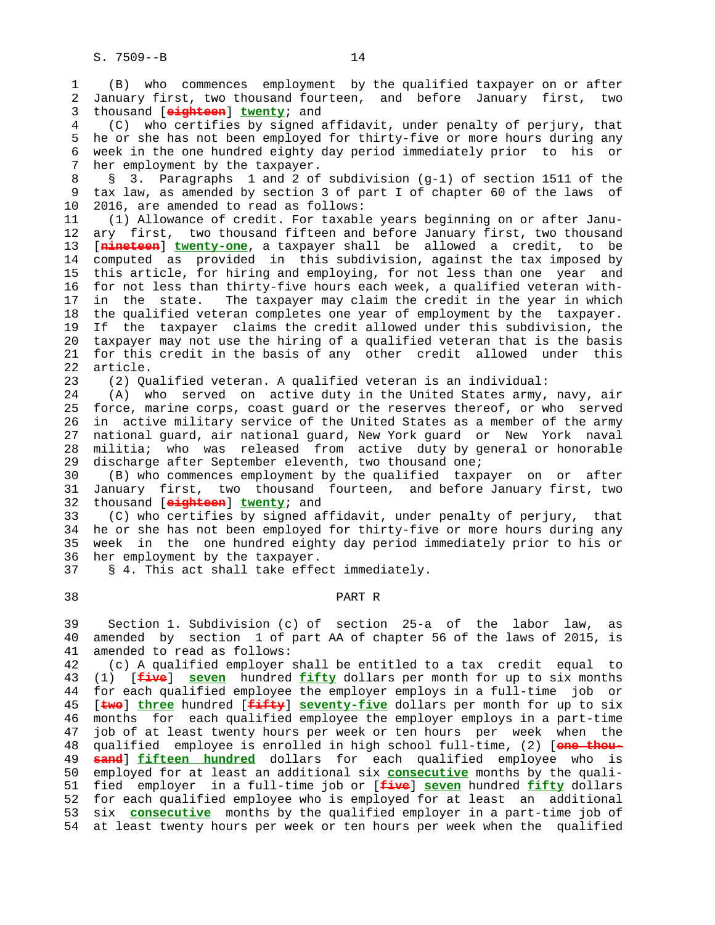1 (B) who commences employment by the qualified taxpayer on or after 2 January first, two thousand fourteen, and before January first, two 3 thousand [**eighteen**] **twenty**; and

 4 (C) who certifies by signed affidavit, under penalty of perjury, that 5 he or she has not been employed for thirty-five or more hours during any 6 week in the one hundred eighty day period immediately prior to his or 7 her employment by the taxpayer.

8 § 3. Paragraphs 1 and 2 of subdivision (g-1) of section 1511 of the<br>9 tax law, as amended by section 3 of part I of chapter 60 of the laws of tax law, as amended by section 3 of part I of chapter 60 of the laws of 10 2016, are amended to read as follows:

 11 (1) Allowance of credit. For taxable years beginning on or after Janu- 12 ary first, two thousand fifteen and before January first, two thousand 13 [**nineteen**] **twenty-one**, a taxpayer shall be allowed a credit, to be 14 computed as provided in this subdivision, against the tax imposed by 15 this article, for hiring and employing, for not less than one year and 16 for not less than thirty-five hours each week, a qualified veteran with- 17 in the state. The taxpayer may claim the credit in the year in which 18 the qualified veteran completes one year of employment by the taxpayer. 19 If the taxpayer claims the credit allowed under this subdivision, the 20 taxpayer may not use the hiring of a qualified veteran that is the basis 21 for this credit in the basis of any other credit allowed under this 22 article.

23 (2) Qualified veteran. A qualified veteran is an individual:

 24 (A) who served on active duty in the United States army, navy, air 25 force, marine corps, coast guard or the reserves thereof, or who served 26 in active military service of the United States as a member of the army 27 national guard, air national guard, New York guard or New York naval 28 militia; who was released from active duty by general or honorable 29 discharge after September eleventh, two thousand one;

 30 (B) who commences employment by the qualified taxpayer on or after 31 January first, two thousand fourteen, and before January first, two 32 thousand [**eighteen**] **twenty**; and

 33 (C) who certifies by signed affidavit, under penalty of perjury, that 34 he or she has not been employed for thirty-five or more hours during any 35 week in the one hundred eighty day period immediately prior to his or 36 her employment by the taxpayer.

37 § 4. This act shall take effect immediately.

#### 38 PART R

 39 Section 1. Subdivision (c) of section 25-a of the labor law, as 40 amended by section 1 of part AA of chapter 56 of the laws of 2015, is 41 amended to read as follows:

 42 (c) A qualified employer shall be entitled to a tax credit equal to 43 (1) [**five**] **seven** hundred **fifty** dollars per month for up to six months 44 for each qualified employee the employer employs in a full-time job or 45 [**two**] **three** hundred [**fifty**] **seventy-five** dollars per month for up to six 46 months for each qualified employee the employer employs in a part-time 47 job of at least twenty hours per week or ten hours per week when the 48 qualified employee is enrolled in high school full-time, (2) [**one thou-** 49 **sand**] **fifteen hundred** dollars for each qualified employee who is 50 employed for at least an additional six **consecutive** months by the quali- 51 fied employer in a full-time job or [**five**] **seven** hundred **fifty** dollars 52 for each qualified employee who is employed for at least an additional 53 six **consecutive** months by the qualified employer in a part-time job of 54 at least twenty hours per week or ten hours per week when the qualified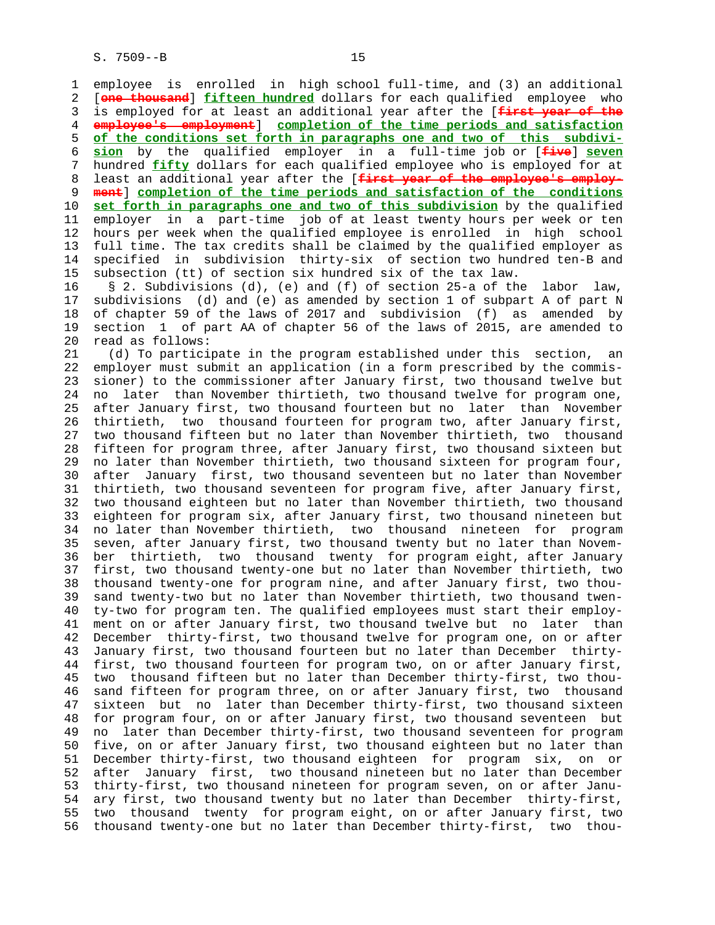1 employee is enrolled in high school full-time, and (3) an additional 2 [**one thousand**] **fifteen hundred** dollars for each qualified employee who 3 is employed for at least an additional year after the [**first year of the** 4 **employee's employment**] **completion of the time periods and satisfaction** 5 **of the conditions set forth in paragraphs one and two of this subdivi-** 6 **sion** by the qualified employer in a full-time job or [**five**] **seven** 7 hundred **fifty** dollars for each qualified employee who is employed for at 8 least an additional year after the [**first year of the employee's employ-** 9 **ment**] **completion of the time periods and satisfaction of the conditions** 10 **set forth in paragraphs one and two of this subdivision** by the qualified 11 employer in a part-time job of at least twenty hours per week or ten 12 hours per week when the qualified employee is enrolled in high school 13 full time. The tax credits shall be claimed by the qualified employer as 14 specified in subdivision thirty-six of section two hundred ten-B and 15 subsection (tt) of section six hundred six of the tax law.

 16 § 2. Subdivisions (d), (e) and (f) of section 25-a of the labor law, 17 subdivisions (d) and (e) as amended by section 1 of subpart A of part N 18 of chapter 59 of the laws of 2017 and subdivision (f) as amended by 19 section 1 of part AA of chapter 56 of the laws of 2015, are amended to 20 read as follows:

 21 (d) To participate in the program established under this section, an 22 employer must submit an application (in a form prescribed by the commis- 23 sioner) to the commissioner after January first, two thousand twelve but 24 no later than November thirtieth, two thousand twelve for program one, 25 after January first, two thousand fourteen but no later than November 26 thirtieth, two thousand fourteen for program two, after January first, 27 two thousand fifteen but no later than November thirtieth, two thousand 28 fifteen for program three, after January first, two thousand sixteen but 29 no later than November thirtieth, two thousand sixteen for program four, 30 after January first, two thousand seventeen but no later than November 31 thirtieth, two thousand seventeen for program five, after January first, 32 two thousand eighteen but no later than November thirtieth, two thousand 33 eighteen for program six, after January first, two thousand nineteen but 34 no later than November thirtieth, two thousand nineteen for program 35 seven, after January first, two thousand twenty but no later than Novem- 36 ber thirtieth, two thousand twenty for program eight, after January 37 first, two thousand twenty-one but no later than November thirtieth, two 38 thousand twenty-one for program nine, and after January first, two thou- 39 sand twenty-two but no later than November thirtieth, two thousand twen- 40 ty-two for program ten. The qualified employees must start their employ- 41 ment on or after January first, two thousand twelve but no later than 42 December thirty-first, two thousand twelve for program one, on or after 43 January first, two thousand fourteen but no later than December thirty- 44 first, two thousand fourteen for program two, on or after January first, 45 two thousand fifteen but no later than December thirty-first, two thou- 46 sand fifteen for program three, on or after January first, two thousand 47 sixteen but no later than December thirty-first, two thousand sixteen 48 for program four, on or after January first, two thousand seventeen but 49 no later than December thirty-first, two thousand seventeen for program 50 five, on or after January first, two thousand eighteen but no later than 51 December thirty-first, two thousand eighteen for program six, on or 52 after January first, two thousand nineteen but no later than December 53 thirty-first, two thousand nineteen for program seven, on or after Janu- 54 ary first, two thousand twenty but no later than December thirty-first, 55 two thousand twenty for program eight, on or after January first, two 56 thousand twenty-one but no later than December thirty-first, two thou-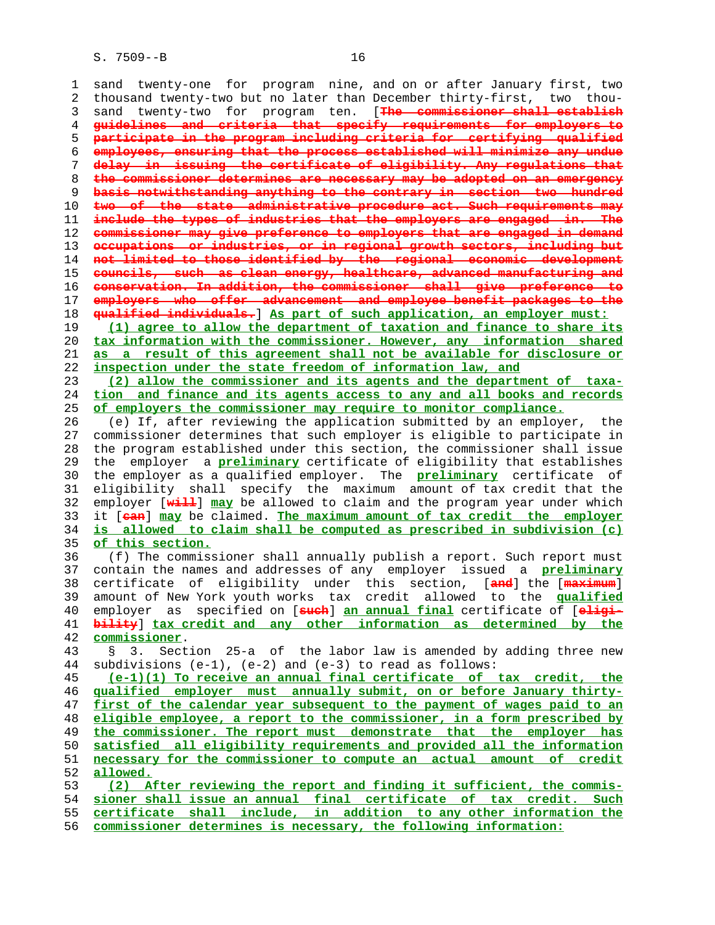1 sand twenty-one for program nine, and on or after January first, two 2 thousand twenty-two but no later than December thirty-first, two thou- 3 sand twenty-two for program ten. [**The commissioner shall establish guidelines and criteria that specify requirements for employers to participate in the program including criteria for certifying qualified employees, ensuring that the process established will minimize any undue delay in issuing the certificate of eligibility. Any regulations that the commissioner determines are necessary may be adopted on an emergency basis notwithstanding anything to the contrary in section two hundred two of the state administrative procedure act. Such requirements may include the types of industries that the employers are engaged in. The commissioner may give preference to employers that are engaged in demand occupations or industries, or in regional growth sectors, including but not limited to those identified by the regional economic development councils, such as clean energy, healthcare, advanced manufacturing and conservation. In addition, the commissioner shall give preference to employers who offer advancement and employee benefit packages to the qualified individuals.**] **As part of such application, an employer must: (1) agree to allow the department of taxation and finance to share its tax information with the commissioner. However, any information shared as a result of this agreement shall not be available for disclosure or inspection under the state freedom of information law, and (2) allow the commissioner and its agents and the department of taxa- tion and finance and its agents access to any and all books and records of employers the commissioner may require to monitor compliance.** 26 (e) If, after reviewing the application submitted by an employer, the 27 commissioner determines that such employer is eligible to participate in 28 the program established under this section, the commissioner shall issue 29 the employer a **preliminary** certificate of eligibility that establishes 30 the employer as a qualified employer. The **preliminary** certificate of 31 eligibility shall specify the maximum amount of tax credit that the 32 employer [**will**] **may** be allowed to claim and the program year under which 33 it [**can**] **may** be claimed. **The maximum amount of tax credit the employer is allowed to claim shall be computed as prescribed in subdivision (c) of this section.** 36 (f) The commissioner shall annually publish a report. Such report must 37 contain the names and addresses of any employer issued a **preliminary** 38 certificate of eligibility under this section, [**and**] the [**maximum**] 39 amount of New York youth works tax credit allowed to the **qualified** 40 employer as specified on [**such**] **an annual final** certificate of [**eligi- bility**] **tax credit and any other information as determined by the commissioner**. 43 § 3. Section 25-a of the labor law is amended by adding three new 44 subdivisions (e-1), (e-2) and (e-3) to read as follows: **(e-1)(1) To receive an annual final certificate of tax credit, the qualified employer must annually submit, on or before January thirty- first of the calendar year subsequent to the payment of wages paid to an eligible employee, a report to the commissioner, in a form prescribed by the commissioner. The report must demonstrate that the employer has satisfied all eligibility requirements and provided all the information necessary for the commissioner to compute an actual amount of credit allowed. (2) After reviewing the report and finding it sufficient, the commis- sioner shall issue an annual final certificate of tax credit. Such certificate shall include, in addition to any other information the commissioner determines is necessary, the following information:**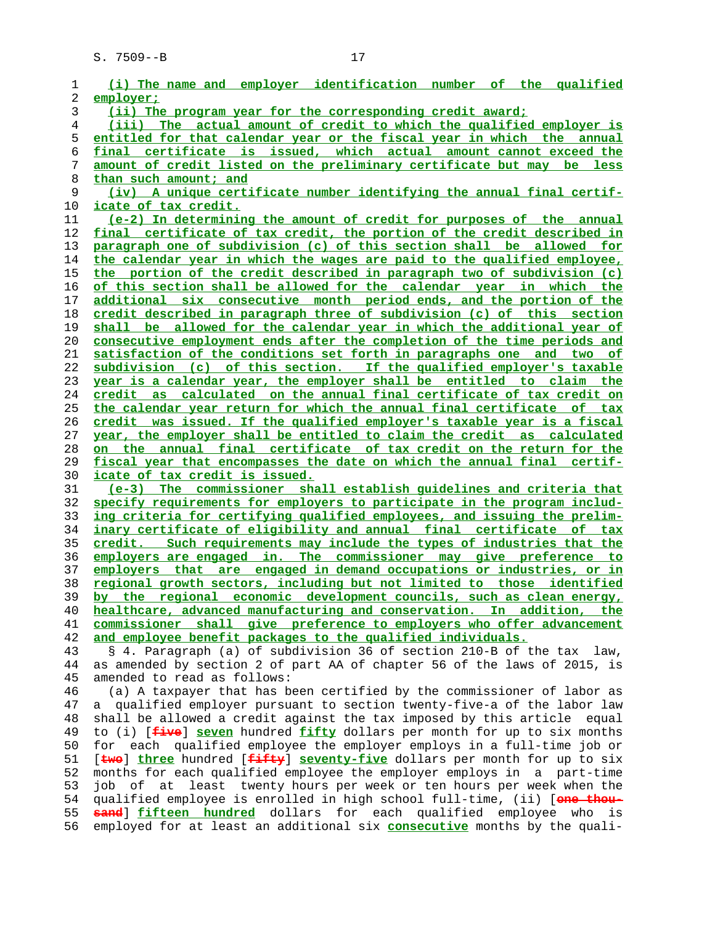| 1        | (i) The name and employer identification number of the qualified                                                                                            |
|----------|-------------------------------------------------------------------------------------------------------------------------------------------------------------|
| 2        | employer;                                                                                                                                                   |
| 3        | (ii) The program year for the corresponding credit award;                                                                                                   |
| 4        | (iii) The actual amount of credit to which the qualified employer is                                                                                        |
| 5        | entitled for that calendar year or the fiscal year in which the annual                                                                                      |
| 6        | final certificate is issued, which actual amount cannot exceed the                                                                                          |
| 7        | amount of credit listed on the preliminary certificate but may be less                                                                                      |
| 8        | than such amount; and                                                                                                                                       |
| 9        | (iv) A unique certificate number identifying the annual final certif-                                                                                       |
| 10       | icate of tax credit.                                                                                                                                        |
| 11       | (e-2) In determining the amount of credit for purposes of the annual                                                                                        |
| 12       | final certificate of tax credit, the portion of the credit described in                                                                                     |
| 13       | paragraph one of subdivision (c) of this section shall be allowed for                                                                                       |
| 14       | the calendar year in which the wages are paid to the qualified employee,                                                                                    |
| 15       | the portion of the credit described in paragraph two of subdivision (c)                                                                                     |
| 16<br>17 | of this section shall be allowed for the calendar year in which the<br>additional six consecutive month period ends, and the portion of the                 |
| 18       | credit described in paragraph three of subdivision (c) of this section                                                                                      |
| 19       | shall be allowed for the calendar year in which the additional year of                                                                                      |
| 20       | consecutive employment ends after the completion of the time periods and                                                                                    |
| 21       | satisfaction of the conditions set forth in paragraphs one and two of                                                                                       |
| 22       | subdivision (c) of this section. If the qualified employer's taxable                                                                                        |
| 23       | year is a calendar year, the employer shall be entitled to claim the                                                                                        |
| 24       | credit as calculated on the annual final certificate of tax credit on                                                                                       |
| 25       | the calendar year return for which the annual final certificate of tax                                                                                      |
| 26       | credit was issued. If the qualified employer's taxable year is a fiscal                                                                                     |
| 27       | year, the employer shall be entitled to claim the credit as calculated                                                                                      |
| 28       | on the annual final certificate of tax credit on the return for the                                                                                         |
|          |                                                                                                                                                             |
| 29       | fiscal year that encompasses the date on which the annual final certif-                                                                                     |
| 30       | <u>icate of tax credit is issued.</u>                                                                                                                       |
| 31       | (e-3) The commissioner shall establish quidelines and criteria that                                                                                         |
| 32       | specify requirements for employers to participate in the program includ-                                                                                    |
| 33       | ing criteria for certifying qualified employees, and issuing the prelim-                                                                                    |
| 34       | inary certificate of eligibility and annual final certificate of tax                                                                                        |
| 35       | credit. Such requirements may include the types of industries that the                                                                                      |
| 36       | employers are engaged in. The commissioner may give preference to                                                                                           |
| 37       | employers that are engaged in demand occupations or industries, or in                                                                                       |
| 38       | regional growth sectors, including but not limited to those identified                                                                                      |
|          | 39 by the regional economic development councils, such as clean energy,                                                                                     |
| 40       | healthcare, advanced manufacturing and conservation. In addition, the                                                                                       |
| 41       | commissioner shall give preference to employers who offer advancement                                                                                       |
| 42       | and employee benefit packages to the qualified individuals.                                                                                                 |
| 43       | § 4. Paragraph (a) of subdivision 36 of section 210-B of the tax law,                                                                                       |
| 44       | as amended by section 2 of part AA of chapter 56 of the laws of 2015, is                                                                                    |
| 45       | amended to read as follows:                                                                                                                                 |
| 46<br>47 | (a) A taxpayer that has been certified by the commissioner of labor as                                                                                      |
| 48       | a qualified employer pursuant to section twenty-five-a of the labor law<br>shall be allowed a credit against the tax imposed by this article equal          |
| 49       | to (i) [five] seven hundred fifty dollars per month for up to six months                                                                                    |
| 50       | for each qualified employee the employer employs in a full-time job or                                                                                      |
| 51       | [twe] three hundred [fifty] seventy-five dollars per month for up to six                                                                                    |
| 52       | months for each qualified employee the employer employs in a part-time                                                                                      |
| 53       | job of at least twenty hours per week or ten hours per week when the                                                                                        |
| 54       | qualified employee is enrolled in high school full-time, (ii) [one thou-                                                                                    |
| 55<br>56 | <b>sand</b> ] fifteen hundred dollars for each qualified employee who is<br>employed for at least an additional six <b>consecutive</b> months by the quali- |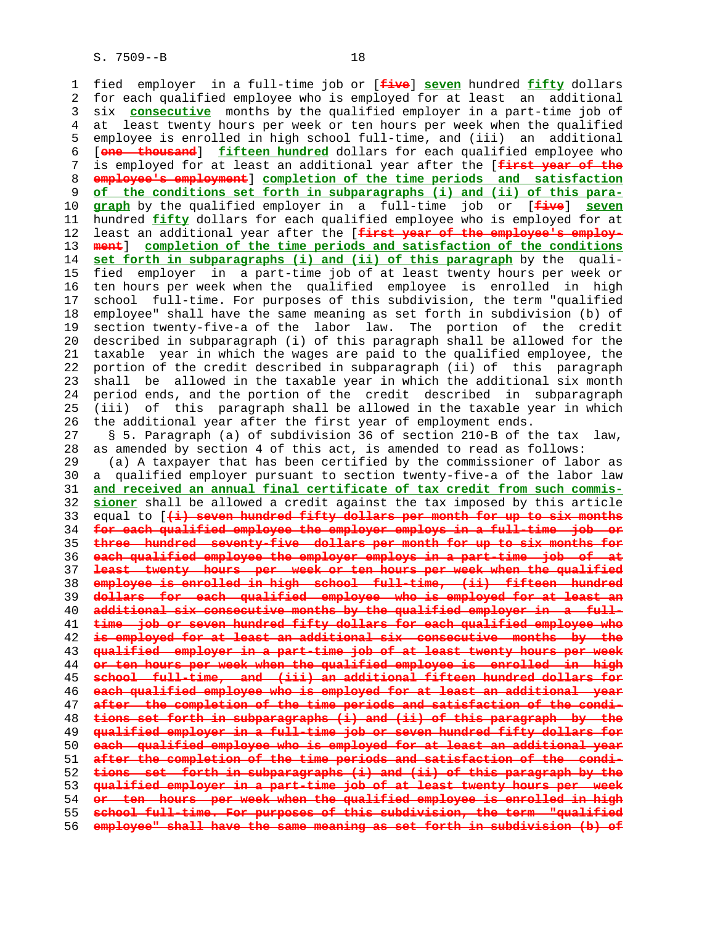1 fied employer in a full-time job or [**five**] **seven** hundred **fifty** dollars 2 for each qualified employee who is employed for at least an additional 3 six **consecutive** months by the qualified employer in a part-time job of 4 at least twenty hours per week or ten hours per week when the qualified 5 employee is enrolled in high school full-time, and (iii) an additional 6 [**one thousand**] **fifteen hundred** dollars for each qualified employee who 7 is employed for at least an additional year after the [**first year of the** 8 **employee's employment**] **completion of the time periods and satisfaction** 9 **of the conditions set forth in subparagraphs (i) and (ii) of this para-** 10 **graph** by the qualified employer in a full-time job or [**five**] **seven** 11 hundred **fifty** dollars for each qualified employee who is employed for at 12 least an additional year after the [**first year of the employee's employ-** 13 **ment**] **completion of the time periods and satisfaction of the conditions** 14 **set forth in subparagraphs (i) and (ii) of this paragraph** by the quali- 15 fied employer in a part-time job of at least twenty hours per week or 16 ten hours per week when the qualified employee is enrolled in high 17 school full-time. For purposes of this subdivision, the term "qualified 18 employee" shall have the same meaning as set forth in subdivision (b) of 19 section twenty-five-a of the labor law. The portion of the credit 20 described in subparagraph (i) of this paragraph shall be allowed for the 21 taxable year in which the wages are paid to the qualified employee, the 22 portion of the credit described in subparagraph (ii) of this paragraph 23 shall be allowed in the taxable year in which the additional six month 24 period ends, and the portion of the credit described in subparagraph 25 (iii) of this paragraph shall be allowed in the taxable year in which 26 the additional year after the first year of employment ends. 27 § 5. Paragraph (a) of subdivision 36 of section 210-B of the tax law, 28 as amended by section 4 of this act, is amended to read as follows: 29 (a) A taxpayer that has been certified by the commissioner of labor as 30 a qualified employer pursuant to section twenty-five-a of the labor law 31 **and received an annual final certificate of tax credit from such commis-** 32 **sioner** shall be allowed a credit against the tax imposed by this article 33 equal to [**(i) seven hundred fifty dollars per month for up to six months** 34 **for each qualified employee the employer employs in a full-time job or** 35 **three hundred seventy-five dollars per month for up to six months for** 36 **each qualified employee the employer employs in a part-time job of at** 37 **least twenty hours per week or ten hours per week when the qualified** 38 **employee is enrolled in high school full-time, (ii) fifteen hundred** 39 **dollars for each qualified employee who is employed for at least an** 40 **additional six consecutive months by the qualified employer in a full-** 41 **time job or seven hundred fifty dollars for each qualified employee who** 42 **is employed for at least an additional six consecutive months by the** 43 **qualified employer in a part-time job of at least twenty hours per week** 44 **or ten hours per week when the qualified employee is enrolled in high** 45 **school full-time, and (iii) an additional fifteen hundred dollars for** 46 **each qualified employee who is employed for at least an additional year** 47 **after the completion of the time periods and satisfaction of the condi-** 48 **tions set forth in subparagraphs (i) and (ii) of this paragraph by the** 49 **qualified employer in a full-time job or seven hundred fifty dollars for** 50 **each qualified employee who is employed for at least an additional year** 51 **after the completion of the time periods and satisfaction of the condi-** 52 **tions set forth in subparagraphs (i) and (ii) of this paragraph by the** 53 **qualified employer in a part-time job of at least twenty hours per week** 54 **or ten hours per week when the qualified employee is enrolled in high** 55 **school full-time. For purposes of this subdivision, the term "qualified** 56 **employee" shall have the same meaning as set forth in subdivision (b) of**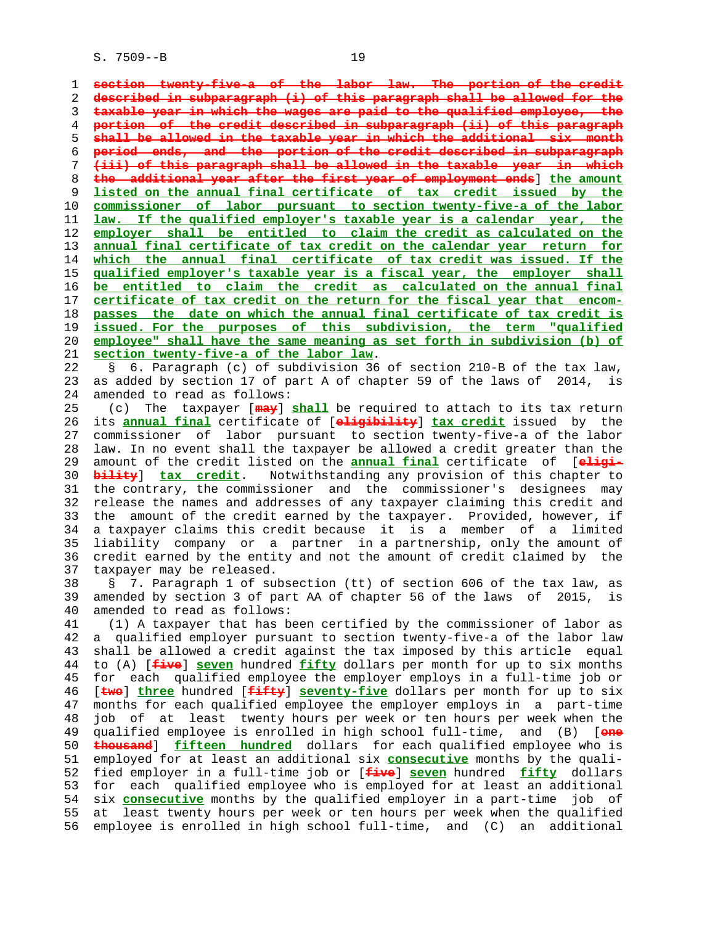**section twenty-five-a of the labor law. The portion of the credit described in subparagraph (i) of this paragraph shall be allowed for the taxable year in which the wages are paid to the qualified employee, the portion of the credit described in subparagraph (ii) of this paragraph shall be allowed in the taxable year in which the additional six month period ends, and the portion of the credit described in subparagraph (iii) of this paragraph shall be allowed in the taxable year in which the additional year after the first year of employment ends**] **the amount listed on the annual final certificate of tax credit issued by the commissioner of labor pursuant to section twenty-five-a of the labor law. If the qualified employer's taxable year is a calendar year, the employer shall be entitled to claim the credit as calculated on the annual final certificate of tax credit on the calendar year return for which the annual final certificate of tax credit was issued. If the qualified employer's taxable year is a fiscal year, the employer shall be entitled to claim the credit as calculated on the annual final certificate of tax credit on the return for the fiscal year that encom- passes the date on which the annual final certificate of tax credit is issued. For the purposes of this subdivision, the term "qualified employee" shall have the same meaning as set forth in subdivision (b) of section twenty-five-a of the labor law**.

 22 § 6. Paragraph (c) of subdivision 36 of section 210-B of the tax law, 23 as added by section 17 of part A of chapter 59 of the laws of 2014, is 24 amended to read as follows:

 25 (c) The taxpayer [**may**] **shall** be required to attach to its tax return 26 its **annual final** certificate of [**eligibility**] **tax credit** issued by the 27 commissioner of labor pursuant to section twenty-five-a of the labor 28 law. In no event shall the taxpayer be allowed a credit greater than the 29 amount of the credit listed on the **annual final** certificate of [**eligi-** 30 **bility**] **tax credit**. Notwithstanding any provision of this chapter to 31 the contrary, the commissioner and the commissioner's designees may 32 release the names and addresses of any taxpayer claiming this credit and 33 the amount of the credit earned by the taxpayer. Provided, however, if 34 a taxpayer claims this credit because it is a member of a limited 35 liability company or a partner in a partnership, only the amount of 36 credit earned by the entity and not the amount of credit claimed by the 37 taxpayer may be released.

 38 § 7. Paragraph 1 of subsection (tt) of section 606 of the tax law, as 39 amended by section 3 of part AA of chapter 56 of the laws of 2015, is 40 amended to read as follows:

 41 (1) A taxpayer that has been certified by the commissioner of labor as 42 a qualified employer pursuant to section twenty-five-a of the labor law 43 shall be allowed a credit against the tax imposed by this article equal 44 to (A) [**five**] **seven** hundred **fifty** dollars per month for up to six months 45 for each qualified employee the employer employs in a full-time job or 46 [**two**] **three** hundred [**fifty**] **seventy-five** dollars per month for up to six 47 months for each qualified employee the employer employs in a part-time 48 job of at least twenty hours per week or ten hours per week when the 49 qualified employee is enrolled in high school full-time, and (B) [**one** 50 **thousand**] **fifteen hundred** dollars for each qualified employee who is 51 employed for at least an additional six **consecutive** months by the quali- 52 fied employer in a full-time job or [**five**] **seven** hundred **fifty** dollars 53 for each qualified employee who is employed for at least an additional 54 six **consecutive** months by the qualified employer in a part-time job of 55 at least twenty hours per week or ten hours per week when the qualified 56 employee is enrolled in high school full-time, and (C) an additional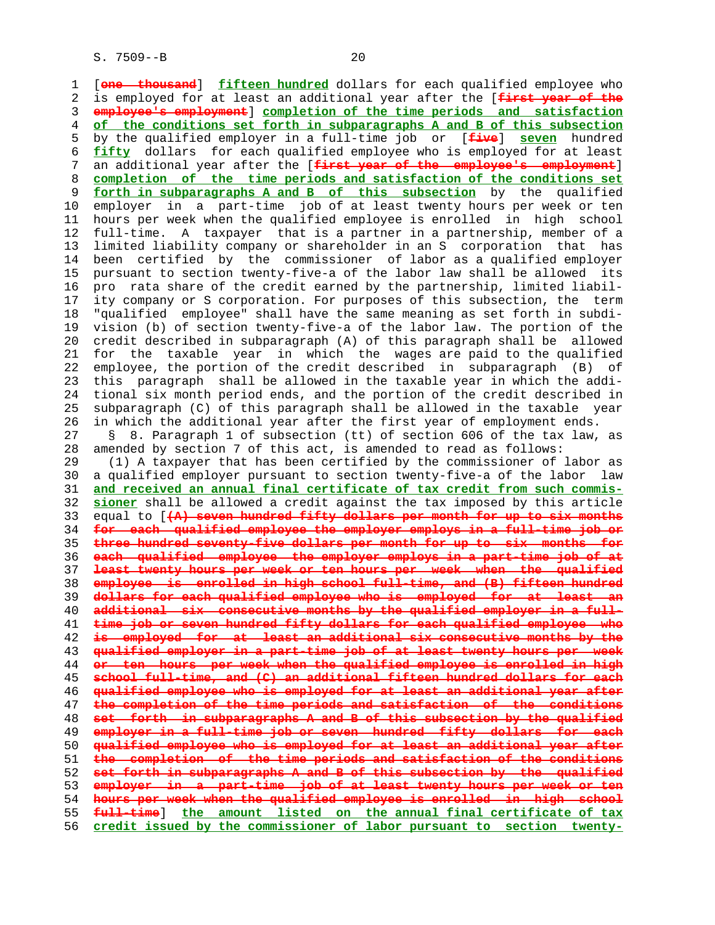1 [**one thousand**] **fifteen hundred** dollars for each qualified employee who 2 is employed for at least an additional year after the [**first year of the** 3 **employee's employment**] **completion of the time periods and satisfaction** 4 **of the conditions set forth in subparagraphs A and B of this subsection** 5 by the qualified employer in a full-time job or [**five**] **seven** hundred 6 **fifty** dollars for each qualified employee who is employed for at least 7 an additional year after the [**first year of the employee's employment**] 8 **completion of the time periods and satisfaction of the conditions set** forth in subparagraphs A and B of this subsection by the qualified 10 employer in a part-time job of at least twenty hours per week or ten 11 hours per week when the qualified employee is enrolled in high school 12 full-time. A taxpayer that is a partner in a partnership, member of a 13 limited liability company or shareholder in an S corporation that has 14 been certified by the commissioner of labor as a qualified employer 15 pursuant to section twenty-five-a of the labor law shall be allowed its 16 pro rata share of the credit earned by the partnership, limited liabil- 17 ity company or S corporation. For purposes of this subsection, the term 18 "qualified employee" shall have the same meaning as set forth in subdi- 19 vision (b) of section twenty-five-a of the labor law. The portion of the 20 credit described in subparagraph (A) of this paragraph shall be allowed 21 for the taxable year in which the wages are paid to the qualified 22 employee, the portion of the credit described in subparagraph (B) of 23 this paragraph shall be allowed in the taxable year in which the addi- 24 tional six month period ends, and the portion of the credit described in 25 subparagraph (C) of this paragraph shall be allowed in the taxable year 26 in which the additional year after the first year of employment ends. 27 § 8. Paragraph 1 of subsection (tt) of section 606 of the tax law, as 28 amended by section 7 of this act, is amended to read as follows: 29 (1) A taxpayer that has been certified by the commissioner of labor as 30 a qualified employer pursuant to section twenty-five-a of the labor law 31 **and received an annual final certificate of tax credit from such commis-** 32 **sioner** shall be allowed a credit against the tax imposed by this article 33 equal to [**(A) seven hundred fifty dollars per month for up to six months** 34 **for each qualified employee the employer employs in a full-time job or** 35 **three hundred seventy-five dollars per month for up to six months for** 36 **each qualified employee the employer employs in a part-time job of at** 37 **least twenty hours per week or ten hours per week when the qualified** 38 **employee is enrolled in high school full-time, and (B) fifteen hundred** 39 **dollars for each qualified employee who is employed for at least an** 40 **additional six consecutive months by the qualified employer in a full-** 41 **time job or seven hundred fifty dollars for each qualified employee who** 42 **is employed for at least an additional six consecutive months by the** 43 **qualified employer in a part-time job of at least twenty hours per week** 44 **or ten hours per week when the qualified employee is enrolled in high** 45 **school full-time, and (C) an additional fifteen hundred dollars for each** 46 **qualified employee who is employed for at least an additional year after** 47 **the completion of the time periods and satisfaction of the conditions**

**set forth in subparagraphs A and B of this subsection by the qualified employer in a full-time job or seven hundred fifty dollars for each qualified employee who is employed for at least an additional year after the completion of the time periods and satisfaction of the conditions set forth in subparagraphs A and B of this subsection by the qualified employer in a part-time job of at least twenty hours per week or ten hours per week when the qualified employee is enrolled in high school full-time**] **the amount listed on the annual final certificate of tax credit issued by the commissioner of labor pursuant to section twenty-**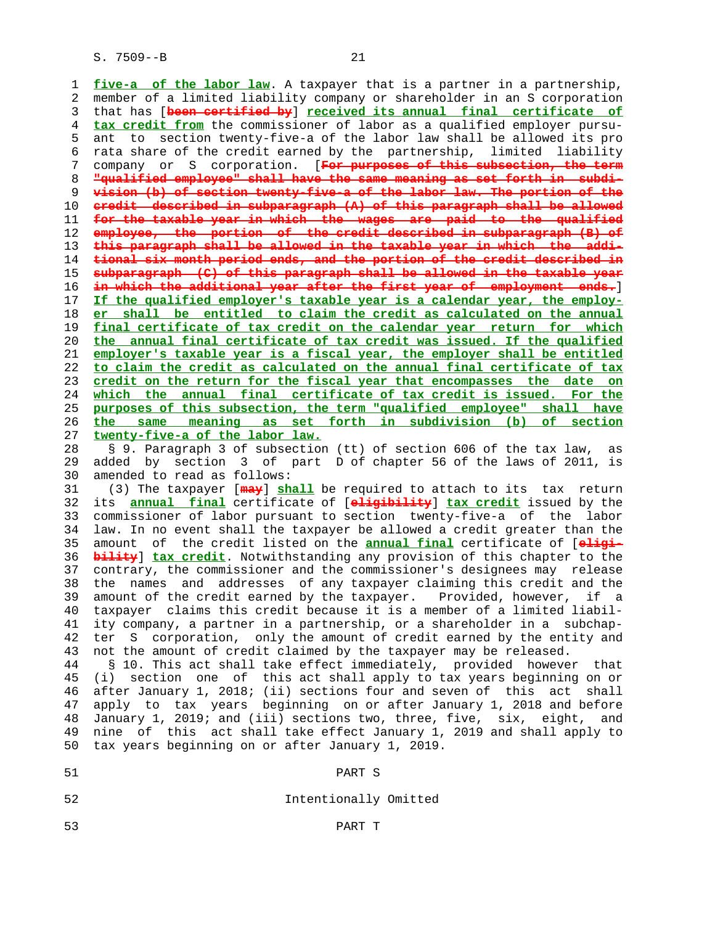1 **five-a of the labor law**. A taxpayer that is a partner in a partnership, 2 member of a limited liability company or shareholder in an S corporation 3 that has [**been certified by**] **received its annual final certificate of** 4 **tax credit from** the commissioner of labor as a qualified employer pursu- 5 ant to section twenty-five-a of the labor law shall be allowed its pro 6 rata share of the credit earned by the partnership, limited liability 7 company or S corporation. [**For purposes of this subsection, the term** 8 **"qualified employee" shall have the same meaning as set forth in subdi-** 9 **vision (b) of section twenty-five-a of the labor law. The portion of the** 10 **credit described in subparagraph (A) of this paragraph shall be allowed** 11 **for the taxable year in which the wages are paid to the qualified** 12 **employee, the portion of the credit described in subparagraph (B) of** 13 **this paragraph shall be allowed in the taxable year in which the addi-** 14 **tional six month period ends, and the portion of the credit described in** 15 **subparagraph (C) of this paragraph shall be allowed in the taxable year** 16 **in which the additional year after the first year of employment ends.**] 17 **If the qualified employer's taxable year is a calendar year, the employ-** 18 **er shall be entitled to claim the credit as calculated on the annual** 19 **final certificate of tax credit on the calendar year return for which** 20 **the annual final certificate of tax credit was issued. If the qualified** 21 **employer's taxable year is a fiscal year, the employer shall be entitled** 22 **to claim the credit as calculated on the annual final certificate of tax** 23 **credit on the return for the fiscal year that encompasses the date on** 24 **which the annual final certificate of tax credit is issued. For the** 25 **purposes of this subsection, the term "qualified employee" shall have** 26 **the same meaning as set forth in subdivision (b) of section** 27 **twenty-five-a of the labor law.** 28 § 9. Paragraph 3 of subsection (tt) of section 606 of the tax law, as 29 added by section 3 of part D of chapter 56 of the laws of 2011, is 30 amended to read as follows: 31 (3) The taxpayer [**may**] **shall** be required to attach to its tax return 32 its **annual final** certificate of [**eligibility**] **tax credit** issued by the 33 commissioner of labor pursuant to section twenty-five-a of the labor 34 law. In no event shall the taxpayer be allowed a credit greater than the<br>35 amount of the credit listed on the annual final certificate of [e<del>ligi-</del> 35 amount of the credit listed on the **annual final** certificate of [**eligi-** 36 **bility**] **tax credit**. Notwithstanding any provision of this chapter to the 37 contrary, the commissioner and the commissioner's designees may release 38 the names and addresses of any taxpayer claiming this credit and the 39 amount of the credit earned by the taxpayer. Provided, however, if a 40 taxpayer claims this credit because it is a member of a limited liabil- 41 ity company, a partner in a partnership, or a shareholder in a subchap- 42 ter S corporation, only the amount of credit earned by the entity and 43 not the amount of credit claimed by the taxpayer may be released. 44 § 10. This act shall take effect immediately, provided however that 45 (i) section one of this act shall apply to tax years beginning on or 46 after January 1, 2018; (ii) sections four and seven of this act shall 47 apply to tax years beginning on or after January 1, 2018 and before 48 January 1, 2019; and (iii) sections two, three, five, six, eight, and 49 nine of this act shall take effect January 1, 2019 and shall apply to

51 PART S

50 tax years beginning on or after January 1, 2019.

52 Intentionally Omitted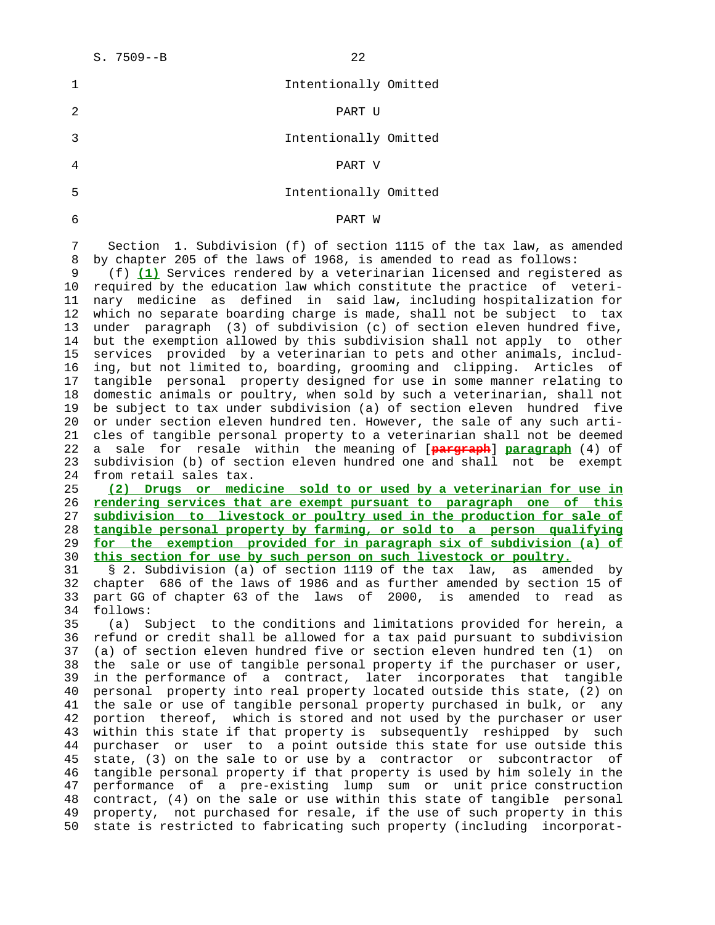|                                                                                                        | 22<br>$S. 7509 - B$                                                                                                                                                                                                                                                                                                                                                                                                                                                                                                                                                                                                                                                                                                                                                                                                                                                                                                                                                                                                                                                                                                                                                                                                                                                                                                          |
|--------------------------------------------------------------------------------------------------------|------------------------------------------------------------------------------------------------------------------------------------------------------------------------------------------------------------------------------------------------------------------------------------------------------------------------------------------------------------------------------------------------------------------------------------------------------------------------------------------------------------------------------------------------------------------------------------------------------------------------------------------------------------------------------------------------------------------------------------------------------------------------------------------------------------------------------------------------------------------------------------------------------------------------------------------------------------------------------------------------------------------------------------------------------------------------------------------------------------------------------------------------------------------------------------------------------------------------------------------------------------------------------------------------------------------------------|
| $\mathbf 1$                                                                                            | Intentionally Omitted                                                                                                                                                                                                                                                                                                                                                                                                                                                                                                                                                                                                                                                                                                                                                                                                                                                                                                                                                                                                                                                                                                                                                                                                                                                                                                        |
| $\overline{2}$                                                                                         | PART U                                                                                                                                                                                                                                                                                                                                                                                                                                                                                                                                                                                                                                                                                                                                                                                                                                                                                                                                                                                                                                                                                                                                                                                                                                                                                                                       |
| 3                                                                                                      | Intentionally Omitted                                                                                                                                                                                                                                                                                                                                                                                                                                                                                                                                                                                                                                                                                                                                                                                                                                                                                                                                                                                                                                                                                                                                                                                                                                                                                                        |
| 4                                                                                                      | PART V                                                                                                                                                                                                                                                                                                                                                                                                                                                                                                                                                                                                                                                                                                                                                                                                                                                                                                                                                                                                                                                                                                                                                                                                                                                                                                                       |
| 5                                                                                                      | Intentionally Omitted                                                                                                                                                                                                                                                                                                                                                                                                                                                                                                                                                                                                                                                                                                                                                                                                                                                                                                                                                                                                                                                                                                                                                                                                                                                                                                        |
| 6                                                                                                      | PART W                                                                                                                                                                                                                                                                                                                                                                                                                                                                                                                                                                                                                                                                                                                                                                                                                                                                                                                                                                                                                                                                                                                                                                                                                                                                                                                       |
| 7                                                                                                      | Section 1. Subdivision (f) of section 1115 of the tax law, as amended                                                                                                                                                                                                                                                                                                                                                                                                                                                                                                                                                                                                                                                                                                                                                                                                                                                                                                                                                                                                                                                                                                                                                                                                                                                        |
| 8<br>9<br>10<br>11<br>12<br>13<br>14<br>15<br>16<br>17<br>18<br>19<br>20<br>21<br>22<br>23<br>24<br>25 | by chapter 205 of the laws of 1968, is amended to read as follows:<br>(f) (1) Services rendered by a veterinarian licensed and registered as<br>required by the education law which constitute the practice of veteri-<br>nary medicine as defined in said law, including hospitalization for<br>which no separate boarding charge is made, shall not be subject to tax<br>under paragraph (3) of subdivision (c) of section eleven hundred five,<br>but the exemption allowed by this subdivision shall not apply to other<br>services provided by a veterinarian to pets and other animals, includ-<br>ing, but not limited to, boarding, grooming and clipping. Articles of<br>tangible personal property designed for use in some manner relating to<br>domestic animals or poultry, when sold by such a veterinarian, shall not<br>be subject to tax under subdivision (a) of section eleven hundred five<br>or under section eleven hundred ten. However, the sale of any such arti-<br>cles of tangible personal property to a veterinarian shall not be deemed<br>for resale within the meaning of [pargraph] paragraph (4) of<br>sale<br>a<br>subdivision (b) of section eleven hundred one and shall not be exempt<br>from retail sales tax.<br>(2) Drugs or medicine sold to or used by a veterinarian for use in |
| 26                                                                                                     | rendering services that are exempt pursuant to paragraph one of this                                                                                                                                                                                                                                                                                                                                                                                                                                                                                                                                                                                                                                                                                                                                                                                                                                                                                                                                                                                                                                                                                                                                                                                                                                                         |
| 27                                                                                                     | subdivision to livestock or poultry used in the production for sale of                                                                                                                                                                                                                                                                                                                                                                                                                                                                                                                                                                                                                                                                                                                                                                                                                                                                                                                                                                                                                                                                                                                                                                                                                                                       |
| 28                                                                                                     | tangible personal property by farming, or sold to a person qualifying                                                                                                                                                                                                                                                                                                                                                                                                                                                                                                                                                                                                                                                                                                                                                                                                                                                                                                                                                                                                                                                                                                                                                                                                                                                        |
| 29                                                                                                     | for the exemption provided for in paragraph six of subdivision (a) of                                                                                                                                                                                                                                                                                                                                                                                                                                                                                                                                                                                                                                                                                                                                                                                                                                                                                                                                                                                                                                                                                                                                                                                                                                                        |
| 30.<br>31                                                                                              | this section for use by such person on such livestock or poultry.<br>§ 2. Subdivision (a) of section 1119 of the tax law, as amended by                                                                                                                                                                                                                                                                                                                                                                                                                                                                                                                                                                                                                                                                                                                                                                                                                                                                                                                                                                                                                                                                                                                                                                                      |
| 32                                                                                                     | chapter 686 of the laws of 1986 and as further amended by section 15 of                                                                                                                                                                                                                                                                                                                                                                                                                                                                                                                                                                                                                                                                                                                                                                                                                                                                                                                                                                                                                                                                                                                                                                                                                                                      |
| 33                                                                                                     | part GG of chapter 63 of the laws of 2000, is amended to read as                                                                                                                                                                                                                                                                                                                                                                                                                                                                                                                                                                                                                                                                                                                                                                                                                                                                                                                                                                                                                                                                                                                                                                                                                                                             |
| 34                                                                                                     | follows:                                                                                                                                                                                                                                                                                                                                                                                                                                                                                                                                                                                                                                                                                                                                                                                                                                                                                                                                                                                                                                                                                                                                                                                                                                                                                                                     |
| 35                                                                                                     | Subject to the conditions and limitations provided for herein, a<br>(a)                                                                                                                                                                                                                                                                                                                                                                                                                                                                                                                                                                                                                                                                                                                                                                                                                                                                                                                                                                                                                                                                                                                                                                                                                                                      |
| 36<br>37                                                                                               | refund or credit shall be allowed for a tax paid pursuant to subdivision<br>(a) of section eleven hundred five or section eleven hundred ten (1) on                                                                                                                                                                                                                                                                                                                                                                                                                                                                                                                                                                                                                                                                                                                                                                                                                                                                                                                                                                                                                                                                                                                                                                          |
| 38                                                                                                     | the sale or use of tangible personal property if the purchaser or user,                                                                                                                                                                                                                                                                                                                                                                                                                                                                                                                                                                                                                                                                                                                                                                                                                                                                                                                                                                                                                                                                                                                                                                                                                                                      |
| 39                                                                                                     | in the performance of a contract, later incorporates that tangible                                                                                                                                                                                                                                                                                                                                                                                                                                                                                                                                                                                                                                                                                                                                                                                                                                                                                                                                                                                                                                                                                                                                                                                                                                                           |
| 40                                                                                                     | personal property into real property located outside this state, (2) on                                                                                                                                                                                                                                                                                                                                                                                                                                                                                                                                                                                                                                                                                                                                                                                                                                                                                                                                                                                                                                                                                                                                                                                                                                                      |
| 41                                                                                                     | the sale or use of tangible personal property purchased in bulk, or any                                                                                                                                                                                                                                                                                                                                                                                                                                                                                                                                                                                                                                                                                                                                                                                                                                                                                                                                                                                                                                                                                                                                                                                                                                                      |
| 42                                                                                                     | portion thereof, which is stored and not used by the purchaser or user                                                                                                                                                                                                                                                                                                                                                                                                                                                                                                                                                                                                                                                                                                                                                                                                                                                                                                                                                                                                                                                                                                                                                                                                                                                       |
| 43                                                                                                     | within this state if that property is subsequently reshipped by such                                                                                                                                                                                                                                                                                                                                                                                                                                                                                                                                                                                                                                                                                                                                                                                                                                                                                                                                                                                                                                                                                                                                                                                                                                                         |
| 44                                                                                                     | purchaser or user to a point outside this state for use outside this                                                                                                                                                                                                                                                                                                                                                                                                                                                                                                                                                                                                                                                                                                                                                                                                                                                                                                                                                                                                                                                                                                                                                                                                                                                         |
| 45                                                                                                     | state, (3) on the sale to or use by a contractor or subcontractor of                                                                                                                                                                                                                                                                                                                                                                                                                                                                                                                                                                                                                                                                                                                                                                                                                                                                                                                                                                                                                                                                                                                                                                                                                                                         |
| 46                                                                                                     | tangible personal property if that property is used by him solely in the                                                                                                                                                                                                                                                                                                                                                                                                                                                                                                                                                                                                                                                                                                                                                                                                                                                                                                                                                                                                                                                                                                                                                                                                                                                     |
| 47                                                                                                     | performance of a pre-existing lump sum or unit price construction                                                                                                                                                                                                                                                                                                                                                                                                                                                                                                                                                                                                                                                                                                                                                                                                                                                                                                                                                                                                                                                                                                                                                                                                                                                            |
| 48                                                                                                     | contract, (4) on the sale or use within this state of tangible personal                                                                                                                                                                                                                                                                                                                                                                                                                                                                                                                                                                                                                                                                                                                                                                                                                                                                                                                                                                                                                                                                                                                                                                                                                                                      |

 49 property, not purchased for resale, if the use of such property in this 50 state is restricted to fabricating such property (including incorporat-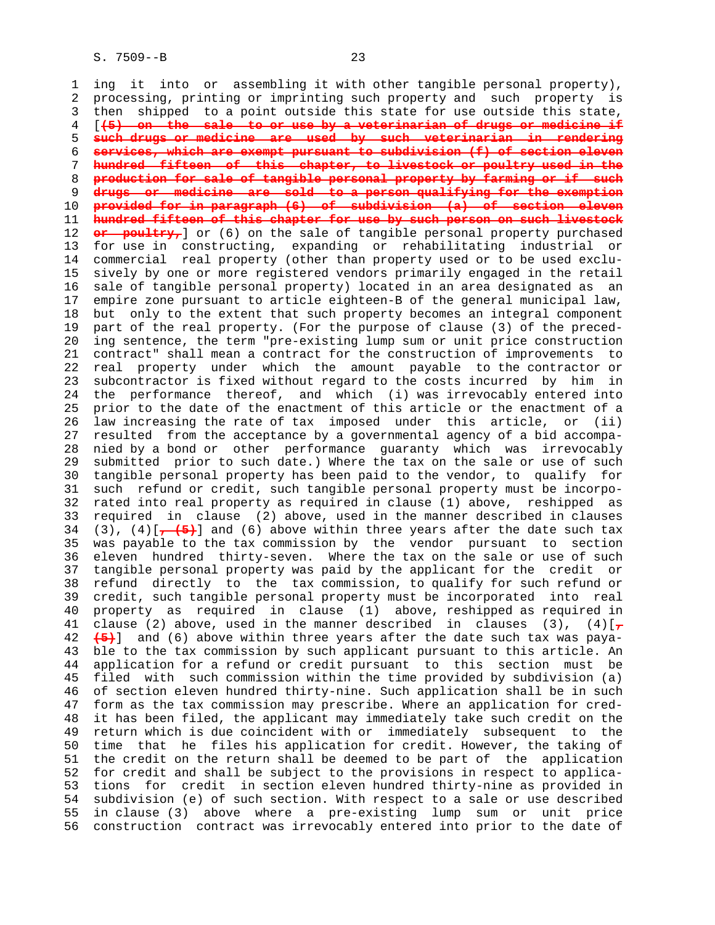1 ing it into or assembling it with other tangible personal property), 2 processing, printing or imprinting such property and such property is 3 then shipped to a point outside this state for use outside this state, 4 [**(5) on the sale to or use by a veterinarian of drugs or medicine if** 5 **such drugs or medicine are used by such veterinarian in rendering** 6 **services, which are exempt pursuant to subdivision (f) of section eleven** 7 **hundred fifteen of this chapter, to livestock or poultry used in the** 8 **production for sale of tangible personal property by farming or if such** 9 **drugs or medicine are sold to a person qualifying for the exemption** 10 **provided for in paragraph (6) of subdivision (a) of section eleven** 11 **hundred fifteen of this chapter for use by such person on such livestock** 12 **or poultry,**] or (6) on the sale of tangible personal property purchased 13 for use in constructing, expanding or rehabilitating industrial or 14 commercial real property (other than property used or to be used exclu- 15 sively by one or more registered vendors primarily engaged in the retail 16 sale of tangible personal property) located in an area designated as an 17 empire zone pursuant to article eighteen-B of the general municipal law, 18 but only to the extent that such property becomes an integral component 19 part of the real property. (For the purpose of clause (3) of the preced- 20 ing sentence, the term "pre-existing lump sum or unit price construction 21 contract" shall mean a contract for the construction of improvements to 22 real property under which the amount payable to the contractor or 23 subcontractor is fixed without regard to the costs incurred by him in 24 the performance thereof, and which (i) was irrevocably entered into 25 prior to the date of the enactment of this article or the enactment of a 26 law increasing the rate of tax imposed under this article, or (ii) 27 resulted from the acceptance by a governmental agency of a bid accompa- 28 nied by a bond or other performance guaranty which was irrevocably 29 submitted prior to such date.) Where the tax on the sale or use of such 30 tangible personal property has been paid to the vendor, to qualify for 31 such refund or credit, such tangible personal property must be incorpo- 32 rated into real property as required in clause (1) above, reshipped as 33 required in clause (2) above, used in the manner described in clauses 34 (3), (4)[**, (5)**] and (6) above within three years after the date such tax 35 was payable to the tax commission by the vendor pursuant to section 36 eleven hundred thirty-seven. Where the tax on the sale or use of such 37 tangible personal property was paid by the applicant for the credit or 38 refund directly to the tax commission, to qualify for such refund or 39 credit, such tangible personal property must be incorporated into real 40 property as required in clause (1) above, reshipped as required in 41 clause (2) above, used in the manner described in clauses (3), (4)[**,** 42 **(5)**] and (6) above within three years after the date such tax was paya- 43 ble to the tax commission by such applicant pursuant to this article. An 44 application for a refund or credit pursuant to this section must be 45 filed with such commission within the time provided by subdivision (a) 46 of section eleven hundred thirty-nine. Such application shall be in such 47 form as the tax commission may prescribe. Where an application for cred- 48 it has been filed, the applicant may immediately take such credit on the 49 return which is due coincident with or immediately subsequent to the 50 time that he files his application for credit. However, the taking of 51 the credit on the return shall be deemed to be part of the application 52 for credit and shall be subject to the provisions in respect to applica- 53 tions for credit in section eleven hundred thirty-nine as provided in 54 subdivision (e) of such section. With respect to a sale or use described 55 in clause (3) above where a pre-existing lump sum or unit price 56 construction contract was irrevocably entered into prior to the date of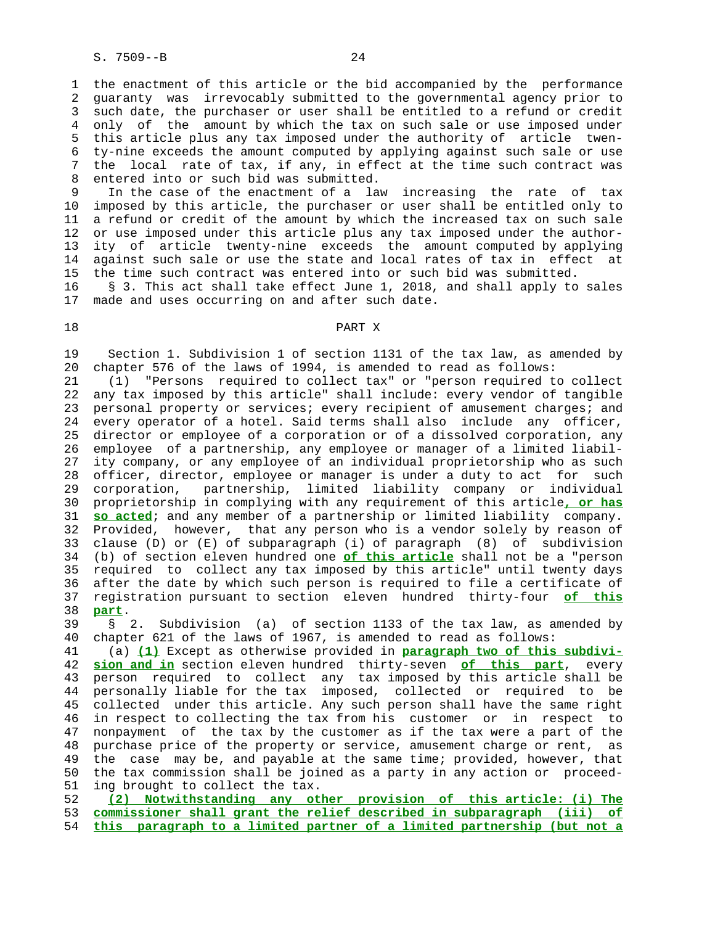1 the enactment of this article or the bid accompanied by the performance 2 guaranty was irrevocably submitted to the governmental agency prior to 3 such date, the purchaser or user shall be entitled to a refund or credit 4 only of the amount by which the tax on such sale or use imposed under 5 this article plus any tax imposed under the authority of article twen- 6 ty-nine exceeds the amount computed by applying against such sale or use 7 the local rate of tax, if any, in effect at the time such contract was 8 entered into or such bid was submitted.<br>9 In the case of the enactment of a la

In the case of the enactment of a law increasing the rate of tax 10 imposed by this article, the purchaser or user shall be entitled only to 11 a refund or credit of the amount by which the increased tax on such sale 12 or use imposed under this article plus any tax imposed under the author- 13 ity of article twenty-nine exceeds the amount computed by applying 14 against such sale or use the state and local rates of tax in effect at 15 the time such contract was entered into or such bid was submitted.

 16 § 3. This act shall take effect June 1, 2018, and shall apply to sales 17 made and uses occurring on and after such date.

#### 18 PART X

 19 Section 1. Subdivision 1 of section 1131 of the tax law, as amended by 20 chapter 576 of the laws of 1994, is amended to read as follows:

 21 (1) "Persons required to collect tax" or "person required to collect 22 any tax imposed by this article" shall include: every vendor of tangible 23 personal property or services; every recipient of amusement charges; and 24 every operator of a hotel. Said terms shall also include any officer, 25 director or employee of a corporation or of a dissolved corporation, any 26 employee of a partnership, any employee or manager of a limited liabil- 27 ity company, or any employee of an individual proprietorship who as such 28 officer, director, employee or manager is under a duty to act for such 29 corporation, partnership, limited liability company or individual 30 proprietorship in complying with any requirement of this article**, or has** 31 **so acted**; and any member of a partnership or limited liability company. 32 Provided, however, that any person who is a vendor solely by reason of 33 clause (D) or (E) of subparagraph (i) of paragraph (8) of subdivision 34 (b) of section eleven hundred one **of this article** shall not be a "person 35 required to collect any tax imposed by this article" until twenty days 36 after the date by which such person is required to file a certificate of 37 registration pursuant to section eleven hundred thirty-four **of this** 38 **part**.

 39 § 2. Subdivision (a) of section 1133 of the tax law, as amended by 40 chapter 621 of the laws of 1967, is amended to read as follows:

 41 (a) **(1)** Except as otherwise provided in **paragraph two of this subdivi-** 42 **sion and in** section eleven hundred thirty-seven **of this part**, every 43 person required to collect any tax imposed by this article shall be 44 personally liable for the tax imposed, collected or required to be 45 collected under this article. Any such person shall have the same right 46 in respect to collecting the tax from his customer or in respect to 47 nonpayment of the tax by the customer as if the tax were a part of the 48 purchase price of the property or service, amusement charge or rent, as 49 the case may be, and payable at the same time; provided, however, that 50 the tax commission shall be joined as a party in any action or proceed- 51 ing brought to collect the tax.

 52 **(2) Notwithstanding any other provision of this article: (i) The** 53 **commissioner shall grant the relief described in subparagraph (iii) of** 54 **this paragraph to a limited partner of a limited partnership (but not a**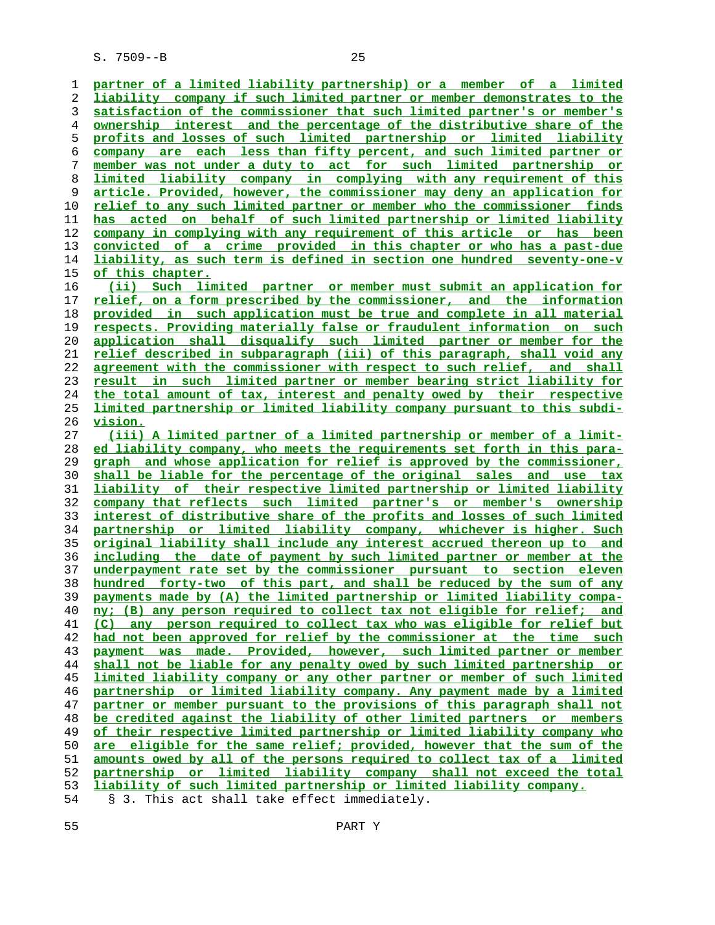**partner of a limited liability partnership) or a member of a limited liability company if such limited partner or member demonstrates to the satisfaction of the commissioner that such limited partner's or member's ownership interest and the percentage of the distributive share of the profits and losses of such limited partnership or limited liability company are each less than fifty percent, and such limited partner or member was not under a duty to act for such limited partnership or limited liability company in complying with any requirement of this article. Provided, however, the commissioner may deny an application for relief to any such limited partner or member who the commissioner finds has acted on behalf of such limited partnership or limited liability company in complying with any requirement of this article or has been convicted of a crime provided in this chapter or who has a past-due liability, as such term is defined in section one hundred seventy-one-v of this chapter. (ii) Such limited partner or member must submit an application for relief, on a form prescribed by the commissioner, and the information provided in such application must be true and complete in all material respects. Providing materially false or fraudulent information on such application shall disqualify such limited partner or member for the relief described in subparagraph (iii) of this paragraph, shall void any agreement with the commissioner with respect to such relief, and shall result in such limited partner or member bearing strict liability for the total amount of tax, interest and penalty owed by their respective limited partnership or limited liability company pursuant to this subdi- vision. (iii) A limited partner of a limited partnership or member of a limit- ed liability company, who meets the requirements set forth in this para- graph and whose application for relief is approved by the commissioner, shall be liable for the percentage of the original sales and use tax liability of their respective limited partnership or limited liability company that reflects such limited partner's or member's ownership interest of distributive share of the profits and losses of such limited partnership or limited liability company, whichever is higher. Such original liability shall include any interest accrued thereon up to and including the date of payment by such limited partner or member at the underpayment rate set by the commissioner pursuant to section eleven hundred forty-two of this part, and shall be reduced by the sum of any payments made by (A) the limited partnership or limited liability compa- ny; (B) any person required to collect tax not eligible for relief; and (C) any person required to collect tax who was eligible for relief but had not been approved for relief by the commissioner at the time such payment was made. Provided, however, such limited partner or member shall not be liable for any penalty owed by such limited partnership or limited liability company or any other partner or member of such limited partnership or limited liability company. Any payment made by a limited partner or member pursuant to the provisions of this paragraph shall not be credited against the liability of other limited partners or members of their respective limited partnership or limited liability company who are eligible for the same relief; provided, however that the sum of the amounts owed by all of the persons required to collect tax of a limited partnership or limited liability company shall not exceed the total liability of such limited partnership or limited liability company.**

54 § 3. This act shall take effect immediately.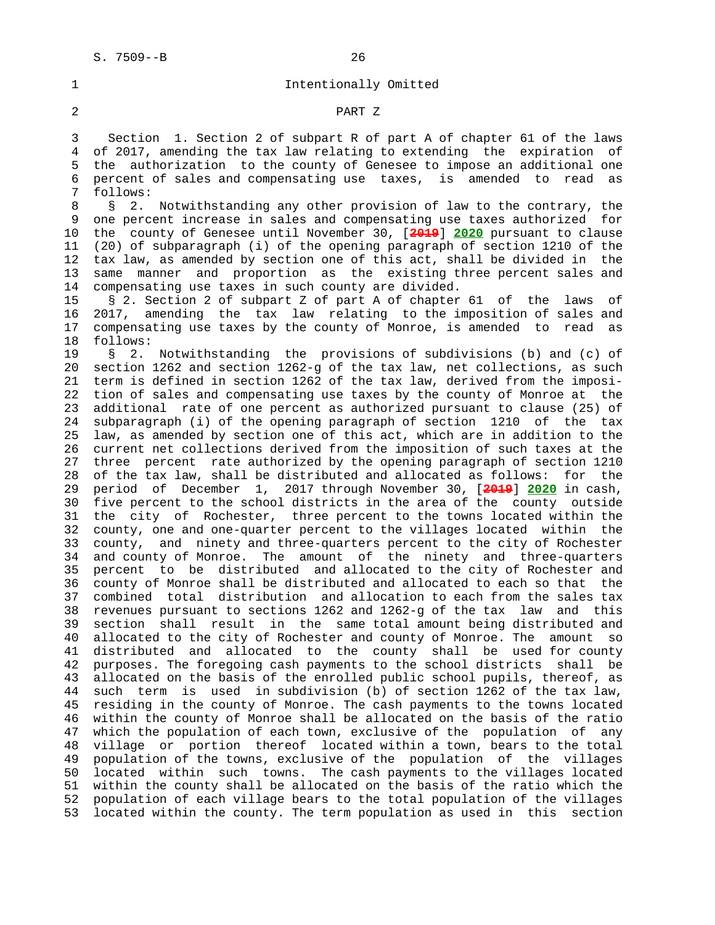# 1 Intentionally Omitted

#### 2 PART Z

 3 Section 1. Section 2 of subpart R of part A of chapter 61 of the laws 4 of 2017, amending the tax law relating to extending the expiration of 5 the authorization to the county of Genesee to impose an additional one 6 percent of sales and compensating use taxes, is amended to read as follows:

 8 § 2. Notwithstanding any other provision of law to the contrary, the 9 one percent increase in sales and compensating use taxes authorized for 10 the county of Genesee until November 30, [**2019**] **2020** pursuant to clause 11 (20) of subparagraph (i) of the opening paragraph of section 1210 of the 12 tax law, as amended by section one of this act, shall be divided in the 13 same manner and proportion as the existing three percent sales and 14 compensating use taxes in such county are divided.

 15 § 2. Section 2 of subpart Z of part A of chapter 61 of the laws of 16 2017, amending the tax law relating to the imposition of sales and 17 compensating use taxes by the county of Monroe, is amended to read as 18 follows:

 19 § 2. Notwithstanding the provisions of subdivisions (b) and (c) of 20 section 1262 and section 1262-g of the tax law, net collections, as such 21 term is defined in section 1262 of the tax law, derived from the imposi- 22 tion of sales and compensating use taxes by the county of Monroe at the 23 additional rate of one percent as authorized pursuant to clause (25) of 24 subparagraph (i) of the opening paragraph of section 1210 of the tax 25 law, as amended by section one of this act, which are in addition to the 26 current net collections derived from the imposition of such taxes at the 27 three percent rate authorized by the opening paragraph of section 1210 28 of the tax law, shall be distributed and allocated as follows: for the 29 period of December 1, 2017 through November 30, [**2019**] **2020** in cash, 30 five percent to the school districts in the area of the county outside 31 the city of Rochester, three percent to the towns located within the 32 county, one and one-quarter percent to the villages located within the 33 county, and ninety and three-quarters percent to the city of Rochester 34 and county of Monroe. The amount of the ninety and three-quarters 35 percent to be distributed and allocated to the city of Rochester and 36 county of Monroe shall be distributed and allocated to each so that the 37 combined total distribution and allocation to each from the sales tax 38 revenues pursuant to sections 1262 and 1262-g of the tax law and this 39 section shall result in the same total amount being distributed and 40 allocated to the city of Rochester and county of Monroe. The amount so 41 distributed and allocated to the county shall be used for county 42 purposes. The foregoing cash payments to the school districts shall be 43 allocated on the basis of the enrolled public school pupils, thereof, as 44 such term is used in subdivision (b) of section 1262 of the tax law, 45 residing in the county of Monroe. The cash payments to the towns located 46 within the county of Monroe shall be allocated on the basis of the ratio 47 which the population of each town, exclusive of the population of any 48 village or portion thereof located within a town, bears to the total 49 population of the towns, exclusive of the population of the villages 50 located within such towns. The cash payments to the villages located 51 within the county shall be allocated on the basis of the ratio which the 52 population of each village bears to the total population of the villages 53 located within the county. The term population as used in this section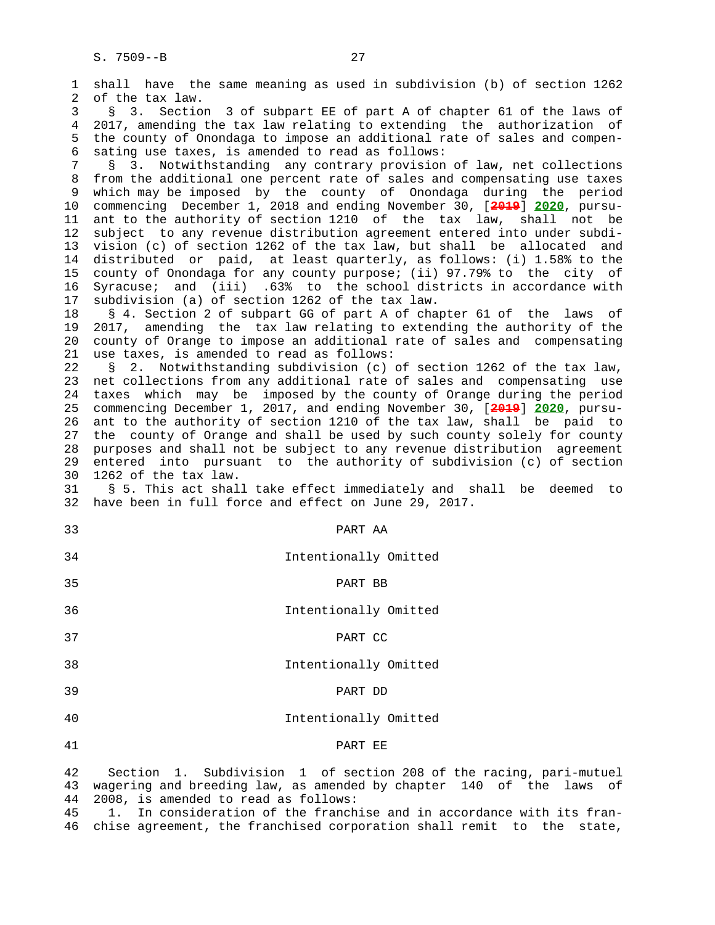| 1<br>2                                                                       | shall have the same meaning as used in subdivision (b) of section 1262<br>of the tax law.                                                                                                                                                                                                                                                                                                                                                                                                                                                                                                                                                                                                                                                                                                                                                                                                                                                                                                               |
|------------------------------------------------------------------------------|---------------------------------------------------------------------------------------------------------------------------------------------------------------------------------------------------------------------------------------------------------------------------------------------------------------------------------------------------------------------------------------------------------------------------------------------------------------------------------------------------------------------------------------------------------------------------------------------------------------------------------------------------------------------------------------------------------------------------------------------------------------------------------------------------------------------------------------------------------------------------------------------------------------------------------------------------------------------------------------------------------|
| 3<br>$\overline{4}$<br>5                                                     | Section 3 of subpart EE of part A of chapter 61 of the laws of<br>$\begin{matrix}8 & 3. \end{matrix}$<br>2017, amending the tax law relating to extending the authorization of<br>the county of Onondaga to impose an additional rate of sales and compen-                                                                                                                                                                                                                                                                                                                                                                                                                                                                                                                                                                                                                                                                                                                                              |
| 6<br>7<br>8<br>9<br>10<br>11<br>12<br>13<br>14<br>15<br>16<br>17<br>18<br>19 | sating use taxes, is amended to read as follows:<br>§ 3. Notwithstanding any contrary provision of law, net collections<br>from the additional one percent rate of sales and compensating use taxes<br>which may be imposed by the county of Onondaga during the period<br>commencing December 1, 2018 and ending November 30, [2019] 2020, pursu-<br>ant to the authority of section 1210 of the tax law, shall not be<br>subject to any revenue distribution agreement entered into under subdi-<br>vision (c) of section 1262 of the tax law, but shall be allocated and<br>distributed or paid, at least quarterly, as follows: (i) 1.58% to the<br>county of Onondaga for any county purpose; (ii) 97.79% to the city of<br>Syracuse; and (iii) .63% to the school districts in accordance with<br>subdivision (a) of section 1262 of the tax law.<br>§ 4. Section 2 of subpart GG of part A of chapter 61 of the laws of<br>2017, amending the tax law relating to extending the authority of the |
| 20<br>21<br>22<br>23<br>24<br>25<br>26<br>27<br>28<br>29<br>30               | county of Orange to impose an additional rate of sales and compensating<br>use taxes, is amended to read as follows:<br>2. Notwithstanding subdivision (c) of section 1262 of the tax law,<br>$\mathbb{S}$<br>net collections from any additional rate of sales and compensating use<br>taxes which may be imposed by the county of Orange during the period<br>commencing December 1, 2017, and ending November 30, [2019] 2020, pursu-<br>ant to the authority of section 1210 of the tax law, shall be paid to<br>the county of Orange and shall be used by such county solely for county<br>purposes and shall not be subject to any revenue distribution agreement<br>entered into pursuant to the authority of subdivision (c) of section<br>1262 of the tax law.                                                                                                                                                                                                                                 |
| 31<br>32                                                                     | § 5. This act shall take effect immediately and shall be deemed to<br>have been in full force and effect on June 29, 2017.                                                                                                                                                                                                                                                                                                                                                                                                                                                                                                                                                                                                                                                                                                                                                                                                                                                                              |
| 33                                                                           | PART AA                                                                                                                                                                                                                                                                                                                                                                                                                                                                                                                                                                                                                                                                                                                                                                                                                                                                                                                                                                                                 |
| 34                                                                           | Intentionally Omitted                                                                                                                                                                                                                                                                                                                                                                                                                                                                                                                                                                                                                                                                                                                                                                                                                                                                                                                                                                                   |
| 35                                                                           | PART BB                                                                                                                                                                                                                                                                                                                                                                                                                                                                                                                                                                                                                                                                                                                                                                                                                                                                                                                                                                                                 |
| 36                                                                           | Intentionally Omitted                                                                                                                                                                                                                                                                                                                                                                                                                                                                                                                                                                                                                                                                                                                                                                                                                                                                                                                                                                                   |
| 37                                                                           | PART CC                                                                                                                                                                                                                                                                                                                                                                                                                                                                                                                                                                                                                                                                                                                                                                                                                                                                                                                                                                                                 |
| 38                                                                           | Intentionally Omitted                                                                                                                                                                                                                                                                                                                                                                                                                                                                                                                                                                                                                                                                                                                                                                                                                                                                                                                                                                                   |
| 39                                                                           | PART DD                                                                                                                                                                                                                                                                                                                                                                                                                                                                                                                                                                                                                                                                                                                                                                                                                                                                                                                                                                                                 |
| 40                                                                           | Intentionally Omitted                                                                                                                                                                                                                                                                                                                                                                                                                                                                                                                                                                                                                                                                                                                                                                                                                                                                                                                                                                                   |
| 41                                                                           | PART EE                                                                                                                                                                                                                                                                                                                                                                                                                                                                                                                                                                                                                                                                                                                                                                                                                                                                                                                                                                                                 |
| 42<br>43<br>44<br>45<br>46                                                   | Subdivision 1 of section 208 of the racing, pari-mutuel<br>Section<br>1.<br>wagering and breeding law, as amended by chapter<br>140 of the laws<br>of<br>2008, is amended to read as follows:<br>In consideration of the franchise and in accordance with its fran-<br>1.<br>chise agreement, the franchised corporation shall remit to the<br>state,                                                                                                                                                                                                                                                                                                                                                                                                                                                                                                                                                                                                                                                   |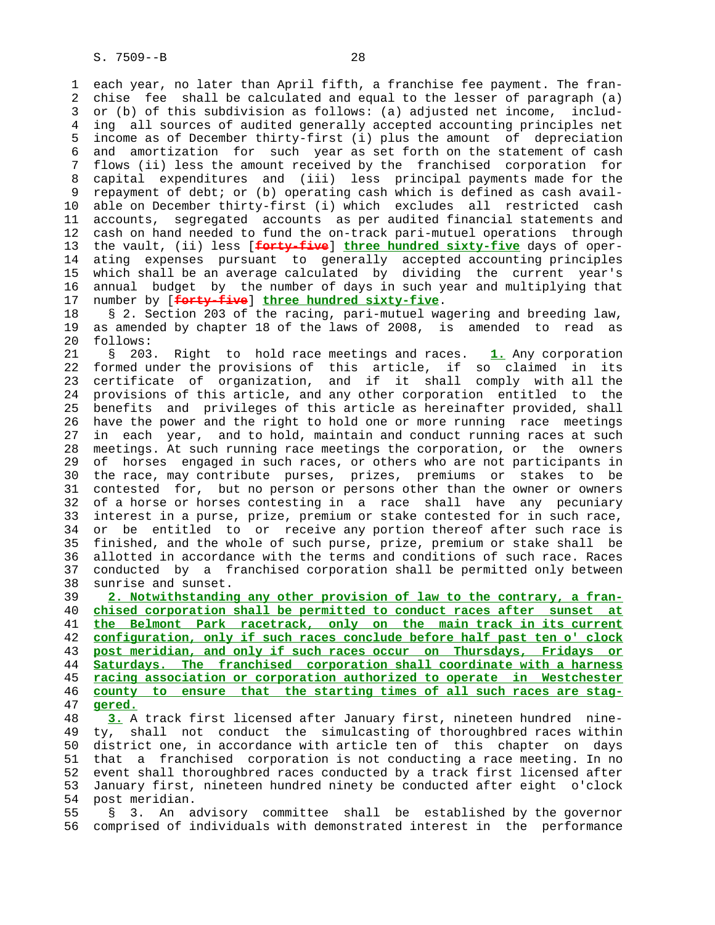1 each year, no later than April fifth, a franchise fee payment. The fran- 2 chise fee shall be calculated and equal to the lesser of paragraph (a) 3 or (b) of this subdivision as follows: (a) adjusted net income, includ- 4 ing all sources of audited generally accepted accounting principles net 5 income as of December thirty-first (i) plus the amount of depreciation 6 and amortization for such year as set forth on the statement of cash 7 flows (ii) less the amount received by the franchised corporation for 8 capital expenditures and (iii) less principal payments made for the<br>9 repayment of debt; or (b) operating cash which is defined as cash availrepayment of debt; or (b) operating cash which is defined as cash avail- 10 able on December thirty-first (i) which excludes all restricted cash 11 accounts, segregated accounts as per audited financial statements and 12 cash on hand needed to fund the on-track pari-mutuel operations through 13 the vault, (ii) less [**forty-five**] **three hundred sixty-five** days of oper- 14 ating expenses pursuant to generally accepted accounting principles 15 which shall be an average calculated by dividing the current year's 16 annual budget by the number of days in such year and multiplying that 17 number by [**forty-five**] **three hundred sixty-five**.

 18 § 2. Section 203 of the racing, pari-mutuel wagering and breeding law, 19 as amended by chapter 18 of the laws of 2008, is amended to read as 20 follows:

 21 § 203. Right to hold race meetings and races. **1.** Any corporation 22 formed under the provisions of this article, if so claimed in its 23 certificate of organization, and if it shall comply with all the 24 provisions of this article, and any other corporation entitled to the 25 benefits and privileges of this article as hereinafter provided, shall 26 have the power and the right to hold one or more running race meetings 27 in each year, and to hold, maintain and conduct running races at such 28 meetings. At such running race meetings the corporation, or the owners 29 of horses engaged in such races, or others who are not participants in 30 the race, may contribute purses, prizes, premiums or stakes to be 31 contested for, but no person or persons other than the owner or owners 32 of a horse or horses contesting in a race shall have any pecuniary 33 interest in a purse, prize, premium or stake contested for in such race, 34 or be entitled to or receive any portion thereof after such race is 35 finished, and the whole of such purse, prize, premium or stake shall be 36 allotted in accordance with the terms and conditions of such race. Races 37 conducted by a franchised corporation shall be permitted only between 38 sunrise and sunset.

**2. Notwithstanding any other provision of law to the contrary, a fran- chised corporation shall be permitted to conduct races after sunset at the Belmont Park racetrack, only on the main track in its current configuration, only if such races conclude before half past ten o' clock post meridian, and only if such races occur on Thursdays, Fridays or Saturdays. The franchised corporation shall coordinate with a harness racing association or corporation authorized to operate in Westchester county to ensure that the starting times of all such races are stag-** 47 **gered.**

 48 **3.** A track first licensed after January first, nineteen hundred nine- 49 ty, shall not conduct the simulcasting of thoroughbred races within 50 district one, in accordance with article ten of this chapter on days 51 that a franchised corporation is not conducting a race meeting. In no 52 event shall thoroughbred races conducted by a track first licensed after 53 January first, nineteen hundred ninety be conducted after eight o'clock 54 post meridian.

 55 § 3. An advisory committee shall be established by the governor 56 comprised of individuals with demonstrated interest in the performance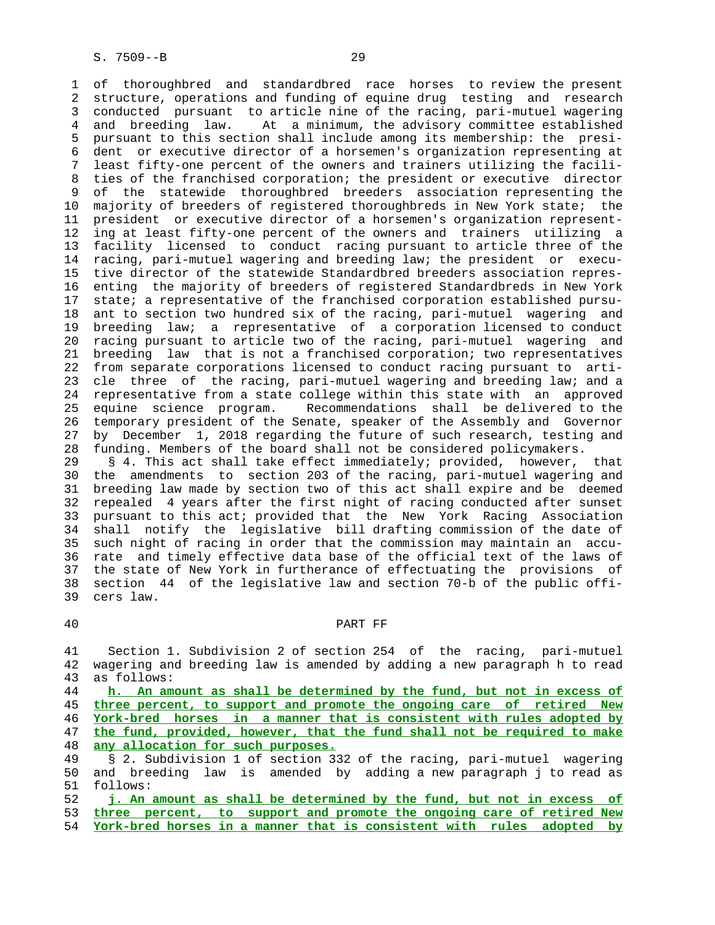1 of thoroughbred and standardbred race horses to review the present 2 structure, operations and funding of equine drug testing and research 3 conducted pursuant to article nine of the racing, pari-mutuel wagering 4 and breeding law. At a minimum, the advisory committee established 5 pursuant to this section shall include among its membership: the presi- 6 dent or executive director of a horsemen's organization representing at 7 least fifty-one percent of the owners and trainers utilizing the facili- 8 ties of the franchised corporation; the president or executive director<br>9 of the statewide thoroughbred breeders association representing the of the statewide thoroughbred breeders association representing the 10 majority of breeders of registered thoroughbreds in New York state; the 11 president or executive director of a horsemen's organization represent- 12 ing at least fifty-one percent of the owners and trainers utilizing a 13 facility licensed to conduct racing pursuant to article three of the 14 racing, pari-mutuel wagering and breeding law; the president or execu- 15 tive director of the statewide Standardbred breeders association repres- 16 enting the majority of breeders of registered Standardbreds in New York 17 state; a representative of the franchised corporation established pursu- 18 ant to section two hundred six of the racing, pari-mutuel wagering and 19 breeding law; a representative of a corporation licensed to conduct 20 racing pursuant to article two of the racing, pari-mutuel wagering and 21 breeding law that is not a franchised corporation; two representatives 22 from separate corporations licensed to conduct racing pursuant to arti- 23 cle three of the racing, pari-mutuel wagering and breeding law; and a 24 representative from a state college within this state with an approved 25 equine science program. Recommendations shall be delivered to the 26 temporary president of the Senate, speaker of the Assembly and Governor 27 by December 1, 2018 regarding the future of such research, testing and 28 funding. Members of the board shall not be considered policymakers.

 29 § 4. This act shall take effect immediately; provided, however, that 30 the amendments to section 203 of the racing, pari-mutuel wagering and 31 breeding law made by section two of this act shall expire and be deemed 32 repealed 4 years after the first night of racing conducted after sunset 33 pursuant to this act; provided that the New York Racing Association 34 shall notify the legislative bill drafting commission of the date of 35 such night of racing in order that the commission may maintain an accu- 36 rate and timely effective data base of the official text of the laws of 37 the state of New York in furtherance of effectuating the provisions of 38 section 44 of the legislative law and section 70-b of the public offi- 39 cers law.

#### 40 PART FF

 41 Section 1. Subdivision 2 of section 254 of the racing, pari-mutuel 42 wagering and breeding law is amended by adding a new paragraph h to read 43 as follows:

**h. An amount as shall be determined by the fund, but not in excess of three percent, to support and promote the ongoing care of retired New York-bred horses in a manner that is consistent with rules adopted by the fund, provided, however, that the fund shall not be required to make any allocation for such purposes.** 49 § 2. Subdivision 1 of section 332 of the racing, pari-mutuel wagering and breeding law is amended by adding a new paragraph j to read as 51 follows: **j. An amount as shall be determined by the fund, but not in excess of three percent, to support and promote the ongoing care of retired New**

54 **York-bred horses in a manner that is consistent with rules adopted by**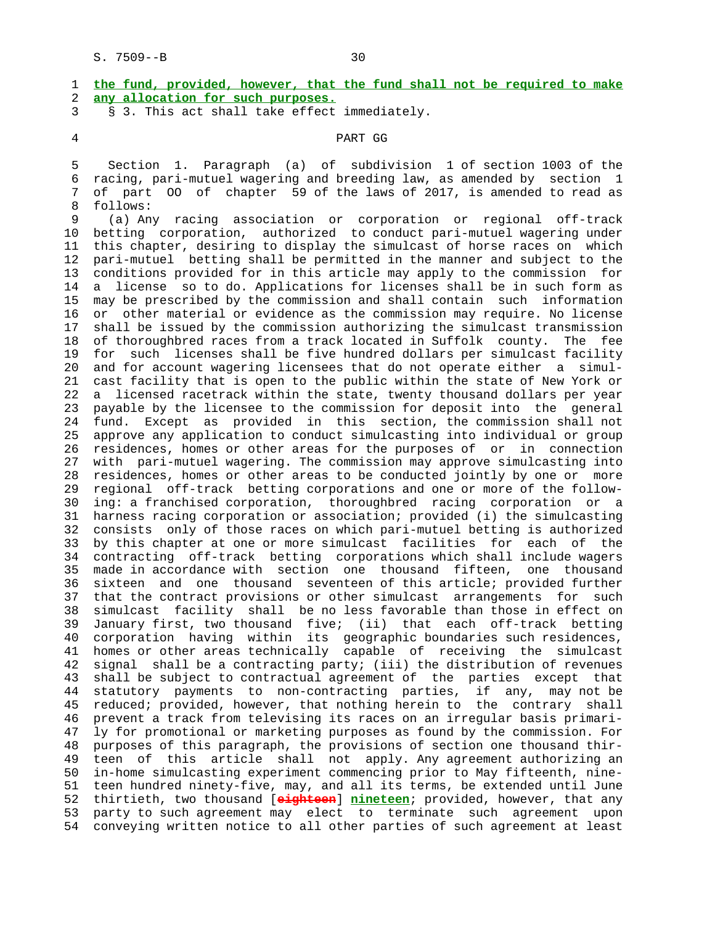|  | 1 the fund, provided, however, that the fund shall not be required to make |  |  |  |  |  |
|--|----------------------------------------------------------------------------|--|--|--|--|--|
|  | 2 any allocation for such purposes.                                        |  |  |  |  |  |

3 § 3. This act shall take effect immediately.

#### 4 PART GG

 5 Section 1. Paragraph (a) of subdivision 1 of section 1003 of the 6 racing, pari-mutuel wagering and breeding law, as amended by section 1 of part 00 of chapter 59 of the laws of 2017, is amended to read as 8 follows:

 9 (a) Any racing association or corporation or regional off-track 10 betting corporation, authorized to conduct pari-mutuel wagering under 11 this chapter, desiring to display the simulcast of horse races on which 12 pari-mutuel betting shall be permitted in the manner and subject to the 13 conditions provided for in this article may apply to the commission for 14 a license so to do. Applications for licenses shall be in such form as 15 may be prescribed by the commission and shall contain such information 16 or other material or evidence as the commission may require. No license 17 shall be issued by the commission authorizing the simulcast transmission 18 of thoroughbred races from a track located in Suffolk county. The fee 19 for such licenses shall be five hundred dollars per simulcast facility 20 and for account wagering licensees that do not operate either a simul- 21 cast facility that is open to the public within the state of New York or 22 a licensed racetrack within the state, twenty thousand dollars per year 23 payable by the licensee to the commission for deposit into the general 24 fund. Except as provided in this section, the commission shall not 25 approve any application to conduct simulcasting into individual or group 26 residences, homes or other areas for the purposes of or in connection 27 with pari-mutuel wagering. The commission may approve simulcasting into 28 residences, homes or other areas to be conducted jointly by one or more 29 regional off-track betting corporations and one or more of the follow- 30 ing: a franchised corporation, thoroughbred racing corporation or a 31 harness racing corporation or association; provided (i) the simulcasting 32 consists only of those races on which pari-mutuel betting is authorized 33 by this chapter at one or more simulcast facilities for each of the 34 contracting off-track betting corporations which shall include wagers 35 made in accordance with section one thousand fifteen, one thousand 36 sixteen and one thousand seventeen of this article; provided further 37 that the contract provisions or other simulcast arrangements for such 38 simulcast facility shall be no less favorable than those in effect on 39 January first, two thousand five; (ii) that each off-track betting 40 corporation having within its geographic boundaries such residences, 41 homes or other areas technically capable of receiving the simulcast 42 signal shall be a contracting party; (iii) the distribution of revenues 43 shall be subject to contractual agreement of the parties except that 44 statutory payments to non-contracting parties, if any, may not be 45 reduced; provided, however, that nothing herein to the contrary shall 46 prevent a track from televising its races on an irregular basis primari- 47 ly for promotional or marketing purposes as found by the commission. For 48 purposes of this paragraph, the provisions of section one thousand thir- 49 teen of this article shall not apply. Any agreement authorizing an 50 in-home simulcasting experiment commencing prior to May fifteenth, nine- 51 teen hundred ninety-five, may, and all its terms, be extended until June 52 thirtieth, two thousand [**eighteen**] **nineteen**; provided, however, that any 53 party to such agreement may elect to terminate such agreement upon 54 conveying written notice to all other parties of such agreement at least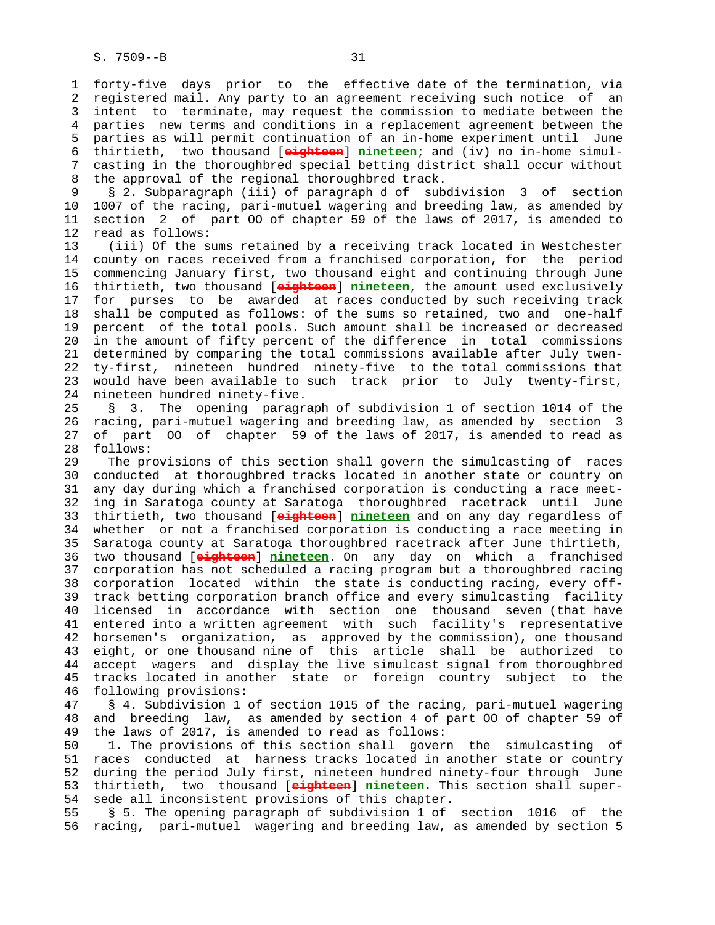1 forty-five days prior to the effective date of the termination, via 2 registered mail. Any party to an agreement receiving such notice of an 3 intent to terminate, may request the commission to mediate between the 4 parties new terms and conditions in a replacement agreement between the 5 parties as will permit continuation of an in-home experiment until June 6 thirtieth, two thousand [**eighteen**] **nineteen**; and (iv) no in-home simul- 7 casting in the thoroughbred special betting district shall occur without 8 the approval of the regional thoroughbred track.<br>9 § 2. Subparagraph (iii) of paragraph d of sub

 9 § 2. Subparagraph (iii) of paragraph d of subdivision 3 of section 10 1007 of the racing, pari-mutuel wagering and breeding law, as amended by 11 section 2 of part OO of chapter 59 of the laws of 2017, is amended to 12 read as follows:

 13 (iii) Of the sums retained by a receiving track located in Westchester 14 county on races received from a franchised corporation, for the period 15 commencing January first, two thousand eight and continuing through June 16 thirtieth, two thousand [**eighteen**] **nineteen**, the amount used exclusively 17 for purses to be awarded at races conducted by such receiving track 18 shall be computed as follows: of the sums so retained, two and one-half 19 percent of the total pools. Such amount shall be increased or decreased 20 in the amount of fifty percent of the difference in total commissions 21 determined by comparing the total commissions available after July twen- 22 ty-first, nineteen hundred ninety-five to the total commissions that 23 would have been available to such track prior to July twenty-first, 24 nineteen hundred ninety-five.

 25 § 3. The opening paragraph of subdivision 1 of section 1014 of the 26 racing, pari-mutuel wagering and breeding law, as amended by section 3 27 of part OO of chapter 59 of the laws of 2017, is amended to read as 28 follows:

 29 The provisions of this section shall govern the simulcasting of races 30 conducted at thoroughbred tracks located in another state or country on 31 any day during which a franchised corporation is conducting a race meet- 32 ing in Saratoga county at Saratoga thoroughbred racetrack until June 33 thirtieth, two thousand [**eighteen**] **nineteen** and on any day regardless of 34 whether or not a franchised corporation is conducting a race meeting in 35 Saratoga county at Saratoga thoroughbred racetrack after June thirtieth, 36 two thousand [**eighteen**] **nineteen**. On any day on which a franchised 37 corporation has not scheduled a racing program but a thoroughbred racing 38 corporation located within the state is conducting racing, every off- 39 track betting corporation branch office and every simulcasting facility 40 licensed in accordance with section one thousand seven (that have 41 entered into a written agreement with such facility's representative 42 horsemen's organization, as approved by the commission), one thousand 43 eight, or one thousand nine of this article shall be authorized to 44 accept wagers and display the live simulcast signal from thoroughbred 45 tracks located in another state or foreign country subject to the 46 following provisions:

 47 § 4. Subdivision 1 of section 1015 of the racing, pari-mutuel wagering 48 and breeding law, as amended by section 4 of part OO of chapter 59 of 49 the laws of 2017, is amended to read as follows:

 50 1. The provisions of this section shall govern the simulcasting of 51 races conducted at harness tracks located in another state or country 52 during the period July first, nineteen hundred ninety-four through June 53 thirtieth, two thousand [**eighteen**] **nineteen**. This section shall super- 54 sede all inconsistent provisions of this chapter.

 55 § 5. The opening paragraph of subdivision 1 of section 1016 of the 56 racing, pari-mutuel wagering and breeding law, as amended by section 5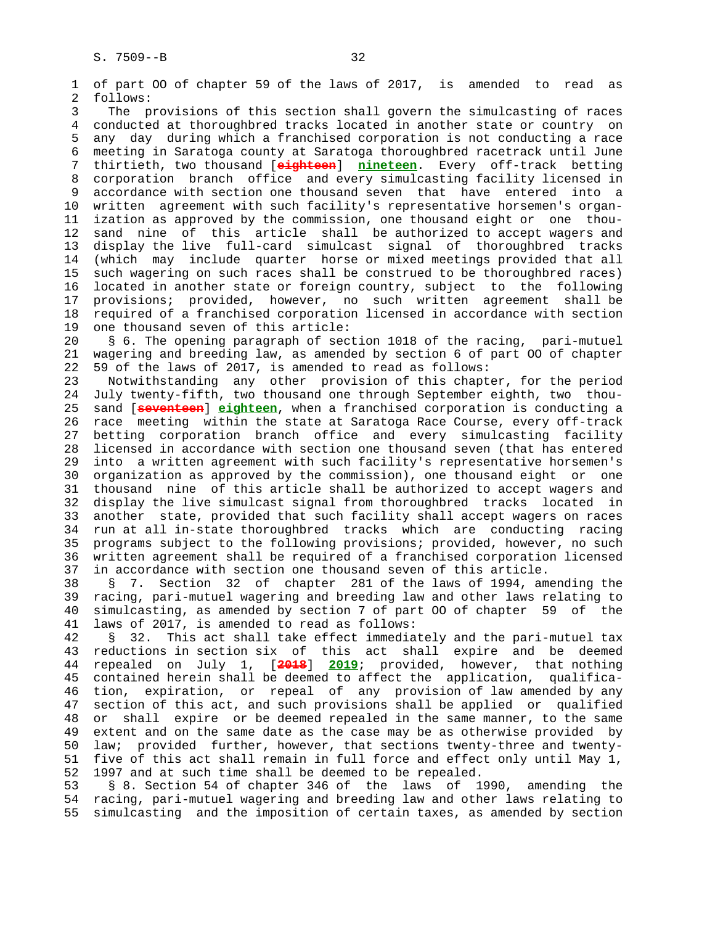1 of part OO of chapter 59 of the laws of 2017, is amended to read as 2 follows: 3 The provisions of this section shall govern the simulcasting of races 4 conducted at thoroughbred tracks located in another state or country on 5 any day during which a franchised corporation is not conducting a race 6 meeting in Saratoga county at Saratoga thoroughbred racetrack until June 7 thirtieth, two thousand [**eighteen**] **nineteen**. Every off-track betting 8 corporation branch office and every simulcasting facility licensed in accordance with section one thousand seven that have entered into a 10 written agreement with such facility's representative horsemen's organ- 11 ization as approved by the commission, one thousand eight or one thou- 12 sand nine of this article shall be authorized to accept wagers and 13 display the live full-card simulcast signal of thoroughbred tracks 14 (which may include quarter horse or mixed meetings provided that all 15 such wagering on such races shall be construed to be thoroughbred races) 16 located in another state or foreign country, subject to the following 17 provisions; provided, however, no such written agreement shall be 18 required of a franchised corporation licensed in accordance with section 19 one thousand seven of this article: 20 § 6. The opening paragraph of section 1018 of the racing, pari-mutuel 21 wagering and breeding law, as amended by section 6 of part OO of chapter 22 59 of the laws of 2017, is amended to read as follows:

 23 Notwithstanding any other provision of this chapter, for the period 24 July twenty-fifth, two thousand one through September eighth, two thou- 25 sand [**seventeen**] **eighteen**, when a franchised corporation is conducting a 26 race meeting within the state at Saratoga Race Course, every off-track 27 betting corporation branch office and every simulcasting facility 28 licensed in accordance with section one thousand seven (that has entered 29 into a written agreement with such facility's representative horsemen's 30 organization as approved by the commission), one thousand eight or one 31 thousand nine of this article shall be authorized to accept wagers and 32 display the live simulcast signal from thoroughbred tracks located in 33 another state, provided that such facility shall accept wagers on races 34 run at all in-state thoroughbred tracks which are conducting racing 35 programs subject to the following provisions; provided, however, no such 36 written agreement shall be required of a franchised corporation licensed 37 in accordance with section one thousand seven of this article.

 38 § 7. Section 32 of chapter 281 of the laws of 1994, amending the 39 racing, pari-mutuel wagering and breeding law and other laws relating to 40 simulcasting, as amended by section 7 of part OO of chapter 59 of the 41 laws of 2017, is amended to read as follows:

 42 § 32. This act shall take effect immediately and the pari-mutuel tax 43 reductions in section six of this act shall expire and be deemed 44 repealed on July 1, [**2018**] **2019**; provided, however, that nothing 45 contained herein shall be deemed to affect the application, qualifica- 46 tion, expiration, or repeal of any provision of law amended by any 47 section of this act, and such provisions shall be applied or qualified 48 or shall expire or be deemed repealed in the same manner, to the same 49 extent and on the same date as the case may be as otherwise provided by 50 law; provided further, however, that sections twenty-three and twenty- 51 five of this act shall remain in full force and effect only until May 1, 52 1997 and at such time shall be deemed to be repealed.

 53 § 8. Section 54 of chapter 346 of the laws of 1990, amending the 54 racing, pari-mutuel wagering and breeding law and other laws relating to 55 simulcasting and the imposition of certain taxes, as amended by section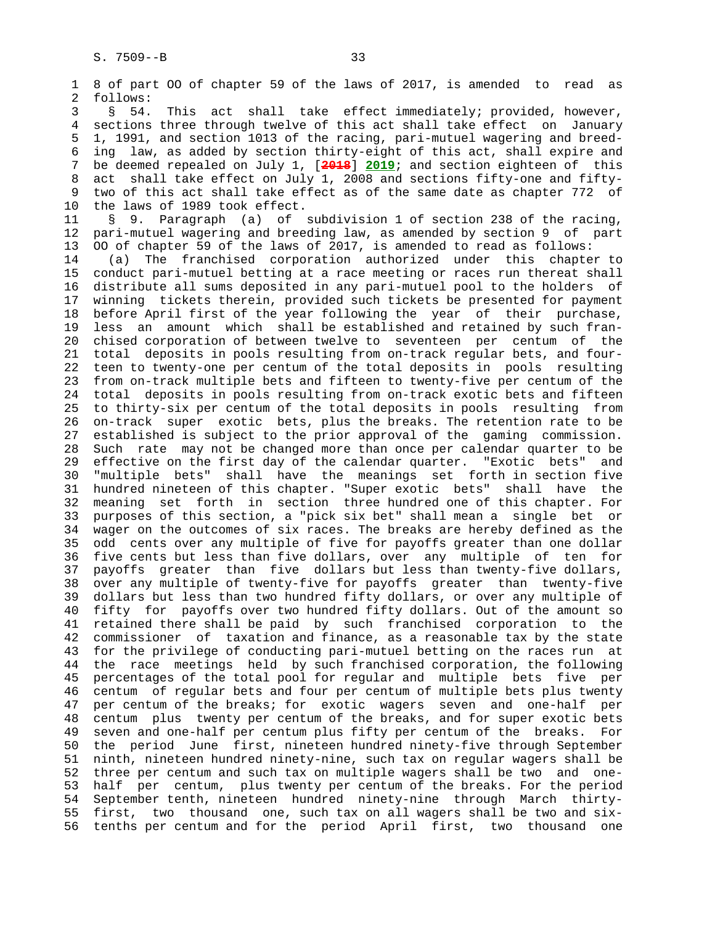1 8 of part OO of chapter 59 of the laws of 2017, is amended to read as 2 follows: 3 § 54. This act shall take effect immediately; provided, however, 4 sections three through twelve of this act shall take effect on January 5 1, 1991, and section 1013 of the racing, pari-mutuel wagering and breed- 6 ing law, as added by section thirty-eight of this act, shall expire and 7 be deemed repealed on July 1, [**2018**] **2019**; and section eighteen of this 8 act shall take effect on July 1, 2008 and sections fifty-one and fifty-<br>9 two of this act shall take effect as of the same date as chapter 772 of two of this act shall take effect as of the same date as chapter 772 of 10 the laws of 1989 took effect. 11 § 9. Paragraph (a) of subdivision 1 of section 238 of the racing, 12 pari-mutuel wagering and breeding law, as amended by section 9 of part 13 OO of chapter 59 of the laws of 2017, is amended to read as follows: 14 (a) The franchised corporation authorized under this chapter to 15 conduct pari-mutuel betting at a race meeting or races run thereat shall 16 distribute all sums deposited in any pari-mutuel pool to the holders of 17 winning tickets therein, provided such tickets be presented for payment 18 before April first of the year following the year of their purchase, 19 less an amount which shall be established and retained by such fran- 20 chised corporation of between twelve to seventeen per centum of the 21 total deposits in pools resulting from on-track regular bets, and four- 22 teen to twenty-one per centum of the total deposits in pools resulting 23 from on-track multiple bets and fifteen to twenty-five per centum of the 24 total deposits in pools resulting from on-track exotic bets and fifteen 25 to thirty-six per centum of the total deposits in pools resulting from 26 on-track super exotic bets, plus the breaks. The retention rate to be 27 established is subject to the prior approval of the gaming commission. 28 Such rate may not be changed more than once per calendar quarter to be 29 effective on the first day of the calendar quarter. "Exotic bets" and 30 "multiple bets" shall have the meanings set forth in section five 31 hundred nineteen of this chapter. "Super exotic bets" shall have the 32 meaning set forth in section three hundred one of this chapter. For 33 purposes of this section, a "pick six bet" shall mean a single bet or 34 wager on the outcomes of six races. The breaks are hereby defined as the 35 odd cents over any multiple of five for payoffs greater than one dollar 36 five cents but less than five dollars, over any multiple of ten for 37 payoffs greater than five dollars but less than twenty-five dollars, 38 over any multiple of twenty-five for payoffs greater than twenty-five 39 dollars but less than two hundred fifty dollars, or over any multiple of 40 fifty for payoffs over two hundred fifty dollars. Out of the amount so 41 retained there shall be paid by such franchised corporation to the 42 commissioner of taxation and finance, as a reasonable tax by the state 43 for the privilege of conducting pari-mutuel betting on the races run at 44 the race meetings held by such franchised corporation, the following 45 percentages of the total pool for regular and multiple bets five per 46 centum of regular bets and four per centum of multiple bets plus twenty 47 per centum of the breaks; for exotic wagers seven and one-half per 48 centum plus twenty per centum of the breaks, and for super exotic bets 49 seven and one-half per centum plus fifty per centum of the breaks. For 50 the period June first, nineteen hundred ninety-five through September 51 ninth, nineteen hundred ninety-nine, such tax on regular wagers shall be 52 three per centum and such tax on multiple wagers shall be two and one- 53 half per centum, plus twenty per centum of the breaks. For the period 54 September tenth, nineteen hundred ninety-nine through March thirty- 55 first, two thousand one, such tax on all wagers shall be two and six- 56 tenths per centum and for the period April first, two thousand one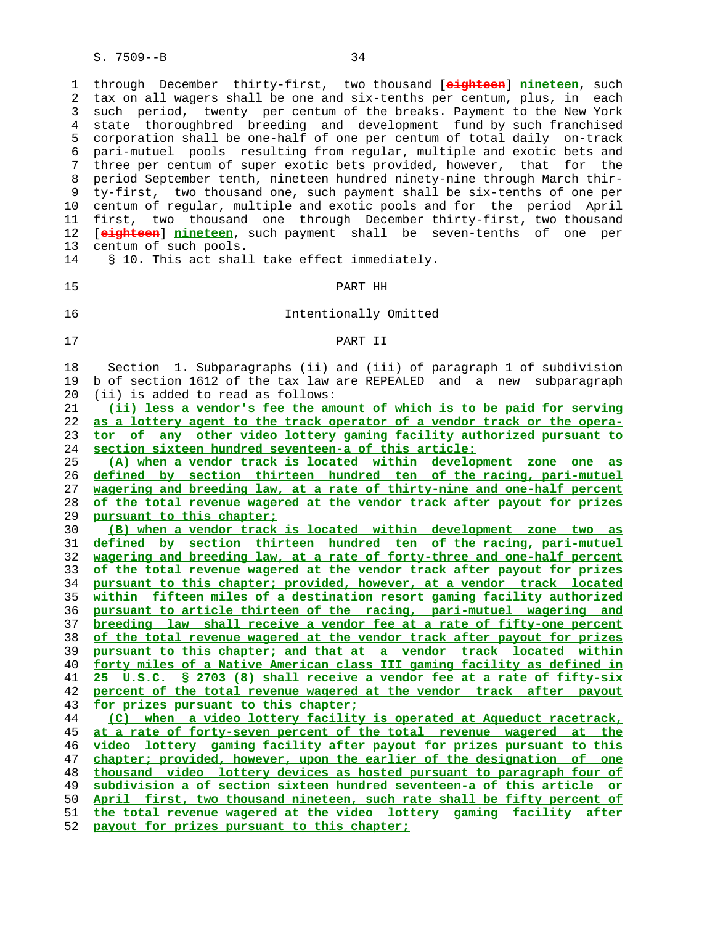1 through December thirty-first, two thousand [**eighteen**] **nineteen**, such 2 tax on all wagers shall be one and six-tenths per centum, plus, in each 3 such period, twenty per centum of the breaks. Payment to the New York 4 state thoroughbred breeding and development fund by such franchised 5 corporation shall be one-half of one per centum of total daily on-track 6 pari-mutuel pools resulting from regular, multiple and exotic bets and 7 three per centum of super exotic bets provided, however, that for the 8 period September tenth, nineteen hundred ninety-nine through March thir- 9 ty-first, two thousand one, such payment shall be six-tenths of one per 10 centum of regular, multiple and exotic pools and for the period April 11 first, two thousand one through December thirty-first, two thousand 12 [**eighteen**] **nineteen**, such payment shall be seven-tenths of one per 13 centum of such pools. 14 § 10. This act shall take effect immediately.

#### 15 PART HH

- 16 Intentionally Omitted
- 

#### 17 PART II

 18 Section 1. Subparagraphs (ii) and (iii) of paragraph 1 of subdivision 19 b of section 1612 of the tax law are REPEALED and a new subparagraph 20 (ii) is added to read as follows:

**(ii) less a vendor's fee the amount of which is to be paid for serving as a lottery agent to the track operator of a vendor track or the opera- tor of any other video lottery gaming facility authorized pursuant to section sixteen hundred seventeen-a of this article:**

**(A) when a vendor track is located within development zone one as defined by section thirteen hundred ten of the racing, pari-mutuel wagering and breeding law, at a rate of thirty-nine and one-half percent of the total revenue wagered at the vendor track after payout for prizes pursuant to this chapter;**

**(B) when a vendor track is located within development zone two as defined by section thirteen hundred ten of the racing, pari-mutuel wagering and breeding law, at a rate of forty-three and one-half percent of the total revenue wagered at the vendor track after payout for prizes pursuant to this chapter; provided, however, at a vendor track located within fifteen miles of a destination resort gaming facility authorized pursuant to article thirteen of the racing, pari-mutuel wagering and breeding law shall receive a vendor fee at a rate of fifty-one percent of the total revenue wagered at the vendor track after payout for prizes pursuant to this chapter; and that at a vendor track located within forty miles of a Native American class III gaming facility as defined in 25 U.S.C. § 2703 (8) shall receive a vendor fee at a rate of fifty-six percent of the total revenue wagered at the vendor track after payout for prizes pursuant to this chapter;**

**(C) when a video lottery facility is operated at Aqueduct racetrack,** at a rate of forty-seven percent of the total revenue wagered at the **video lottery gaming facility after payout for prizes pursuant to this chapter; provided, however, upon the earlier of the designation of one thousand video lottery devices as hosted pursuant to paragraph four of subdivision a of section sixteen hundred seventeen-a of this article or April first, two thousand nineteen, such rate shall be fifty percent of the total revenue wagered at the video lottery gaming facility after payout for prizes pursuant to this chapter;**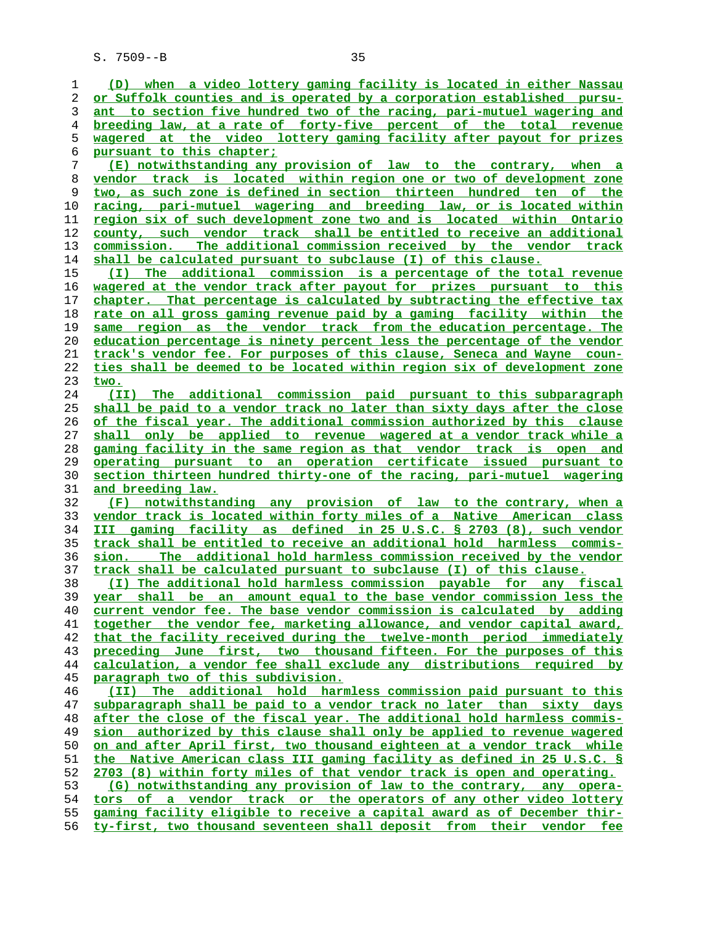**(D) when a video lottery gaming facility is located in either Nassau or Suffolk counties and is operated by a corporation established pursu- ant to section five hundred two of the racing, pari-mutuel wagering and breeding law, at a rate of forty-five percent of the total revenue wagered at the video lottery gaming facility after payout for prizes pursuant to this chapter; (E) notwithstanding any provision of law to the contrary, when a vendor track is located within region one or two of development zone two, as such zone is defined in section thirteen hundred ten of the racing, pari-mutuel wagering and breeding law, or is located within region six of such development zone two and is located within Ontario county, such vendor track shall be entitled to receive an additional commission. The additional commission received by the vendor track shall be calculated pursuant to subclause (I) of this clause. (I) The additional commission is a percentage of the total revenue wagered at the vendor track after payout for prizes pursuant to this chapter. That percentage is calculated by subtracting the effective tax rate on all gross gaming revenue paid by a gaming facility within the same region as the vendor track from the education percentage. The education percentage is ninety percent less the percentage of the vendor track's vendor fee. For purposes of this clause, Seneca and Wayne coun- ties shall be deemed to be located within region six of development zone two. (II) The additional commission paid pursuant to this subparagraph shall be paid to a vendor track no later than sixty days after the close of the fiscal year. The additional commission authorized by this clause shall only be applied to revenue wagered at a vendor track while a gaming facility in the same region as that vendor track is open and operating pursuant to an operation certificate issued pursuant to section thirteen hundred thirty-one of the racing, pari-mutuel wagering and breeding law. (F) notwithstanding any provision of law to the contrary, when a vendor track is located within forty miles of a Native American class III gaming facility as defined in 25 U.S.C. § 2703 (8), such vendor track shall be entitled to receive an additional hold harmless commis- sion. The additional hold harmless commission received by the vendor track shall be calculated pursuant to subclause (I) of this clause. (I) The additional hold harmless commission payable for any fiscal year shall be an amount equal to the base vendor commission less the current vendor fee. The base vendor commission is calculated by adding together the vendor fee, marketing allowance, and vendor capital award, that the facility received during the twelve-month period immediately preceding June first, two thousand fifteen. For the purposes of this calculation, a vendor fee shall exclude any distributions required by paragraph two of this subdivision. (II) The additional hold harmless commission paid pursuant to this subparagraph shall be paid to a vendor track no later than sixty days after the close of the fiscal year. The additional hold harmless commis- sion authorized by this clause shall only be applied to revenue wagered on and after April first, two thousand eighteen at a vendor track while the Native American class III gaming facility as defined in 25 U.S.C. § 2703 (8) within forty miles of that vendor track is open and operating. (G) notwithstanding any provision of law to the contrary, any opera- tors of a vendor track or the operators of any other video lottery gaming facility eligible to receive a capital award as of December thir- ty-first, two thousand seventeen shall deposit from their vendor fee**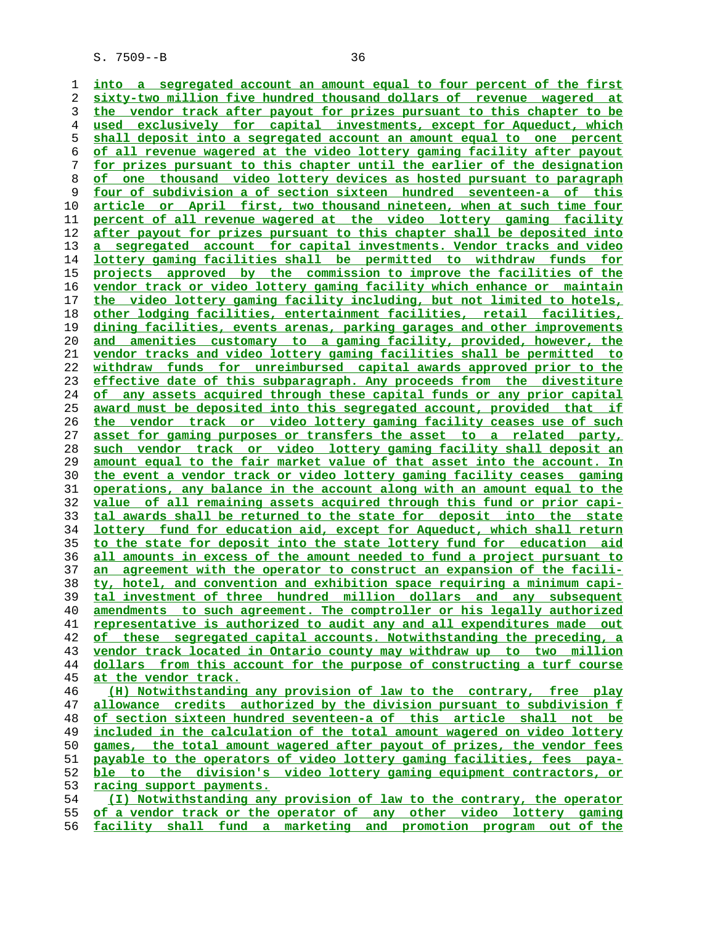**into a segregated account an amount equal to four percent of the first sixty-two million five hundred thousand dollars of revenue wagered at the vendor track after payout for prizes pursuant to this chapter to be used exclusively for capital investments, except for Aqueduct, which shall deposit into a segregated account an amount equal to one percent of all revenue wagered at the video lottery gaming facility after payout for prizes pursuant to this chapter until the earlier of the designation of one thousand video lottery devices as hosted pursuant to paragraph four of subdivision a of section sixteen hundred seventeen-a of this article or April first, two thousand nineteen, when at such time four percent of all revenue wagered at the video lottery gaming facility after payout for prizes pursuant to this chapter shall be deposited into a segregated account for capital investments. Vendor tracks and video lottery gaming facilities shall be permitted to withdraw funds for projects approved by the commission to improve the facilities of the vendor track or video lottery gaming facility which enhance or maintain the video lottery gaming facility including, but not limited to hotels, other lodging facilities, entertainment facilities, retail facilities, dining facilities, events arenas, parking garages and other improvements and amenities customary to a gaming facility, provided, however, the vendor tracks and video lottery gaming facilities shall be permitted to withdraw funds for unreimbursed capital awards approved prior to the effective date of this subparagraph. Any proceeds from the divestiture of any assets acquired through these capital funds or any prior capital award must be deposited into this segregated account, provided that if the vendor track or video lottery gaming facility ceases use of such asset for gaming purposes or transfers the asset to a related party, such vendor track or video lottery gaming facility shall deposit an amount equal to the fair market value of that asset into the account. In the event a vendor track or video lottery gaming facility ceases gaming operations, any balance in the account along with an amount equal to the value of all remaining assets acquired through this fund or prior capi- tal awards shall be returned to the state for deposit into the state lottery fund for education aid, except for Aqueduct, which shall return to the state for deposit into the state lottery fund for education aid all amounts in excess of the amount needed to fund a project pursuant to an agreement with the operator to construct an expansion of the facili- ty, hotel, and convention and exhibition space requiring a minimum capi- tal investment of three hundred million dollars and any subsequent amendments to such agreement. The comptroller or his legally authorized representative is authorized to audit any and all expenditures made out of these segregated capital accounts. Notwithstanding the preceding, a vendor track located in Ontario county may withdraw up to two million dollars from this account for the purpose of constructing a turf course at the vendor track. (H) Notwithstanding any provision of law to the contrary, free play allowance credits authorized by the division pursuant to subdivision f of section sixteen hundred seventeen-a of this article shall not be included in the calculation of the total amount wagered on video lottery games, the total amount wagered after payout of prizes, the vendor fees payable to the operators of video lottery gaming facilities, fees paya- ble to the division's video lottery gaming equipment contractors, or racing support payments. (I) Notwithstanding any provision of law to the contrary, the operator of a vendor track or the operator of any other video lottery gaming facility shall fund a marketing and promotion program out of the**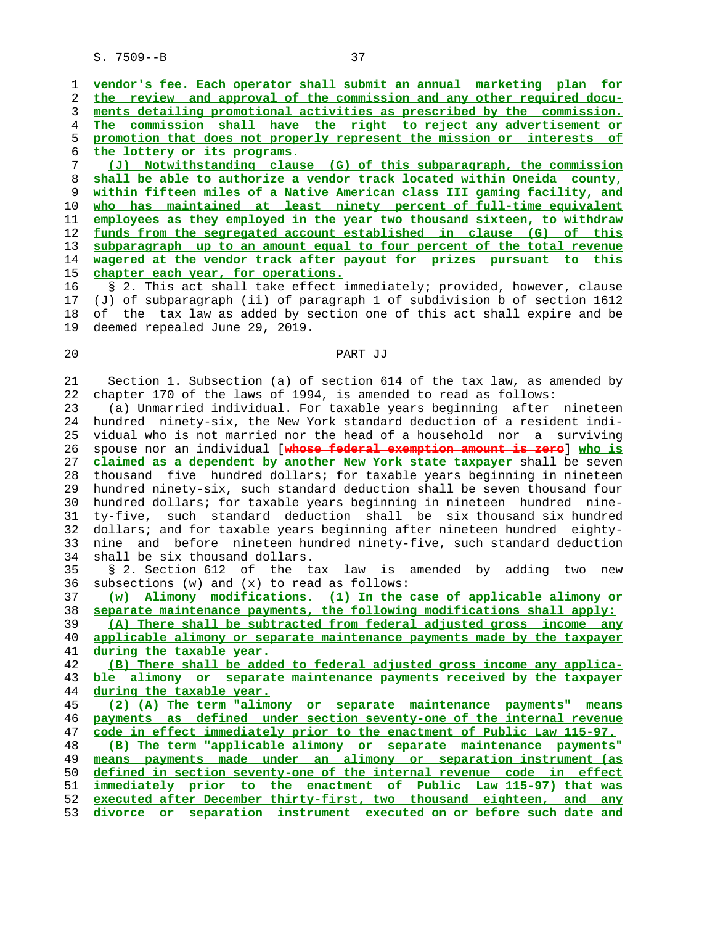**vendor's fee. Each operator shall submit an annual marketing plan for the review and approval of the commission and any other required docu- ments detailing promotional activities as prescribed by the commission. The commission shall have the right to reject any advertisement or promotion that does not properly represent the mission or interests of the lottery or its programs. (J) Notwithstanding clause (G) of this subparagraph, the commission shall be able to authorize a vendor track located within Oneida county, within fifteen miles of a Native American class III gaming facility, and who has maintained at least ninety percent of full-time equivalent employees as they employed in the year two thousand sixteen, to withdraw funds from the segregated account established in clause (G) of this subparagraph up to an amount equal to four percent of the total revenue wagered at the vendor track after payout for prizes pursuant to this**

**chapter each year, for operations.**

 16 § 2. This act shall take effect immediately; provided, however, clause 17 (J) of subparagraph (ii) of paragraph 1 of subdivision b of section 1612 18 of the tax law as added by section one of this act shall expire and be 19 deemed repealed June 29, 2019.

#### 20 PART JJ

 21 Section 1. Subsection (a) of section 614 of the tax law, as amended by 22 chapter 170 of the laws of 1994, is amended to read as follows:

 23 (a) Unmarried individual. For taxable years beginning after nineteen 24 hundred ninety-six, the New York standard deduction of a resident indi- 25 vidual who is not married nor the head of a household nor a surviving 26 spouse nor an individual [**whose federal exemption amount is zero**] **who is claimed as a dependent by another New York state taxpayer** shall be seven 28 thousand five hundred dollars; for taxable years beginning in nineteen 29 hundred ninety-six, such standard deduction shall be seven thousand four 30 hundred dollars; for taxable years beginning in nineteen hundred nine- 31 ty-five, such standard deduction shall be six thousand six hundred 32 dollars; and for taxable years beginning after nineteen hundred eighty- 33 nine and before nineteen hundred ninety-five, such standard deduction 34 shall be six thousand dollars.

 35 § 2. Section 612 of the tax law is amended by adding two new 36 subsections (w) and (x) to read as follows:

**(w) Alimony modifications. (1) In the case of applicable alimony or separate maintenance payments, the following modifications shall apply:**

**(A) There shall be subtracted from federal adjusted gross income any applicable alimony or separate maintenance payments made by the taxpayer**

**during the taxable year.**

**(B) There shall be added to federal adjusted gross income any applica- ble alimony or separate maintenance payments received by the taxpayer during the taxable year.**

**(2) (A) The term "alimony or separate maintenance payments" means payments as defined under section seventy-one of the internal revenue code in effect immediately prior to the enactment of Public Law 115-97. (B) The term "applicable alimony or separate maintenance payments"**

**means payments made under an alimony or separation instrument (as defined in section seventy-one of the internal revenue code in effect immediately prior to the enactment of Public Law 115-97) that was executed after December thirty-first, two thousand eighteen, and any**

**divorce or separation instrument executed on or before such date and**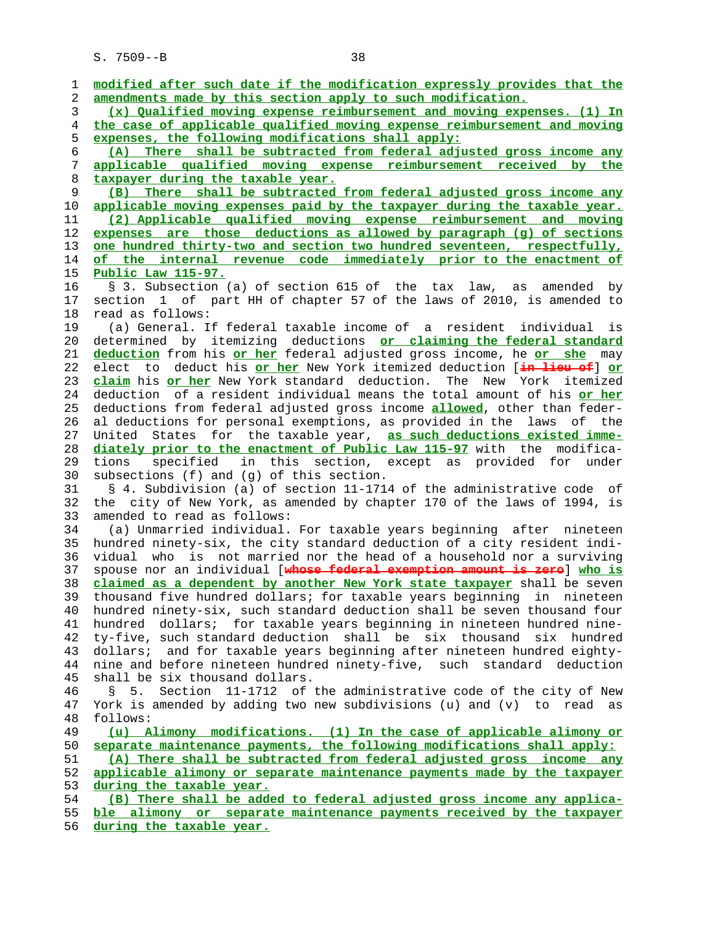| 1        | modified after such date if the modification expressly provides that the                                                                       |  |
|----------|------------------------------------------------------------------------------------------------------------------------------------------------|--|
| 2        | amendments made by this section apply to such modification.                                                                                    |  |
| 3        | (x) Qualified moving expense reimbursement and moving expenses. (1) In                                                                         |  |
| 4        | the case of applicable qualified moving expense reimbursement and moving                                                                       |  |
| 5        | expenses, the following modifications shall apply:                                                                                             |  |
| 6        | (A) There shall be subtracted from federal adjusted gross income any                                                                           |  |
| 7        | applicable qualified moving expense reimbursement received by the                                                                              |  |
| 8        | taxpayer during the taxable year.                                                                                                              |  |
| 9        | There shall be subtracted from federal adjusted gross income any<br>(B)                                                                        |  |
| 10       | applicable moving expenses paid by the taxpayer during the taxable year.                                                                       |  |
| 11       | (2) Applicable qualified moving expense reimbursement and moving                                                                               |  |
| 12       | expenses are those deductions as allowed by paragraph (q) of sections                                                                          |  |
| 13       | one hundred thirty-two and section two hundred seventeen, respectfully,                                                                        |  |
| 14       | of the internal revenue code immediately prior to the enactment of                                                                             |  |
| 15       | Public Law 115-97.                                                                                                                             |  |
| 16       | § 3. Subsection (a) of section 615 of the tax law, as amended by                                                                               |  |
| 17       | section 1 of part HH of chapter 57 of the laws of 2010, is amended to                                                                          |  |
| 18       | read as follows:                                                                                                                               |  |
| 19       | (a) General. If federal taxable income of a resident<br>individual is                                                                          |  |
| 20       | determined by itemizing deductions or claiming the federal standard                                                                            |  |
| 21       | deduction from his or her federal adjusted gross income, he or she may                                                                         |  |
| 22       | elect to deduct his or her New York itemized deduction [in lieu of] or                                                                         |  |
| 23       | claim his or her New York standard deduction.<br>The New York itemized                                                                         |  |
| 24       | deduction of a resident individual means the total amount of his or her                                                                        |  |
| 25       | deductions from federal adjusted gross income allowed, other than feder-                                                                       |  |
| 26       | al deductions for personal exemptions, as provided in the laws of the                                                                          |  |
| 27       | United States for the taxable year, as such deductions existed imme-                                                                           |  |
| 28       | diately prior to the enactment of Public Law 115-97 with the modifica-                                                                         |  |
| 29       | specified in this section, except as provided for under<br>tions                                                                               |  |
| 30       | subsections (f) and (g) of this section.                                                                                                       |  |
| 31       | § 4. Subdivision (a) of section 11-1714 of the administrative code of                                                                          |  |
| 32       | the city of New York, as amended by chapter 170 of the laws of 1994, is                                                                        |  |
| 33       | amended to read as follows:                                                                                                                    |  |
| 34       | (a) Unmarried individual. For taxable years beginning after nineteen                                                                           |  |
| 35       | hundred ninety-six, the city standard deduction of a city resident indi-                                                                       |  |
| 36       | who is not married nor the head of a household nor a surviving<br>vidual                                                                       |  |
| 37       | spouse nor an individual [whose federal exemption amount is zero] who is                                                                       |  |
| 38       | claimed as a dependent by another New York state taxpayer shall be seven                                                                       |  |
| 39       | thousand five hundred dollars; for taxable years beginning in nineteen                                                                         |  |
| 40       | hundred ninety-six, such standard deduction shall be seven thousand four                                                                       |  |
| 41       | hundred dollars; for taxable years beginning in nineteen hundred nine-                                                                         |  |
| 42       | ty-five, such standard deduction shall be six thousand six hundred                                                                             |  |
| 43       | dollars; and for taxable years beginning after nineteen hundred eighty-                                                                        |  |
| 44       | nine and before nineteen hundred ninety-five, such standard deduction                                                                          |  |
| 45       | shall be six thousand dollars.                                                                                                                 |  |
| 46       | 5.<br>Section 11-1712 of the administrative code of the city of New<br>$\mathcal{S}$                                                           |  |
| 47       | York is amended by adding two new subdivisions (u) and (v) to read as                                                                          |  |
| 48       | follows:                                                                                                                                       |  |
| 49<br>50 | (u) Alimony modifications. (1) In the case of applicable alimony or<br>separate maintenance payments, the following modifications shall apply: |  |
|          |                                                                                                                                                |  |
| 51<br>52 | (A) There shall be subtracted from federal adjusted gross income any                                                                           |  |
| 53       | applicable alimony or separate maintenance payments made by the taxpayer                                                                       |  |
| 54       | during the taxable year.<br>(B) There shall be added to federal adjusted gross income any applica-                                             |  |
| 55       | ble alimony or separate maintenance payments received by the taxpayer                                                                          |  |
| 56       | during the taxable year.                                                                                                                       |  |
|          |                                                                                                                                                |  |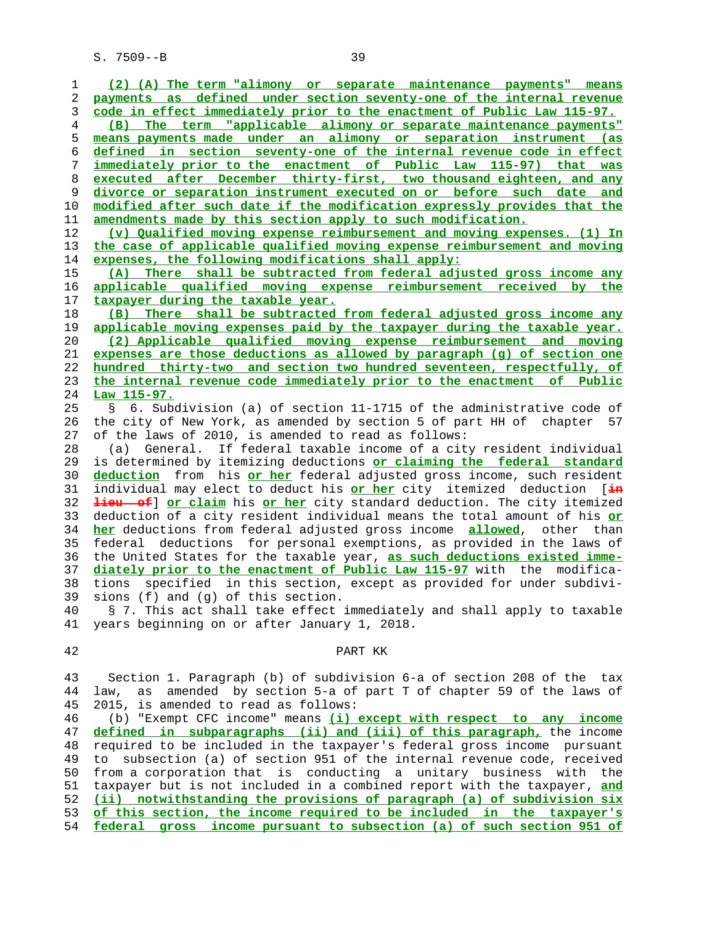**(2) (A) The term "alimony or separate maintenance payments" means payments as defined under section seventy-one of the internal revenue code in effect immediately prior to the enactment of Public Law 115-97. (B) The term "applicable alimony or separate maintenance payments" means payments made under an alimony or separation instrument (as defined in section seventy-one of the internal revenue code in effect immediately prior to the enactment of Public Law 115-97) that was executed after December thirty-first, two thousand eighteen, and any divorce or separation instrument executed on or before such date and modified after such date if the modification expressly provides that the amendments made by this section apply to such modification. (v) Qualified moving expense reimbursement and moving expenses. (1) In the case of applicable qualified moving expense reimbursement and moving expenses, the following modifications shall apply: (A) There shall be subtracted from federal adjusted gross income any applicable qualified moving expense reimbursement received by the taxpayer during the taxable year. (B) There shall be subtracted from federal adjusted gross income any applicable moving expenses paid by the taxpayer during the taxable year. (2) Applicable qualified moving expense reimbursement and moving expenses are those deductions as allowed by paragraph (g) of section one hundred thirty-two and section two hundred seventeen, respectfully, of the internal revenue code immediately prior to the enactment of Public Law 115-97.** 25 § 6. Subdivision (a) of section 11-1715 of the administrative code of 26 the city of New York, as amended by section 5 of part HH of chapter 57 27 of the laws of 2010, is amended to read as follows: 28 (a) General. If federal taxable income of a city resident individual 29 is determined by itemizing deductions **or claiming the federal standard deduction** from his **or her** federal adjusted gross income, such resident 31 individual may elect to deduct his **or her** city itemized deduction [**in lieu of**] **or claim** his **or her** city standard deduction. The city itemized 33 deduction of a city resident individual means the total amount of his **or her** deductions from federal adjusted gross income **allowed**, other than 35 federal deductions for personal exemptions, as provided in the laws of 36 the United States for the taxable year, **as such deductions existed imme- diately prior to the enactment of Public Law 115-97** with the modifica- 38 tions specified in this section, except as provided for under subdivi- 39 sions (f) and (g) of this section. 40 § 7. This act shall take effect immediately and shall apply to taxable 41 years beginning on or after January 1, 2018.

42 PART KK

 43 Section 1. Paragraph (b) of subdivision 6-a of section 208 of the tax 44 law, as amended by section 5-a of part T of chapter 59 of the laws of 45 2015, is amended to read as follows:

 46 (b) "Exempt CFC income" means **(i) except with respect to any income** 47 **defined in subparagraphs (ii) and (iii) of this paragraph,** the income 48 required to be included in the taxpayer's federal gross income pursuant 49 to subsection (a) of section 951 of the internal revenue code, received 50 from a corporation that is conducting a unitary business with the 51 taxpayer but is not included in a combined report with the taxpayer, **and** 52 **(ii) notwithstanding the provisions of paragraph (a) of subdivision six** 53 **of this section, the income required to be included in the taxpayer's** 54 **federal gross income pursuant to subsection (a) of such section 951 of**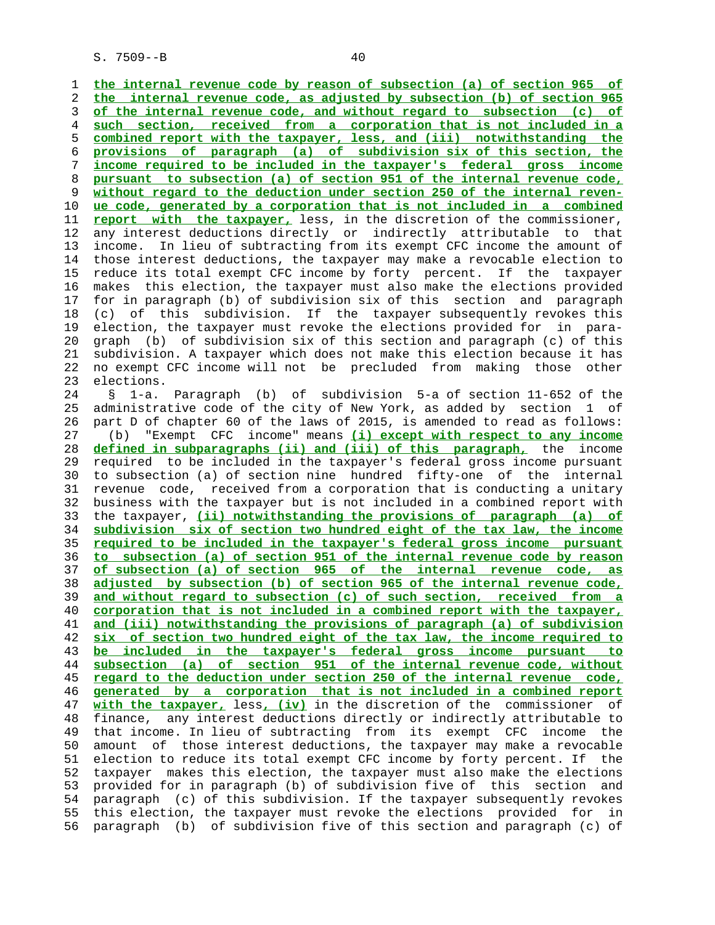1 **the internal revenue code by reason of subsection (a) of section 965 of** 2 **the internal revenue code, as adjusted by subsection (b) of section 965** 3 **of the internal revenue code, and without regard to subsection (c) of** 4 **such section, received from a corporation that is not included in a** 5 **combined report with the taxpayer, less, and (iii) notwithstanding the** 6 **provisions of paragraph (a) of subdivision six of this section, the** 7 **income required to be included in the taxpayer's federal gross income** 8 **pursuant to subsection (a) of section 951 of the internal revenue code,** 9 **without regard to the deduction under section 250 of the internal reven-** 10 **ue code, generated by a corporation that is not included in a combined** 11 **report with the taxpayer,** less, in the discretion of the commissioner, 12 any interest deductions directly or indirectly attributable to that 13 income. In lieu of subtracting from its exempt CFC income the amount of 14 those interest deductions, the taxpayer may make a revocable election to 15 reduce its total exempt CFC income by forty percent. If the taxpayer 16 makes this election, the taxpayer must also make the elections provided 17 for in paragraph (b) of subdivision six of this section and paragraph 18 (c) of this subdivision. If the taxpayer subsequently revokes this 19 election, the taxpayer must revoke the elections provided for in para- 20 graph (b) of subdivision six of this section and paragraph (c) of this 21 subdivision. A taxpayer which does not make this election because it has 22 no exempt CFC income will not be precluded from making those other 23 elections. 24 § 1-a. Paragraph (b) of subdivision 5-a of section 11-652 of the 25 administrative code of the city of New York, as added by section 1 of 26 part D of chapter 60 of the laws of 2015, is amended to read as follows: 27 (b) "Exempt CFC income" means **(i) except with respect to any income** 28 **defined in subparagraphs (ii) and (iii) of this paragraph,** the income 29 required to be included in the taxpayer's federal gross income pursuant 30 to subsection (a) of section nine hundred fifty-one of the internal 31 revenue code, received from a corporation that is conducting a unitary 32 business with the taxpayer but is not included in a combined report with 33 the taxpayer, **(ii) notwithstanding the provisions of paragraph (a) of** 34 **subdivision six of section two hundred eight of the tax law, the income** 35 **required to be included in the taxpayer's federal gross income pursuant** 36 **to subsection (a) of section 951 of the internal revenue code by reason** 37 **of subsection (a) of section 965 of the internal revenue code, as** 38 **adjusted by subsection (b) of section 965 of the internal revenue code,** 39 **and without regard to subsection (c) of such section, received from a** 40 **corporation that is not included in a combined report with the taxpayer,** 41 **and (iii) notwithstanding the provisions of paragraph (a) of subdivision** 42 **six of section two hundred eight of the tax law, the income required to** 43 **be included in the taxpayer's federal gross income pursuant to** 44 **subsection (a) of section 951 of the internal revenue code, without** 45 **regard to the deduction under section 250 of the internal revenue code,** 46 **generated by a corporation that is not included in a combined report** 47 **with the taxpayer,** less**, (iv)** in the discretion of the commissioner of 48 finance, any interest deductions directly or indirectly attributable to 49 that income. In lieu of subtracting from its exempt CFC income the 50 amount of those interest deductions, the taxpayer may make a revocable 51 election to reduce its total exempt CFC income by forty percent. If the 52 taxpayer makes this election, the taxpayer must also make the elections 53 provided for in paragraph (b) of subdivision five of this section and 54 paragraph (c) of this subdivision. If the taxpayer subsequently revokes 55 this election, the taxpayer must revoke the elections provided for in

56 paragraph (b) of subdivision five of this section and paragraph (c) of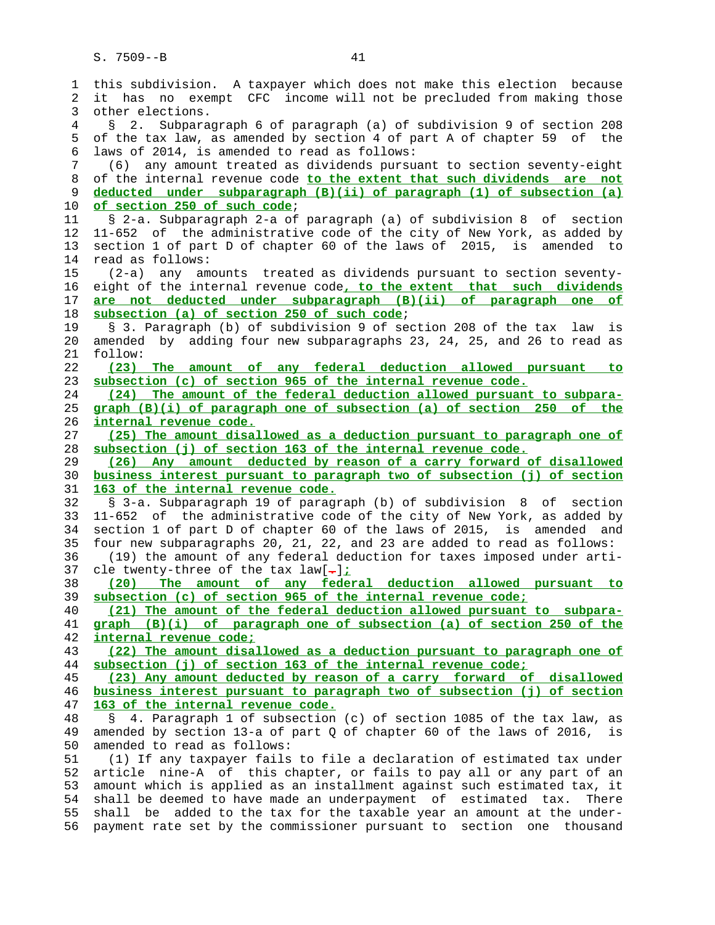| 1        | this subdivision. A taxpayer which does not make this election because                                                                          |  |  |
|----------|-------------------------------------------------------------------------------------------------------------------------------------------------|--|--|
| 2        | it has no exempt CFC income will not be precluded from making those                                                                             |  |  |
| 3        | other elections.                                                                                                                                |  |  |
| 4        | $\S$ 2.<br>Subparagraph 6 of paragraph (a) of subdivision 9 of section 208                                                                      |  |  |
|          |                                                                                                                                                 |  |  |
| 5        | of the tax law, as amended by section 4 of part A of chapter 59 of the                                                                          |  |  |
| 6        | laws of 2014, is amended to read as follows:                                                                                                    |  |  |
| 7        | any amount treated as dividends pursuant to section seventy-eight<br>(6)                                                                        |  |  |
| 8        | of the internal revenue code to the extent that such dividends are not                                                                          |  |  |
| 9        | deducted under subparagraph (B)(ii) of paragraph (1) of subsection (a)                                                                          |  |  |
| 10       | of section 250 of such code;                                                                                                                    |  |  |
| 11       | § 2-a. Subparagraph 2-a of paragraph (a) of subdivision 8<br>of section                                                                         |  |  |
| 12       | 11-652 of the administrative code of the city of New York, as added by                                                                          |  |  |
| 13       | section 1 of part D of chapter 60 of the laws of 2015, is amended to                                                                            |  |  |
| 14       | read as follows:                                                                                                                                |  |  |
| 15       | (2-a) any amounts treated as dividends pursuant to section seventy-                                                                             |  |  |
| 16       | eight of the internal revenue code, to the extent that such dividends                                                                           |  |  |
|          |                                                                                                                                                 |  |  |
| 17       | are not deducted under subparagraph (B)(ii) of paragraph one of                                                                                 |  |  |
| 18       | subsection (a) of section 250 of such code;                                                                                                     |  |  |
| 19       | § 3. Paragraph (b) of subdivision 9 of section 208 of the tax law<br>is                                                                         |  |  |
| 20       | amended by adding four new subparagraphs 23, 24, 25, and 26 to read as                                                                          |  |  |
| 21       | follow:                                                                                                                                         |  |  |
| 22       | (23) The amount of any federal deduction allowed pursuant to                                                                                    |  |  |
| 23       | subsection (c) of section 965 of the internal revenue code.                                                                                     |  |  |
| 24       | (24) The amount of the federal deduction allowed pursuant to subpara-                                                                           |  |  |
| 25       | graph (B)(i) of paragraph one of subsection (a) of section 250 of the                                                                           |  |  |
| 26       | internal revenue code.                                                                                                                          |  |  |
| 27       | (25) The amount disallowed as a deduction pursuant to paragraph one of                                                                          |  |  |
| 28       | subsection (j) of section 163 of the internal revenue code.                                                                                     |  |  |
|          |                                                                                                                                                 |  |  |
|          |                                                                                                                                                 |  |  |
| 29       | (26) Any amount deducted by reason of a carry forward of disallowed                                                                             |  |  |
| 30       | business interest pursuant to paragraph two of subsection (j) of section                                                                        |  |  |
| 31       | 163 of the internal revenue code.                                                                                                               |  |  |
| 32       | § 3-a. Subparagraph 19 of paragraph (b) of subdivision 8 of section                                                                             |  |  |
| 33       | 11-652 of the administrative code of the city of New York, as added by                                                                          |  |  |
| 34       | section 1 of part D of chapter 60 of the laws of 2015, is amended and                                                                           |  |  |
| 35       | four new subparagraphs 20, 21, 22, and 23 are added to read as follows:                                                                         |  |  |
| 36       | (19) the amount of any federal deduction for taxes imposed under arti-                                                                          |  |  |
| 37       | cle twenty-three of the tax $law[-]$ :                                                                                                          |  |  |
| 38       | (20) The amount of any federal deduction allowed pursuant to                                                                                    |  |  |
| 39       | subsection (c) of section 965 of the internal revenue code;                                                                                     |  |  |
| 40       | (21) The amount of the federal deduction allowed pursuant to subpara-                                                                           |  |  |
| 41       | graph (B)(i) of paragraph one of subsection (a) of section 250 of the                                                                           |  |  |
| 42       | internal revenue code;                                                                                                                          |  |  |
| 43       | (22) The amount disallowed as a deduction pursuant to paragraph one of                                                                          |  |  |
| 44       | subsection (j) of section 163 of the internal revenue code;                                                                                     |  |  |
| 45       | (23) Any amount deducted by reason of a carry forward of disallowed                                                                             |  |  |
| 46       | business interest pursuant to paragraph two of subsection (j) of section                                                                        |  |  |
| 47       | 163 of the internal revenue code.                                                                                                               |  |  |
| 48       | 4. Paragraph 1 of subsection (c) of section 1085 of the tax law, as<br>S.                                                                       |  |  |
| 49       |                                                                                                                                                 |  |  |
| 50       | amended by section 13-a of part $Q$ of chapter 60 of the laws of 2016, is<br>amended to read as follows:                                        |  |  |
|          |                                                                                                                                                 |  |  |
| 51       | (1) If any taxpayer fails to file a declaration of estimated tax under                                                                          |  |  |
| 52       | article nine-A of this chapter, or fails to pay all or any part of an                                                                           |  |  |
| 53       | amount which is applied as an installment against such estimated tax, it                                                                        |  |  |
| 54       | shall be deemed to have made an underpayment of estimated tax.<br>There                                                                         |  |  |
| 55<br>56 | shall be added to the tax for the taxable year an amount at the under-<br>payment rate set by the commissioner pursuant to section one thousand |  |  |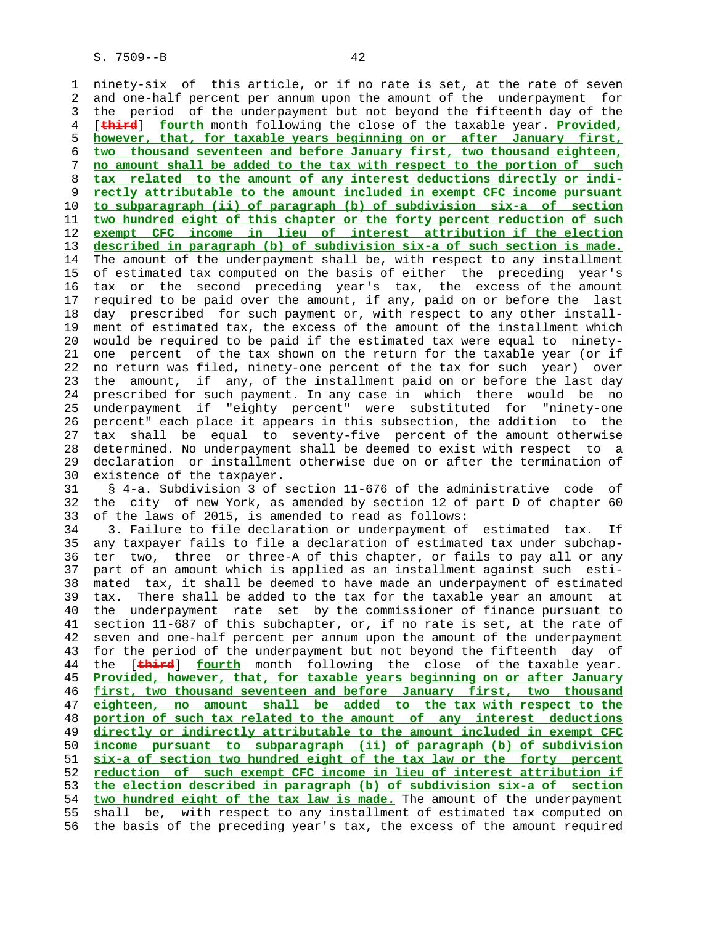1 ninety-six of this article, or if no rate is set, at the rate of seven 2 and one-half percent per annum upon the amount of the underpayment for 3 the period of the underpayment but not beyond the fifteenth day of the 4 [**third**] **fourth** month following the close of the taxable year. **Provided,** 5 **however, that, for taxable years beginning on or after January first,** 6 **two thousand seventeen and before January first, two thousand eighteen,** 7 **no amount shall be added to the tax with respect to the portion of such** 8 **tax related to the amount of any interest deductions directly or indi-** 9 **rectly attributable to the amount included in exempt CFC income pursuant** 10 **to subparagraph (ii) of paragraph (b) of subdivision six-a of section** 11 **two hundred eight of this chapter or the forty percent reduction of such** 12 **exempt CFC income in lieu of interest attribution if the election** 13 **described in paragraph (b) of subdivision six-a of such section is made.** 14 The amount of the underpayment shall be, with respect to any installment 15 of estimated tax computed on the basis of either the preceding year's 16 tax or the second preceding year's tax, the excess of the amount 17 required to be paid over the amount, if any, paid on or before the last 18 day prescribed for such payment or, with respect to any other install- 19 ment of estimated tax, the excess of the amount of the installment which 20 would be required to be paid if the estimated tax were equal to ninety- 21 one percent of the tax shown on the return for the taxable year (or if 22 no return was filed, ninety-one percent of the tax for such year) over 23 the amount, if any, of the installment paid on or before the last day 24 prescribed for such payment. In any case in which there would be no 25 underpayment if "eighty percent" were substituted for "ninety-one 26 percent" each place it appears in this subsection, the addition to the 27 tax shall be equal to seventy-five percent of the amount otherwise 28 determined. No underpayment shall be deemed to exist with respect to a 29 declaration or installment otherwise due on or after the termination of 30 existence of the taxpayer. 31 § 4-a. Subdivision 3 of section 11-676 of the administrative code of 32 the city of new York, as amended by section 12 of part D of chapter 60 33 of the laws of 2015, is amended to read as follows: 34 3. Failure to file declaration or underpayment of estimated tax. If 35 any taxpayer fails to file a declaration of estimated tax under subchap- 36 ter two, three or three-A of this chapter, or fails to pay all or any 37 part of an amount which is applied as an installment against such esti- 38 mated tax, it shall be deemed to have made an underpayment of estimated 39 tax. There shall be added to the tax for the taxable year an amount at 40 the underpayment rate set by the commissioner of finance pursuant to 41 section 11-687 of this subchapter, or, if no rate is set, at the rate of 42 seven and one-half percent per annum upon the amount of the underpayment 43 for the period of the underpayment but not beyond the fifteenth day of 44 the [**third**] **fourth** month following the close of the taxable year. 45 **Provided, however, that, for taxable years beginning on or after January** 46 **first, two thousand seventeen and before January first, two thousand** 47 **eighteen, no amount shall be added to the tax with respect to the** 48 **portion of such tax related to the amount of any interest deductions** 49 **directly or indirectly attributable to the amount included in exempt CFC** 50 **income pursuant to subparagraph (ii) of paragraph (b) of subdivision** 51 **six-a of section two hundred eight of the tax law or the forty percent** 52 **reduction of such exempt CFC income in lieu of interest attribution if** 53 **the election described in paragraph (b) of subdivision six-a of section** 54 **two hundred eight of the tax law is made.** The amount of the underpayment 55 shall be, with respect to any installment of estimated tax computed on 56 the basis of the preceding year's tax, the excess of the amount required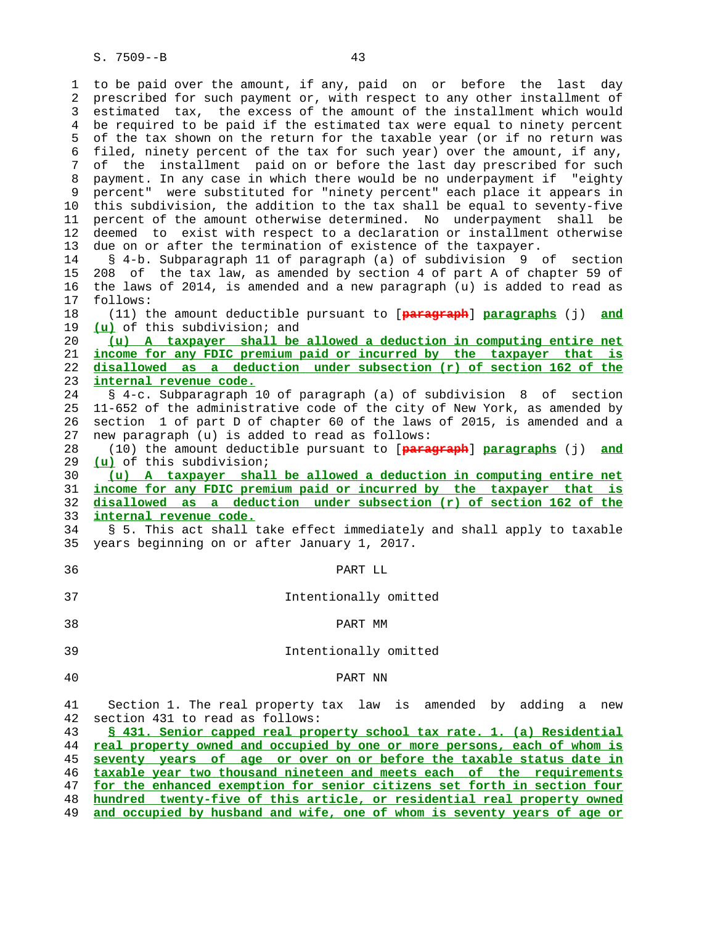1 to be paid over the amount, if any, paid on or before the last day 2 prescribed for such payment or, with respect to any other installment of 3 estimated tax, the excess of the amount of the installment which would 4 be required to be paid if the estimated tax were equal to ninety percent 5 of the tax shown on the return for the taxable year (or if no return was 6 filed, ninety percent of the tax for such year) over the amount, if any, 7 of the installment paid on or before the last day prescribed for such 8 payment. In any case in which there would be no underpayment if "eighty 9 percent" were substituted for "ninety percent" each place it appears in 10 this subdivision, the addition to the tax shall be equal to seventy-five 11 percent of the amount otherwise determined. No underpayment shall be 12 deemed to exist with respect to a declaration or installment otherwise 13 due on or after the termination of existence of the taxpayer. 14 § 4-b. Subparagraph 11 of paragraph (a) of subdivision 9 of section 15 208 of the tax law, as amended by section 4 of part A of chapter 59 of 16 the laws of 2014, is amended and a new paragraph (u) is added to read as 17 follows: 18 (11) the amount deductible pursuant to [**paragraph**] **paragraphs** (j) **and** 19 **(u)** of this subdivision; and 20 **(u) A taxpayer shall be allowed a deduction in computing entire net** 21 **income for any FDIC premium paid or incurred by the taxpayer that is** 22 **disallowed as a deduction under subsection (r) of section 162 of the** 23 **internal revenue code.** 24 § 4-c. Subparagraph 10 of paragraph (a) of subdivision 8 of section 25 11-652 of the administrative code of the city of New York, as amended by 26 section 1 of part D of chapter 60 of the laws of 2015, is amended and a 27 new paragraph (u) is added to read as follows: 28 (10) the amount deductible pursuant to [**paragraph**] **paragraphs** (j) **and** 29 **(u)** of this subdivision; 30 **(u) A taxpayer shall be allowed a deduction in computing entire net** 31 **income for any FDIC premium paid or incurred by the taxpayer that is** 32 **disallowed as a deduction under subsection (r) of section 162 of the** 33 **internal revenue code.** 34 § 5. This act shall take effect immediately and shall apply to taxable 35 years beginning on or after January 1, 2017. 36 PART LL 37 Intentionally omitted 38 PART MM 39 Intentionally omitted 40 PART NN 41 Section 1. The real property tax law is amended by adding a new 42 section 431 to read as follows: 43 **§ 431. Senior capped real property school tax rate. 1. (a) Residential** 44 **real property owned and occupied by one or more persons, each of whom is** 45 **seventy years of age or over on or before the taxable status date in** 46 **taxable year two thousand nineteen and meets each of the requirements** 47 **for the enhanced exemption for senior citizens set forth in section four** 48 **hundred twenty-five of this article, or residential real property owned** 49 **and occupied by husband and wife, one of whom is seventy years of age or**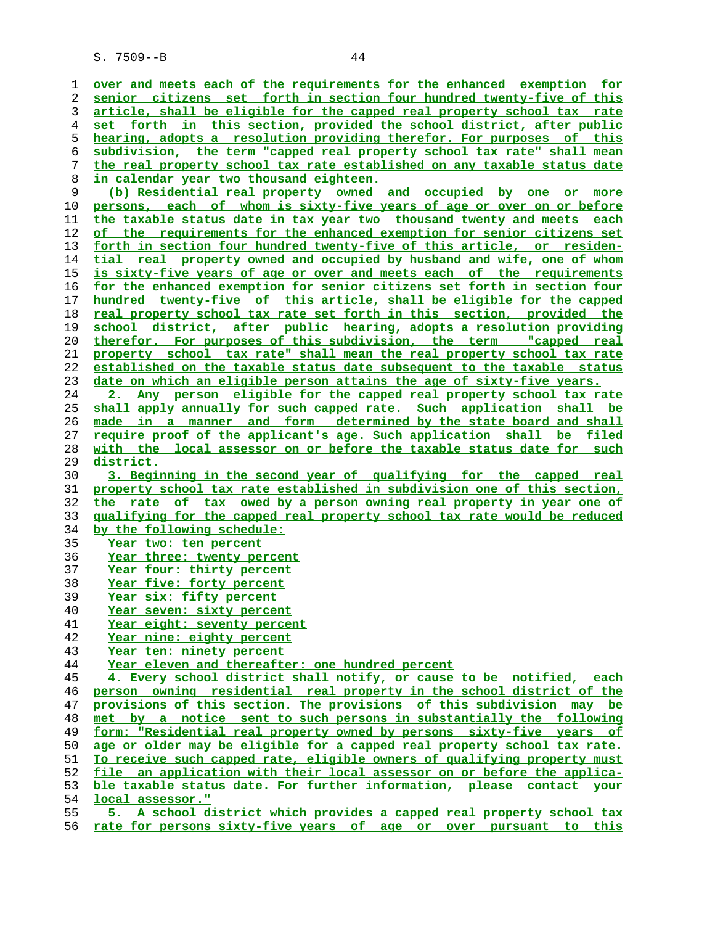| 1  | over and meets each of the requirements for the enhanced exemption for       |
|----|------------------------------------------------------------------------------|
| 2  | senior citizens set forth in section four hundred twenty-five of this        |
| 3  | article, shall be eligible for the capped real property school tax rate      |
| 4  | set forth in this section, provided the school district, after public        |
| 5  | hearing, adopts a resolution providing therefor. For purposes of this        |
| 6  | subdivision, the term "capped real property school tax rate" shall mean      |
| 7  | the real property school tax rate established on any taxable status date     |
| 8  | <u>in calendar year two thousand eighteen.</u>                               |
| 9  | (b) Residential real property owned and occupied by one or more              |
| 10 | persons, each of whom is sixty-five years of age or over on or before        |
| 11 | the taxable status date in tax year two thousand twenty and meets each       |
| 12 | of the requirements for the enhanced exemption for senior citizens set       |
| 13 | forth in section four hundred twenty-five of this article, or residen-       |
| 14 | tial real property owned and occupied by husband and wife, one of whom       |
| 15 | is sixty-five years of age or over and meets each of the requirements        |
| 16 | for the enhanced exemption for senior citizens set forth in section four     |
| 17 | hundred twenty-five of this article, shall be eligible for the capped        |
| 18 | real property school tax rate set forth in this section, provided the        |
| 19 | school district, after public hearing, adopts a resolution providing         |
| 20 | therefor. For purposes of this subdivision, the term "capped real            |
| 21 | property school tax rate" shall mean the real property school tax rate       |
| 22 | established on the taxable status date subsequent to the taxable status      |
| 23 | <u>date on which an eligible person attains the age of sixty-five years.</u> |
| 24 | 2. Any person eligible for the capped real property school tax rate          |
| 25 | shall apply annually for such capped rate. Such application shall be         |
| 26 | made in a manner and form determined by the state board and shall            |
| 27 | require proof of the applicant's age. Such application shall be filed        |
| 28 | with the local assessor on or before the taxable status date for such        |
| 29 | <u>district.</u>                                                             |
| 30 | 3. Beginning in the second year of qualifying for the capped real            |
| 31 | property school tax rate established in subdivision one of this section,     |
| 32 | the rate of tax owed by a person owning real property in year one of         |
| 33 | qualifying for the capped real property school tax rate would be reduced     |
| 34 | <u>by the following schedule:</u>                                            |
| 35 | Year two: ten percent                                                        |
| 36 | Year three: twenty percent                                                   |
| 37 | Year four: thirty percent                                                    |
| 38 | Year five: forty percent                                                     |
| 39 | Year six: fifty percent                                                      |
| 40 | Year seven: sixty percent                                                    |
| 41 | Year eight: seventy percent                                                  |
| 42 | Year nine: eighty percent                                                    |
| 43 | Year ten: ninety percent                                                     |
| 44 | Year eleven and thereafter: one hundred percent                              |
| 45 | 4. Every school district shall notify, or cause to be notified, each         |
| 46 | person owning residential real property in the school district of the        |
| 47 | provisions of this section. The provisions of this subdivision may be        |
| 48 | met by a notice sent to such persons in substantially the following          |
| 49 | form: "Residential real property owned by persons sixty-five years of        |
| 50 | age or older may be eligible for a capped real property school tax rate.     |
| 51 | To receive such capped rate, eligible owners of qualifying property must     |
| 52 | file an application with their local assessor on or before the applica-      |
| 53 | ble taxable status date. For further information, please contact your        |
| 54 | local assessor."                                                             |
| 55 | 5. A school district which provides a capped real property school tax        |

**rate for persons sixty-five years of age or over pursuant to this**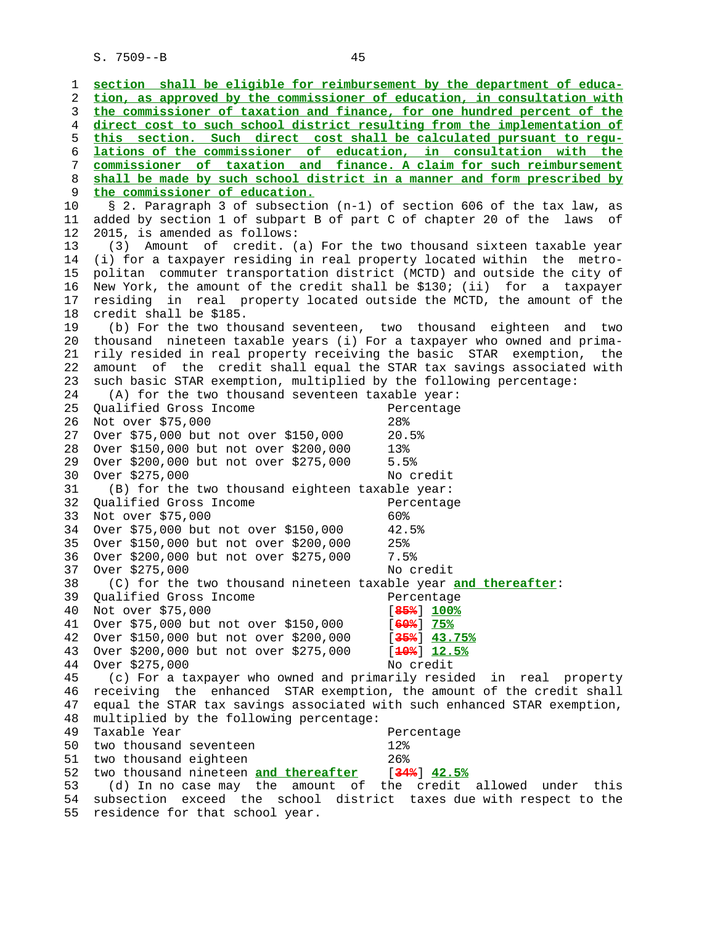1 **section shall be eligible for reimbursement by the department of educa-** 2 **tion, as approved by the commissioner of education, in consultation with** 3 **the commissioner of taxation and finance, for one hundred percent of the** 4 **direct cost to such school district resulting from the implementation of** 5 **this section. Such direct cost shall be calculated pursuant to regu-** 6 **lations of the commissioner of education, in consultation with the** 7 **commissioner of taxation and finance. A claim for such reimbursement** 8 **shall be made by such school district in a manner and form prescribed by** 9 **the commissioner of education.** 10 § 2. Paragraph 3 of subsection (n-1) of section 606 of the tax law, as 11 added by section 1 of subpart B of part C of chapter 20 of the laws of 12 2015, is amended as follows: 13 (3) Amount of credit. (a) For the two thousand sixteen taxable year 14 (i) for a taxpayer residing in real property located within the metro- 15 politan commuter transportation district (MCTD) and outside the city of 16 New York, the amount of the credit shall be \$130; (ii) for a taxpayer 17 residing in real property located outside the MCTD, the amount of the 18 credit shall be \$185. 19 (b) For the two thousand seventeen, two thousand eighteen and two 20 thousand nineteen taxable years (i) For a taxpayer who owned and prima- 21 rily resided in real property receiving the basic STAR exemption, the 22 amount of the credit shall equal the STAR tax savings associated with 23 such basic STAR exemption, multiplied by the following percentage: 24 (A) for the two thousand seventeen taxable year: 25 Qualified Gross Income **Percentage**  26 Not over \$75,000 28% 27 Over \$75,000 but not over \$150,000 20.5% 28 Over \$150,000 but not over \$200,000 13% 29 Over \$200,000 but not over \$275,000 5.5% 30 Over \$275,000 No credit 31 (B) for the two thousand eighteen taxable year: 32 Qualified Gross Income Percentage 33 Not over \$75,000 60% 34 Over \$75,000 but not over \$150,000 42.5% 35 Over \$150,000 but not over \$200,000 25% 36 Over \$200,000 but not over \$275,000 7.5% 37 Over \$275,000 No credit 38 (C) for the two thousand nineteen taxable year **and thereafter**: 39 Qualified Gross Income **Percentage**  40 Not over \$75,000 [**85%**] **100%** 41 Over \$75,000 but not over \$150,000 [**60%**] **75%** 42 Over \$150,000 but not over \$200,000 [**35%**] **43.75%** 43 Over \$200,000 but not over \$275,000 [**10%**] **12.5%** 44 Over \$275,000 No credit 45 (c) For a taxpayer who owned and primarily resided in real property 46 receiving the enhanced STAR exemption, the amount of the credit shall 47 equal the STAR tax savings associated with such enhanced STAR exemption, 48 multiplied by the following percentage: 49 Taxable Year **Percentage** 50 two thousand seventeen 12% 51 two thousand eighteen 26% 52 two thousand nineteen **and thereafter** [**34%**] **42.5%** 53 (d) In no case may the amount of the credit allowed under this 54 subsection exceed the school district taxes due with respect to the 55 residence for that school year.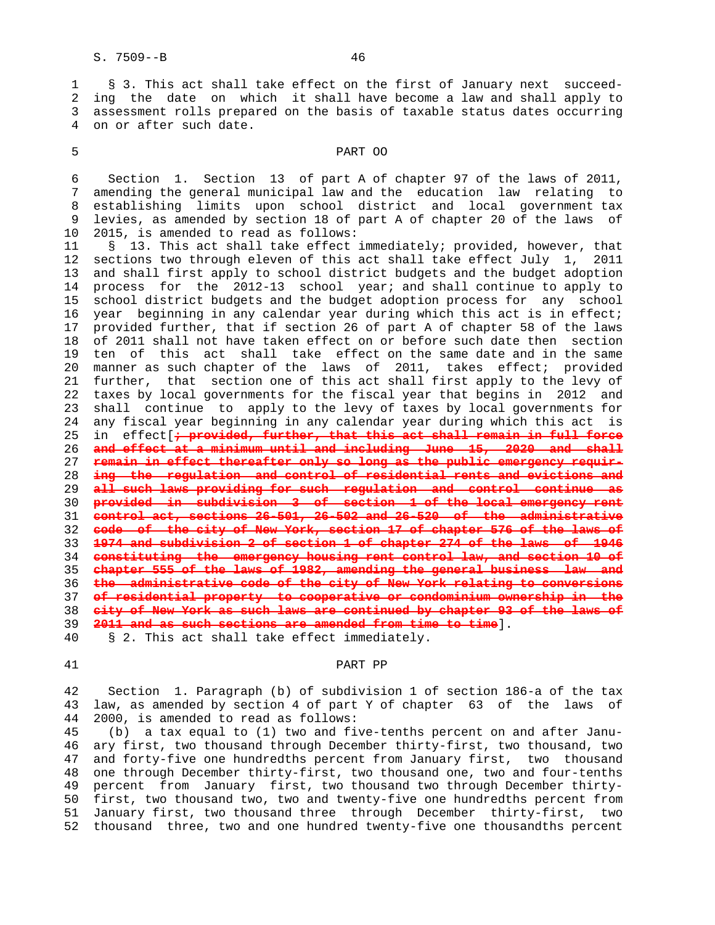1 § 3. This act shall take effect on the first of January next succeed- 2 ing the date on which it shall have become a law and shall apply to 3 assessment rolls prepared on the basis of taxable status dates occurring 4 on or after such date.

### 5 PART OO

 6 Section 1. Section 13 of part A of chapter 97 of the laws of 2011, 7 amending the general municipal law and the education law relating to 8 establishing limits upon school district and local government tax 9 levies, as amended by section 18 of part A of chapter 20 of the laws of 10 2015, is amended to read as follows:

 11 § 13. This act shall take effect immediately; provided, however, that 12 sections two through eleven of this act shall take effect July 1, 2011 13 and shall first apply to school district budgets and the budget adoption 14 process for the 2012-13 school year; and shall continue to apply to 15 school district budgets and the budget adoption process for any school 16 year beginning in any calendar year during which this act is in effect; 17 provided further, that if section 26 of part A of chapter 58 of the laws 18 of 2011 shall not have taken effect on or before such date then section 19 ten of this act shall take effect on the same date and in the same 20 manner as such chapter of the laws of 2011, takes effect; provided 21 further, that section one of this act shall first apply to the levy of 22 taxes by local governments for the fiscal year that begins in 2012 and 23 shall continue to apply to the levy of taxes by local governments for 24 any fiscal year beginning in any calendar year during which this act is 25 in effect[**; provided, further, that this act shall remain in full force** 26 **and effect at a minimum until and including June 15, 2020 and shall** 27 **remain in effect thereafter only so long as the public emergency requir-** 28 **ing the regulation and control of residential rents and evictions and** 29 **all such laws providing for such regulation and control continue as** 30 **provided in subdivision 3 of section 1 of the local emergency rent** 31 **control act, sections 26-501, 26-502 and 26-520 of the administrative** 32 **code of the city of New York, section 17 of chapter 576 of the laws of** 33 **1974 and subdivision 2 of section 1 of chapter 274 of the laws of 1946** 34 **constituting the emergency housing rent control law, and section 10 of** 35 **chapter 555 of the laws of 1982, amending the general business law and** 36 **the administrative code of the city of New York relating to conversions** 37 **of residential property to cooperative or condominium ownership in the** 38 **city of New York as such laws are continued by chapter 93 of the laws of** 39 **2011 and as such sections are amended from time to time**].

40 § 2. This act shall take effect immediately.

#### 41 PART PP

 42 Section 1. Paragraph (b) of subdivision 1 of section 186-a of the tax 43 law, as amended by section 4 of part Y of chapter 63 of the laws of 44 2000, is amended to read as follows:

 45 (b) a tax equal to (1) two and five-tenths percent on and after Janu- 46 ary first, two thousand through December thirty-first, two thousand, two 47 and forty-five one hundredths percent from January first, two thousand 48 one through December thirty-first, two thousand one, two and four-tenths 49 percent from January first, two thousand two through December thirty- 50 first, two thousand two, two and twenty-five one hundredths percent from 51 January first, two thousand three through December thirty-first, two 52 thousand three, two and one hundred twenty-five one thousandths percent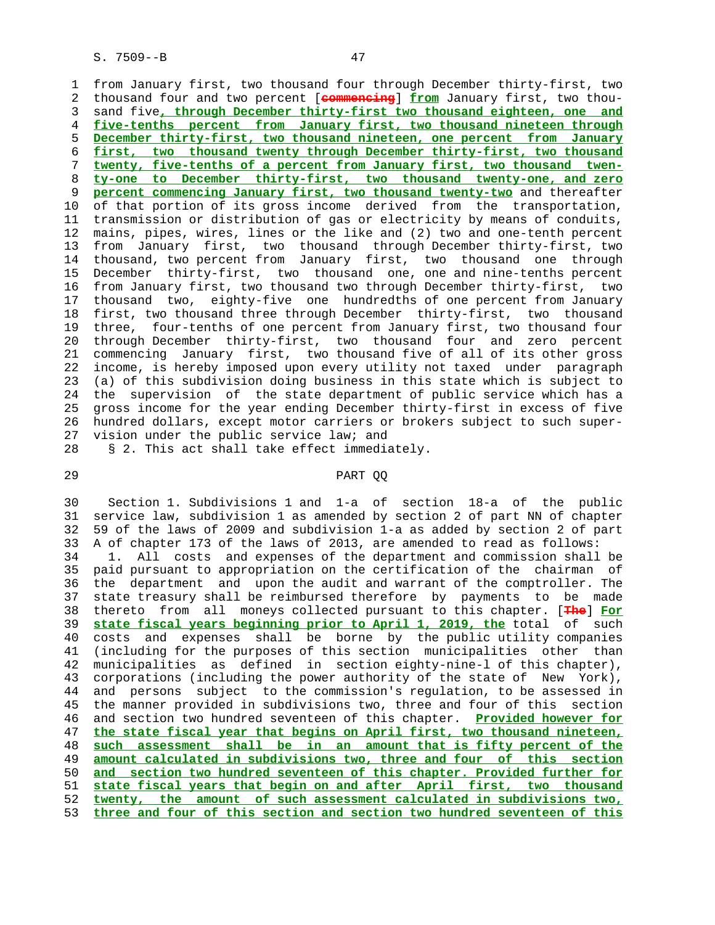1 from January first, two thousand four through December thirty-first, two 2 thousand four and two percent [**commencing**] **from** January first, two thou- 3 sand five**, through December thirty-first two thousand eighteen, one and** 4 **five-tenths percent from January first, two thousand nineteen through** 5 **December thirty-first, two thousand nineteen, one percent from January** 6 **first, two thousand twenty through December thirty-first, two thousand** 7 **twenty, five-tenths of a percent from January first, two thousand twen-** 8 **ty-one to December thirty-first, two thousand twenty-one, and zero percent commencing January first, two thousand twenty-two** and thereafter 10 of that portion of its gross income derived from the transportation, 11 transmission or distribution of gas or electricity by means of conduits, 12 mains, pipes, wires, lines or the like and (2) two and one-tenth percent 13 from January first, two thousand through December thirty-first, two 14 thousand, two percent from January first, two thousand one through 15 December thirty-first, two thousand one, one and nine-tenths percent 16 from January first, two thousand two through December thirty-first, two 17 thousand two, eighty-five one hundredths of one percent from January 18 first, two thousand three through December thirty-first, two thousand 19 three, four-tenths of one percent from January first, two thousand four 20 through December thirty-first, two thousand four and zero percent 21 commencing January first, two thousand five of all of its other gross 22 income, is hereby imposed upon every utility not taxed under paragraph 23 (a) of this subdivision doing business in this state which is subject to 24 the supervision of the state department of public service which has a 25 gross income for the year ending December thirty-first in excess of five 26 hundred dollars, except motor carriers or brokers subject to such super- 27 vision under the public service law; and 28 § 2. This act shall take effect immediately.

# 29 PART QQ

 30 Section 1. Subdivisions 1 and 1-a of section 18-a of the public 31 service law, subdivision 1 as amended by section 2 of part NN of chapter 32 59 of the laws of 2009 and subdivision 1-a as added by section 2 of part 33 A of chapter 173 of the laws of 2013, are amended to read as follows: 34 1. All costs and expenses of the department and commission shall be 35 paid pursuant to appropriation on the certification of the chairman of 36 the department and upon the audit and warrant of the comptroller. The 37 state treasury shall be reimbursed therefore by payments to be made 38 thereto from all moneys collected pursuant to this chapter. [**The**] **For** 39 **state fiscal years beginning prior to April 1, 2019, the** total of such 40 costs and expenses shall be borne by the public utility companies 41 (including for the purposes of this section municipalities other than 42 municipalities as defined in section eighty-nine-l of this chapter), 43 corporations (including the power authority of the state of New York), 44 and persons subject to the commission's regulation, to be assessed in 45 the manner provided in subdivisions two, three and four of this section 46 and section two hundred seventeen of this chapter. **Provided however for** 47 **the state fiscal year that begins on April first, two thousand nineteen,** 48 **such assessment shall be in an amount that is fifty percent of the** 49 **amount calculated in subdivisions two, three and four of this section** 50 **and section two hundred seventeen of this chapter. Provided further for** 51 **state fiscal years that begin on and after April first, two thousand** 52 **twenty, the amount of such assessment calculated in subdivisions two,** 53 **three and four of this section and section two hundred seventeen of this**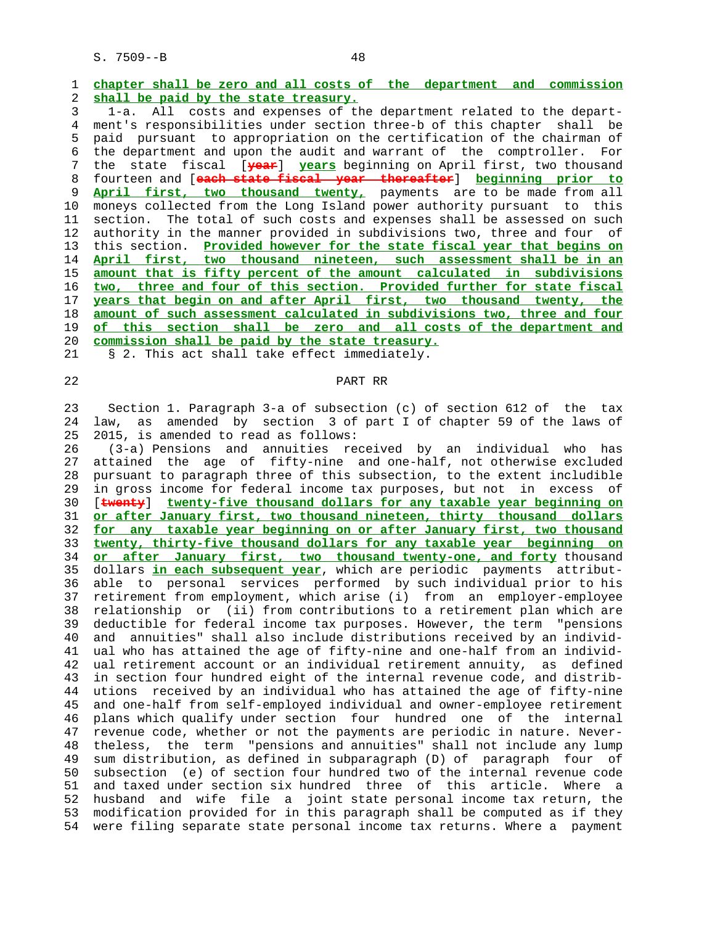| 1  | chapter shall be zero and all costs of the department and commission         |  |  |  |
|----|------------------------------------------------------------------------------|--|--|--|
| 2  | shall be paid by the state treasury.                                         |  |  |  |
| 3  | All costs and expenses of the department related to the depart-<br>1-a.      |  |  |  |
| 4  | ment's responsibilities under section three-b of this chapter shall be       |  |  |  |
|    |                                                                              |  |  |  |
| 5  | paid pursuant to appropriation on the certification of the chairman of       |  |  |  |
| 6  | the department and upon the audit and warrant of the comptroller. For        |  |  |  |
| 7  | state fiscal [year] years beginning on April first, two thousand<br>the      |  |  |  |
| 8  | fourteen and [each state fiscal year thereafter] beginning prior to          |  |  |  |
| 9  | April first, two thousand twenty, payments are to be made from all           |  |  |  |
| 10 | moneys collected from the Long Island power authority pursuant to this       |  |  |  |
|    |                                                                              |  |  |  |
| 11 | section. The total of such costs and expenses shall be assessed on such      |  |  |  |
| 12 | authority in the manner provided in subdivisions two, three and four of      |  |  |  |
| 13 | this section. Provided however for the state fiscal year that begins on      |  |  |  |
| 14 | April first, two thousand nineteen, such assessment shall be in an           |  |  |  |
| 15 | amount that is fifty percent of the amount calculated in subdivisions        |  |  |  |
| 16 |                                                                              |  |  |  |
|    | two, three and four of this section. Provided further for state fiscal       |  |  |  |
| 17 | years that begin on and after April first, two thousand twenty, the          |  |  |  |
| 18 | amount of such assessment calculated in subdivisions two, three and four     |  |  |  |
| 19 | of this section shall be zero and all costs of the department and            |  |  |  |
| 20 | commission shall be paid by the state treasury.                              |  |  |  |
| 21 | § 2. This act shall take effect immediately.                                 |  |  |  |
|    |                                                                              |  |  |  |
| 22 | PART RR                                                                      |  |  |  |
|    |                                                                              |  |  |  |
|    |                                                                              |  |  |  |
| 23 | Section 1. Paragraph 3-a of subsection (c) of section 612 of the tax         |  |  |  |
| 24 | law, as amended by section 3 of part I of chapter 59 of the laws of          |  |  |  |
| 25 | 2015, is amended to read as follows:                                         |  |  |  |
| 26 | (3-a) Pensions and annuities received by an individual who has               |  |  |  |
| 27 | attained the age of fifty-nine and one-half, not otherwise excluded          |  |  |  |
| 28 | pursuant to paragraph three of this subsection, to the extent includible     |  |  |  |
| 29 |                                                                              |  |  |  |
|    | in gross income for federal income tax purposes, but not in excess of        |  |  |  |
| 30 | [twenty] twenty-five thousand dollars for any taxable year beginning on      |  |  |  |
| 31 | or after January first, two thousand nineteen, thirty thousand dollars       |  |  |  |
| 32 | for any taxable year beginning on or after January first, two thousand       |  |  |  |
| 33 | twenty, thirty-five thousand dollars for any taxable year beginning on       |  |  |  |
| 34 | or after January first, two thousand twenty-one, and forty thousand          |  |  |  |
| 35 | dollars in each subsequent year, which are periodic payments attribut-       |  |  |  |
| 36 | able to personal services performed by such individual prior to his          |  |  |  |
|    |                                                                              |  |  |  |
| 37 | retirement from employment, which arise (i) from an employer-employee        |  |  |  |
| 38 | relationship or (ii) from contributions to a retirement plan which are       |  |  |  |
| 39 | deductible for federal income tax purposes. However, the term "pensions      |  |  |  |
| 40 | annuities" shall also include distributions received by an individ-<br>and   |  |  |  |
| 41 | ual who has attained the age of fifty-nine and one-half from an individ-     |  |  |  |
| 42 | ual retirement account or an individual retirement annuity,<br>as<br>defined |  |  |  |
| 43 | in section four hundred eight of the internal revenue code, and distrib-     |  |  |  |
| 44 |                                                                              |  |  |  |
|    | received by an individual who has attained the age of fifty-nine<br>utions   |  |  |  |
| 45 | and one-half from self-employed individual and owner-employee retirement     |  |  |  |
| 46 | plans which qualify under section four hundred one of the internal           |  |  |  |
| 47 | revenue code, whether or not the payments are periodic in nature. Never-     |  |  |  |
| 48 | theless, the term "pensions and annuities" shall not include any lump        |  |  |  |
| 49 | sum distribution, as defined in subparagraph (D) of paragraph four of        |  |  |  |
| 50 | subsection (e) of section four hundred two of the internal revenue code      |  |  |  |
| 51 | and taxed under section six hundred three of this article.<br>Where a        |  |  |  |
| 52 |                                                                              |  |  |  |
|    | husband and wife file a joint state personal income tax return, the          |  |  |  |
| 53 | modification provided for in this paragraph shall be computed as if they     |  |  |  |
| 54 | were filing separate state personal income tax returns. Where a payment      |  |  |  |
|    |                                                                              |  |  |  |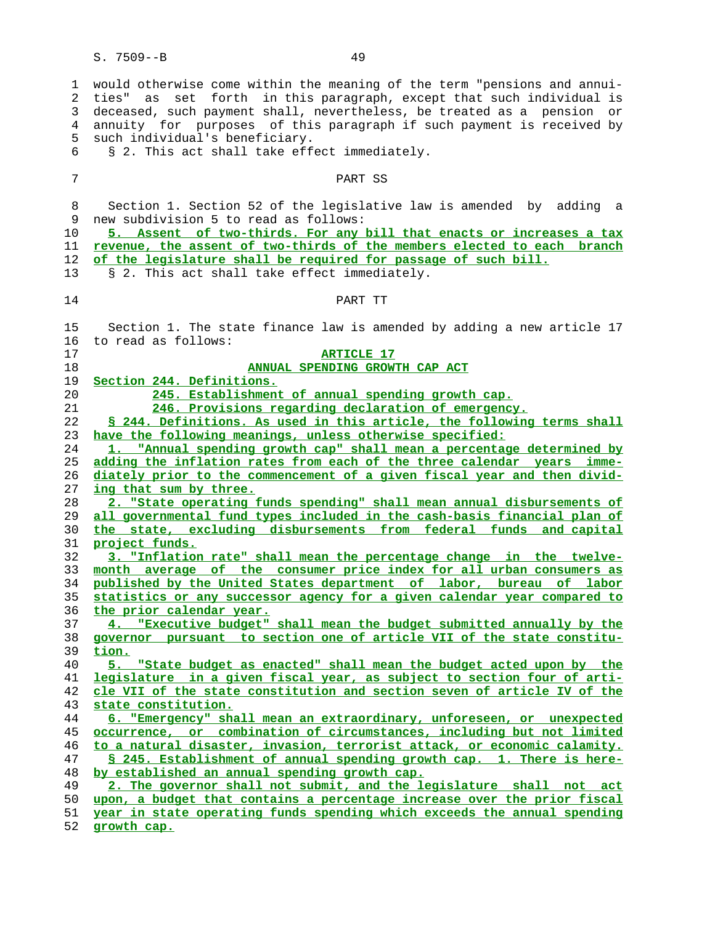| ı        | would otherwise come within the meaning of the term "pensions and annui- |  |
|----------|--------------------------------------------------------------------------|--|
|          |                                                                          |  |
| 2        | set forth in this paragraph, except that such individual is<br>ties" as  |  |
| 3        | deceased, such payment shall, nevertheless, be treated as a pension or   |  |
| 4        | annuity for purposes of this paragraph if such payment is received by    |  |
| 5        | such individual's beneficiary.                                           |  |
| 6        | § 2. This act shall take effect immediately.                             |  |
| 7        | PART SS                                                                  |  |
|          |                                                                          |  |
| 8        | Section 1. Section 52 of the legislative law is amended by adding a      |  |
| 9        | new subdivision 5 to read as follows:                                    |  |
| 10       | 5. Assent of two-thirds. For any bill that enacts or increases a tax     |  |
| 11       | revenue, the assent of two-thirds of the members elected to each branch  |  |
| 12       | of the legislature shall be required for passage of such bill.           |  |
| 13       | § 2. This act shall take effect immediately.                             |  |
|          |                                                                          |  |
| 14       | PART TT                                                                  |  |
| 15       | Section 1. The state finance law is amended by adding a new article 17   |  |
| 16       | to read as follows:                                                      |  |
|          |                                                                          |  |
| 17<br>18 | <b>ARTICLE 17</b>                                                        |  |
|          | ANNUAL SPENDING GROWTH CAP ACT                                           |  |
| 19       | Section 244. Definitions.                                                |  |
| 20       | 245. Establishment of annual spending growth cap.                        |  |
| 21       | 246. Provisions regarding declaration of emergency.                      |  |
| 22       | § 244. Definitions. As used in this article, the following terms shall   |  |
| 23       | have the following meanings, unless otherwise specified:                 |  |
| 24       | 1. "Annual spending growth cap" shall mean a percentage determined by    |  |
| 25       | adding the inflation rates from each of the three calendar years imme-   |  |
| 26       | diately prior to the commencement of a given fiscal year and then divid- |  |
| 27       | ing that sum by three.                                                   |  |
| 28       | 2. "State operating funds spending" shall mean annual disbursements of   |  |
| 29       | all governmental fund types included in the cash-basis financial plan of |  |
| 30       | the state, excluding disbursements from federal funds and capital        |  |
| 31       | project funds.                                                           |  |
| 32       | 3. "Inflation rate" shall mean the percentage change in the twelve-      |  |
| 33       | month average of the consumer price index for all urban consumers as     |  |
| 34       | published by the United States department of labor, bureau of labor      |  |
| 35       | statistics or any successor agency for a given calendar year compared to |  |
| 36       | the prior calendar year.                                                 |  |
| 37       | 4. "Executive budget" shall mean the budget submitted annually by the    |  |
| 38       | governor pursuant to section one of article VII of the state constitu-   |  |
| 39       | tion.                                                                    |  |
| 40       | 5. "State budget as enacted" shall mean the budget acted upon by the     |  |
| 41       | legislature in a given fiscal year, as subject to section four of arti-  |  |
| 42       | cle VII of the state constitution and section seven of article IV of the |  |
| 43       | state constitution.                                                      |  |
| 44       | 6. "Emergency" shall mean an extraordinary, unforeseen, or unexpected    |  |
| 45       | occurrence, or combination of circumstances, including but not limited   |  |
| 46       | to a natural disaster, invasion, terrorist attack, or economic calamity. |  |
| 47       | \$ 245. Establishment of annual spending growth cap. 1. There is here-   |  |
| 48       | by established an annual spending growth cap.                            |  |
| 49       | 2. The governor shall not submit, and the legislature shall not act      |  |
| 50       | upon, a budget that contains a percentage increase over the prior fiscal |  |
| 51       | year in state operating funds spending which exceeds the annual spending |  |
| 52       | growth cap.                                                              |  |
|          |                                                                          |  |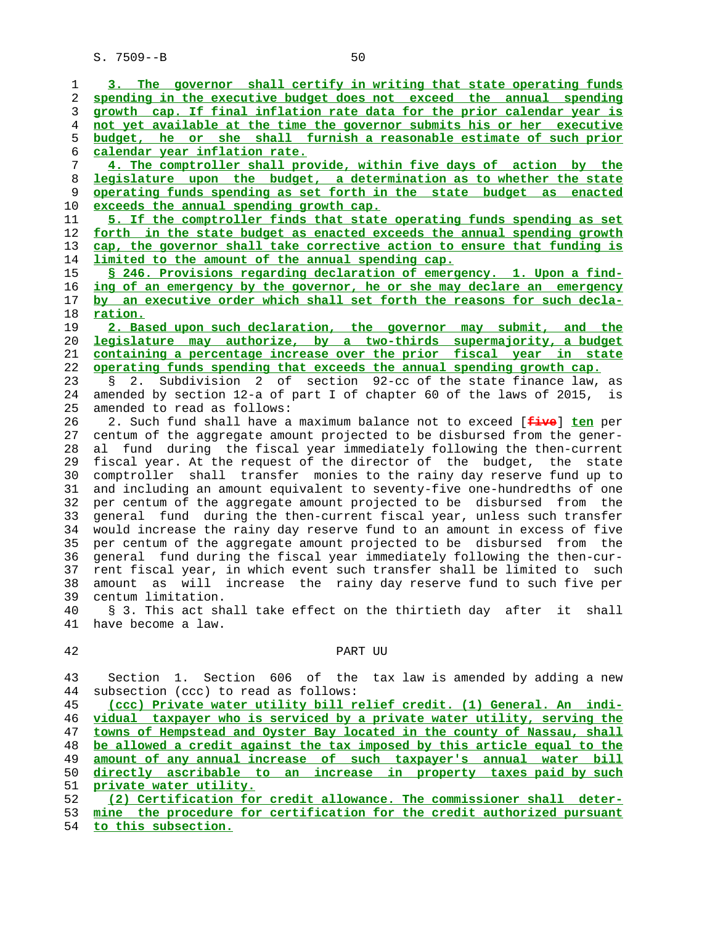1 **3. The governor shall certify in writing that state operating funds** 2 **spending in the executive budget does not exceed the annual spending** 3 **growth cap. If final inflation rate data for the prior calendar year is** 4 **not yet available at the time the governor submits his or her executive** 5 **budget, he or she shall furnish a reasonable estimate of such prior** 6 **calendar year inflation rate.** 7 **4. The comptroller shall provide, within five days of action by the** 8 **legislature upon the budget, a determination as to whether the state** 9 **operating funds spending as set forth in the state budget as enacted** 10 **exceeds the annual spending growth cap.** 11 **5. If the comptroller finds that state operating funds spending as set** 12 **forth in the state budget as enacted exceeds the annual spending growth** 13 **cap, the governor shall take corrective action to ensure that funding is** 14 **limited to the amount of the annual spending cap.** 15 **§ 246. Provisions regarding declaration of emergency. 1. Upon a find-** 16 **ing of an emergency by the governor, he or she may declare an emergency** 17 **by an executive order which shall set forth the reasons for such decla-** 18 **ration.** 19 **2. Based upon such declaration, the governor may submit, and the** 20 **legislature may authorize, by a two-thirds supermajority, a budget** 21 **containing a percentage increase over the prior fiscal year in state** 22 **operating funds spending that exceeds the annual spending growth cap.** 23 § 2. Subdivision 2 of section 92-cc of the state finance law, as 24 amended by section 12-a of part I of chapter 60 of the laws of 2015, is 25 amended to read as follows: 26 2. Such fund shall have a maximum balance not to exceed [**five**] **ten** per 27 centum of the aggregate amount projected to be disbursed from the gener- 28 al fund during the fiscal year immediately following the then-current 29 fiscal year. At the request of the director of the budget, the state 30 comptroller shall transfer monies to the rainy day reserve fund up to 31 and including an amount equivalent to seventy-five one-hundredths of one 32 per centum of the aggregate amount projected to be disbursed from the 33 general fund during the then-current fiscal year, unless such transfer 34 would increase the rainy day reserve fund to an amount in excess of five 35 per centum of the aggregate amount projected to be disbursed from the 36 general fund during the fiscal year immediately following the then-cur- 37 rent fiscal year, in which event such transfer shall be limited to such 38 amount as will increase the rainy day reserve fund to such five per 39 centum limitation. 40 § 3. This act shall take effect on the thirtieth day after it shall 41 have become a law. 42 PART UU 43 Section 1. Section 606 of the tax law is amended by adding a new 44 subsection (ccc) to read as follows:

**(ccc) Private water utility bill relief credit. (1) General. An indi- vidual taxpayer who is serviced by a private water utility, serving the towns of Hempstead and Oyster Bay located in the county of Nassau, shall be allowed a credit against the tax imposed by this article equal to the amount of any annual increase of such taxpayer's annual water bill directly ascribable to an increase in property taxes paid by such private water utility. (2) Certification for credit allowance. The commissioner shall deter- mine the procedure for certification for the credit authorized pursuant**

54 **to this subsection.**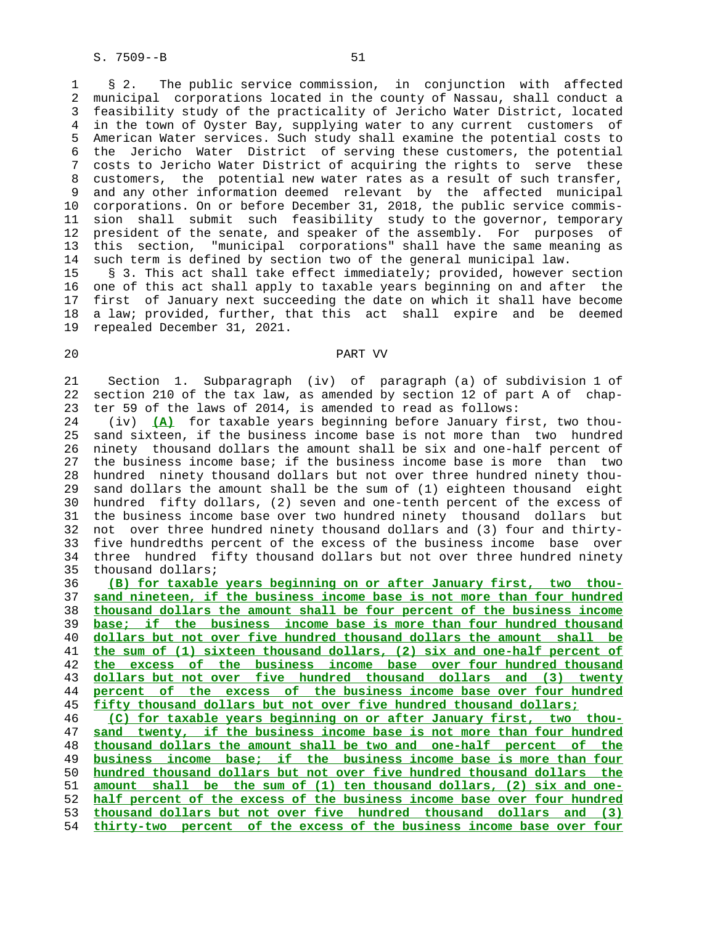1 § 2. The public service commission, in conjunction with affected 2 municipal corporations located in the county of Nassau, shall conduct a 3 feasibility study of the practicality of Jericho Water District, located 4 in the town of Oyster Bay, supplying water to any current customers of 5 American Water services. Such study shall examine the potential costs to 6 the Jericho Water District of serving these customers, the potential 7 costs to Jericho Water District of acquiring the rights to serve these 8 customers, the potential new water rates as a result of such transfer,<br>9 and any other information deemed relevant by the affected municipal and any other information deemed relevant by the affected municipal 10 corporations. On or before December 31, 2018, the public service commis- 11 sion shall submit such feasibility study to the governor, temporary 12 president of the senate, and speaker of the assembly. For purposes of 13 this section, "municipal corporations" shall have the same meaning as 14 such term is defined by section two of the general municipal law.

 15 § 3. This act shall take effect immediately; provided, however section 16 one of this act shall apply to taxable years beginning on and after the 17 first of January next succeeding the date on which it shall have become 18 a law; provided, further, that this act shall expire and be deemed 19 repealed December 31, 2021.

#### 20 PART VV

 21 Section 1. Subparagraph (iv) of paragraph (a) of subdivision 1 of 22 section 210 of the tax law, as amended by section 12 of part A of chap- 23 ter 59 of the laws of 2014, is amended to read as follows:

 24 (iv) **(A)** for taxable years beginning before January first, two thou- 25 sand sixteen, if the business income base is not more than two hundred 26 ninety thousand dollars the amount shall be six and one-half percent of 27 the business income base; if the business income base is more than two 28 hundred ninety thousand dollars but not over three hundred ninety thou- 29 sand dollars the amount shall be the sum of (1) eighteen thousand eight 30 hundred fifty dollars, (2) seven and one-tenth percent of the excess of 31 the business income base over two hundred ninety thousand dollars but 32 not over three hundred ninety thousand dollars and (3) four and thirty- 33 five hundredths percent of the excess of the business income base over 34 three hundred fifty thousand dollars but not over three hundred ninety 35 thousand dollars;

**(B) for taxable years beginning on or after January first, two thou- sand nineteen, if the business income base is not more than four hundred thousand dollars the amount shall be four percent of the business income base; if the business income base is more than four hundred thousand dollars but not over five hundred thousand dollars the amount shall be the sum of (1) sixteen thousand dollars, (2) six and one-half percent of the excess of the business income base over four hundred thousand dollars but not over five hundred thousand dollars and (3) twenty percent of the excess of the business income base over four hundred fifty thousand dollars but not over five hundred thousand dollars; (C) for taxable years beginning on or after January first, two thou** sand twenty, if the business income base is not more than four hundred **thousand dollars the amount shall be two and one-half percent of the business income base; if the business income base is more than four hundred thousand dollars but not over five hundred thousand dollars the amount shall be the sum of (1) ten thousand dollars, (2) six and one-**

 52 **half percent of the excess of the business income base over four hundred** 53 **thousand dollars but not over five hundred thousand dollars and (3)** 54 **thirty-two percent of the excess of the business income base over four**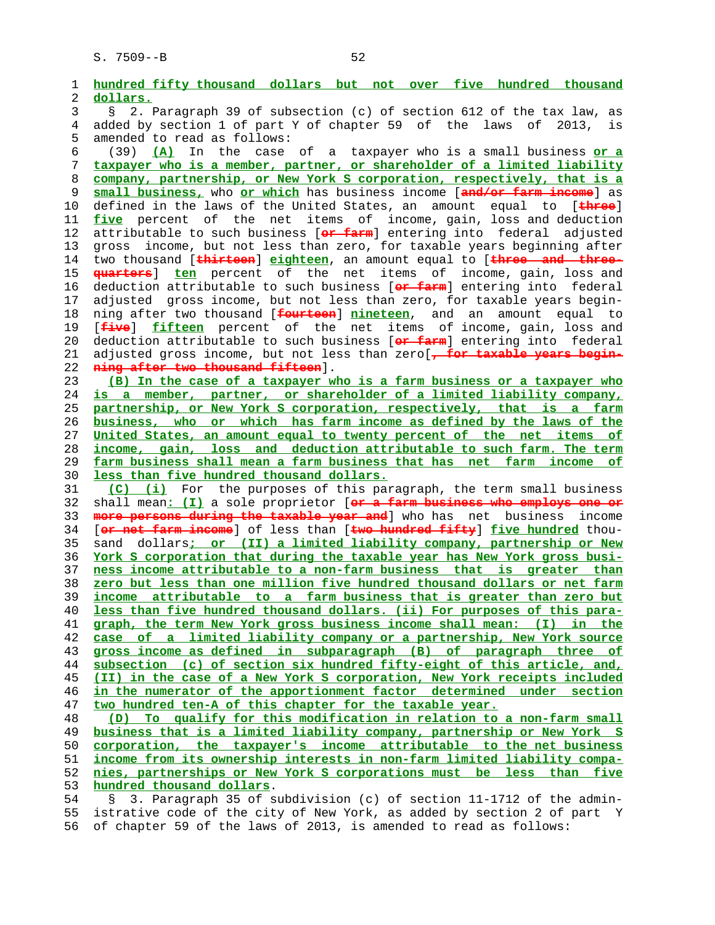**hundred fifty thousand dollars but not over five hundred thousand dollars.** 3 § 2. Paragraph 39 of subsection (c) of section 612 of the tax law, as 4 added by section 1 of part Y of chapter 59 of the laws of 2013, is 5 amended to read as follows: 6 (39) **(A)** In the case of a taxpayer who is a small business **or a taxpayer who is a member, partner, or shareholder of a limited liability company, partnership, or New York S corporation, respectively, that is a small business,** who **or which** has business income [**and/or farm income**] as 10 defined in the laws of the United States, an amount equal to [**three**] **five** percent of the net items of income, gain, loss and deduction 12 attributable to such business [**or farm**] entering into federal adjusted 13 gross income, but not less than zero, for taxable years beginning after 14 two thousand [**thirteen**] **eighteen**, an amount equal to [**three and three- quarters**] **ten** percent of the net items of income, gain, loss and 16 deduction attributable to such business [**or farm**] entering into federal 17 adjusted gross income, but not less than zero, for taxable years begin- 18 ning after two thousand [**fourteen**] **nineteen**, and an amount equal to 19 [**five**] **fifteen** percent of the net items of income, gain, loss and 20 deduction attributable to such business [**or farm**] entering into federal 21 adjusted gross income, but not less than zero[**, for taxable years begin- ning after two thousand fifteen**]. **(B) In the case of a taxpayer who is a farm business or a taxpayer who is a member, partner, or shareholder of a limited liability company, partnership, or New York S corporation, respectively, that is a farm business, who or which has farm income as defined by the laws of the United States, an amount equal to twenty percent of the net items of income, gain, loss and deduction attributable to such farm. The term farm business shall mean a farm business that has net farm income of less than five hundred thousand dollars. (C) (i)** For the purposes of this paragraph, the term small business 32 shall mean**: (I)** a sole proprietor [**or a farm business who employs one or more persons during the taxable year and**] who has net business income 34 [**or net farm income**] of less than [**two hundred fifty**] **five hundred** thou- 35 sand dollars**; or (II) a limited liability company, partnership or New York S corporation that during the taxable year has New York gross busi- ness income attributable to a non-farm business that is greater than zero but less than one million five hundred thousand dollars or net farm income attributable to a farm business that is greater than zero but less than five hundred thousand dollars. (ii) For purposes of this para- graph, the term New York gross business income shall mean: (I) in the case of a limited liability company or a partnership, New York source gross income as defined in subparagraph (B) of paragraph three of subsection (c) of section six hundred fifty-eight of this article, and, (II) in the case of a New York S corporation, New York receipts included in the numerator of the apportionment factor determined under section two hundred ten-A of this chapter for the taxable year. (D) To qualify for this modification in relation to a non-farm small business that is a limited liability company, partnership or New York S corporation, the taxpayer's income attributable to the net business income from its ownership interests in non-farm limited liability compa- nies, partnerships or New York S corporations must be less than five hundred thousand dollars**. 54 § 3. Paragraph 35 of subdivision (c) of section 11-1712 of the admin- 55 istrative code of the city of New York, as added by section 2 of part Y

56 of chapter 59 of the laws of 2013, is amended to read as follows: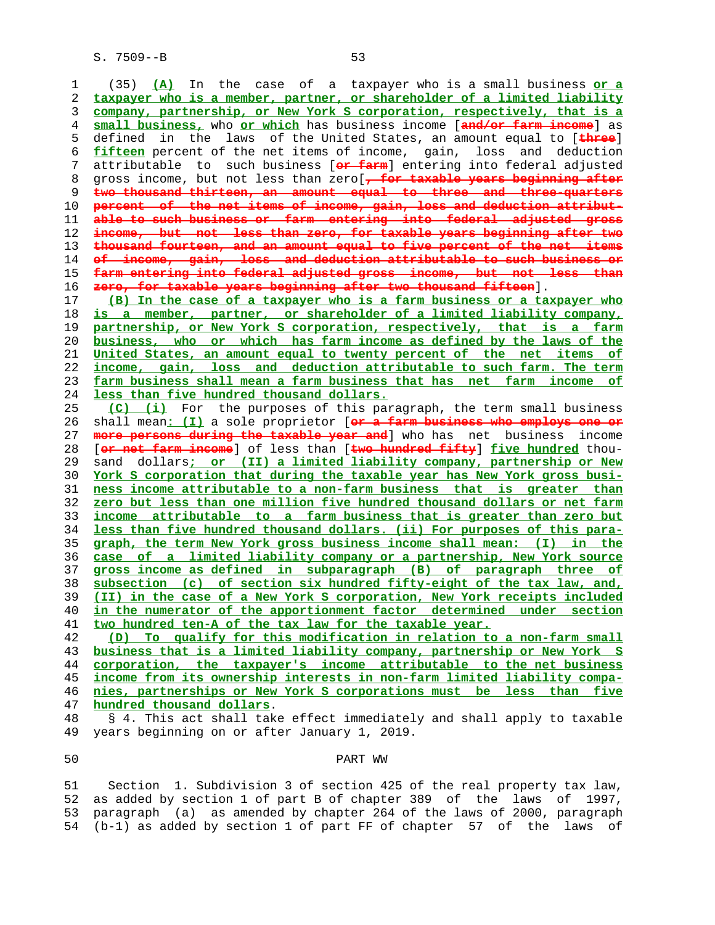1 (35) **(A)** In the case of a taxpayer who is a small business **or a taxpayer who is a member, partner, or shareholder of a limited liability company, partnership, or New York S corporation, respectively, that is a small business,** who **or which** has business income [**and/or farm income**] as 5 defined in the laws of the United States, an amount equal to [**three**] **fifteen** percent of the net items of income, gain, loss and deduction 7 attributable to such business [**or farm**] entering into federal adjusted 8 gross income, but not less than zero[**, for taxable years beginning after two thousand thirteen, an amount equal to three and three-quarters percent of the net items of income, gain, loss and deduction attribut- able to such business or farm entering into federal adjusted gross income, but not less than zero, for taxable years beginning after two thousand fourteen, and an amount equal to five percent of the net items of income, gain, loss and deduction attributable to such business or farm entering into federal adjusted gross income, but not less than zero, for taxable years beginning after two thousand fifteen**]. **(B) In the case of a taxpayer who is a farm business or a taxpayer who is a member, partner, or shareholder of a limited liability company, partnership, or New York S corporation, respectively, that is a farm business, who or which has farm income as defined by the laws of the United States, an amount equal to twenty percent of the net items of income, gain, loss and deduction attributable to such farm. The term farm business shall mean a farm business that has net farm income of less than five hundred thousand dollars. (C) (i)** For the purposes of this paragraph, the term small business 26 shall mean**: (I)** a sole proprietor [**or a farm business who employs one or more persons during the taxable year and**] who has net business income 28 [**or net farm income**] of less than [**two hundred fifty**] **five hundred** thou- 29 sand dollars**; or (II) a limited liability company, partnership or New York S corporation that during the taxable year has New York gross busi- ness income attributable to a non-farm business that is greater than zero but less than one million five hundred thousand dollars or net farm income attributable to a farm business that is greater than zero but less than five hundred thousand dollars. (ii) For purposes of this para- graph, the term New York gross business income shall mean: (I) in the case of a limited liability company or a partnership, New York source gross income as defined in subparagraph (B) of paragraph three of subsection (c) of section six hundred fifty-eight of the tax law, and, (II) in the case of a New York S corporation, New York receipts included in the numerator of the apportionment factor determined under section two hundred ten-A of the tax law for the taxable year. (D) To qualify for this modification in relation to a non-farm small business that is a limited liability company, partnership or New York S corporation, the taxpayer's income attributable to the net business income from its ownership interests in non-farm limited liability compa- nies, partnerships or New York S corporations must be less than five**

**hundred thousand dollars**.

 48 § 4. This act shall take effect immediately and shall apply to taxable 49 years beginning on or after January 1, 2019.

#### 50 PART WW

 51 Section 1. Subdivision 3 of section 425 of the real property tax law, 52 as added by section 1 of part B of chapter 389 of the laws of 1997, 53 paragraph (a) as amended by chapter 264 of the laws of 2000, paragraph 54 (b-1) as added by section 1 of part FF of chapter 57 of the laws of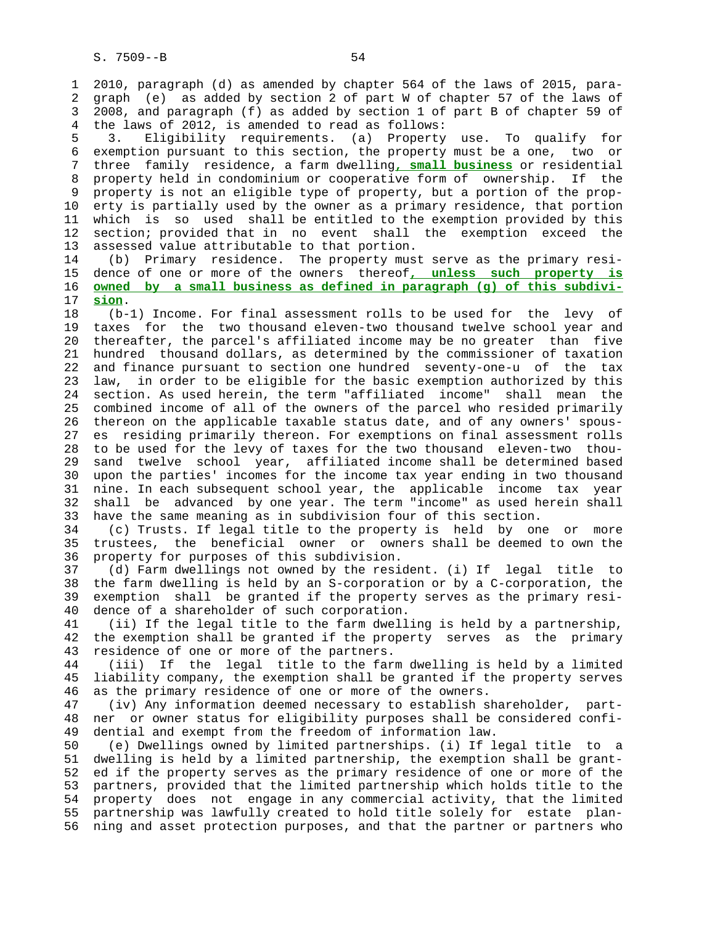1 2010, paragraph (d) as amended by chapter 564 of the laws of 2015, para- 2 graph (e) as added by section 2 of part W of chapter 57 of the laws of 3 2008, and paragraph (f) as added by section 1 of part B of chapter 59 of 4 the laws of 2012, is amended to read as follows:

 5 3. Eligibility requirements. (a) Property use. To qualify for 6 exemption pursuant to this section, the property must be a one, two or 7 three family residence, a farm dwelling**, small business** or residential 8 property held in condominium or cooperative form of ownership. If the<br>9 property is not an eligible type of property, but a portion of the prop- 9 property is not an eligible type of property, but a portion of the prop- 10 erty is partially used by the owner as a primary residence, that portion 11 which is so used shall be entitled to the exemption provided by this 12 section; provided that in no event shall the exemption exceed the 13 assessed value attributable to that portion.

 14 (b) Primary residence. The property must serve as the primary resi- 15 dence of one or more of the owners thereof**, unless such property is** 16 **owned by a small business as defined in paragraph (g) of this subdivi-** 17 **sion**.

 18 (b-1) Income. For final assessment rolls to be used for the levy of 19 taxes for the two thousand eleven-two thousand twelve school year and 20 thereafter, the parcel's affiliated income may be no greater than five 21 hundred thousand dollars, as determined by the commissioner of taxation 22 and finance pursuant to section one hundred seventy-one-u of the tax 23 law, in order to be eligible for the basic exemption authorized by this 24 section. As used herein, the term "affiliated income" shall mean the 25 combined income of all of the owners of the parcel who resided primarily 26 thereon on the applicable taxable status date, and of any owners' spous- 27 es residing primarily thereon. For exemptions on final assessment rolls 28 to be used for the levy of taxes for the two thousand eleven-two thou- 29 sand twelve school year, affiliated income shall be determined based 30 upon the parties' incomes for the income tax year ending in two thousand 31 nine. In each subsequent school year, the applicable income tax year 32 shall be advanced by one year. The term "income" as used herein shall 33 have the same meaning as in subdivision four of this section.

 34 (c) Trusts. If legal title to the property is held by one or more 35 trustees, the beneficial owner or owners shall be deemed to own the 36 property for purposes of this subdivision.

 37 (d) Farm dwellings not owned by the resident. (i) If legal title to 38 the farm dwelling is held by an S-corporation or by a C-corporation, the 39 exemption shall be granted if the property serves as the primary resi- 40 dence of a shareholder of such corporation.

 41 (ii) If the legal title to the farm dwelling is held by a partnership, 42 the exemption shall be granted if the property serves as the primary 43 residence of one or more of the partners.

 44 (iii) If the legal title to the farm dwelling is held by a limited 45 liability company, the exemption shall be granted if the property serves 46 as the primary residence of one or more of the owners.

 47 (iv) Any information deemed necessary to establish shareholder, part- 48 ner or owner status for eligibility purposes shall be considered confi- 49 dential and exempt from the freedom of information law.

 50 (e) Dwellings owned by limited partnerships. (i) If legal title to a 51 dwelling is held by a limited partnership, the exemption shall be grant- 52 ed if the property serves as the primary residence of one or more of the 53 partners, provided that the limited partnership which holds title to the 54 property does not engage in any commercial activity, that the limited 55 partnership was lawfully created to hold title solely for estate plan- 56 ning and asset protection purposes, and that the partner or partners who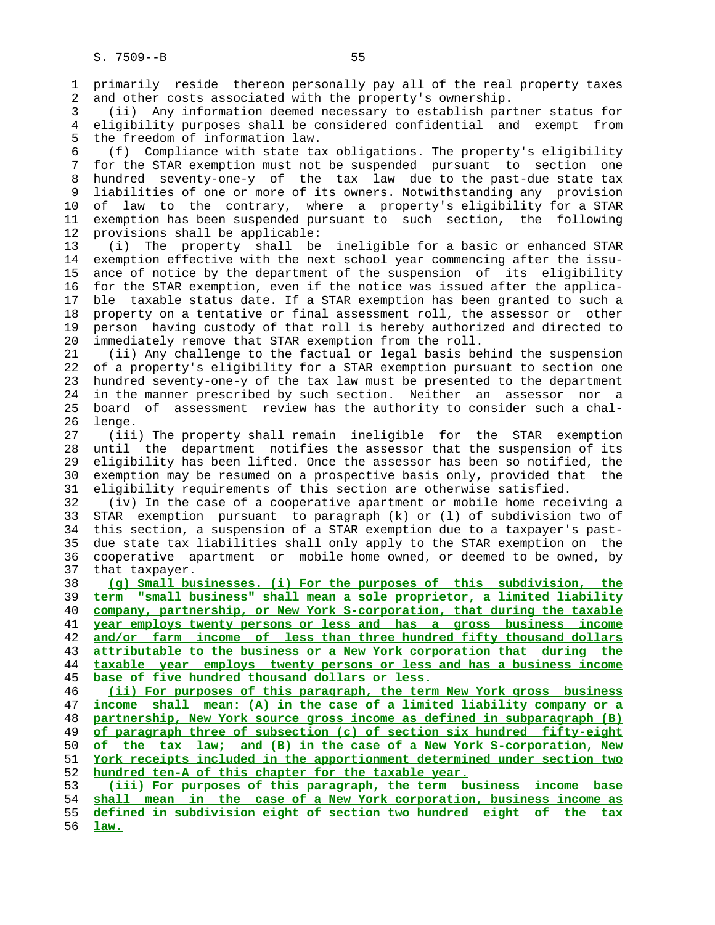1 primarily reside thereon personally pay all of the real property taxes 2 and other costs associated with the property's ownership.

 3 (ii) Any information deemed necessary to establish partner status for 4 eligibility purposes shall be considered confidential and exempt from 5 the freedom of information law.

 6 (f) Compliance with state tax obligations. The property's eligibility 7 for the STAR exemption must not be suspended pursuant to section one 8 hundred seventy-one-y of the tax law due to the past-due state tax 9 liabilities of one or more of its owners. Notwithstanding any provision 10 of law to the contrary, where a property's eligibility for a STAR 11 exemption has been suspended pursuant to such section, the following 12 provisions shall be applicable:

 13 (i) The property shall be ineligible for a basic or enhanced STAR 14 exemption effective with the next school year commencing after the issu- 15 ance of notice by the department of the suspension of its eligibility 16 for the STAR exemption, even if the notice was issued after the applica- 17 ble taxable status date. If a STAR exemption has been granted to such a 18 property on a tentative or final assessment roll, the assessor or other 19 person having custody of that roll is hereby authorized and directed to 20 immediately remove that STAR exemption from the roll.

 21 (ii) Any challenge to the factual or legal basis behind the suspension 22 of a property's eligibility for a STAR exemption pursuant to section one 23 hundred seventy-one-y of the tax law must be presented to the department 24 in the manner prescribed by such section. Neither an assessor nor a 25 board of assessment review has the authority to consider such a chal- 26 lenge.

 27 (iii) The property shall remain ineligible for the STAR exemption 28 until the department notifies the assessor that the suspension of its 29 eligibility has been lifted. Once the assessor has been so notified, the 30 exemption may be resumed on a prospective basis only, provided that the 31 eligibility requirements of this section are otherwise satisfied.

 32 (iv) In the case of a cooperative apartment or mobile home receiving a 33 STAR exemption pursuant to paragraph (k) or (l) of subdivision two of 34 this section, a suspension of a STAR exemption due to a taxpayer's past- 35 due state tax liabilities shall only apply to the STAR exemption on the 36 cooperative apartment or mobile home owned, or deemed to be owned, by 37 that taxpayer.

**(g) Small businesses. (i) For the purposes of this subdivision, the term "small business" shall mean a sole proprietor, a limited liability company, partnership, or New York S-corporation, that during the taxable year employs twenty persons or less and has a gross business income and/or farm income of less than three hundred fifty thousand dollars attributable to the business or a New York corporation that during the taxable year employs twenty persons or less and has a business income base of five hundred thousand dollars or less.**

**(ii) For purposes of this paragraph, the term New York gross business income shall mean: (A) in the case of a limited liability company or a partnership, New York source gross income as defined in subparagraph (B) of paragraph three of subsection (c) of section six hundred fifty-eight of the tax law; and (B) in the case of a New York S-corporation, New York receipts included in the apportionment determined under section two hundred ten-A of this chapter for the taxable year. (iii) For purposes of this paragraph, the term business income base**

 54 **shall mean in the case of a New York corporation, business income as** 55 **defined in subdivision eight of section two hundred eight of the tax** 56 **law.**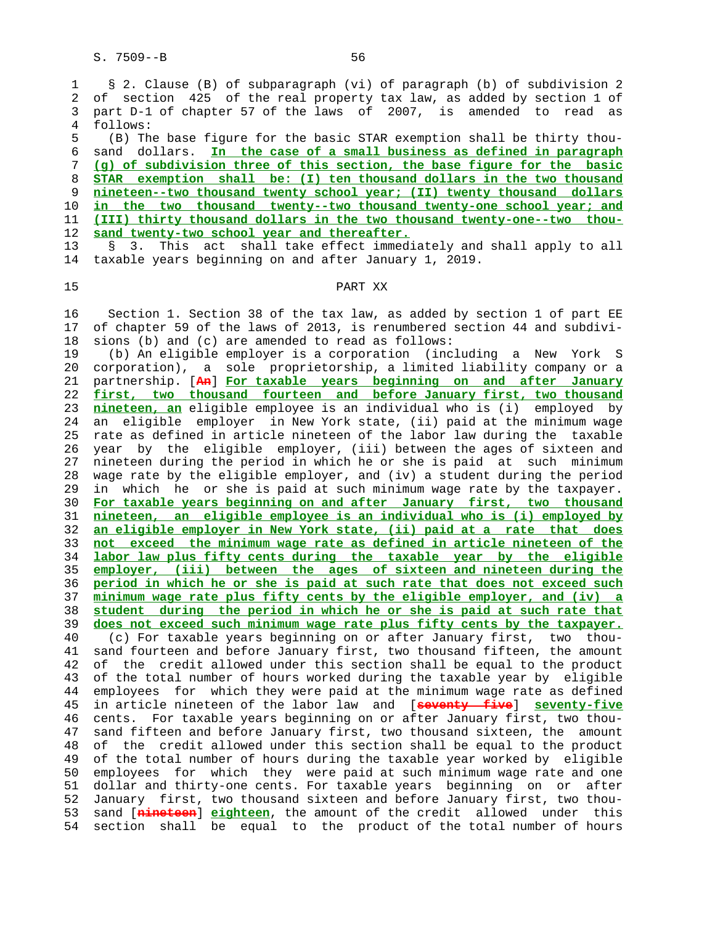1 § 2. Clause (B) of subparagraph (vi) of paragraph (b) of subdivision 2 2 of section 425 of the real property tax law, as added by section 1 of 3 part D-1 of chapter 57 of the laws of 2007, is amended to read as 4 follows:

 5 (B) The base figure for the basic STAR exemption shall be thirty thou- 6 sand dollars. **In the case of a small business as defined in paragraph (g) of subdivision three of this section, the base figure for the basic STAR exemption shall be: (I) ten thousand dollars in the two thousand nineteen--two thousand twenty school year; (II) twenty thousand dollars in the two thousand twenty--two thousand twenty-one school year; and (III) thirty thousand dollars in the two thousand twenty-one--two thou- sand twenty-two school year and thereafter.**

 13 § 3. This act shall take effect immediately and shall apply to all 14 taxable years beginning on and after January 1, 2019.

# 15 PART XX

 16 Section 1. Section 38 of the tax law, as added by section 1 of part EE 17 of chapter 59 of the laws of 2013, is renumbered section 44 and subdivi- 18 sions (b) and (c) are amended to read as follows:

 19 (b) An eligible employer is a corporation (including a New York S 20 corporation), a sole proprietorship, a limited liability company or a 21 partnership. [**An**] **For taxable years beginning on and after January** 22 **first, two thousand fourteen and before January first, two thousand** 23 **nineteen, an** eligible employee is an individual who is (i) employed by 24 an eligible employer in New York state, (ii) paid at the minimum wage 25 rate as defined in article nineteen of the labor law during the taxable 26 year by the eligible employer, (iii) between the ages of sixteen and 27 nineteen during the period in which he or she is paid at such minimum 28 wage rate by the eligible employer, and (iv) a student during the period 29 in which he or she is paid at such minimum wage rate by the taxpayer. 30 **For taxable years beginning on and after January first, two thousand** 31 **nineteen, an eligible employee is an individual who is (i) employed by** 32 **an eligible employer in New York state, (ii) paid at a rate that does** 33 **not exceed the minimum wage rate as defined in article nineteen of the** 34 **labor law plus fifty cents during the taxable year by the eligible** 35 **employer, (iii) between the ages of sixteen and nineteen during the** 36 **period in which he or she is paid at such rate that does not exceed such** 37 **minimum wage rate plus fifty cents by the eligible employer, and (iv) a** 38 **student during the period in which he or she is paid at such rate that** 39 **does not exceed such minimum wage rate plus fifty cents by the taxpayer.** 40 (c) For taxable years beginning on or after January first, two thou- 41 sand fourteen and before January first, two thousand fifteen, the amount 42 of the credit allowed under this section shall be equal to the product 43 of the total number of hours worked during the taxable year by eligible 44 employees for which they were paid at the minimum wage rate as defined 45 in article nineteen of the labor law and [**seventy five**] **seventy-five** 46 cents. For taxable years beginning on or after January first, two thou- 47 sand fifteen and before January first, two thousand sixteen, the amount 48 of the credit allowed under this section shall be equal to the product 49 of the total number of hours during the taxable year worked by eligible 50 employees for which they were paid at such minimum wage rate and one 51 dollar and thirty-one cents. For taxable years beginning on or after 52 January first, two thousand sixteen and before January first, two thou- 53 sand [**nineteen**] **eighteen**, the amount of the credit allowed under this 54 section shall be equal to the product of the total number of hours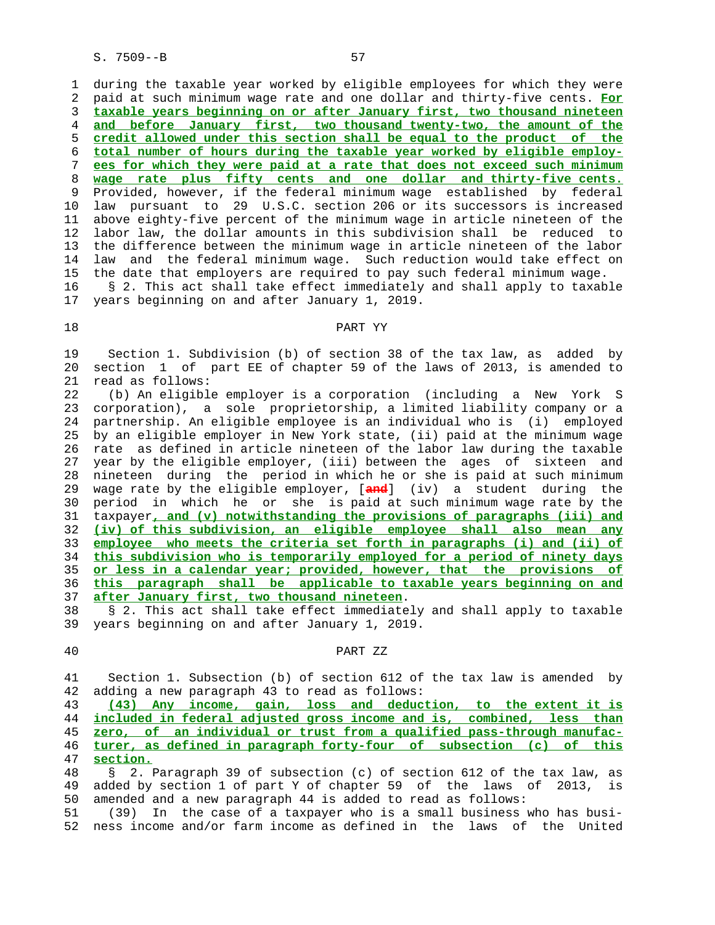1 during the taxable year worked by eligible employees for which they were 2 paid at such minimum wage rate and one dollar and thirty-five cents. **For** 3 **taxable years beginning on or after January first, two thousand nineteen** 4 **and before January first, two thousand twenty-two, the amount of the** 5 **credit allowed under this section shall be equal to the product of the** 6 **total number of hours during the taxable year worked by eligible employ-** 7 **ees for which they were paid at a rate that does not exceed such minimum** 8 **wage rate plus fifty cents and one dollar and thirty-five cents.** 9 Provided, however, if the federal minimum wage established by federal 10 law pursuant to 29 U.S.C. section 206 or its successors is increased 11 above eighty-five percent of the minimum wage in article nineteen of the 12 labor law, the dollar amounts in this subdivision shall be reduced to 13 the difference between the minimum wage in article nineteen of the labor 14 law and the federal minimum wage. Such reduction would take effect on 15 the date that employers are required to pay such federal minimum wage. 16 § 2. This act shall take effect immediately and shall apply to taxable 17 years beginning on and after January 1, 2019.

# 18 PART YY

 19 Section 1. Subdivision (b) of section 38 of the tax law, as added by 20 section 1 of part EE of chapter 59 of the laws of 2013, is amended to 21 read as follows:

 22 (b) An eligible employer is a corporation (including a New York S 23 corporation), a sole proprietorship, a limited liability company or a 24 partnership. An eligible employee is an individual who is (i) employed 25 by an eligible employer in New York state, (ii) paid at the minimum wage 26 rate as defined in article nineteen of the labor law during the taxable 27 year by the eligible employer, (iii) between the ages of sixteen and 28 nineteen during the period in which he or she is paid at such minimum 29 wage rate by the eligible employer, [**and**] (iv) a student during the 30 period in which he or she is paid at such minimum wage rate by the 31 taxpayer**, and (v) notwithstanding the provisions of paragraphs (iii) and** 32 **(iv) of this subdivision, an eligible employee shall also mean any** 33 **employee who meets the criteria set forth in paragraphs (i) and (ii) of** 34 **this subdivision who is temporarily employed for a period of ninety days** 35 **or less in a calendar year; provided, however, that the provisions of** 36 **this paragraph shall be applicable to taxable years beginning on and** 37 **after January first, two thousand nineteen**.

 38 § 2. This act shall take effect immediately and shall apply to taxable 39 years beginning on and after January 1, 2019.

#### 40 PART ZZ

 41 Section 1. Subsection (b) of section 612 of the tax law is amended by 42 adding a new paragraph 43 to read as follows:

**(43) Any income, gain, loss and deduction, to the extent it is included in federal adjusted gross income and is, combined, less than zero, of an individual or trust from a qualified pass-through manufac- turer, as defined in paragraph forty-four of subsection (c) of this section.**

 48 § 2. Paragraph 39 of subsection (c) of section 612 of the tax law, as 49 added by section 1 of part Y of chapter 59 of the laws of 2013, is 50 amended and a new paragraph 44 is added to read as follows:

 51 (39) In the case of a taxpayer who is a small business who has busi- 52 ness income and/or farm income as defined in the laws of the United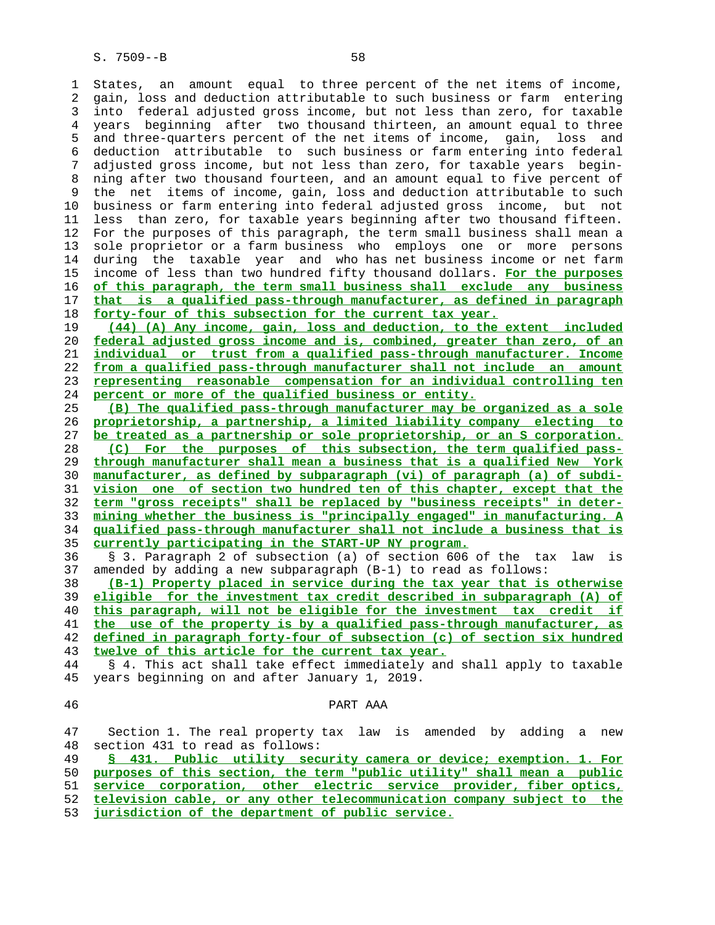1 States, an amount equal to three percent of the net items of income, 2 gain, loss and deduction attributable to such business or farm entering 3 into federal adjusted gross income, but not less than zero, for taxable 4 years beginning after two thousand thirteen, an amount equal to three 5 and three-quarters percent of the net items of income, gain, loss and 6 deduction attributable to such business or farm entering into federal 7 adjusted gross income, but not less than zero, for taxable years begin- 8 ning after two thousand fourteen, and an amount equal to five percent of 9 the net items of income, gain, loss and deduction attributable to such 10 business or farm entering into federal adjusted gross income, but not 11 less than zero, for taxable years beginning after two thousand fifteen. 12 For the purposes of this paragraph, the term small business shall mean a 13 sole proprietor or a farm business who employs one or more persons 14 during the taxable year and who has net business income or net farm 15 income of less than two hundred fifty thousand dollars. **For the purposes** 16 **of this paragraph, the term small business shall exclude any business** 17 **that is a qualified pass-through manufacturer, as defined in paragraph** 18 **forty-four of this subsection for the current tax year.** 19 **(44) (A) Any income, gain, loss and deduction, to the extent included**

**federal adjusted gross income and is, combined, greater than zero, of an individual or trust from a qualified pass-through manufacturer. Income from a qualified pass-through manufacturer shall not include an amount representing reasonable compensation for an individual controlling ten percent or more of the qualified business or entity.**

**(B) The qualified pass-through manufacturer may be organized as a sole proprietorship, a partnership, a limited liability company electing to be treated as a partnership or sole proprietorship, or an S corporation. (C) For the purposes of this subsection, the term qualified pass- through manufacturer shall mean a business that is a qualified New York manufacturer, as defined by subparagraph (vi) of paragraph (a) of subdi- vision one of section two hundred ten of this chapter, except that the term "gross receipts" shall be replaced by "business receipts" in deter- mining whether the business is "principally engaged" in manufacturing. A qualified pass-through manufacturer shall not include a business that is currently participating in the START-UP NY program.**

# 36 § 3. Paragraph 2 of subsection (a) of section 606 of the tax law is 37 amended by adding a new subparagraph (B-1) to read as follows:

**(B-1) Property placed in service during the tax year that is otherwise eligible for the investment tax credit described in subparagraph (A) of this paragraph, will not be eligible for the investment tax credit if the use of the property is by a qualified pass-through manufacturer, as defined in paragraph forty-four of subsection (c) of section six hundred twelve of this article for the current tax year.**

 44 § 4. This act shall take effect immediately and shall apply to taxable 45 years beginning on and after January 1, 2019.

# 46 PART AAA

 47 Section 1. The real property tax law is amended by adding a new 48 section 431 to read as follows:

**§ 431. Public utility security camera or device; exemption. 1. For purposes of this section, the term "public utility" shall mean a public service corporation, other electric service provider, fiber optics, television cable, or any other telecommunication company subject to the**

53 **jurisdiction of the department of public service.**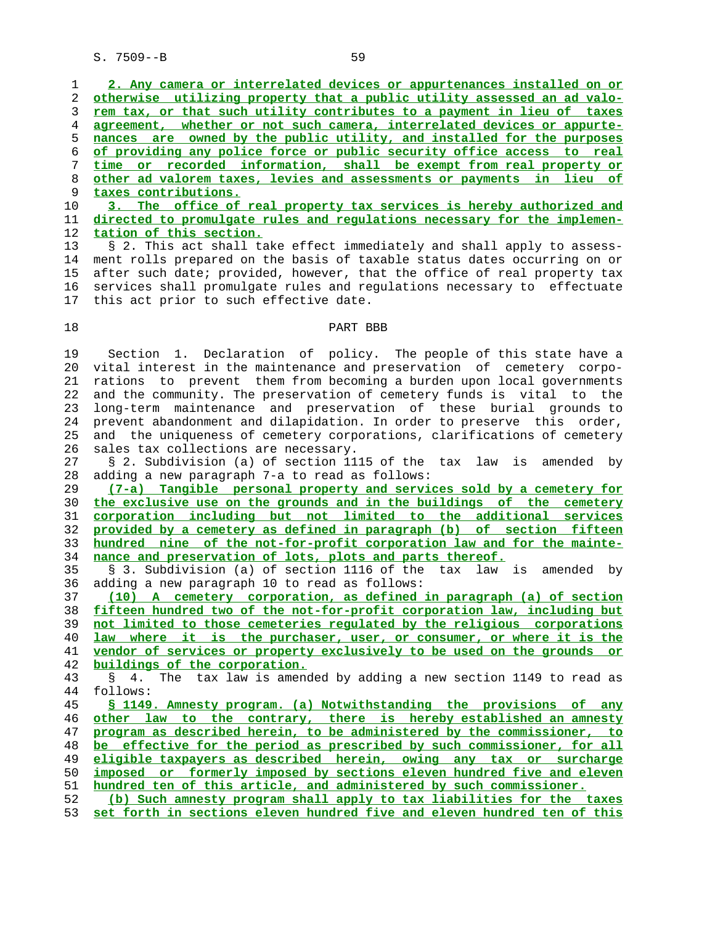**2. Any camera or interrelated devices or appurtenances installed on or otherwise utilizing property that a public utility assessed an ad valo- rem tax, or that such utility contributes to a payment in lieu of taxes agreement, whether or not such camera, interrelated devices or appurte- nances are owned by the public utility, and installed for the purposes of providing any police force or public security office access to real time or recorded information, shall be exempt from real property or other ad valorem taxes, levies and assessments or payments in lieu of taxes contributions.**

**3. The office of real property tax services is hereby authorized and directed to promulgate rules and regulations necessary for the implemen- tation of this section.**

 13 § 2. This act shall take effect immediately and shall apply to assess- 14 ment rolls prepared on the basis of taxable status dates occurring on or 15 after such date; provided, however, that the office of real property tax 16 services shall promulgate rules and regulations necessary to effectuate 17 this act prior to such effective date.

# 18 PART BBB

 19 Section 1. Declaration of policy. The people of this state have a 20 vital interest in the maintenance and preservation of cemetery corpo- 21 rations to prevent them from becoming a burden upon local governments 22 and the community. The preservation of cemetery funds is vital to the 23 long-term maintenance and preservation of these burial grounds to 24 prevent abandonment and dilapidation. In order to preserve this order, 25 and the uniqueness of cemetery corporations, clarifications of cemetery 26 sales tax collections are necessary.

 27 § 2. Subdivision (a) of section 1115 of the tax law is amended by 28 adding a new paragraph 7-a to read as follows:

**(7-a) Tangible personal property and services sold by a cemetery for the exclusive use on the grounds and in the buildings of the cemetery corporation including but not limited to the additional services provided by a cemetery as defined in paragraph (b) of section fifteen hundred nine of the not-for-profit corporation law and for the mainte- nance and preservation of lots, plots and parts thereof.**

 35 § 3. Subdivision (a) of section 1116 of the tax law is amended by 36 adding a new paragraph 10 to read as follows:

**(10) A cemetery corporation, as defined in paragraph (a) of section fifteen hundred two of the not-for-profit corporation law, including but not limited to those cemeteries regulated by the religious corporations law where it is the purchaser, user, or consumer, or where it is the vendor of services or property exclusively to be used on the grounds or buildings of the corporation.**

 43 § 4. The tax law is amended by adding a new section 1149 to read as 44 follows:

- **§ 1149. Amnesty program. (a) Notwithstanding the provisions of any other law to the contrary, there is hereby established an amnesty program as described herein, to be administered by the commissioner, to be effective for the period as prescribed by such commissioner, for all eligible taxpayers as described herein, owing any tax or surcharge imposed or formerly imposed by sections eleven hundred five and eleven hundred ten of this article, and administered by such commissioner. (b) Such amnesty program shall apply to tax liabilities for the taxes**
- **set forth in sections eleven hundred five and eleven hundred ten of this**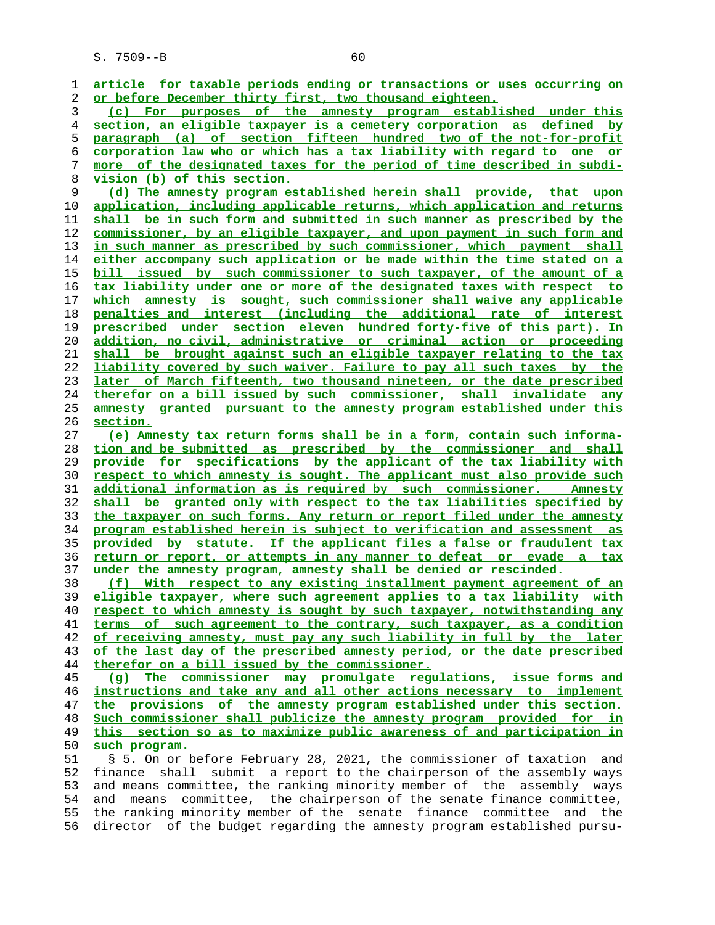**article for taxable periods ending or transactions or uses occurring on or before December thirty first, two thousand eighteen. (c) For purposes of the amnesty program established under this section, an eligible taxpayer is a cemetery corporation as defined by paragraph (a) of section fifteen hundred two of the not-for-profit corporation law who or which has a tax liability with regard to one or more of the designated taxes for the period of time described in subdi- vision (b) of this section. (d) The amnesty program established herein shall provide, that upon application, including applicable returns, which application and returns shall be in such form and submitted in such manner as prescribed by the commissioner, by an eligible taxpayer, and upon payment in such form and in such manner as prescribed by such commissioner, which payment shall either accompany such application or be made within the time stated on a bill issued by such commissioner to such taxpayer, of the amount of a tax liability under one or more of the designated taxes with respect to which amnesty is sought, such commissioner shall waive any applicable penalties and interest (including the additional rate of interest prescribed under section eleven hundred forty-five of this part). In addition, no civil, administrative or criminal action or proceeding shall be brought against such an eligible taxpayer relating to the tax liability covered by such waiver. Failure to pay all such taxes by the later of March fifteenth, two thousand nineteen, or the date prescribed therefor on a bill issued by such commissioner, shall invalidate any amnesty granted pursuant to the amnesty program established under this section. (e) Amnesty tax return forms shall be in a form, contain such informa- tion and be submitted as prescribed by the commissioner and shall provide for specifications by the applicant of the tax liability with respect to which amnesty is sought. The applicant must also provide such additional information as is required by such commissioner. Amnesty shall be granted only with respect to the tax liabilities specified by the taxpayer on such forms. Any return or report filed under the amnesty program established herein is subject to verification and assessment as provided by statute. If the applicant files a false or fraudulent tax return or report, or attempts in any manner to defeat or evade a tax under the amnesty program, amnesty shall be denied or rescinded. (f) With respect to any existing installment payment agreement of an eligible taxpayer, where such agreement applies to a tax liability with respect to which amnesty is sought by such taxpayer, notwithstanding any terms of such agreement to the contrary, such taxpayer, as a condition of receiving amnesty, must pay any such liability in full by the later of the last day of the prescribed amnesty period, or the date prescribed therefor on a bill issued by the commissioner. (g) The commissioner may promulgate regulations, issue forms and instructions and take any and all other actions necessary to implement the provisions of the amnesty program established under this section. Such commissioner shall publicize the amnesty program provided for in this section so as to maximize public awareness of and participation in such program.** 51 § 5. On or before February 28, 2021, the commissioner of taxation and 52 finance shall submit a report to the chairperson of the assembly ways 53 and means committee, the ranking minority member of the assembly ways 54 and means committee, the chairperson of the senate finance committee, 55 the ranking minority member of the senate finance committee and the 56 director of the budget regarding the amnesty program established pursu-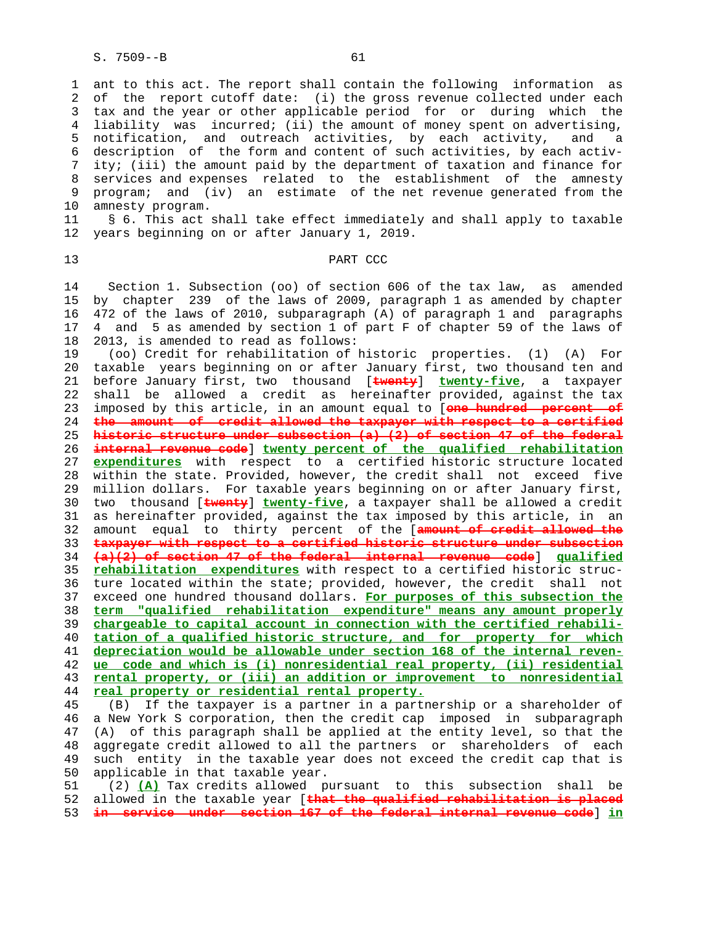1 ant to this act. The report shall contain the following information as 2 of the report cutoff date: (i) the gross revenue collected under each 3 tax and the year or other applicable period for or during which the 4 liability was incurred; (ii) the amount of money spent on advertising, 5 notification, and outreach activities, by each activity, and a 6 description of the form and content of such activities, by each activ- 7 ity; (iii) the amount paid by the department of taxation and finance for 8 services and expenses related to the establishment of the amnesty 9 program; and (iv) an estimate of the net revenue generated from the 10 amnesty program.

 11 § 6. This act shall take effect immediately and shall apply to taxable 12 years beginning on or after January 1, 2019.

# 13 PART CCC

 14 Section 1. Subsection (oo) of section 606 of the tax law, as amended 15 by chapter 239 of the laws of 2009, paragraph 1 as amended by chapter 16 472 of the laws of 2010, subparagraph (A) of paragraph 1 and paragraphs 17 4 and 5 as amended by section 1 of part F of chapter 59 of the laws of 18 2013, is amended to read as follows:

 19 (oo) Credit for rehabilitation of historic properties. (1) (A) For 20 taxable years beginning on or after January first, two thousand ten and 21 before January first, two thousand [**twenty**] **twenty-five**, a taxpayer 22 shall be allowed a credit as hereinafter provided, against the tax 23 imposed by this article, in an amount equal to [**one hundred percent of** 24 **the amount of credit allowed the taxpayer with respect to a certified** 25 **historic structure under subsection (a) (2) of section 47 of the federal** 26 **internal revenue code**] **twenty percent of the qualified rehabilitation** 27 **expenditures** with respect to a certified historic structure located 28 within the state. Provided, however, the credit shall not exceed five 29 million dollars. For taxable years beginning on or after January first, 30 two thousand [**twenty**] **twenty-five**, a taxpayer shall be allowed a credit 31 as hereinafter provided, against the tax imposed by this article, in an 32 amount equal to thirty percent of the [**amount of credit allowed the** 33 **taxpayer with respect to a certified historic structure under subsection** 34 **(a)(2) of section 47 of the federal internal revenue code**] **qualified** 35 **rehabilitation expenditures** with respect to a certified historic struc- 36 ture located within the state; provided, however, the credit shall not 37 exceed one hundred thousand dollars. **For purposes of this subsection the** 38 **term "qualified rehabilitation expenditure" means any amount properly** 39 **chargeable to capital account in connection with the certified rehabili-** 40 **tation of a qualified historic structure, and for property for which** 41 **depreciation would be allowable under section 168 of the internal reven-** 42 **ue code and which is (i) nonresidential real property, (ii) residential** 43 **rental property, or (iii) an addition or improvement to nonresidential** 44 **real property or residential rental property.**

 45 (B) If the taxpayer is a partner in a partnership or a shareholder of 46 a New York S corporation, then the credit cap imposed in subparagraph 47 (A) of this paragraph shall be applied at the entity level, so that the 48 aggregate credit allowed to all the partners or shareholders of each 49 such entity in the taxable year does not exceed the credit cap that is 50 applicable in that taxable year.

 51 (2) **(A)** Tax credits allowed pursuant to this subsection shall be 52 allowed in the taxable year [**that the qualified rehabilitation is placed** 53 **in service under section 167 of the federal internal revenue code**] **in**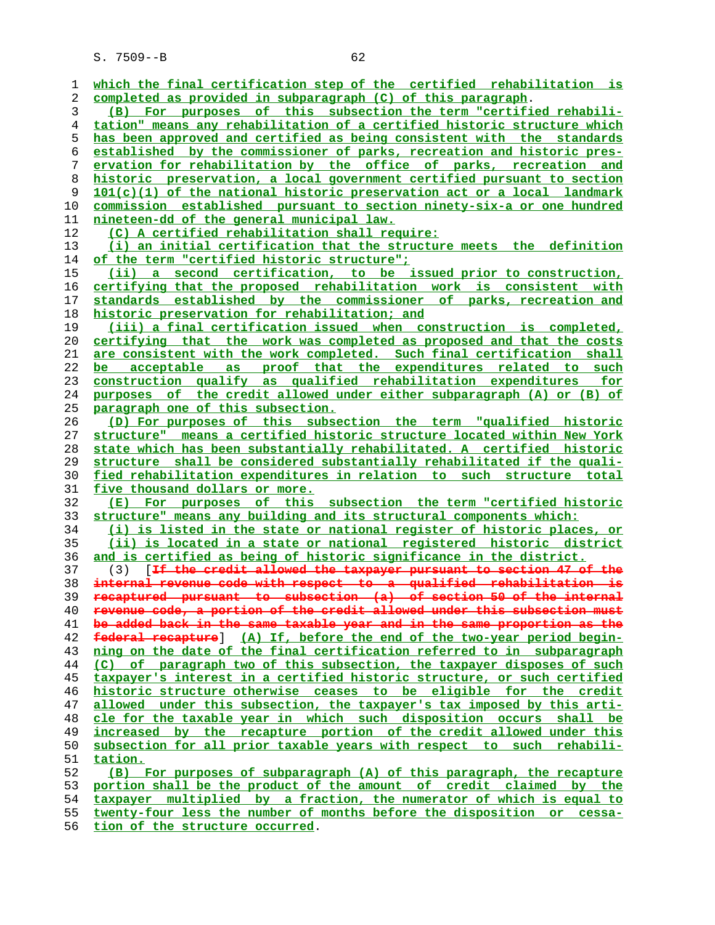| 1              | which the final certification step of the certified rehabilitation is         |
|----------------|-------------------------------------------------------------------------------|
| 2              | completed as provided in subparagraph (C) of this paragraph.                  |
| 3              | (B) For purposes of this subsection the term "certified rehabili-             |
| $\overline{4}$ | tation" means any rehabilitation of a certified historic structure which      |
| 5              | has been approved and certified as being consistent with the standards        |
|                | established by the commissioner of parks, recreation and historic pres-       |
| 6              |                                                                               |
| 7              | ervation for rehabilitation by the office of parks, recreation and            |
| 8              | historic preservation, a local government certified pursuant to section       |
| 9              | 101(c)(1) of the national historic preservation act or a local landmark       |
| 10             | <u>commission established pursuant to section ninety-six-a or one hundred</u> |
| 11             | nineteen-dd of the general municipal law.                                     |
| 12             | (C) A certified rehabilitation shall require:                                 |
| 13             | (i) an initial certification that the structure meets the definition          |
| 14             | of the term "certified historic structure":                                   |
| 15             | (ii) a second certification, to be issued prior to construction,              |
| 16             | certifying that the proposed rehabilitation work is consistent with           |
| 17             | standards established by the commissioner of parks, recreation and            |
| 18             | historic preservation for rehabilitation; and                                 |
| 19             | (iii) a final certification issued when construction is completed,            |
| 20             | certifying that the work was completed as proposed and that the costs         |
| 21             | are consistent with the work completed. Such final certification shall        |
| 22             | as proof that the expenditures related to such<br>acceptable<br>be l          |
| 23             | construction qualify as qualified rehabilitation expenditures for             |
| 24             | purposes of the credit allowed under either subparagraph (A) or (B) of        |
| 25             | paragraph one of this subsection.                                             |
|                |                                                                               |
| 26             | (D) For purposes of this subsection the term "qualified historic              |
| 27             | structure" means a certified historic structure located within New York       |
| 28             | state which has been substantially rehabilitated. A certified historic        |
| 29             | structure shall be considered substantially rehabilitated if the quali-       |
| 30             | fied rehabilitation expenditures in relation to such structure total          |
| 31             | five thousand dollars or more.                                                |
| 32             | (E) For purposes of this subsection the term "certified historic              |
| 33             | structure" means any building and its structural components which:            |
| 34             | (i) is listed in the state or national register of historic places, or        |
| 35             | <u>(ii) is located in a state or national registered historic district</u>    |
| 36             | and is certified as being of historic significance in the district.           |
| 37             | [If the credit allowed the taxpayer pursuant to section 47 of the<br>(3)      |
| 38             | internal revenue sode with respest to a qualified rehabilitation is           |
| 39             | recaptured pursuant to subsection (a) of section 50 of the internal           |
| 40             | revenue code, a portion of the credit allowed under this subsection must      |
| 41             | be added back in the same taxable year and in the same proportion as the      |
| 42             | federal recapture] (A) If, before the end of the two-year period begin-       |
| 43             | ning on the date of the final certification referred to in subparagraph       |
| 44             | (C) of paragraph two of this subsection, the taxpayer disposes of such        |
| 45             | taxpayer's interest in a certified historic structure, or such certified      |
| 46             | historic structure otherwise ceases to be eligible for the credit             |
| 47             | allowed under this subsection, the taxpayer's tax imposed by this arti-       |
| 48             | cle for the taxable year in which such disposition occurs shall be            |
| 49             | increased by the recapture portion of the credit allowed under this           |
| 50             | subsection for all prior taxable years with respect to such rehabili-         |
|                |                                                                               |
| 51             | <u>tation.</u>                                                                |
| 52             | (B) For purposes of subparagraph (A) of this paragraph, the recapture         |
| 53             | portion shall be the product of the amount of credit claimed by the           |
| 54             | taxpayer multiplied by a fraction, the numerator of which is equal to         |
| 55             | twenty-four less the number of months before the disposition or cessa-        |
| 56             | tion of the structure occurred.                                               |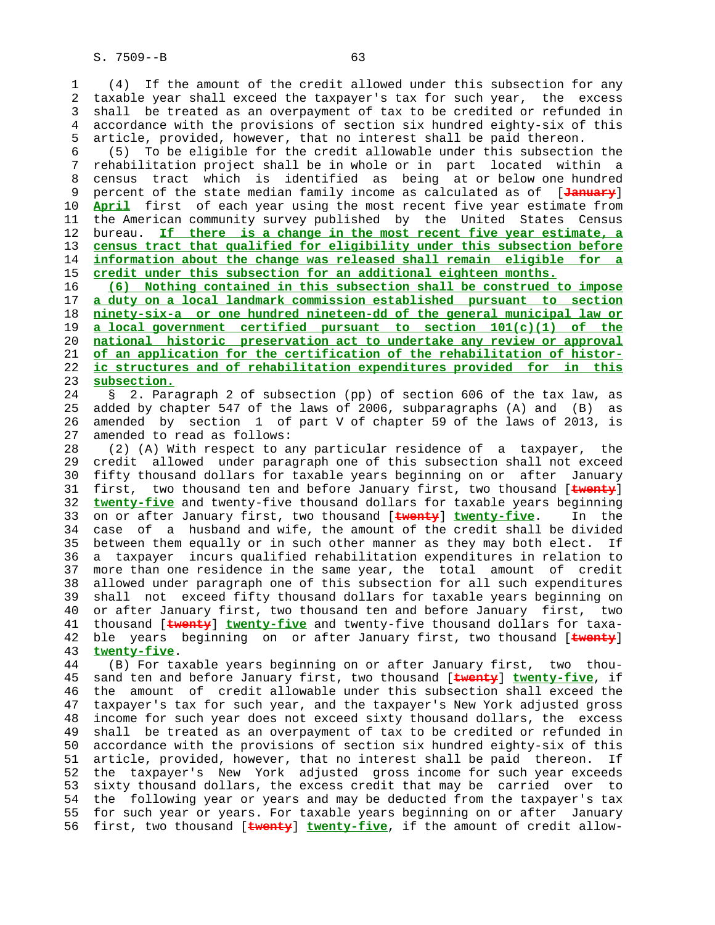1 (4) If the amount of the credit allowed under this subsection for any 2 taxable year shall exceed the taxpayer's tax for such year, the excess 3 shall be treated as an overpayment of tax to be credited or refunded in 4 accordance with the provisions of section six hundred eighty-six of this 5 article, provided, however, that no interest shall be paid thereon.

 6 (5) To be eligible for the credit allowable under this subsection the 7 rehabilitation project shall be in whole or in part located within a 8 census tract which is identified as being at or below one hundred<br>9 percent of the state median family income as calculated as of [January] 9 percent of the state median family income as calculated as of [**January**] 10 **April** first of each year using the most recent five year estimate from 11 the American community survey published by the United States Census 12 bureau. **If there is a change in the most recent five year estimate, a** 13 **census tract that qualified for eligibility under this subsection before** 14 **information about the change was released shall remain eligible for a** 15 **credit under this subsection for an additional eighteen months.**

**(6) Nothing contained in this subsection shall be construed to impose a duty on a local landmark commission established pursuant to section ninety-six-a or one hundred nineteen-dd of the general municipal law or a local government certified pursuant to section 101(c)(1) of the national historic preservation act to undertake any review or approval of an application for the certification of the rehabilitation of histor- ic structures and of rehabilitation expenditures provided for in this subsection.**

 24 § 2. Paragraph 2 of subsection (pp) of section 606 of the tax law, as 25 added by chapter 547 of the laws of 2006, subparagraphs (A) and (B) as 26 amended by section 1 of part V of chapter 59 of the laws of 2013, is 27 amended to read as follows:

 28 (2) (A) With respect to any particular residence of a taxpayer, the 29 credit allowed under paragraph one of this subsection shall not exceed 30 fifty thousand dollars for taxable years beginning on or after January 31 first, two thousand ten and before January first, two thousand [**twenty**] 32 **twenty-five** and twenty-five thousand dollars for taxable years beginning 33 on or after January first, two thousand [**twenty**] **twenty-five**. In the 34 case of a husband and wife, the amount of the credit shall be divided 35 between them equally or in such other manner as they may both elect. If 36 a taxpayer incurs qualified rehabilitation expenditures in relation to 37 more than one residence in the same year, the total amount of credit 38 allowed under paragraph one of this subsection for all such expenditures 39 shall not exceed fifty thousand dollars for taxable years beginning on 40 or after January first, two thousand ten and before January first, two 41 thousand [**twenty**] **twenty-five** and twenty-five thousand dollars for taxa- 42 ble years beginning on or after January first, two thousand [**twenty**] 43 **twenty-five**.

 44 (B) For taxable years beginning on or after January first, two thou- 45 sand ten and before January first, two thousand [**twenty**] **twenty-five**, if 46 the amount of credit allowable under this subsection shall exceed the 47 taxpayer's tax for such year, and the taxpayer's New York adjusted gross 48 income for such year does not exceed sixty thousand dollars, the excess 49 shall be treated as an overpayment of tax to be credited or refunded in 50 accordance with the provisions of section six hundred eighty-six of this 51 article, provided, however, that no interest shall be paid thereon. If 52 the taxpayer's New York adjusted gross income for such year exceeds 53 sixty thousand dollars, the excess credit that may be carried over to 54 the following year or years and may be deducted from the taxpayer's tax 55 for such year or years. For taxable years beginning on or after January 56 first, two thousand [**twenty**] **twenty-five**, if the amount of credit allow-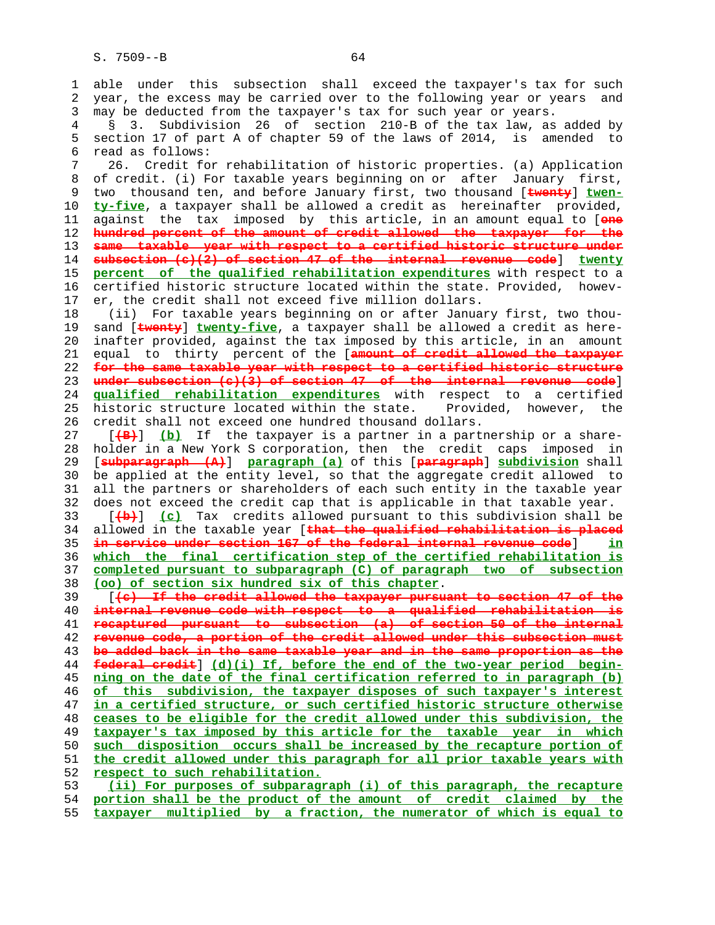1 able under this subsection shall exceed the taxpayer's tax for such 2 year, the excess may be carried over to the following year or years and 3 may be deducted from the taxpayer's tax for such year or years. 4 § 3. Subdivision 26 of section 210-B of the tax law, as added by 5 section 17 of part A of chapter 59 of the laws of 2014, is amended to 6 read as follows: 7 26. Credit for rehabilitation of historic properties. (a) Application 8 of credit. (i) For taxable years beginning on or after January first,<br>9 two thousand ten, and before January first, two thousand [twenty] twentwo thousand ten, and before January first, two thousand [**twenty**] **twen**- 10 **ty-five**, a taxpayer shall be allowed a credit as hereinafter provided, 11 against the tax imposed by this article, in an amount equal to [**one** 12 **hundred percent of the amount of credit allowed the taxpayer for the** 13 **same taxable year with respect to a certified historic structure under** 14 **subsection (c)(2) of section 47 of the internal revenue code**] **twenty** 15 **percent of the qualified rehabilitation expenditures** with respect to a 16 certified historic structure located within the state. Provided, howev- 17 er, the credit shall not exceed five million dollars. 18 (ii) For taxable years beginning on or after January first, two thou- 19 sand [**twenty**] **twenty-five**, a taxpayer shall be allowed a credit as here- 20 inafter provided, against the tax imposed by this article, in an amount 21 equal to thirty percent of the [**amount of credit allowed the taxpayer** 22 **for the same taxable year with respect to a certified historic structure** 23 **under subsection (c)(3) of section 47 of the internal revenue code**] 24 **qualified rehabilitation expenditures** with respect to a certified 25 historic structure located within the state. Provided, however, the 26 credit shall not exceed one hundred thousand dollars. 27 [**(B)**] **(b)** If the taxpayer is a partner in a partnership or a share- 28 holder in a New York S corporation, then the credit caps imposed in 29 [**subparagraph (A)**] **paragraph (a)** of this [**paragraph**] **subdivision** shall 30 be applied at the entity level, so that the aggregate credit allowed to 31 all the partners or shareholders of each such entity in the taxable year 32 does not exceed the credit cap that is applicable in that taxable year. 33 [**(b)**] **(c)** Tax credits allowed pursuant to this subdivision shall be 34 allowed in the taxable year [**that the qualified rehabilitation is placed** 35 **in service under section 167 of the federal internal revenue code**] **in** 36 **which the final certification step of the certified rehabilitation is** 37 **completed pursuant to subparagraph (C) of paragraph two of subsection** 38 **(oo) of section six hundred six of this chapter**. 39 [**(c) If the credit allowed the taxpayer pursuant to section 47 of the** 40 **internal revenue code with respect to a qualified rehabilitation is** 41 **recaptured pursuant to subsection (a) of section 50 of the internal** 42 **revenue code, a portion of the credit allowed under this subsection must** 43 **be added back in the same taxable year and in the same proportion as the** 44 **federal credit**] **(d)(i) If, before the end of the two-year period begin-** 45 **ning on the date of the final certification referred to in paragraph (b)** 46 **of this subdivision, the taxpayer disposes of such taxpayer's interest** 47 **in a certified structure, or such certified historic structure otherwise** 48 **ceases to be eligible for the credit allowed under this subdivision, the** 49 **taxpayer's tax imposed by this article for the taxable year in which** 50 **such disposition occurs shall be increased by the recapture portion of** 51 **the credit allowed under this paragraph for all prior taxable years with** 52 **respect to such rehabilitation.** 53 **(ii) For purposes of subparagraph (i) of this paragraph, the recapture** 54 **portion shall be the product of the amount of credit claimed by the**

55 **taxpayer multiplied by a fraction, the numerator of which is equal to**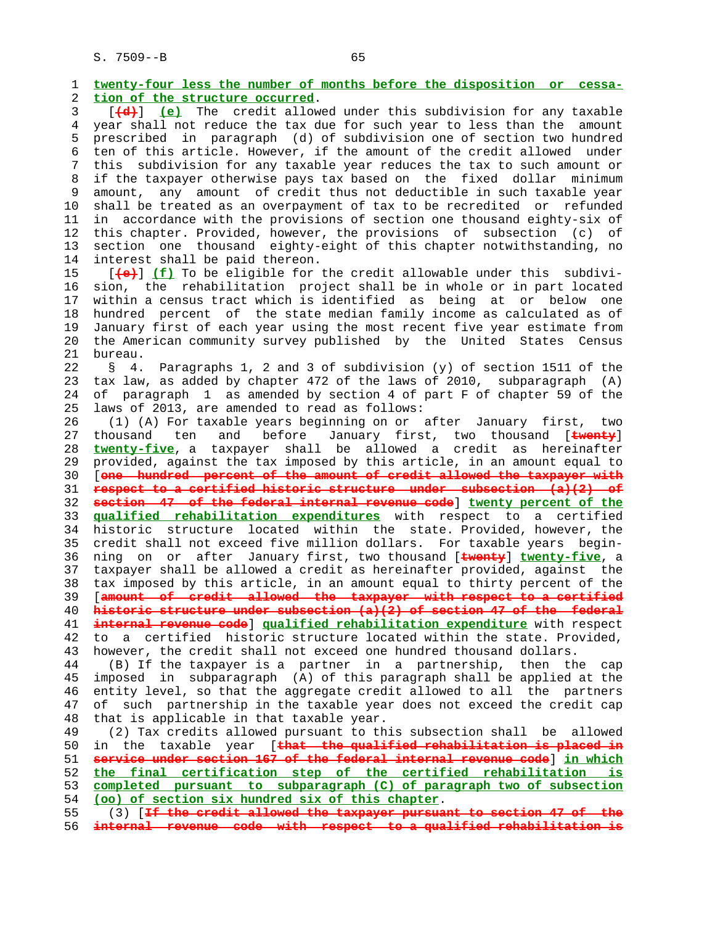1 **twenty-four less the number of months before the disposition or cessa-** 2 **tion of the structure occurred**. 3 [**(d)**] **(e)** The credit allowed under this subdivision for any taxable 4 year shall not reduce the tax due for such year to less than the amount 5 prescribed in paragraph (d) of subdivision one of section two hundred 6 ten of this article. However, if the amount of the credit allowed under 7 this subdivision for any taxable year reduces the tax to such amount or 8 if the taxpayer otherwise pays tax based on the fixed dollar minimum 9 amount, any amount of credit thus not deductible in such taxable year 10 shall be treated as an overpayment of tax to be recredited or refunded 11 in accordance with the provisions of section one thousand eighty-six of 12 this chapter. Provided, however, the provisions of subsection (c) of 13 section one thousand eighty-eight of this chapter notwithstanding, no 14 interest shall be paid thereon. 15 [**(e)**] **(f)** To be eligible for the credit allowable under this subdivi- 16 sion, the rehabilitation project shall be in whole or in part located 17 within a census tract which is identified as being at or below one 18 hundred percent of the state median family income as calculated as of 19 January first of each year using the most recent five year estimate from 20 the American community survey published by the United States Census 21 bureau. 22 § 4. Paragraphs 1, 2 and 3 of subdivision (y) of section 1511 of the 23 tax law, as added by chapter 472 of the laws of 2010, subparagraph (A) 24 of paragraph 1 as amended by section 4 of part F of chapter 59 of the 25 laws of 2013, are amended to read as follows: 26 (1) (A) For taxable years beginning on or after January first, two 27 thousand ten and before January first, two thousand [**twenty**] 28 **twenty-five**, a taxpayer shall be allowed a credit as hereinafter 29 provided, against the tax imposed by this article, in an amount equal to 30 [**one hundred percent of the amount of credit allowed the taxpayer with** 31 **respect to a certified historic structure under subsection (a)(2) of** 32 **section 47 of the federal internal revenue code**] **twenty percent of the** 33 **qualified rehabilitation expenditures** with respect to a certified 34 historic structure located within the state. Provided, however, the 35 credit shall not exceed five million dollars. For taxable years begin- 36 ning on or after January first, two thousand [**twenty**] **twenty-five**, a 37 taxpayer shall be allowed a credit as hereinafter provided, against the 38 tax imposed by this article, in an amount equal to thirty percent of the 39 [**amount of credit allowed the taxpayer with respect to a certified** 40 **historic structure under subsection (a)(2) of section 47 of the federal** 41 **internal revenue code**] **qualified rehabilitation expenditure** with respect 42 to a certified historic structure located within the state. Provided, 43 however, the credit shall not exceed one hundred thousand dollars. 44 (B) If the taxpayer is a partner in a partnership, then the cap 45 imposed in subparagraph (A) of this paragraph shall be applied at the 46 entity level, so that the aggregate credit allowed to all the partners 47 of such partnership in the taxable year does not exceed the credit cap 48 that is applicable in that taxable year. 49 (2) Tax credits allowed pursuant to this subsection shall be allowed 50 in the taxable year [**that the qualified rehabilitation is placed in** 51 **service under section 167 of the federal internal revenue code**] **in which** 52 **the final certification step of the certified rehabilitation is** 53 **completed pursuant to subparagraph (C) of paragraph two of subsection** 54 **(oo) of section six hundred six of this chapter**. 55 (3) [**If the credit allowed the taxpayer pursuant to section 47 of the** 56 **internal revenue code with respect to a qualified rehabilitation is**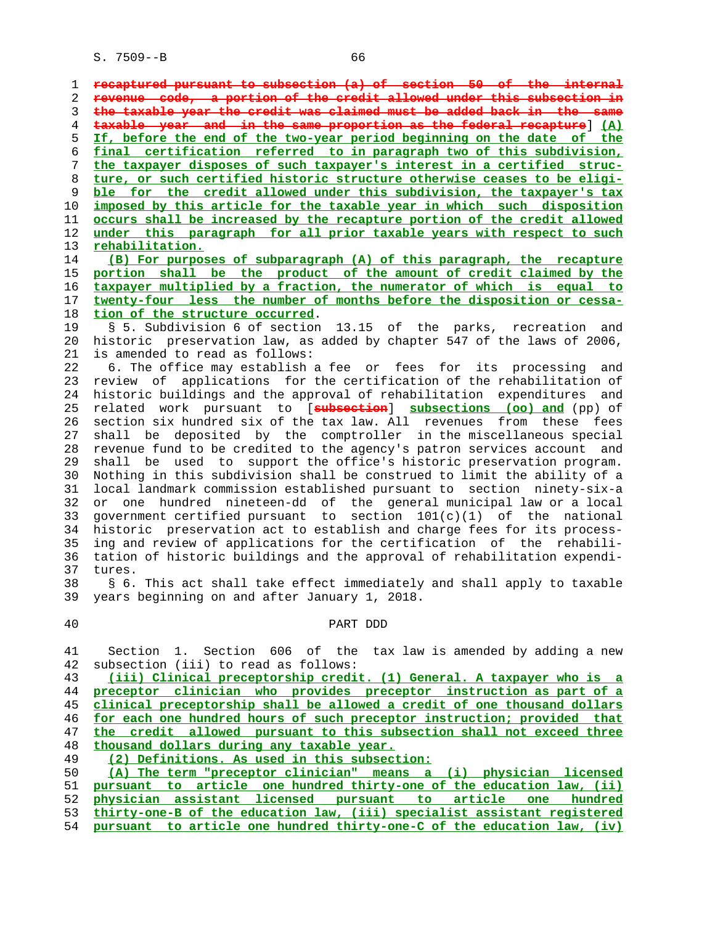**recaptured pursuant to subsection (a) of section 50 of the internal revenue code, a portion of the credit allowed under this subsection in the taxable year the credit was claimed must be added back in the same taxable year and in the same proportion as the federal recapture**] **(A) If, before the end of the two-year period beginning on the date of the final certification referred to in paragraph two of this subdivision, the taxpayer disposes of such taxpayer's interest in a certified struc- ture, or such certified historic structure otherwise ceases to be eligi- ble for the credit allowed under this subdivision, the taxpayer's tax imposed by this article for the taxable year in which such disposition occurs shall be increased by the recapture portion of the credit allowed under this paragraph for all prior taxable years with respect to such rehabilitation.**

**(B) For purposes of subparagraph (A) of this paragraph, the recapture portion shall be the product of the amount of credit claimed by the taxpayer multiplied by a fraction, the numerator of which is equal to twenty-four less the number of months before the disposition or cessa- tion of the structure occurred**.

 19 § 5. Subdivision 6 of section 13.15 of the parks, recreation and 20 historic preservation law, as added by chapter 547 of the laws of 2006, 21 is amended to read as follows:

 22 6. The office may establish a fee or fees for its processing and 23 review of applications for the certification of the rehabilitation of 24 historic buildings and the approval of rehabilitation expenditures and 25 related work pursuant to [**subsection**] **subsections (oo) and** (pp) of 26 section six hundred six of the tax law. All revenues from these fees 27 shall be deposited by the comptroller in the miscellaneous special 28 revenue fund to be credited to the agency's patron services account and 29 shall be used to support the office's historic preservation program. 30 Nothing in this subdivision shall be construed to limit the ability of a 31 local landmark commission established pursuant to section ninety-six-a 32 or one hundred nineteen-dd of the general municipal law or a local 33 government certified pursuant to section  $101(c)(1)$  of the national 34 historic preservation act to establish and charge fees for its process- 35 ing and review of applications for the certification of the rehabili- 36 tation of historic buildings and the approval of rehabilitation expendi- 37 tures.

 38 § 6. This act shall take effect immediately and shall apply to taxable 39 years beginning on and after January 1, 2018.

# 40 PART DDD

 41 Section 1. Section 606 of the tax law is amended by adding a new 42 subsection (iii) to read as follows:

| 43 | (iii) Clinical preceptorship credit. (1) General. A taxpayer who is a    |
|----|--------------------------------------------------------------------------|
| 44 | preceptor clinician who provides preceptor instruction as part of a      |
| 45 | clinical preceptorship shall be allowed a credit of one thousand dollars |
| 46 | for each one hundred hours of such preceptor instruction; provided that  |
| 47 | the credit allowed pursuant to this subsection shall not exceed three    |
| 48 | thousand dollars during any taxable year.                                |
| 49 | (2) Definitions. As used in this subsection:                             |
| 50 | $(A)$ The term "preceptor clinician" means a $(i)$<br>physician licensed |
| 51 | pursuant to article one hundred thirty-one of the education law, (ii)    |
| 52 | physician assistant licensed pursuant to article<br>hundred<br>one       |
| 53 | thirty-one-B of the education law, (iii) specialist assistant registered |

54 **pursuant to article one hundred thirty-one-C of the education law, (iv)**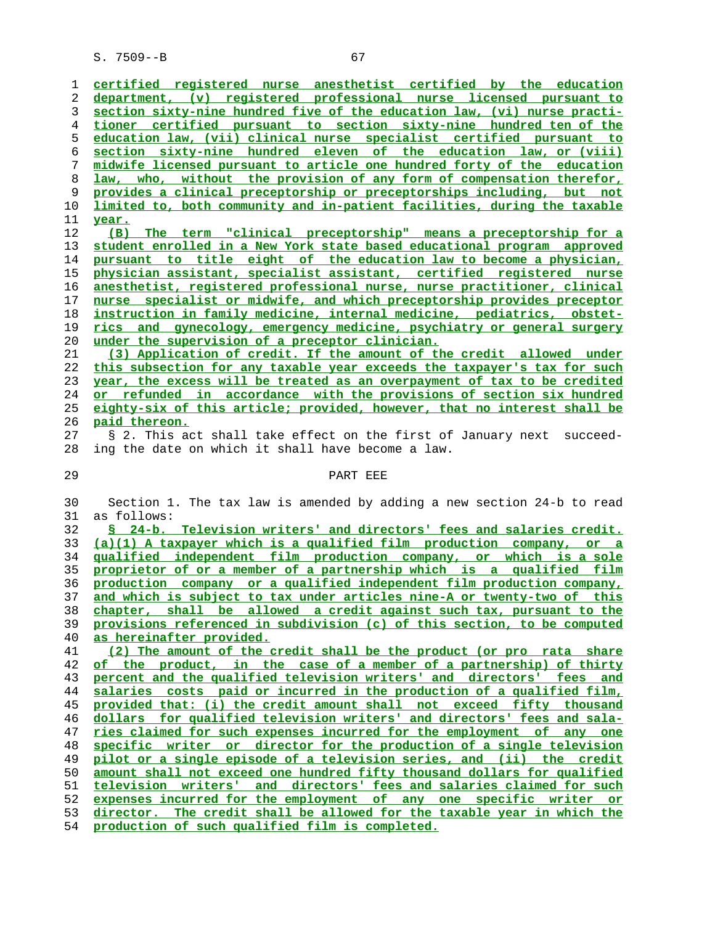| 1  | certified registered nurse anesthetist certified by the education        |  |
|----|--------------------------------------------------------------------------|--|
| 2  | department, (v) registered professional nurse licensed pursuant to       |  |
| 3  | section sixty-nine hundred five of the education law, (vi) nurse practi- |  |
| 4  | tioner certified pursuant to section sixty-nine hundred ten of the       |  |
| 5  | education law, (vii) clinical nurse specialist certified pursuant to     |  |
| 6  | section sixty-nine hundred eleven of the education law, or (viii)        |  |
| 7  | midwife licensed pursuant to article one hundred forty of the education  |  |
| 8  | law, who, without the provision of any form of compensation therefor,    |  |
| 9  | provides a clinical preceptorship or preceptorships including, but not   |  |
| 10 | limited to, both community and in-patient facilities, during the taxable |  |
| 11 | year.                                                                    |  |
| 12 | (B) The term "clinical preceptorship" means a preceptorship for a        |  |
| 13 | student enrolled in a New York state based educational program approved  |  |
| 14 | pursuant to title eight of the education law to become a physician,      |  |
| 15 | physician assistant, specialist assistant, certified registered nurse    |  |
| 16 | anesthetist, registered professional nurse, nurse practitioner, clinical |  |
| 17 | nurse specialist or midwife, and which preceptorship provides preceptor  |  |
| 18 | instruction in family medicine, internal medicine, pediatrics, obstet-   |  |
| 19 | rics and gynecology, emergency medicine, psychiatry or general surgery   |  |
| 20 | under the supervision of a preceptor clinician.                          |  |
| 21 | (3) Application of credit. If the amount of the credit allowed under     |  |
| 22 | this subsection for any taxable year exceeds the taxpayer's tax for such |  |
| 23 | year, the excess will be treated as an overpayment of tax to be credited |  |
| 24 | or refunded in accordance with the provisions of section six hundred     |  |
| 25 | eighty-six of this article; provided, however, that no interest shall be |  |
| 26 | paid thereon.                                                            |  |
| 27 | § 2. This act shall take effect on the first of January next succeed-    |  |
| 28 | ing the date on which it shall have become a law.                        |  |
|    |                                                                          |  |
|    |                                                                          |  |
| 29 | PART EEE                                                                 |  |
|    |                                                                          |  |
| 30 | Section 1. The tax law is amended by adding a new section 24-b to read   |  |
| 31 | as follows:                                                              |  |
| 32 | § 24-b. Television writers' and directors' fees and salaries credit.     |  |
| 33 | (a)(1) A taxpayer which is a qualified film production company, or a     |  |
| 34 | qualified independent film production company, or which is a sole        |  |
| 35 | proprietor of or a member of a partnership which is a qualified film     |  |
| 36 | production company or a qualified independent film production company,   |  |
| 37 | and which is subject to tax under articles nine-A or twenty-two of this  |  |
| 38 | chapter, shall be allowed a credit against such tax, pursuant to the     |  |
| 39 | provisions referenced in subdivision (c) of this section, to be computed |  |
| 40 | as hereinafter provided.                                                 |  |
| 41 | (2) The amount of the credit shall be the product (or pro rata share     |  |
| 42 | of the product, in the case of a member of a partnership) of thirty      |  |
| 43 | percent and the qualified television writers' and directors' fees and    |  |
| 44 | salaries costs paid or incurred in the production of a qualified film,   |  |
| 45 | provided that: (i) the credit amount shall not exceed fifty thousand     |  |
| 46 | dollars for qualified television writers' and directors' fees and sala-  |  |
| 47 | ries claimed for such expenses incurred for the employment of any one    |  |
| 48 | specific writer or director for the production of a single television    |  |
| 49 | pilot or a single episode of a television series, and (ii) the credit    |  |
| 50 | amount shall not exceed one hundred fifty thousand dollars for qualified |  |
| 51 | television writers' and directors' fees and salaries claimed for such    |  |
| 52 | expenses incurred for the employment of any one specific writer or       |  |
| 53 | director. The credit shall be allowed for the taxable year in which the  |  |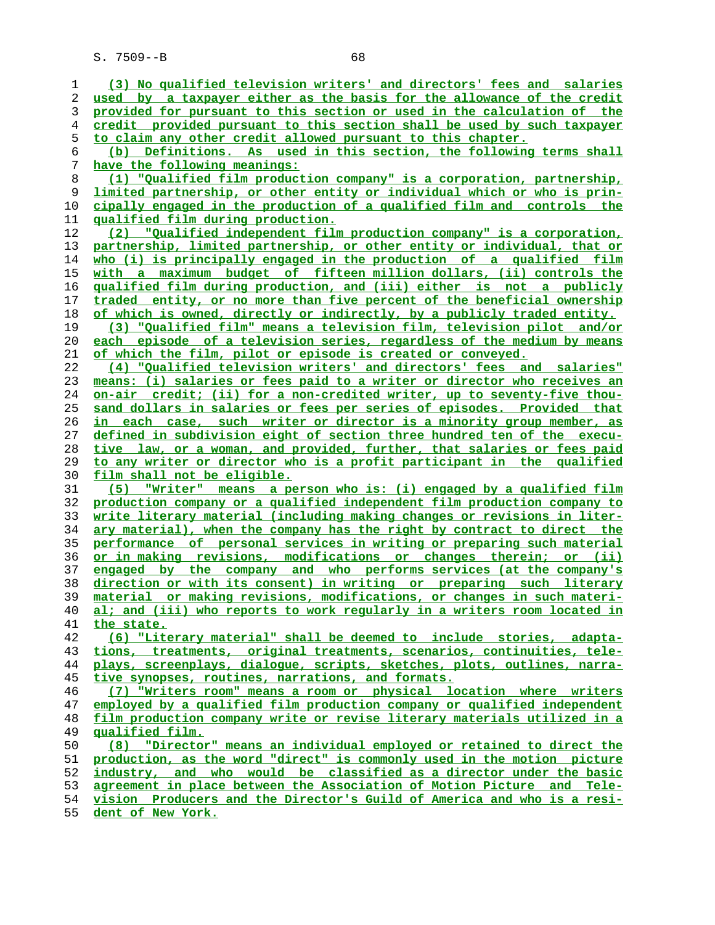**(3) No qualified television writers' and directors' fees and salaries used by a taxpayer either as the basis for the allowance of the credit provided for pursuant to this section or used in the calculation of the credit provided pursuant to this section shall be used by such taxpayer to claim any other credit allowed pursuant to this chapter. (b) Definitions. As used in this section, the following terms shall have the following meanings: (1) "Qualified film production company" is a corporation, partnership, limited partnership, or other entity or individual which or who is prin- cipally engaged in the production of a qualified film and controls the qualified film during production. (2) "Qualified independent film production company" is a corporation, partnership, limited partnership, or other entity or individual, that or** who (i) is principally engaged in the production of a qualified film **with a maximum budget of fifteen million dollars, (ii) controls the qualified film during production, and (iii) either is not a publicly traded entity, or no more than five percent of the beneficial ownership of which is owned, directly or indirectly, by a publicly traded entity. (3) "Qualified film" means a television film, television pilot and/or each episode of a television series, regardless of the medium by means of which the film, pilot or episode is created or conveyed. (4) "Qualified television writers' and directors' fees and salaries" means: (i) salaries or fees paid to a writer or director who receives an on-air credit; (ii) for a non-credited writer, up to seventy-five thou- sand dollars in salaries or fees per series of episodes. Provided that in each case, such writer or director is a minority group member, as defined in subdivision eight of section three hundred ten of the execu- tive law, or a woman, and provided, further, that salaries or fees paid to any writer or director who is a profit participant in the qualified film shall not be eligible. (5) "Writer" means a person who is: (i) engaged by a qualified film production company or a qualified independent film production company to write literary material (including making changes or revisions in liter- ary material), when the company has the right by contract to direct the performance of personal services in writing or preparing such material or in making revisions, modifications or changes therein; or (ii) engaged by the company and who performs services (at the company's direction or with its consent) in writing or preparing such literary material or making revisions, modifications, or changes in such materi- al; and (iii) who reports to work regularly in a writers room located in the state. (6) "Literary material" shall be deemed to include stories, adapta- tions, treatments, original treatments, scenarios, continuities, tele- plays, screenplays, dialogue, scripts, sketches, plots, outlines, narra- tive synopses, routines, narrations, and formats. (7) "Writers room" means a room or physical location where writers employed by a qualified film production company or qualified independent film production company write or revise literary materials utilized in a qualified film. (8) "Director" means an individual employed or retained to direct the production, as the word "direct" is commonly used in the motion picture industry, and who would be classified as a director under the basic agreement in place between the Association of Motion Picture and Tele- vision Producers and the Director's Guild of America and who is a resi-**

**dent of New York.**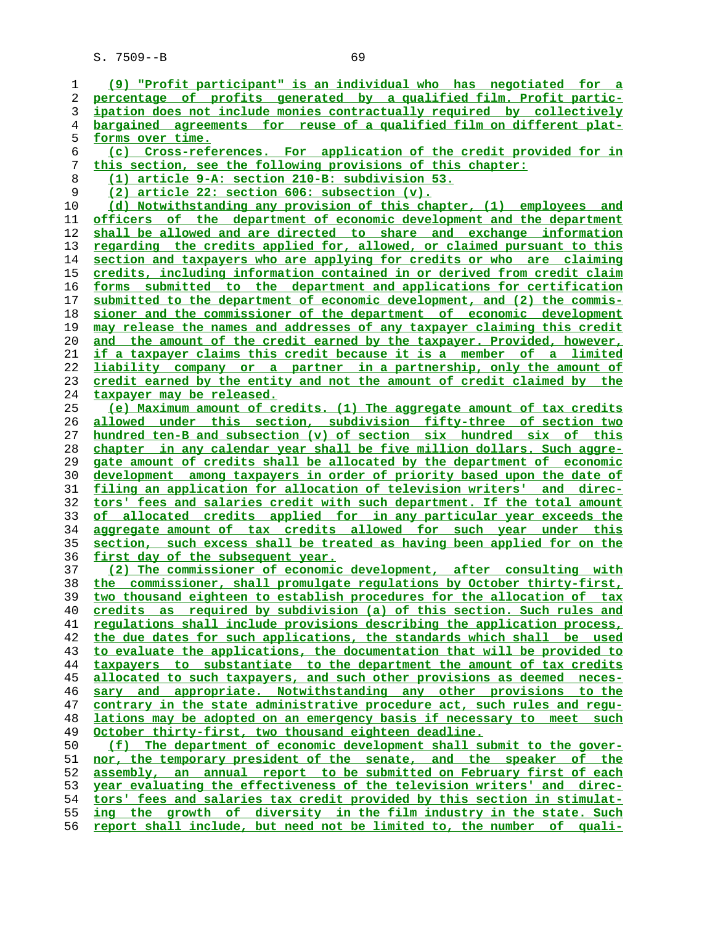| 1  | (9) "Profit participant" is an individual who has negotiated for a          |
|----|-----------------------------------------------------------------------------|
| 2  | percentage of profits generated by a qualified film. Profit partic-         |
| 3  | ipation does not include monies contractually required by collectively      |
| 4  | bargained agreements for reuse of a qualified film on different plat-       |
| 5  | forms over time.                                                            |
| 6  | (c) Cross-references. For application of the credit provided for in         |
| 7  | this section, see the following provisions of this chapter:                 |
| 8  | (1) article 9-A: section 210-B: subdivision 53.                             |
| 9  | (2) article 22: section 606: subsection (v).                                |
|    |                                                                             |
| 10 | (d) Notwithstanding any provision of this chapter, (1) employees and        |
| 11 | officers of the department of economic development and the department       |
| 12 | shall be allowed and are directed to share and exchange information         |
| 13 | regarding the credits applied for, allowed, or claimed pursuant to this     |
| 14 | section and taxpayers who are applying for credits or who are claiming      |
| 15 | credits, including information contained in or derived from credit claim    |
| 16 | <u>forms submitted to the department and applications for certification</u> |
| 17 | submitted to the department of economic development, and (2) the commis-    |
| 18 | sioner and the commissioner of the department of economic development       |
| 19 | may release the names and addresses of any taxpayer claiming this credit    |
|    |                                                                             |
| 20 | and the amount of the credit earned by the taxpayer. Provided, however,     |
| 21 | if a taxpayer claims this credit because it is a member of a limited        |
| 22 | liability company or a partner in a partnership, only the amount of         |
| 23 | credit earned by the entity and not the amount of credit claimed by the     |
| 24 | taxpayer may be released.                                                   |
| 25 | (e) Maximum amount of credits. (1) The aggregate amount of tax credits      |
| 26 | allowed under this section, subdivision fifty-three of section two          |
| 27 | hundred ten-B and subsection (v) of section six hundred six of this         |
| 28 | chapter in any calendar year shall be five million dollars. Such aggre-     |
| 29 | gate amount of credits shall be allocated by the department of economic     |
| 30 | development among taxpayers in order of priority based upon the date of     |
| 31 | filing an application for allocation of television writers' and direc-      |
| 32 | tors' fees and salaries credit with such department. If the total amount    |
| 33 | of allocated credits applied for in any particular year exceeds the         |
|    | aggregate amount of tax credits allowed for such year under this            |
| 34 |                                                                             |
| 35 | section, such excess shall be treated as having been applied for on the     |
| 36 | first day of the subsequent year.                                           |
| 37 | (2) The commissioner of economic development, after consulting with         |
| 38 | the commissioner, shall promulgate regulations by October thirty-first,     |
| 39 | two thousand eighteen to establish procedures for the allocation of tax     |
| 40 | credits as required by subdivision (a) of this section. Such rules and      |
| 41 | requlations shall include provisions describing the application process,    |
| 42 | the due dates for such applications, the standards which shall be used      |
| 43 | to evaluate the applications, the documentation that will be provided to    |
| 44 | taxpayers to substantiate to the department the amount of tax credits       |
| 45 | allocated to such taxpayers, and such other provisions as deemed neces-     |
| 46 | sary and appropriate. Notwithstanding any other provisions to the           |
| 47 | contrary in the state administrative procedure act, such rules and requ-    |
| 48 | lations may be adopted on an emergency basis if necessary to meet such      |
|    | October thirty-first, two thousand eighteen deadline.                       |
| 49 |                                                                             |
| 50 | (f) The department of economic development shall submit to the gover-       |
| 51 | nor, the temporary president of the senate, and the speaker of the          |
| 52 | assembly, an annual report to be submitted on February first of each        |
| 53 | year evaluating the effectiveness of the television writers' and direc-     |
| 54 | tors' fees and salaries tax credit provided by this section in stimulat-    |
| 55 | ing the growth of diversity in the film industry in the state. Such         |
| 56 | report shall include, but need not be limited to, the number of quali-      |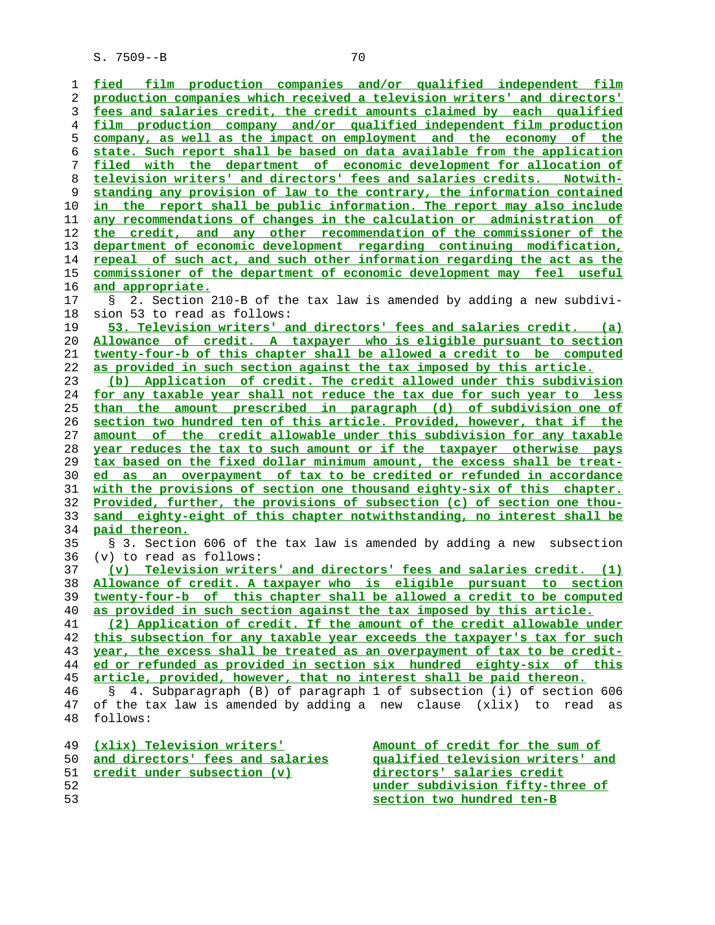| 1        | fied film production companies and/or qualified independent film                                                                                     |                                                                     |
|----------|------------------------------------------------------------------------------------------------------------------------------------------------------|---------------------------------------------------------------------|
| 2        | production companies which received a television writers' and directors'                                                                             |                                                                     |
| 3        | fees and salaries credit, the credit amounts claimed by each qualified                                                                               |                                                                     |
| 4        | film production company and/or qualified independent film production                                                                                 |                                                                     |
| 5        | company, as well as the impact on employment and the economy of the                                                                                  |                                                                     |
| 6        | state. Such report shall be based on data available from the application                                                                             |                                                                     |
| 7        | filed with the department of economic development for allocation of                                                                                  |                                                                     |
|          |                                                                                                                                                      |                                                                     |
| 8        | television writers' and directors' fees and salaries credits. Notwith-                                                                               |                                                                     |
| 9        | standing any provision of law to the contrary, the information contained                                                                             |                                                                     |
| 10       | in the report shall be public information. The report may also include<br>any recommendations of changes in the calculation or administration of     |                                                                     |
| 11<br>12 |                                                                                                                                                      |                                                                     |
|          | the credit, and any other recommendation of the commissioner of the                                                                                  |                                                                     |
| 13       | department of economic development regarding continuing modification,                                                                                |                                                                     |
| 14       | repeal of such act, and such other information regarding the act as the                                                                              |                                                                     |
| 15       | commissioner of the department of economic development may feel useful                                                                               |                                                                     |
| 16       | and appropriate.                                                                                                                                     |                                                                     |
| 17       | S                                                                                                                                                    | 2. Section 210-B of the tax law is amended by adding a new subdivi- |
| 18       | sion 53 to read as follows:                                                                                                                          |                                                                     |
| 19       | 53. Television writers' and directors' fees and salaries credit. (a)                                                                                 |                                                                     |
| 20       | Allowance of credit. A taxpayer who is eligible pursuant to section                                                                                  |                                                                     |
| 21       | twenty-four-b of this chapter shall be allowed a credit to be computed                                                                               |                                                                     |
| 22       | as provided in such section against the tax imposed by this article.                                                                                 |                                                                     |
| 23       | (b)                                                                                                                                                  | Application of credit. The credit allowed under this subdivision    |
| 24       | for any taxable year shall not reduce the tax due for such year to less                                                                              |                                                                     |
| 25       | than the amount prescribed in paragraph (d) of subdivision one of                                                                                    |                                                                     |
| 26       | section two hundred ten of this article. Provided, however, that if the                                                                              |                                                                     |
| 27       | amount of the credit allowable under this subdivision for any taxable                                                                                |                                                                     |
| 28       | year reduces the tax to such amount or if the taxpayer otherwise pays                                                                                |                                                                     |
| 29       | tax based on the fixed dollar minimum amount, the excess shall be treat-                                                                             |                                                                     |
| 30       | ed as an overpayment of tax to be credited or refunded in accordance                                                                                 |                                                                     |
| 31       | with the provisions of section one thousand eighty-six of this chapter.                                                                              |                                                                     |
| 32       | Provided, further, the provisions of subsection (c) of section one thou-                                                                             |                                                                     |
| 33       | sand eighty-eight of this chapter notwithstanding, no interest shall be                                                                              |                                                                     |
| 34       | paid thereon.                                                                                                                                        |                                                                     |
| 35       | § 3. Section 606 of the tax law is amended by adding a new subsection                                                                                |                                                                     |
| 36       | (v) to read as follows:                                                                                                                              |                                                                     |
| 37       | (v)                                                                                                                                                  | Television writers' and directors' fees and salaries credit. (1)    |
| 38       | Allowance of credit. A taxpayer who is eligible pursuant to section                                                                                  |                                                                     |
| 39       | twenty-four-b of this chapter shall be allowed a credit to be computed                                                                               |                                                                     |
| 40       | as provided in such section against the tax imposed by this article.                                                                                 |                                                                     |
| 41       | (2) Application of credit. If the amount of the credit allowable under                                                                               |                                                                     |
| 42<br>43 | this subsection for any taxable year exceeds the taxpayer's tax for such<br>year, the excess shall be treated as an overpayment of tax to be credit- |                                                                     |
| 44       | ed or refunded as provided in section six hundred eighty-six of this                                                                                 |                                                                     |
| 45       | article, provided, however, that no interest shall be paid thereon.                                                                                  |                                                                     |
| 46       | § 4. Subparagraph (B) of paragraph 1 of subsection (i) of section 606                                                                                |                                                                     |
| 47       | of the tax law is amended by adding a new clause (xlix) to                                                                                           | read as                                                             |
| 48       | follows:                                                                                                                                             |                                                                     |
|          |                                                                                                                                                      |                                                                     |
| 49       | (xlix) Television writers'                                                                                                                           | Amount of credit for the sum of                                     |
| 50       | and directors' fees and salaries                                                                                                                     | qualified television writers' and                                   |
| 51       | credit under subsection (v)                                                                                                                          | directors' salaries credit                                          |
| 52       |                                                                                                                                                      | under subdivision fifty-three of                                    |
|          |                                                                                                                                                      |                                                                     |

**section two hundred ten-B**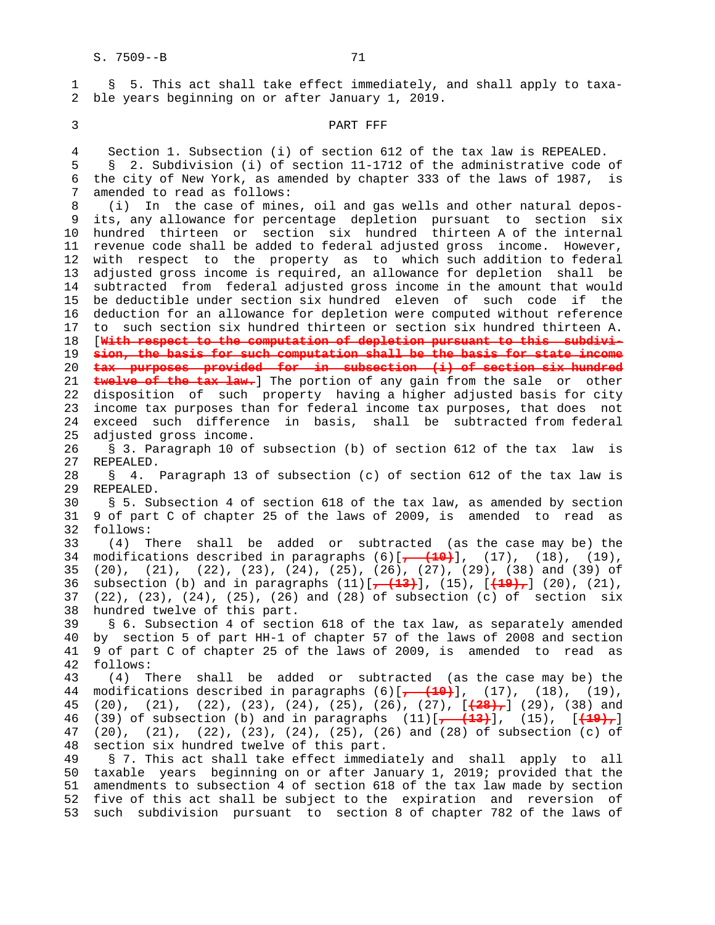1 § 5. This act shall take effect immediately, and shall apply to taxa- 2 ble years beginning on or after January 1, 2019.

### 3 PART FFF

 4 Section 1. Subsection (i) of section 612 of the tax law is REPEALED. 5 § 2. Subdivision (i) of section 11-1712 of the administrative code of 6 the city of New York, as amended by chapter 333 of the laws of 1987, is amended to read as follows:

 8 (i) In the case of mines, oil and gas wells and other natural depos- 9 its, any allowance for percentage depletion pursuant to section six 10 hundred thirteen or section six hundred thirteen A of the internal 11 revenue code shall be added to federal adjusted gross income. However, 12 with respect to the property as to which such addition to federal 13 adjusted gross income is required, an allowance for depletion shall be 14 subtracted from federal adjusted gross income in the amount that would 15 be deductible under section six hundred eleven of such code if the 16 deduction for an allowance for depletion were computed without reference 17 to such section six hundred thirteen or section six hundred thirteen A. 18 [**With respect to the computation of depletion pursuant to this subdivi-** 19 **sion, the basis for such computation shall be the basis for state income** 20 **tax purposes provided for in subsection (i) of section six hundred** 21 **twelve of the tax law.**] The portion of any gain from the sale or other 22 disposition of such property having a higher adjusted basis for city 23 income tax purposes than for federal income tax purposes, that does not 24 exceed such difference in basis, shall be subtracted from federal 25 adjusted gross income. 26 § 3. Paragraph 10 of subsection (b) of section 612 of the tax law is 27 REPEALED. 28 § 4. Paragraph 13 of subsection (c) of section 612 of the tax law is 29 REPEALED. 30 § 5. Subsection 4 of section 618 of the tax law, as amended by section 31 9 of part C of chapter 25 of the laws of 2009, is amended to read as 32 follows: 33 (4) There shall be added or subtracted (as the case may be) the 34 modifications described in paragraphs (6)[**, (10)**], (17), (18), (19), 35 (20), (21), (22), (23), (24), (25), (26), (27), (29), (38) and (39) of 36 subsection (b) and in paragraphs (11)[**, (13)**], (15), [**(19),**] (20), (21), 37 (22), (23), (24), (25), (26) and (28) of subsection (c) of section six 38 hundred twelve of this part. 39 § 6. Subsection 4 of section 618 of the tax law, as separately amended 40 by section 5 of part HH-1 of chapter 57 of the laws of 2008 and section 41 9 of part C of chapter 25 of the laws of 2009, is amended to read as 42 follows: 43 (4) There shall be added or subtracted (as the case may be) the 44 modifications described in paragraphs (6)[**, (10)**], (17), (18), (19), 45 (20), (21), (22), (23), (24), (25), (26), (27), [**(28),**] (29), (38) and 46 (39) of subsection (b) and in paragraphs (11)[**, (13)**], (15), [**(19),**] 47 (20), (21), (22), (23), (24), (25), (26) and (28) of subsection (c) of 48 section six hundred twelve of this part. 49 § 7. This act shall take effect immediately and shall apply to all 50 taxable years beginning on or after January 1, 2019; provided that the 51 amendments to subsection 4 of section 618 of the tax law made by section

 52 five of this act shall be subject to the expiration and reversion of 53 such subdivision pursuant to section 8 of chapter 782 of the laws of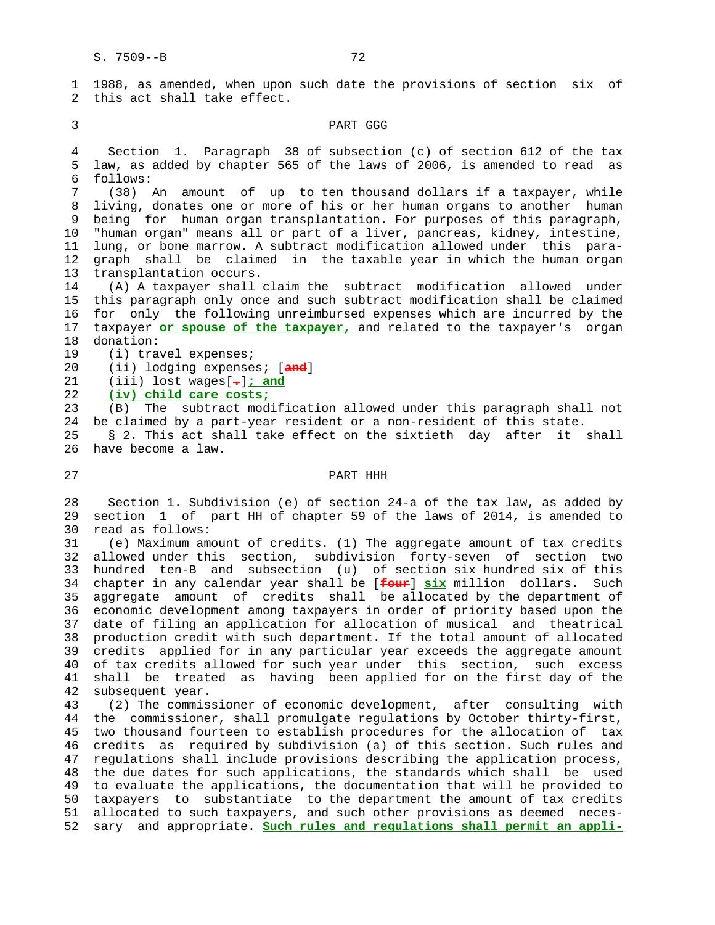1 1988, as amended, when upon such date the provisions of section six of 2 this act shall take effect.

### 3 PART GGG

 4 Section 1. Paragraph 38 of subsection (c) of section 612 of the tax 5 law, as added by chapter 565 of the laws of 2006, is amended to read as  $\begin{array}{cc} 6 & \text{follows:} \\ 7 & (38) \end{array}$ 

(38) An amount of up to ten thousand dollars if a taxpayer, while 8 living, donates one or more of his or her human organs to another human 9 being for human organ transplantation. For purposes of this paragraph, 10 "human organ" means all or part of a liver, pancreas, kidney, intestine, 11 lung, or bone marrow. A subtract modification allowed under this para- 12 graph shall be claimed in the taxable year in which the human organ 13 transplantation occurs.

 14 (A) A taxpayer shall claim the subtract modification allowed under 15 this paragraph only once and such subtract modification shall be claimed 16 for only the following unreimbursed expenses which are incurred by the 17 taxpayer **or spouse of the taxpayer,** and related to the taxpayer's organ 18 donation:

19 (i) travel expenses;

20 (ii) lodging expenses; [**and**]

21 (iii) lost wages[**.**]**; and**

22 **(iv) child care costs;**

 23 (B) The subtract modification allowed under this paragraph shall not 24 be claimed by a part-year resident or a non-resident of this state. 25 § 2. This act shall take effect on the sixtieth day after it shall 26 have become a law.

# 27 PART HHH

 28 Section 1. Subdivision (e) of section 24-a of the tax law, as added by 29 section 1 of part HH of chapter 59 of the laws of 2014, is amended to 30 read as follows:

 31 (e) Maximum amount of credits. (1) The aggregate amount of tax credits 32 allowed under this section, subdivision forty-seven of section two 33 hundred ten-B and subsection (u) of section six hundred six of this 34 chapter in any calendar year shall be [**four**] **six** million dollars. Such 35 aggregate amount of credits shall be allocated by the department of 36 economic development among taxpayers in order of priority based upon the 37 date of filing an application for allocation of musical and theatrical 38 production credit with such department. If the total amount of allocated 39 credits applied for in any particular year exceeds the aggregate amount 40 of tax credits allowed for such year under this section, such excess 41 shall be treated as having been applied for on the first day of the 42 subsequent year.

 43 (2) The commissioner of economic development, after consulting with 44 the commissioner, shall promulgate regulations by October thirty-first, 45 two thousand fourteen to establish procedures for the allocation of tax 46 credits as required by subdivision (a) of this section. Such rules and 47 regulations shall include provisions describing the application process, 48 the due dates for such applications, the standards which shall be used 49 to evaluate the applications, the documentation that will be provided to 50 taxpayers to substantiate to the department the amount of tax credits 51 allocated to such taxpayers, and such other provisions as deemed neces- 52 sary and appropriate. **Such rules and regulations shall permit an appli-**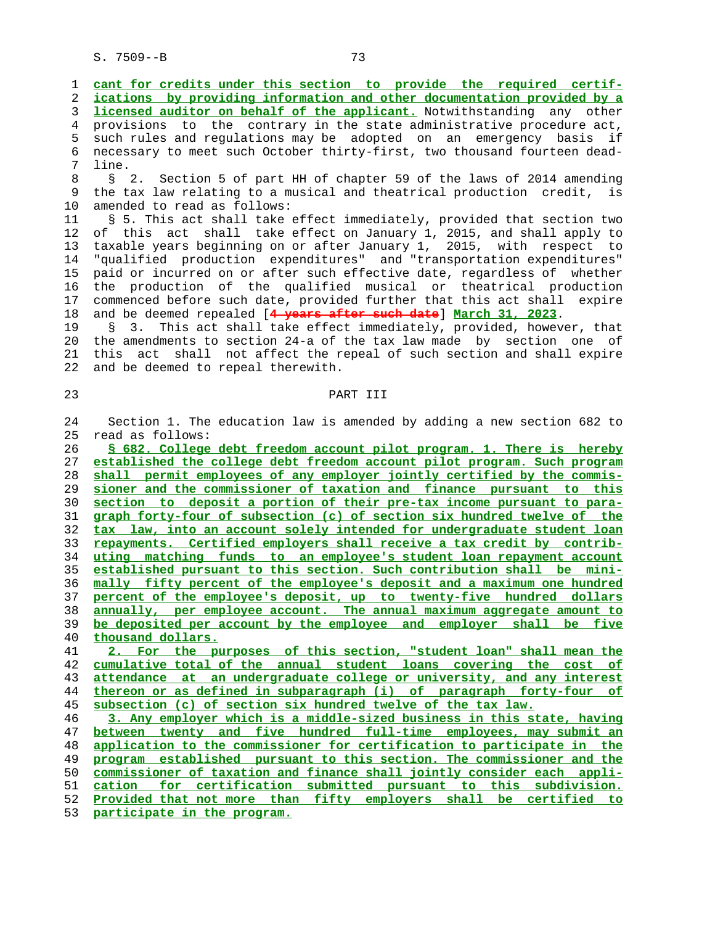1 **cant for credits under this section to provide the required certif-** 2 **ications by providing information and other documentation provided by a** 3 **licensed auditor on behalf of the applicant.** Notwithstanding any other 4 provisions to the contrary in the state administrative procedure act, 5 such rules and regulations may be adopted on an emergency basis if 6 necessary to meet such October thirty-first, two thousand fourteen dead- 7 line. 8 § 2. Section 5 of part HH of chapter 59 of the laws of 2014 amending<br>9 the tax law relating to a musical and theatrical production credit, is the tax law relating to a musical and theatrical production credit, is 10 amended to read as follows: 11 § 5. This act shall take effect immediately, provided that section two 12 of this act shall take effect on January 1, 2015, and shall apply to 13 taxable years beginning on or after January 1, 2015, with respect to 14 "qualified production expenditures" and "transportation expenditures" 15 paid or incurred on or after such effective date, regardless of whether 16 the production of the qualified musical or theatrical production 17 commenced before such date, provided further that this act shall expire 18 and be deemed repealed [**4 years after such date**] **March 31, 2023**. 19 § 3. This act shall take effect immediately, provided, however, that 20 the amendments to section 24-a of the tax law made by section one of 21 this act shall not affect the repeal of such section and shall expire 22 and be deemed to repeal therewith. 23 PART III 24 Section 1. The education law is amended by adding a new section 682 to 25 read as follows:

**§ 682. College debt freedom account pilot program. 1. There is hereby established the college debt freedom account pilot program. Such program shall permit employees of any employer jointly certified by the commis- sioner and the commissioner of taxation and finance pursuant to this section to deposit a portion of their pre-tax income pursuant to para- graph forty-four of subsection (c) of section six hundred twelve of the tax law, into an account solely intended for undergraduate student loan repayments. Certified employers shall receive a tax credit by contrib- uting matching funds to an employee's student loan repayment account established pursuant to this section. Such contribution shall be mini- mally fifty percent of the employee's deposit and a maximum one hundred percent of the employee's deposit, up to twenty-five hundred dollars annually, per employee account. The annual maximum aggregate amount to be deposited per account by the employee and employer shall be five thousand dollars. 2. For the purposes of this section, "student loan" shall mean the cumulative total of the annual student loans covering the cost of**

 43 **attendance at an undergraduate college or university, and any interest** 44 **thereon or as defined in subparagraph (i) of paragraph forty-four of** 45 **subsection (c) of section six hundred twelve of the tax law.**

**3. Any employer which is a middle-sized business in this state, having between twenty and five hundred full-time employees, may submit an application to the commissioner for certification to participate in the program established pursuant to this section. The commissioner and the commissioner of taxation and finance shall jointly consider each appli- cation for certification submitted pursuant to this subdivision. Provided that not more than fifty employers shall be certified to**

53 **participate in the program.**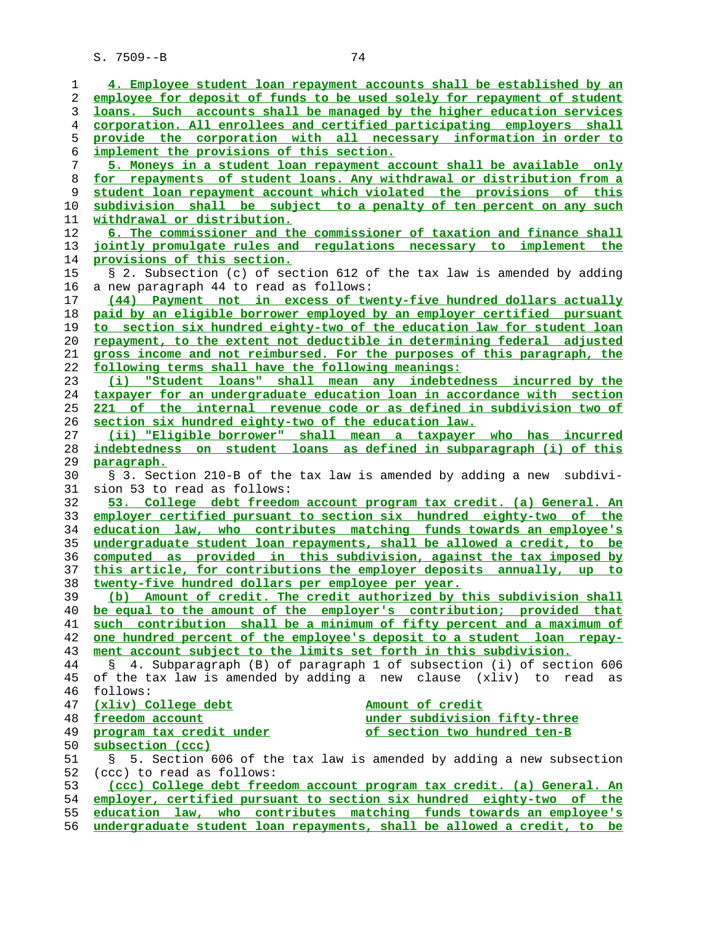| 1  | 4. Employee student loan repayment accounts shall be established by an    |
|----|---------------------------------------------------------------------------|
| 2  | employee for deposit of funds to be used solely for repayment of student  |
| 3  | loans. Such accounts shall be managed by the higher education services    |
| 4  | corporation. All enrollees and certified participating employers shall    |
| 5  | provide the corporation with all necessary information in order to        |
| 6  | implement the provisions of this section.                                 |
| 7  | 5. Moneys in a student loan repayment account shall be available only     |
| 8  | for repayments of student loans. Any withdrawal or distribution from a    |
| 9  | student loan repayment account which violated the provisions of this      |
| 10 | subdivision shall be subject to a penalty of ten percent on any such      |
| 11 | <u>withdrawal or distribution.</u>                                        |
| 12 | 6. The commissioner and the commissioner of taxation and finance shall    |
| 13 |                                                                           |
|    | jointly promulgate rules and regulations necessary to implement the       |
| 14 | provisions of this section.                                               |
| 15 | § 2. Subsection (c) of section 612 of the tax law is amended by adding    |
| 16 | a new paragraph 44 to read as follows:                                    |
| 17 | (44) Payment not in excess of twenty-five hundred dollars actually        |
| 18 | paid by an eligible borrower employed by an employer certified pursuant   |
| 19 | to section six hundred eighty-two of the education law for student loan   |
| 20 | repayment, to the extent not deductible in determining federal adjusted   |
| 21 | gross income and not reimbursed. For the purposes of this paragraph, the  |
| 22 | following terms shall have the following meanings:                        |
| 23 | "Student loans" shall mean any indebtedness incurred by the<br>(i)        |
| 24 | taxpayer for an undergraduate education loan in accordance with section   |
| 25 | 221 of the internal revenue code or as defined in subdivision two of      |
| 26 | section six hundred eighty-two of the education law.                      |
| 27 | (ii) "Eligible borrower" shall mean a taxpayer who has incurred           |
| 28 | indebtedness on student loans as defined in subparagraph (i) of this      |
| 29 | <u>paragraph.</u>                                                         |
| 30 | § 3. Section 210-B of the tax law is amended by adding a new subdivi-     |
| 31 | sion 53 to read as follows:                                               |
| 32 | 53. College debt freedom account program tax credit. (a) General. An      |
| 33 | employer certified pursuant to section six hundred eighty-two<br>of the   |
| 34 | education law, who contributes matching funds towards an employee's       |
| 35 | undergraduate student loan repayments, shall be allowed a credit, to be   |
| 36 | computed as provided in this subdivision, against the tax imposed by      |
| 37 | this article, for contributions the employer deposits annually, up to     |
| 38 | twenty-five hundred dollars per employee per year.                        |
| 39 | (b) Amount of credit. The credit authorized by this subdivision shall     |
| 40 | be equal to the amount of the employer's contribution; provided that      |
| 41 | such contribution shall be a minimum of fifty percent and a maximum of    |
| 42 | one hundred percent of the employee's deposit to a student loan repay-    |
| 43 | ment account subject to the limits set forth in this subdivision.         |
| 44 | § 4. Subparagraph (B) of paragraph 1 of subsection (i) of section 606     |
| 45 | of the tax law is amended by adding a new clause (xliv) to read as        |
| 46 | follows:                                                                  |
| 47 | (xliv) College debt<br>Amount of credit                                   |
| 48 | freedom account<br>under subdivision fifty-three                          |
| 49 | program tax credit under<br>of section two hundred ten-B                  |
| 50 | subsection (ccc)                                                          |
| 51 | 5. Section 606 of the tax law is amended by adding a new subsection<br>S. |
| 52 | (ccc) to read as follows:                                                 |
| 53 | (ccc) College debt freedom account program tax credit. (a) General. An    |
| 54 | employer, certified pursuant to section six hundred eighty-two of the     |
| 55 | education law, who contributes matching funds towards an employee's       |
| 56 | undergraduate student loan repayments, shall be allowed a credit, to be   |
|    |                                                                           |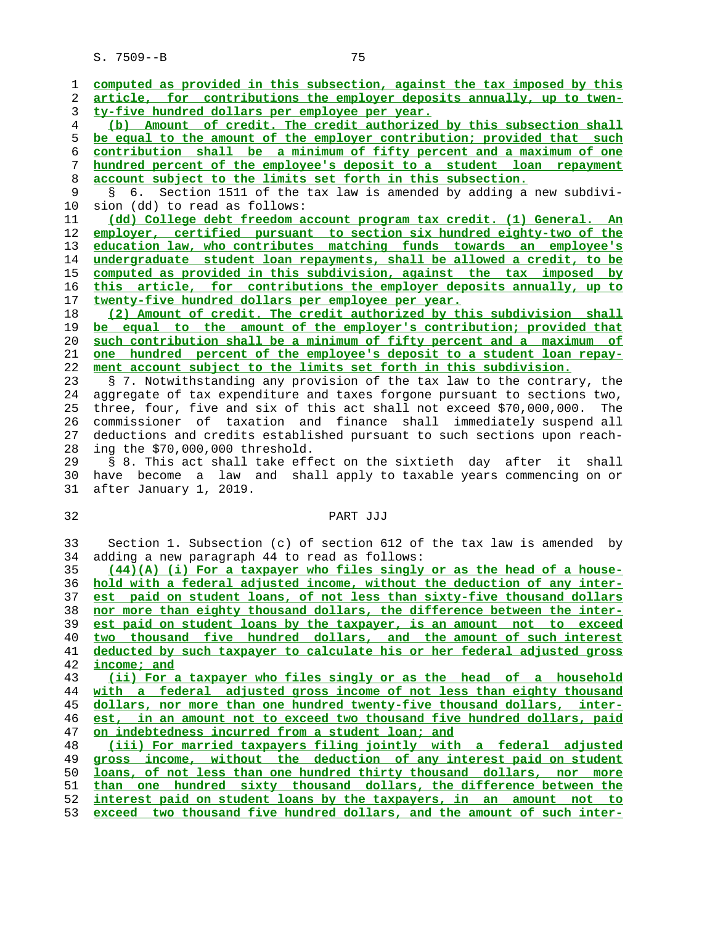| 1  | computed as provided in this subsection, against the tax imposed by this    |
|----|-----------------------------------------------------------------------------|
| 2  | article, for contributions the employer deposits annually, up to twen-      |
| 3  | ty-five hundred dollars per employee per year.                              |
| 4  | (b) Amount of credit. The credit authorized by this subsection shall        |
| 5  | be equal to the amount of the employer contribution; provided that such     |
| 6  | contribution shall be a minimum of fifty percent and a maximum of one       |
| 7  | hundred percent of the employee's deposit to a student loan repayment       |
| 8  | account subject to the limits set forth in this subsection.                 |
| 9  | Section 1511 of the tax law is amended by adding a new subdivi-<br>Ş.<br>6. |
|    |                                                                             |
| 10 | sion (dd) to read as follows:                                               |
| 11 | (dd) College debt freedom account program tax credit. (1) General. An       |
| 12 | employer, certified pursuant to section six hundred eighty-two of the       |
| 13 | education law, who contributes matching funds towards an employee's         |
| 14 | undergraduate student loan repayments, shall be allowed a credit, to be     |
| 15 | computed as provided in this subdivision, against the tax imposed by        |
| 16 | this article, for contributions the employer deposits annually, up to       |
| 17 | twenty-five hundred dollars per employee per year.                          |
| 18 | (2) Amount of credit. The credit authorized by this subdivision shall       |
| 19 | be equal to the amount of the employer's contribution; provided that        |
| 20 | such contribution shall be a minimum of fifty percent and a maximum of      |
| 21 | one hundred percent of the employee's deposit to a student loan repay-      |
| 22 | ment account subject to the limits set forth in this subdivision.           |
| 23 | § 7. Notwithstanding any provision of the tax law to the contrary, the      |
| 24 | aggregate of tax expenditure and taxes forgone pursuant to sections two,    |
| 25 | three, four, five and six of this act shall not exceed \$70,000,000.<br>The |
| 26 | commissioner of taxation and finance shall immediately suspend all          |
| 27 | deductions and credits established pursuant to such sections upon reach-    |
| 28 | ing the \$70,000,000 threshold.                                             |
| 29 | § 8. This act shall take effect on the sixtieth day after<br>it<br>shall    |
| 30 | have become a law and shall apply to taxable years commencing on or         |
| 31 | after January 1, 2019.                                                      |
|    |                                                                             |
| 32 | PART JJJ                                                                    |
|    |                                                                             |
| 33 | Section 1. Subsection (c) of section 612 of the tax law is amended by       |
| 34 | adding a new paragraph 44 to read as follows:                               |
| 35 | (44)(A) (i) For a taxpayer who files singly or as the head of a house-      |
| 36 | hold with a federal adjusted income, without the deduction of any inter-    |
| 37 | est paid on student loans, of not less than sixty-five thousand dollars     |
|    | nor more than eighty thousand dollars, the difference between the inter-    |
| 38 |                                                                             |
| 39 | est paid on student loans by the taxpayer, is an amount not to exceed       |
| 40 | two thousand five hundred dollars, and the amount of such interest          |
| 41 | deducted by such taxpayer to calculate his or her federal adjusted gross    |
| 42 | income; and                                                                 |
| 43 | (ii) For a taxpayer who files singly or as the head of a household          |
| 44 | with a federal adjusted gross income of not less than eighty thousand       |
| 45 | dollars, nor more than one hundred twenty-five thousand dollars, inter-     |
| 46 | in an amount not to exceed two thousand five hundred dollars, paid<br>est,  |
| 47 | on indebtedness incurred from a student loan; and                           |
| 48 | (iii) For married taxpayers filing jointly with a federal adjusted          |
| 49 | gross income, without the deduction of any interest paid on student         |
| 50 | loans, of not less than one hundred thirty thousand dollars, nor more       |
| 51 | than one hundred sixty thousand dollars, the difference between the         |
| 52 | interest paid on student loans by the taxpayers, in an amount not to        |
| 53 | exceed two thousand five hundred dollars, and the amount of such inter-     |
|    |                                                                             |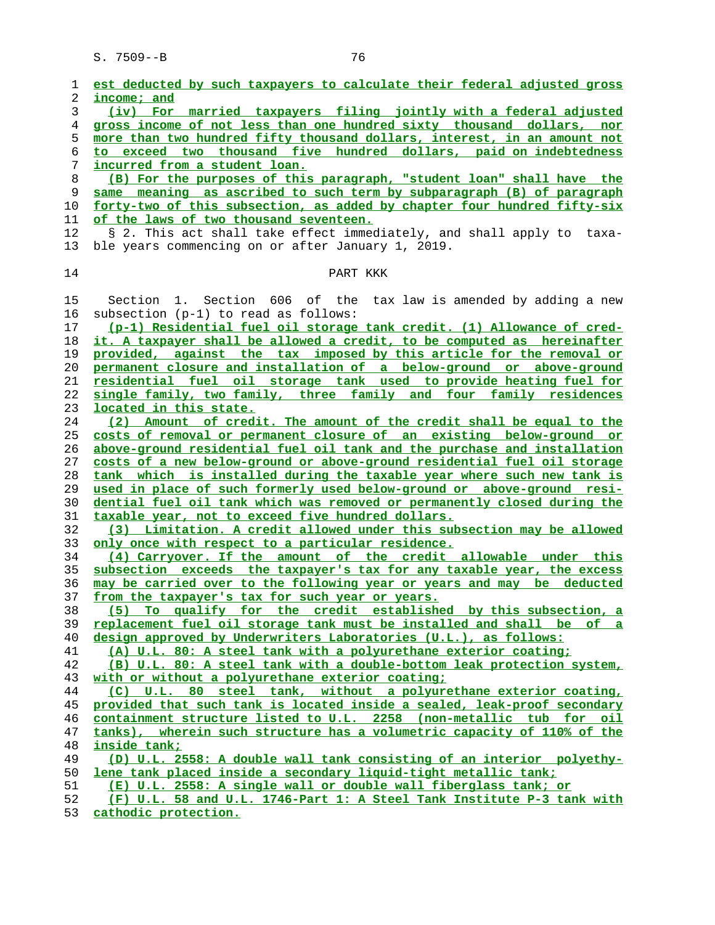| ı.       | est deducted by such taxpayers to calculate their federal adjusted gross   |
|----------|----------------------------------------------------------------------------|
| 2        | income; and                                                                |
| 3        | (iv) For married taxpayers filing jointly with a federal adjusted          |
| 4        | gross income of not less than one hundred sixty thousand dollars, nor      |
| 5        | more than two hundred fifty thousand dollars, interest, in an amount not   |
| 6        | to exceed two thousand five hundred dollars, paid on indebtedness          |
| 7        | <u>incurred from a student loan.</u>                                       |
| 8        | (B) For the purposes of this paragraph, "student loan" shall have the      |
| 9        | same meaning as ascribed to such term by subparagraph (B) of paragraph     |
| 10       | forty-two of this subsection, as added by chapter four hundred fifty-six   |
| 11       | of the laws of two thousand seventeen.                                     |
| 12       | § 2. This act shall take effect immediately, and shall apply to taxa-      |
| 13       | ble years commencing on or after January 1, 2019.                          |
|          |                                                                            |
| 14       | PART KKK                                                                   |
|          |                                                                            |
| 15       | Section 1. Section 606 of the tax law is amended by adding a new           |
| 16       | subsection (p-1) to read as follows:                                       |
| 17       | (p-1) Residential fuel oil storage tank credit. (1) Allowance of cred-     |
| 18       | it. A taxpayer shall be allowed a credit, to be computed as hereinafter    |
| 19       | provided, against the tax imposed by this article for the removal or       |
| 20       | permanent closure and installation of a below-ground or above-ground       |
| 21       | residential fuel oil storage tank used to provide heating fuel for         |
| 22       | single family, two family, three family and four family residences         |
| 23       | located in this state.                                                     |
| 24       | (2) Amount of credit. The amount of the credit shall be equal to the       |
|          | costs of removal or permanent closure of an existing below-ground or       |
| 25       |                                                                            |
| 26       | above-ground residential fuel oil tank and the purchase and installation   |
| 27       | costs of a new below-ground or above-ground residential fuel oil storage   |
| 28       | tank which is installed during the taxable year where such new tank is     |
| 29       | used in place of such formerly used below-ground or above-ground resi-     |
| 30<br>31 | dential fuel oil tank which was removed or permanently closed during the   |
|          | taxable year, not to exceed five hundred dollars.                          |
| 32       | (3) Limitation. A credit allowed under this subsection may be allowed      |
| 33       | only once with respect to a particular residence.                          |
| 34       | (4) Carryover. If the amount of the credit allowable under this            |
| 35       | subsection exceeds the taxpayer's tax for any taxable year, the excess     |
| 36       | may be carried over to the following year or years and may be deducted     |
| 37       | from the taxpayer's tax for such year or years.                            |
| 38       | (5) To qualify for the credit established by this subsection, a            |
| 39       | replacement fuel oil storage tank must be installed and shall be of a      |
| 40       | design approved by Underwriters Laboratories (U.L.), as follows:           |
| 41       | (A) U.L. 80: A steel tank with a polyurethane exterior coating;            |
| 42       | (B) U.L. 80: A steel tank with a double-bottom leak protection system,     |
| 43       | with or without a polyurethane exterior coating;                           |
| 44       | (C) U.L. 80 steel tank, without a polyurethane exterior coating,           |
| 45       | provided that such tank is located inside a sealed, leak-proof secondary   |
| 46       | <u>containment structure listed to U.L. 2258 (non-metallic tub for oil</u> |
| 47       | tanks), wherein such structure has a volumetric capacity of 110% of the    |
| 48       | inside tank;                                                               |
| 49       | (D) U.L. 2558: A double wall tank consisting of an interior polyethy-      |
| 50       | lene tank placed inside a secondary liquid-tight metallic tank;            |
| 51       | (E) U.L. 2558: A single wall or double wall fiberglass tank; or            |
| 52       | (F) U.L. 58 and U.L. 1746-Part 1: A Steel Tank Institute P-3 tank with     |
| 53       | cathodic protection.                                                       |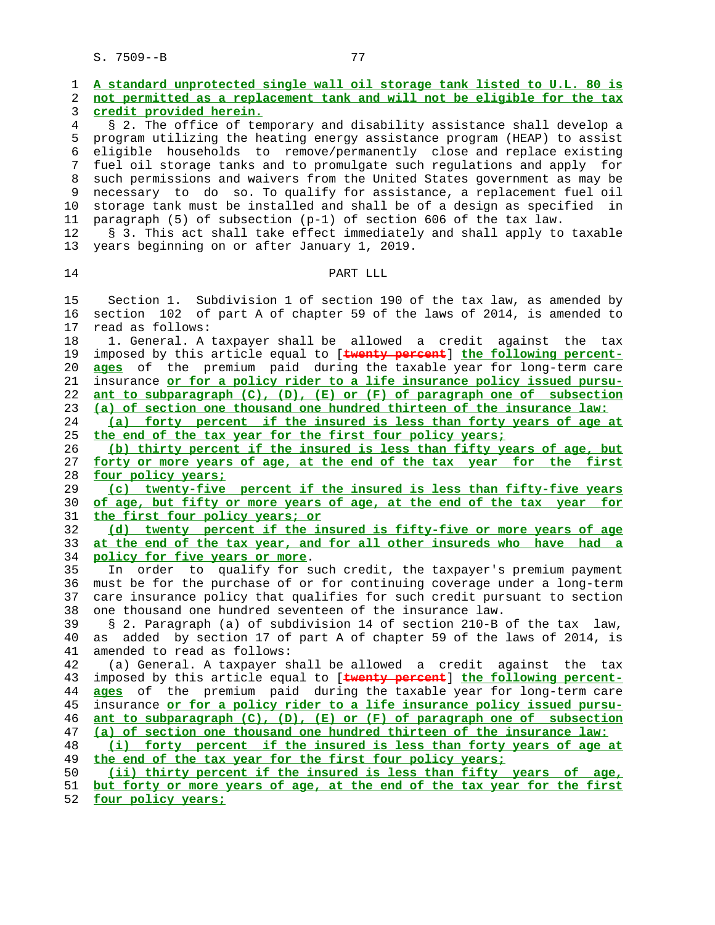| 3        | not permitted as a replacement tank and will not be eligible for the tax                       |
|----------|------------------------------------------------------------------------------------------------|
|          | credit provided herein.                                                                        |
| 4<br>5   | § 2. The office of temporary and disability assistance shall develop a                         |
|          | program utilizing the heating energy assistance program (HEAP) to assist                       |
|          | eligible households to remove/permanently close and replace existing                           |
|          | fuel oil storage tanks and to promulgate such regulations and apply for                        |
|          | such permissions and waivers from the United States government as may be                       |
|          | necessary to do so. To qualify for assistance, a replacement fuel oil                          |
| 10<br>11 | storage tank must be installed and shall be of a design as specified in                        |
|          | paragraph (5) of subsection (p-1) of section 606 of the tax law.                               |
|          | § 3. This act shall take effect immediately and shall apply to taxable                         |
| 13       | years beginning on or after January 1, 2019.                                                   |
|          | PART LLL                                                                                       |
|          | Section 1. Subdivision 1 of section 190 of the tax law, as amended by                          |
|          | section 102 of part A of chapter 59 of the laws of 2014, is amended to                         |
|          | read as follows:                                                                               |
|          | 1. General. A taxpayer shall be allowed a credit against the tax                               |
|          | imposed by this article equal to [twenty percent] the following percent-                       |
|          | ages of the premium paid during the taxable year for long-term care                            |
|          | insurance or for a policy rider to a life insurance policy issued pursu-                       |
|          | ant to subparagraph (C), (D), (E) or (F) of paragraph one of subsection                        |
|          | (a) of section one thousand one hundred thirteen of the insurance law:                         |
|          | (a) forty percent if the insured is less than forty years of age at                            |
|          | the end of the tax year for the first four policy years;                                       |
|          | (b) thirty percent if the insured is less than fifty years of age, but                         |
|          | forty or more years of age, at the end of the tax year for the first                           |
|          | four policy years:                                                                             |
|          |                                                                                                |
|          | (c) twenty-five percent if the insured is less than fifty-five years                           |
|          | of age, but fifty or more years of age, at the end of the tax year for                         |
|          | the first four policy years; or                                                                |
|          | (d) twenty percent if the insured is fifty-five or more years of age                           |
|          | at the end of the tax year, and for all other insureds who have had a                          |
|          | policy for five years or more.                                                                 |
|          | order to qualify for such credit, the taxpayer's premium payment<br>In                         |
|          | must be for the purchase of or for continuing coverage under a long-term                       |
|          | care insurance policy that qualifies for such credit pursuant to section                       |
|          | one thousand one hundred seventeen of the insurance law.                                       |
|          | § 2. Paragraph (a) of subdivision 14 of section 210-B of the tax law,                          |
|          | added by section 17 of part A of chapter 59 of the laws of 2014, is<br>as                      |
|          | amended to read as follows:                                                                    |
|          | (a) General. A taxpayer shall be allowed a credit against the tax                              |
|          | imposed by this article equal to [twenty percent] the following percent-                       |
|          | ages of the premium paid during the taxable year for long-term care                            |
|          | insurance or for a policy rider to a life insurance policy issued pursu-                       |
|          | ant to subparagraph (C), (D), (E) or (F) of paragraph one of subsection                        |
|          | (a) of section one thousand one hundred thirteen of the insurance law:                         |
|          | (i) forty percent if the insured is less than forty years of age at                            |
|          | the end of the tax year for the first four policy years;                                       |
|          | (ii) thirty percent if the insured is less than fifty years of age,                            |
|          | but forty or more years of age, at the end of the tax year for the first<br>four policy years; |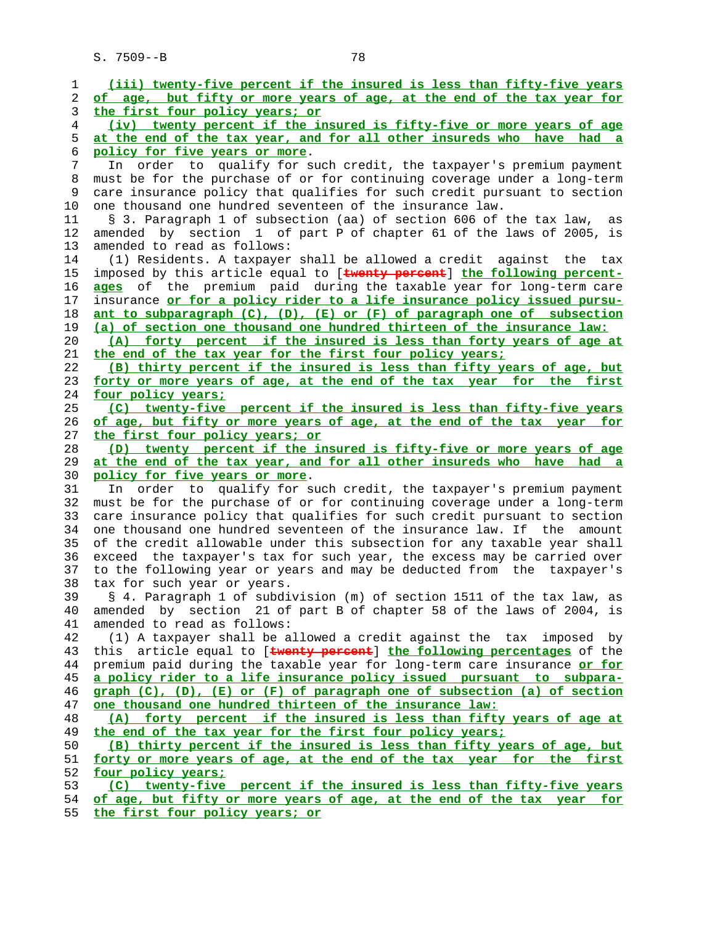| 1        |                                                                                                                                                |
|----------|------------------------------------------------------------------------------------------------------------------------------------------------|
|          | (iii) twenty-five percent if the insured is less than fifty-five years                                                                         |
| 2        | of age, but fifty or more years of age, at the end of the tax year for                                                                         |
| 3        | the first four policy years; or                                                                                                                |
| 4        | (iv) twenty percent if the insured is fifty-five or more years of age                                                                          |
| 5        | at the end of the tax year, and for all other insureds who have had a                                                                          |
| 6        | policy for five years or more.                                                                                                                 |
|          |                                                                                                                                                |
| 7        | order to qualify for such credit, the taxpayer's premium payment<br>In                                                                         |
| 8        | must be for the purchase of or for continuing coverage under a long-term                                                                       |
| 9        | care insurance policy that qualifies for such credit pursuant to section                                                                       |
| 10       | one thousand one hundred seventeen of the insurance law.                                                                                       |
| 11       | § 3. Paragraph 1 of subsection (aa) of section 606 of the tax law,<br>as                                                                       |
| 12       | amended by section 1 of part P of chapter 61 of the laws of 2005, is                                                                           |
| 13       | amended to read as follows:                                                                                                                    |
| 14       | (1) Residents. A taxpayer shall be allowed a credit against the<br>tax                                                                         |
|          |                                                                                                                                                |
| 15       | imposed by this article equal to [twenty percent] the following percent-                                                                       |
| 16       | ages of the premium paid during the taxable year for long-term care                                                                            |
| 17       | insurance or for a policy rider to a life insurance policy issued pursu-                                                                       |
| 18       | ant to subparagraph (C), (D), (E) or (F) of paragraph one of subsection                                                                        |
| 19       | (a) of section one thousand one hundred thirteen of the insurance law:                                                                         |
| 20       | forty percent if the insured is less than forty years of age at<br>(A)                                                                         |
| 21       | the end of the tax year for the first four policy years;                                                                                       |
| 22       | (B) thirty percent if the insured is less than fifty years of age, but                                                                         |
| 23       | forty or more years of age, at the end of the tax year for the first                                                                           |
| 24       | four policy years:                                                                                                                             |
| 25       | (C) twenty-five percent if the insured is less than fifty-five years                                                                           |
|          |                                                                                                                                                |
| 26       | of age, but fifty or more years of age, at the end of the tax year for                                                                         |
| 27       | the first four policy years; or                                                                                                                |
| 28       | twenty percent if the insured is fifty-five or more years of age<br>(D)                                                                        |
| 29       | at the end of the tax year, and for all other insureds who have had a                                                                          |
| 30       | policy for five years or more.                                                                                                                 |
|          |                                                                                                                                                |
| 31       | order to qualify for such credit, the taxpayer's premium payment<br>In                                                                         |
| 32       | must be for the purchase of or for continuing coverage under a long-term                                                                       |
| 33       |                                                                                                                                                |
|          | care insurance policy that qualifies for such credit pursuant to section                                                                       |
| 34       | one thousand one hundred seventeen of the insurance law. If the amount                                                                         |
| 35       | of the credit allowable under this subsection for any taxable year shall                                                                       |
| 36       | exceed the taxpayer's tax for such year, the excess may be carried over                                                                        |
| 37       | to the following year or years and may be deducted from the taxpayer's                                                                         |
| 38       | tax for such year or years.                                                                                                                    |
| 39       | § 4. Paragraph 1 of subdivision (m) of section 1511 of the tax law, as                                                                         |
| 40       | amended by section 21 of part B of chapter 58 of the laws of 2004, is                                                                          |
| 41       | amended to read as follows:                                                                                                                    |
| 42       | (1) A taxpayer shall be allowed a credit against the tax imposed by                                                                            |
| 43       | article equal to [twenty persent] the following percentages of the<br>this                                                                     |
|          |                                                                                                                                                |
| 44       | premium paid during the taxable year for long-term care insurance or for                                                                       |
| 45       | <u>a policy rider to a life insurance policy issued pursuant to subpara-</u>                                                                   |
| 46       | $graph (C)$ , $(D)$ , $(E)$ or $(F)$ of paragraph one of subsection (a) of section                                                             |
| 47       | one thousand one hundred thirteen of the insurance law:                                                                                        |
| 48       | (A) forty percent if the insured is less than fifty years of age at                                                                            |
| 49       | the end of the tax year for the first four policy years;                                                                                       |
| 50       | (B) thirty percent if the insured is less than fifty years of age, but                                                                         |
| 51       | forty or more years of age, at the end of the tax year for the first                                                                           |
| 52       | four policy years;                                                                                                                             |
| 53<br>54 | (C) twenty-five percent if the insured is less than fifty-five years<br>of age, but fifty or more years of age, at the end of the tax year for |

55 **the first four policy years; or**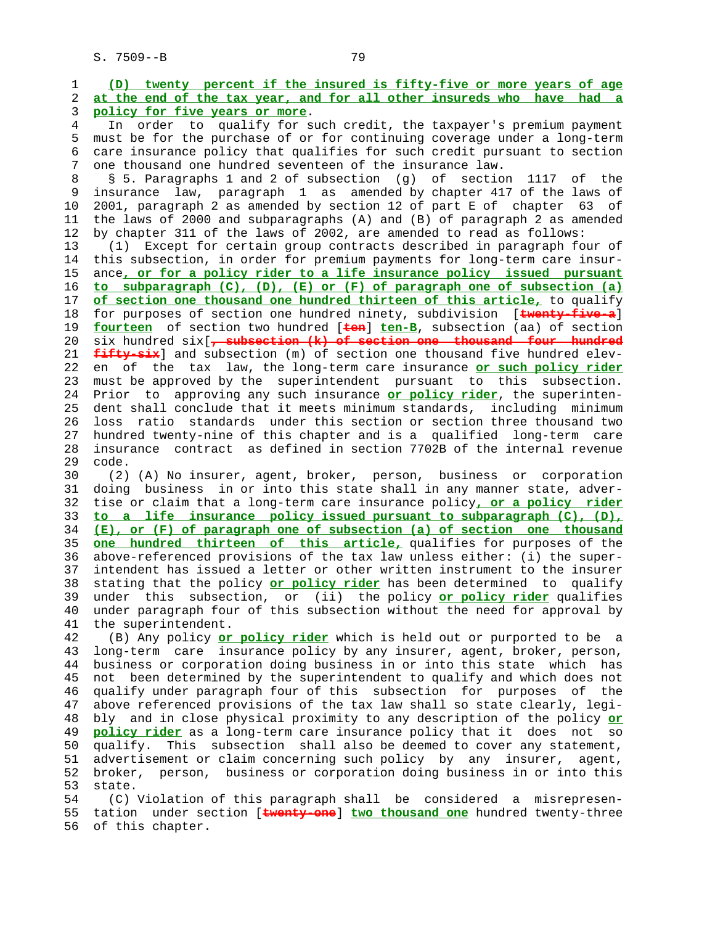1 **(D) twenty percent if the insured is fifty-five or more years of age** 2 **at the end of the tax year, and for all other insureds who have had a** 3 **policy for five years or more**. 4 In order to qualify for such credit, the taxpayer's premium payment 5 must be for the purchase of or for continuing coverage under a long-term 6 care insurance policy that qualifies for such credit pursuant to section 7 one thousand one hundred seventeen of the insurance law. 8 § 5. Paragraphs 1 and 2 of subsection (g) of section 1117 of the<br>9 insurance law, paragraph 1 as amended by chapter 417 of the laws of insurance law, paragraph 1 as amended by chapter 417 of the laws of 10 2001, paragraph 2 as amended by section 12 of part E of chapter 63 of 11 the laws of 2000 and subparagraphs (A) and (B) of paragraph 2 as amended 12 by chapter 311 of the laws of 2002, are amended to read as follows: 13 (1) Except for certain group contracts described in paragraph four of 14 this subsection, in order for premium payments for long-term care insur- 15 ance**, or for a policy rider to a life insurance policy issued pursuant** 16 **to subparagraph (C), (D), (E) or (F) of paragraph one of subsection (a)** 17 **of section one thousand one hundred thirteen of this article,** to qualify 18 for purposes of section one hundred ninety, subdivision [**twenty-five-a**] 19 **fourteen** of section two hundred [**ten**] **ten-B**, subsection (aa) of section 20 six hundred six[**, subsection (k) of section one thousand four hundred** 21 **fifty-six**] and subsection (m) of section one thousand five hundred elev- 22 en of the tax law, the long-term care insurance **or such policy rider** 23 must be approved by the superintendent pursuant to this subsection. 24 Prior to approving any such insurance **or policy rider**, the superinten- 25 dent shall conclude that it meets minimum standards, including minimum 26 loss ratio standards under this section or section three thousand two 27 hundred twenty-nine of this chapter and is a qualified long-term care 28 insurance contract as defined in section 7702B of the internal revenue 29 code. 30 (2) (A) No insurer, agent, broker, person, business or corporation 31 doing business in or into this state shall in any manner state, adver- 32 tise or claim that a long-term care insurance policy**, or a policy rider** 33 **to a life insurance policy issued pursuant to subparagraph (C), (D),** 34 **(E), or (F) of paragraph one of subsection (a) of section one thousand** 35 **one hundred thirteen of this article,** qualifies for purposes of the 36 above-referenced provisions of the tax law unless either: (i) the super- 37 intendent has issued a letter or other written instrument to the insurer 38 stating that the policy **or policy rider** has been determined to qualify 39 under this subsection, or (ii) the policy **or policy rider** qualifies 40 under paragraph four of this subsection without the need for approval by 41 the superintendent. 42 (B) Any policy **or policy rider** which is held out or purported to be a 43 long-term care insurance policy by any insurer, agent, broker, person, 44 business or corporation doing business in or into this state which has 45 not been determined by the superintendent to qualify and which does not 46 qualify under paragraph four of this subsection for purposes of the 47 above referenced provisions of the tax law shall so state clearly, legi- 48 bly and in close physical proximity to any description of the policy **or** 49 **policy rider** as a long-term care insurance policy that it does not so 50 qualify. This subsection shall also be deemed to cover any statement, 51 advertisement or claim concerning such policy by any insurer, agent, 52 broker, person, business or corporation doing business in or into this 53 state. 54 (C) Violation of this paragraph shall be considered a misrepresen- 55 tation under section [**twenty-one**] **two thousand one** hundred twenty-three 56 of this chapter.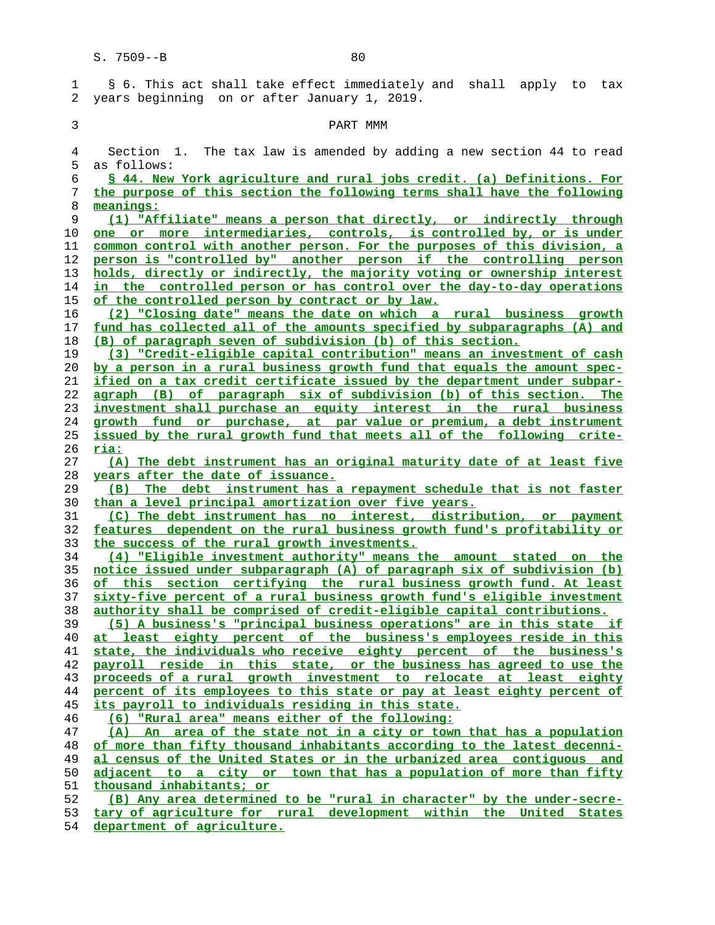1 § 6. This act shall take effect immediately and shall apply to tax 2 years beginning on or after January 1, 2019.

3 PART MMM

| $\overline{4}$ | Section 1. The tax law is amended by adding a new section 44 to read     |
|----------------|--------------------------------------------------------------------------|
| 5              | as follows:                                                              |
| 6              | § 44. New York agriculture and rural jobs credit. (a) Definitions. For   |
| 7              | the purpose of this section the following terms shall have the following |
| 8              | meanings:                                                                |
| 9              | (1) "Affiliate" means a person that directly, or indirectly through      |
| 10             | one or more intermediaries, controls, is controlled by, or is under      |
| 11             | common control with another person. For the purposes of this division, a |
| 12             | person is "controlled by" another person if the controlling person       |
| 13             | holds, directly or indirectly, the majority voting or ownership interest |
| 14             | in the controlled person or has control over the day-to-day operations   |
| 15             | of the controlled person by contract or by law.                          |
| 16             | (2) "Closing date" means the date on which a rural business growth       |
| 17             | fund has collected all of the amounts specified by subparagraphs (A) and |
| 18             | (B) of paragraph seven of subdivision (b) of this section.               |
| 19             | (3) "Credit-eligible capital contribution" means an investment of cash   |
| 20             | by a person in a rural business growth fund that equals the amount spec- |
| 21             | ified on a tax credit certificate issued by the department under subpar- |
| 22             | agraph (B) of paragraph six of subdivision (b) of this section. The      |
| 23             | investment shall purchase an equity interest in the rural business       |
| 24             | growth fund or purchase, at par value or premium, a debt instrument      |
| 25             | issued by the rural growth fund that meets all of the following crite-   |
| 26             | ria:                                                                     |
| 27             | (A) The debt instrument has an original maturity date of at least five   |
| 28             | <u>years after the date of issuance.</u>                                 |
| 29             | (B) The debt instrument has a repayment schedule that is not faster      |
| 30             | than a level principal amortization over five years.                     |
| 31             | (C) The debt instrument has no interest, distribution, or payment        |
| 32             | features dependent on the rural business growth fund's profitability or  |
| 33             | the success of the rural growth investments.                             |
| 34             | (4) "Eligible investment authority" means the amount stated on the       |
| 35             | notice issued under subparagraph (A) of paragraph six of subdivision (b) |
| 36             | of this section certifying the rural business growth fund. At least      |
| 37             | sixty-five percent of a rural business growth fund's eligible investment |
| 38             | authority shall be comprised of credit-eligible capital contributions.   |
| 39             | (5) A business's "principal business operations" are in this state if    |
| 40             | at least eighty percent of the business's employees reside in this       |
| 41             | state, the individuals who receive eighty percent of the business's      |
| 42             | payroll reside in this state, or the business has agreed to use the      |
| 43             | proceeds of a rural growth investment to relocate at least eighty        |
| 44             | percent of its employees to this state or pay at least eighty percent of |
| 45             | its payroll to individuals residing in this state.                       |
| 46             | (6) "Rural area" means either of the following:                          |
| 47             | (A) An area of the state not in a city or town that has a population     |
| 48             | of more than fifty thousand inhabitants according to the latest decenni- |
| 49             | al census of the United States or in the urbanized area contiguous and   |
| 50             | adjacent to a city or town that has a population of more than fifty      |
| 51             | thousand inhabitants; or                                                 |
| 52             | (B) Any area determined to be "rural in character" by the under-secre-   |
| 53             | tary of agriculture for rural development within the United States       |
|                |                                                                          |

**department of agriculture.**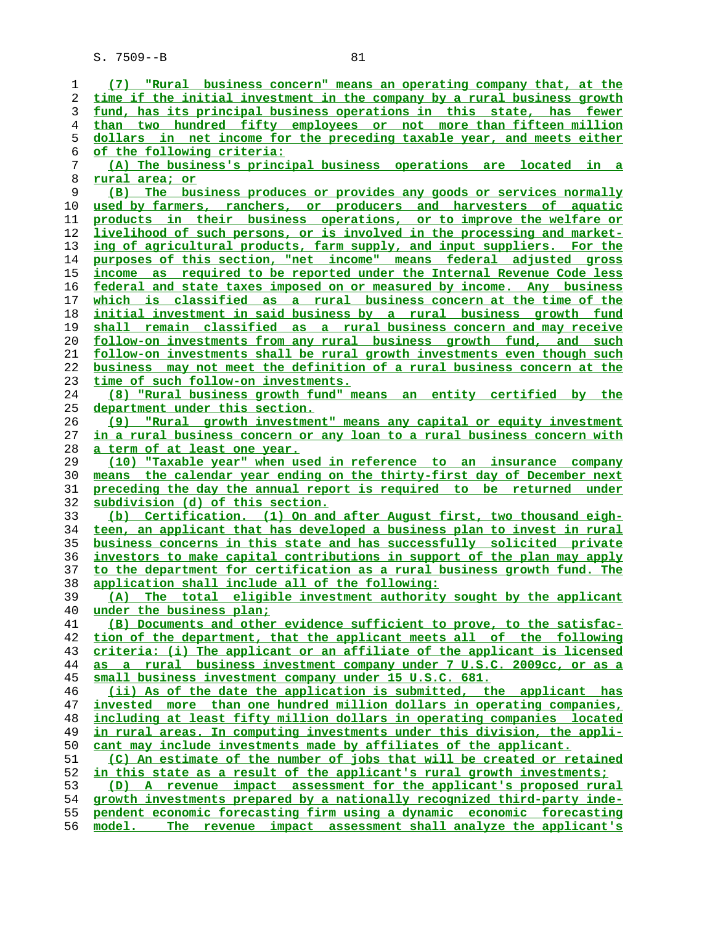| 1        | (7) "Rural business concern" means an operating company that, at the                                                            |
|----------|---------------------------------------------------------------------------------------------------------------------------------|
| 2        | time if the initial investment in the company by a rural business growth                                                        |
| 3        | fund, has its principal business operations in this state, has fewer                                                            |
| 4        | than two hundred fifty employees or not more than fifteen million                                                               |
| 5        | dollars in net income for the preceding taxable year, and meets either                                                          |
| 6        | of the following criteria:                                                                                                      |
| 7        | (A) The business's principal business operations are located in a                                                               |
| 8        | rural area; or                                                                                                                  |
| 9        | (B) The business produces or provides any goods or services normally                                                            |
| 10       | used by farmers, ranchers, or producers and harvesters of aquatic                                                               |
| 11       | products in their business operations, or to improve the welfare or                                                             |
| 12       | livelihood of such persons, or is involved in the processing and market-                                                        |
| 13       | ing of agricultural products, farm supply, and input suppliers. For the                                                         |
| 14       | purposes of this section, "net income" means federal adjusted gross                                                             |
| 15       | income as required to be reported under the Internal Revenue Code less                                                          |
| 16       | federal and state taxes imposed on or measured by income. Any business                                                          |
| 17       | which is classified as a rural business concern at the time of the                                                              |
| 18       | initial investment in said business by a rural business growth fund                                                             |
| 19       | shall remain classified as a rural business concern and may receive                                                             |
| 20       | follow-on investments from any rural business growth fund, and such                                                             |
| 21       | follow-on investments shall be rural growth investments even though such                                                        |
| 22       | business may not meet the definition of a rural business concern at the                                                         |
| 23       | time of such follow-on investments.                                                                                             |
| 24       | (8) "Rural business growth fund" means an entity certified by the                                                               |
| 25       | <u>department under this section.</u>                                                                                           |
| 26       | "Rural growth investment" means any capital or equity investment<br>(9)                                                         |
| 27       | in a rural business concern or any loan to a rural business concern with                                                        |
| 28       | a term of at least one year.                                                                                                    |
| 29       | (10) "Taxable year" when used in reference to an insurance company                                                              |
| 30       | means the calendar year ending on the thirty-first day of December next                                                         |
| 31       | preceding the day the annual report is required to be returned under                                                            |
| 32       | subdivision (d) of this section.                                                                                                |
| 33       | (b) Certification. (1) On and after August first, two thousand eigh-                                                            |
| 34       | teen, an applicant that has developed a business plan to invest in rural                                                        |
| 35       | <u>business concerns in this state and has successfully solicited private</u>                                                   |
| 36       | investors to make capital contributions in support of the plan may apply                                                        |
| 37       | to the department for certification as a rural business growth fund. The                                                        |
| 38       | application shall include all of the following:                                                                                 |
| 39       | The total eligible investment authority sought by the applicant<br>(A)                                                          |
| 40       | under the business plan;                                                                                                        |
| 41       | (B) Documents and other evidence sufficient to prove, to the satisfac-                                                          |
| 42       | tion of the department, that the applicant meets all of the following                                                           |
| 43       | criteria: (i) The applicant or an affiliate of the applicant is licensed                                                        |
| 44<br>45 | as a rural business investment company under 7 U.S.C. 2009cc, or as a<br>small business investment company under 15 U.S.C. 681. |
| 46       | (ii) As of the date the application is submitted, the applicant has                                                             |
| 47       | invested more than one hundred million dollars in operating companies,                                                          |
| 48       | including at least fifty million dollars in operating companies located                                                         |
| 49       | in rural areas. In computing investments under this division, the appli-                                                        |
| 50       | cant may include investments made by affiliates of the applicant.                                                               |
| 51       | (C) An estimate of the number of jobs that will be created or retained                                                          |
| 52       | in this state as a result of the applicant's rural growth investments;                                                          |
| 53       | (D) A revenue impact assessment for the applicant's proposed rural                                                              |
| 54       | growth investments prepared by a nationally recognized third-party inde-                                                        |
| 55       | pendent economic forecasting firm using a dynamic economic forecasting                                                          |
| 56       | The revenue impact assessment shall analyze the applicant's<br>model.                                                           |
|          |                                                                                                                                 |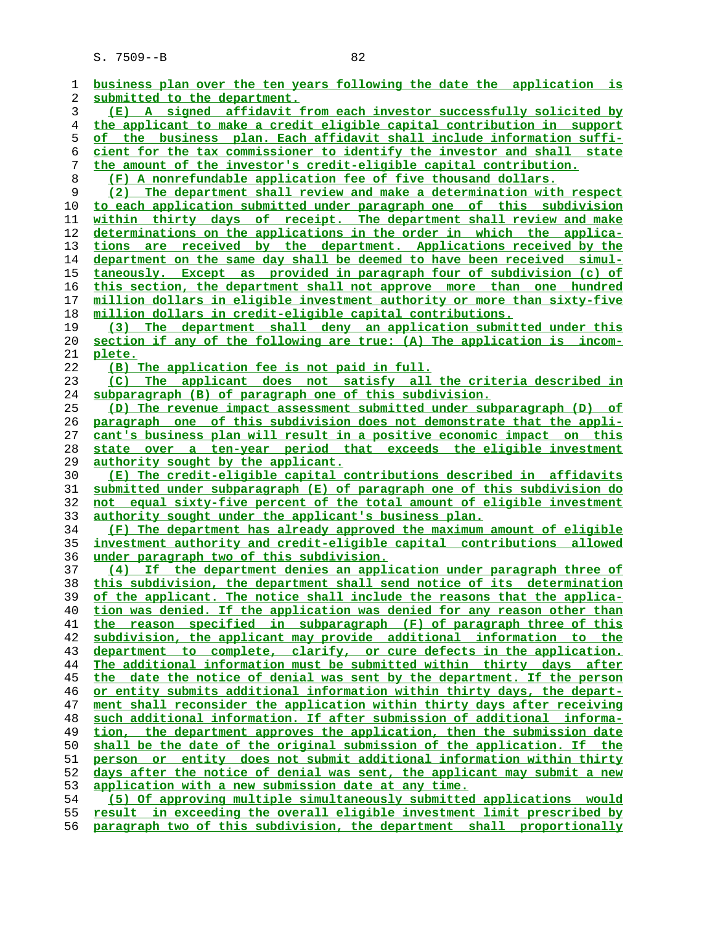| 1  | business plan over the ten years following the date the application is   |
|----|--------------------------------------------------------------------------|
| 2  | submitted to the department.                                             |
| 3  | (E) A signed affidavit from each investor successfully solicited by      |
| 4  | the applicant to make a credit eligible capital contribution in support  |
| 5  | of the business plan. Each affidavit shall include information suffi-    |
| 6  | cient for the tax commissioner to identify the investor and shall state  |
| 7  | the amount of the investor's credit-eligible capital contribution.       |
| 8  | (F) A nonrefundable application fee of five thousand dollars.            |
| 9  | (2) The department shall review and make a determination with respect    |
| 10 | to each application submitted under paragraph one of this subdivision    |
| 11 | within thirty days of receipt. The department shall review and make      |
| 12 | determinations on the applications in the order in which the applica-    |
| 13 | tions are received by the department. Applications received by the       |
| 14 | department on the same day shall be deemed to have been received simul-  |
| 15 | taneously. Except as provided in paragraph four of subdivision (c) of    |
| 16 | this section, the department shall not approve more than one hundred     |
| 17 | million dollars in eligible investment authority or more than sixty-five |
| 18 | million dollars in credit-eligible capital contributions.                |
| 19 | (3) The department shall deny an application submitted under this        |
|    | section if any of the following are true: (A) The application is incom-  |
| 20 |                                                                          |
| 21 | plete.                                                                   |
| 22 | (B) The application fee is not paid in full.                             |
| 23 | (C) The applicant does not satisfy all the criteria described in         |
| 24 | subparagraph (B) of paragraph one of this subdivision.                   |
| 25 | (D) The revenue impact assessment submitted under subparagraph (D) of    |
| 26 | paragraph one of this subdivision does not demonstrate that the appli-   |
| 27 | cant's business plan will result in a positive economic impact on this   |
| 28 | state over a ten-year period that exceeds the eligible investment        |
| 29 | authority sought by the applicant.                                       |
| 30 | (E) The credit-eligible capital contributions described in affidavits    |
| 31 | submitted under subparagraph (E) of paragraph one of this subdivision do |
| 32 | not equal sixty-five percent of the total amount of eligible investment  |
| 33 | authority sought under the applicant's business plan.                    |
| 34 | (F) The department has already approved the maximum amount of eligible   |
| 35 | investment authority and credit-eligible capital contributions allowed   |
| 36 | under paragraph two of this subdivision.                                 |
| 37 | (4) If the department denies an application under paragraph three of     |
| 38 | this subdivision, the department shall send notice of its determination  |
| 39 | of the applicant. The notice shall include the reasons that the applica- |
| 40 | tion was denied. If the application was denied for any reason other than |
| 41 | the reason specified in subparagraph (F) of paragraph three of this      |
| 42 | subdivision, the applicant may provide additional information to the     |
| 43 | department to complete, clarify, or cure defects in the application.     |
| 44 | The additional information must be submitted within thirty days after    |
| 45 | the date the notice of denial was sent by the department. If the person  |
| 46 | or entity submits additional information within thirty days, the depart- |
| 47 | ment shall reconsider the application within thirty days after receiving |
| 48 | such additional information. If after submission of additional informa-  |
| 49 | tion, the department approves the application, then the submission date  |
| 50 | shall be the date of the original submission of the application. If the  |
| 51 | person or entity does not submit additional information within thirty    |
| 52 | days after the notice of denial was sent, the applicant may submit a new |
| 53 | application with a new submission date at any time.                      |
| 54 |                                                                          |
|    | (5) Of approving multiple simultaneously submitted applications would    |
| 55 | result in exceeding the overall eligible investment limit prescribed by  |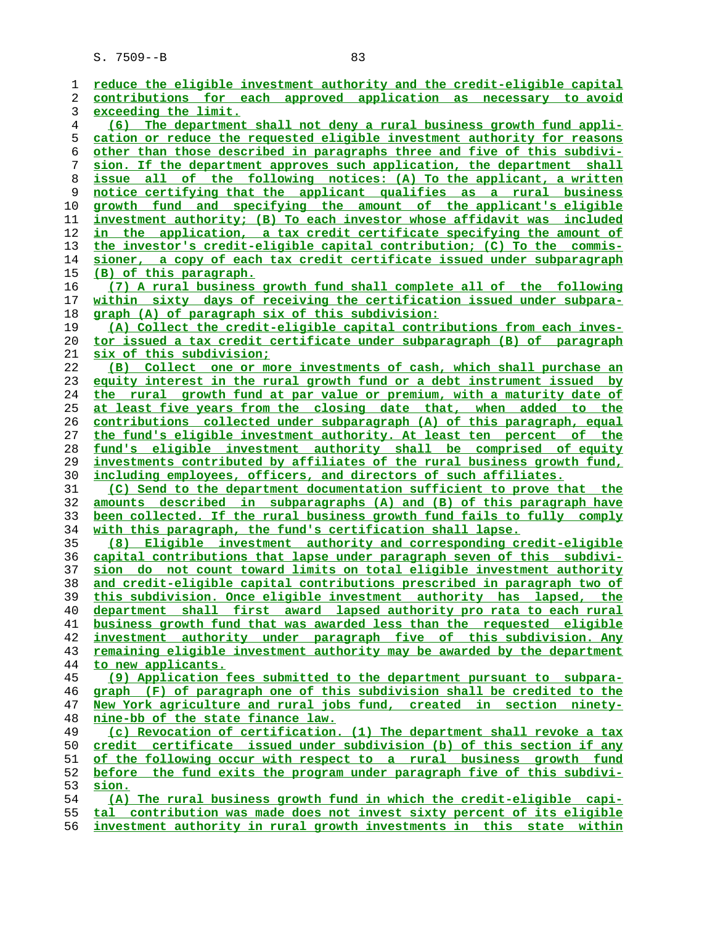| 1  | reduce the eligible investment authority and the credit-eligible capital  |
|----|---------------------------------------------------------------------------|
|    |                                                                           |
| 2  | contributions for each approved application as necessary to avoid         |
| 3  | exceeding the limit.                                                      |
| 4  | (6) The department shall not deny a rural business growth fund appli-     |
| 5  | cation or reduce the requested eligible investment authority for reasons  |
| 6  | other than those described in paragraphs three and five of this subdivi-  |
| 7  | sion. If the department approves such application, the department shall   |
| 8  | issue all of the following notices: (A) To the applicant, a written       |
| 9  | notice certifying that the applicant qualifies as a rural business        |
| 10 | and specifying the amount of the applicant's eligible<br>growth fund      |
|    | investment authority; (B) To each investor whose affidavit was included   |
| 11 |                                                                           |
| 12 | application, a tax credit certificate specifying the amount of<br>in the  |
| 13 | the investor's credit-eligible capital contribution; (C) To the commis-   |
| 14 | sioner, a copy of each tax credit certificate issued under subparagraph   |
| 15 | (B) of this paragraph.                                                    |
| 16 | (7) A rural business growth fund shall complete all of the following      |
| 17 | within sixty days of receiving the certification issued under subpara-    |
| 18 | graph (A) of paragraph six of this subdivision:                           |
| 19 | (A) Collect the credit-eligible capital contributions from each inves-    |
| 20 | tor issued a tax credit certificate under subparagraph (B) of paragraph   |
| 21 | six of this subdivision;                                                  |
| 22 | (B) Collect one or more investments of cash, which shall purchase an      |
| 23 | equity interest in the rural growth fund or a debt instrument issued by   |
| 24 | the rural growth fund at par value or premium, with a maturity date of    |
| 25 | <u>at least five years from the closing date that, when added to the </u> |
| 26 | contributions collected under subparagraph (A) of this paragraph, equal   |
|    |                                                                           |
| 27 | the fund's eligible investment authority. At least ten percent of the     |
| 28 | fund's eligible investment authority shall be comprised of equity         |
| 29 | investments contributed by affiliates of the rural business growth fund,  |
| 30 | including employees, officers, and directors of such affiliates.          |
| 31 | (C) Send to the department documentation sufficient to prove that the     |
| 32 | amounts described in subparagraphs (A) and (B) of this paragraph have     |
| 33 | been collected. If the rural business growth fund fails to fully comply   |
| 34 | with this paragraph, the fund's certification shall lapse.                |
| 35 | (8) Eligible investment authority and corresponding credit-eligible       |
| 36 | capital contributions that lapse under paragraph seven of this subdivi-   |
| 37 | sion do not count toward limits on total eligible investment authority    |
| 38 | and credit-eligible capital contributions prescribed in paragraph two of  |
| 39 | this subdivision. Once eligible investment authority has lapsed, the      |
| 40 | department shall first award lapsed authority pro rata to each rural      |
| 41 | business growth fund that was awarded less than the requested eligible    |
| 42 | investment authority under paragraph five of this subdivision. Any        |
| 43 | remaining eligible investment authority may be awarded by the department  |
| 44 | to new applicants.                                                        |
| 45 | (9) Application fees submitted to the department pursuant to subpara-     |
| 46 | graph (F) of paragraph one of this subdivision shall be credited to the   |
| 47 | New York agriculture and rural jobs fund, created in section ninety-      |
| 48 | nine-bb of the state finance law.                                         |
| 49 | (c) Revocation of certification. (1) The department shall revoke a tax    |
| 50 | credit certificate issued under subdivision (b) of this section if any    |
| 51 | of the following occur with respect to a rural business growth fund       |
|    |                                                                           |
| 52 | before the fund exits the program under paragraph five of this subdivi-   |
| 53 | sion.                                                                     |
| 54 | (A) The rural business growth fund in which the credit-eligible capi-     |
| 55 | tal contribution was made does not invest sixty percent of its eligible   |
| 56 | investment authority in rural growth investments in this state within     |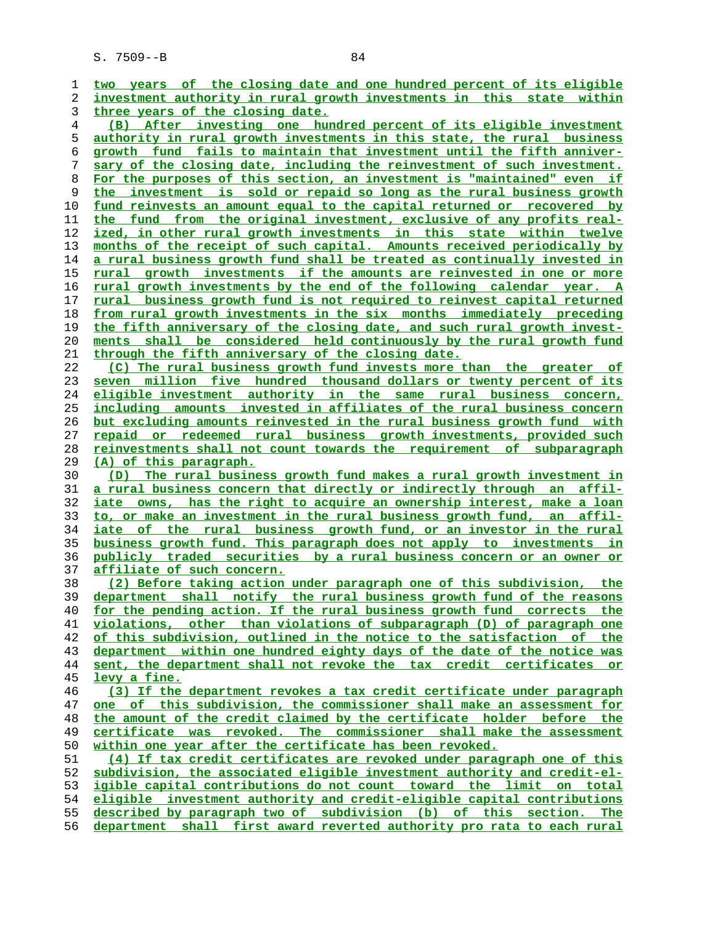|          | two years of the closing date and one hundred percent of its eligible                                                                        |
|----------|----------------------------------------------------------------------------------------------------------------------------------------------|
| 1        |                                                                                                                                              |
| 2        | investment authority in rural growth investments in this state within                                                                        |
| 3        | three years of the closing date.                                                                                                             |
| 4        | (B) After investing one hundred percent of its eligible investment                                                                           |
| 5        | authority in rural growth investments in this state, the rural business                                                                      |
| 6        | growth fund fails to maintain that investment until the fifth anniver-                                                                       |
| 7        | sary of the closing date, including the reinvestment of such investment.                                                                     |
| 8        | For the purposes of this section, an investment is "maintained" even if                                                                      |
| 9        | the investment is sold or repaid so long as the rural business growth                                                                        |
| 10       | <u>fund reinvests an amount equal to the capital returned or recovered by</u>                                                                |
| 11       | the fund from the original investment, exclusive of any profits real-                                                                        |
| 12       | ized, in other rural growth investments in this state within twelve                                                                          |
| 13       | months of the receipt of such capital. Amounts received periodically by                                                                      |
| 14       | a rural business growth fund shall be treated as continually invested in                                                                     |
| 15       | <u>rural growth investments if the amounts are reinvested in one or more</u>                                                                 |
| 16       | rural growth investments by the end of the following calendar year. A                                                                        |
| 17       | rural business growth fund is not required to reinvest capital returned                                                                      |
| 18       | from rural growth investments in the six months immediately preceding                                                                        |
| 19       | the fifth anniversary of the closing date, and such rural growth invest-                                                                     |
| 20       | ments shall be considered held continuously by the rural growth fund                                                                         |
| 21       | through the fifth anniversary of the closing date.                                                                                           |
| 22       | (C) The rural business growth fund invests more than the greater of                                                                          |
| 23       | seven million five hundred thousand dollars or twenty percent of its                                                                         |
| 24       | eligible investment authority in the same rural business concern,                                                                            |
| 25       | including amounts invested in affiliates of the rural business concern                                                                       |
| 26       |                                                                                                                                              |
|          | <u>but excluding amounts reinvested in the rural business growth fund with</u>                                                               |
| 27       | <u>repaid or redeemed rural business growth investments, provided such</u>                                                                   |
| 28       | reinvestments shall not count towards the requirement of subparagraph                                                                        |
| 29       | (A) of this paragraph.                                                                                                                       |
| 30       | The rural business growth fund makes a rural growth investment in<br>(D)                                                                     |
| 31       | a rural business concern that directly or indirectly through an affil-                                                                       |
| 32       | iate owns, has the right to acquire an ownership interest, make a loan                                                                       |
| 33       | to, or make an investment in the rural business growth fund, an affil-                                                                       |
| 34       | iate of the rural business growth fund, or an investor in the rural                                                                          |
| 35       | business growth fund. This paragraph does not apply to investments in                                                                        |
| 36       | publicly traded securities by a rural business concern or an owner or                                                                        |
| 37       | <u>affiliate of such concern.</u>                                                                                                            |
| 38       | (2) Before taking action under paragraph one of this subdivision, the                                                                        |
| 39       | department shall notify the rural business growth fund of the reasons                                                                        |
| 40       | for the pending action. If the rural business growth fund corrects the                                                                       |
| 41       | violations, other than violations of subparagraph (D) of paragraph one                                                                       |
| 42       | of this subdivision, outlined in the notice to the satisfaction of the                                                                       |
| 43       | department within one hundred eighty days of the date of the notice was                                                                      |
| 44       | sent, the department shall not revoke the tax credit certificates or                                                                         |
| 45       | levy a fine.                                                                                                                                 |
| 46       | (3) If the department revokes a tax credit certificate under paragraph                                                                       |
| 47       | one of this subdivision, the commissioner shall make an assessment for                                                                       |
| 48       |                                                                                                                                              |
|          | the amount of the credit claimed by the certificate holder before the                                                                        |
| 49       | certificate was revoked. The commissioner shall make the assessment                                                                          |
| 50       | within one year after the certificate has been revoked.                                                                                      |
| 51       | (4) If tax credit certificates are revoked under paragraph one of this                                                                       |
| 52       | subdivision, the associated eligible investment authority and credit-el-                                                                     |
| 53       | igible capital contributions do not count toward the limit on total                                                                          |
| 54       | eligible investment authority and credit-eligible capital contributions                                                                      |
| 55<br>56 | described by paragraph two of subdivision (b) of this section. The<br>department shall first award reverted authority pro rata to each rural |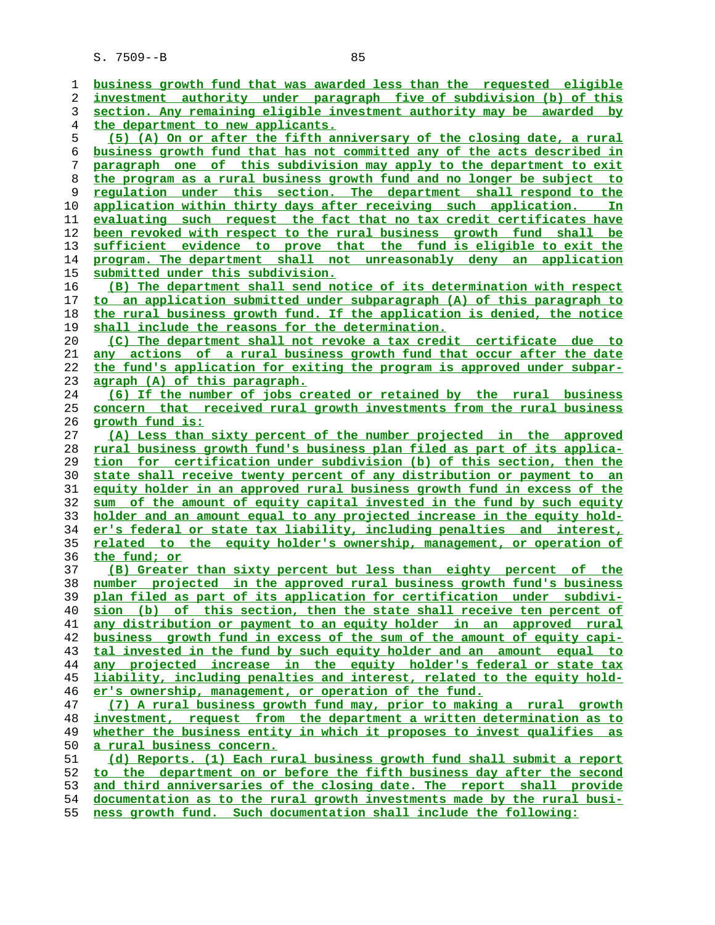**business growth fund that was awarded less than the requested eligible investment authority under paragraph five of subdivision (b) of this section. Any remaining eligible investment authority may be awarded by the department to new applicants. (5) (A) On or after the fifth anniversary of the closing date, a rural business growth fund that has not committed any of the acts described in paragraph one of this subdivision may apply to the department to exit the program as a rural business growth fund and no longer be subject to regulation under this section. The department shall respond to the application within thirty days after receiving such application. In evaluating such request the fact that no tax credit certificates have been revoked with respect to the rural business growth fund shall be sufficient evidence to prove that the fund is eligible to exit the program. The department shall not unreasonably deny an application submitted under this subdivision. (B) The department shall send notice of its determination with respect to an application submitted under subparagraph (A) of this paragraph to the rural business growth fund. If the application is denied, the notice shall include the reasons for the determination. (C) The department shall not revoke a tax credit certificate due to any actions of a rural business growth fund that occur after the date the fund's application for exiting the program is approved under subpar- agraph (A) of this paragraph. (6) If the number of jobs created or retained by the rural business concern that received rural growth investments from the rural business growth fund is: (A) Less than sixty percent of the number projected in the approved rural business growth fund's business plan filed as part of its applica- tion for certification under subdivision (b) of this section, then the state shall receive twenty percent of any distribution or payment to an equity holder in an approved rural business growth fund in excess of the sum of the amount of equity capital invested in the fund by such equity holder and an amount equal to any projected increase in the equity hold- er's federal or state tax liability, including penalties and interest, related to the equity holder's ownership, management, or operation of the fund; or (B) Greater than sixty percent but less than eighty percent of the number projected in the approved rural business growth fund's business plan filed as part of its application for certification under subdivi- sion (b) of this section, then the state shall receive ten percent of any distribution or payment to an equity holder in an approved rural business growth fund in excess of the sum of the amount of equity capi- tal invested in the fund by such equity holder and an amount equal to any projected increase in the equity holder's federal or state tax liability, including penalties and interest, related to the equity hold- er's ownership, management, or operation of the fund. (7) A rural business growth fund may, prior to making a rural growth investment, request from the department a written determination as to whether the business entity in which it proposes to invest qualifies as a rural business concern. (d) Reports. (1) Each rural business growth fund shall submit a report to the department on or before the fifth business day after the second and third anniversaries of the closing date. The report shall provide documentation as to the rural growth investments made by the rural busi- ness growth fund. Such documentation shall include the following:**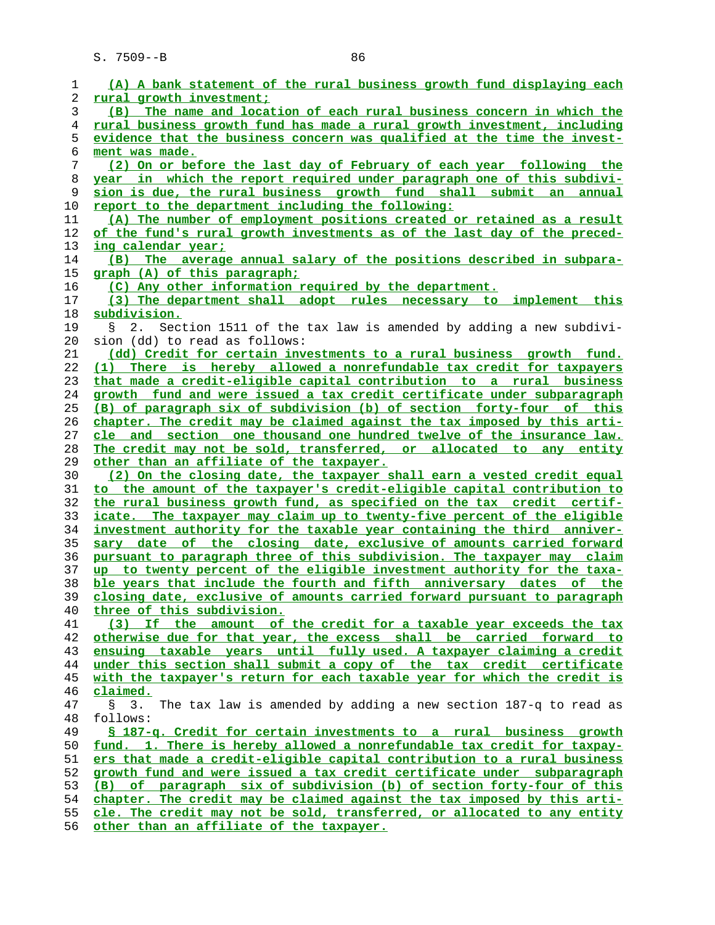| 1  | (A) A bank statement of the rural business growth fund displaying each                 |
|----|----------------------------------------------------------------------------------------|
| 2  | rural growth investment;                                                               |
| 3  | The name and location of each rural business concern in which the<br>(B)               |
| 4  | rural business growth fund has made a rural growth investment, including               |
| 5  | evidence that the business concern was qualified at the time the invest-               |
| 6  | ment was made.                                                                         |
| 7  | (2) On or before the last day of February of each year following the                   |
| 8  | year in which the report required under paragraph one of this subdivi-                 |
| 9  | sion is due, the rural business growth fund shall submit an annual                     |
| 10 | report to the department including the following:                                      |
|    |                                                                                        |
| 11 | (A) The number of employment positions created or retained as a result                 |
| 12 | of the fund's rural growth investments as of the last day of the preced-               |
| 13 | ing calendar year;                                                                     |
| 14 | (B) The average annual salary of the positions described in subpara-                   |
| 15 | graph (A) of this paragraph;                                                           |
| 16 | (C) Any other information required by the department.                                  |
| 17 | (3) The department shall adopt rules necessary to implement this                       |
| 18 | subdivision.                                                                           |
| 19 | 2.<br>Section 1511 of the tax law is amended by adding a new subdivi-<br>S             |
| 20 | sion (dd) to read as follows:                                                          |
| 21 | (dd) Credit for certain investments to a rural business growth fund.                   |
| 22 | There is hereby allowed a nonrefundable tax credit for taxpayers<br>(1)                |
| 23 | that made a credit-eligible capital contribution to a rural business                   |
| 24 | growth fund and were issued a tax credit certificate under subparagraph                |
| 25 | (B) of paragraph six of subdivision (b) of section forty-four of this                  |
| 26 | chapter. The credit may be claimed against the tax imposed by this arti-               |
| 27 | cle and section one thousand one hundred twelve of the insurance law.                  |
| 28 | The credit may not be sold, transferred, or allocated to any<br>entity                 |
| 29 | other than an affiliate of the taxpayer.                                               |
| 30 | (2) On the closing date, the taxpayer shall earn a vested credit equal                 |
|    |                                                                                        |
| 31 | to the amount of the taxpayer's credit-eligible capital contribution to                |
| 32 | the rural business growth fund, as specified on the tax credit certif-                 |
| 33 | icate. The taxpayer may claim up to twenty-five percent of the eligible                |
| 34 | investment authority for the taxable year containing the third anniver-                |
| 35 | sary date of the closing date, exclusive of amounts carried forward                    |
| 36 | pursuant to paragraph three of this subdivision. The taxpayer may claim                |
| 37 | up to twenty percent of the eligible investment authority for the taxa-                |
| 38 | ble years that include the fourth and fifth anniversary dates of the                   |
| 39 | closing date, exclusive of amounts carried forward pursuant to paragraph               |
| 40 | three of this subdivision.                                                             |
| 41 | (3) If the amount of the credit for a taxable year exceeds the tax                     |
| 42 | otherwise due for that year, the excess shall be carried forward to                    |
| 43 | ensuing taxable years until fully used. A taxpayer claiming a credit                   |
| 44 | under this section shall submit a copy of the tax credit certificate                   |
| 45 | with the taxpayer's return for each taxable year for which the credit is               |
| 46 | claimed.                                                                               |
| 47 | The tax law is amended by adding a new section 187-q to read as<br>$\mathcal{S}$<br>3. |
| 48 | follows:                                                                               |
| 49 | § 187-g. Credit for certain investments to a rural business growth                     |
| 50 | fund. 1. There is hereby allowed a nonrefundable tax credit for taxpay-                |
| 51 | ers that made a credit-eligible capital contribution to a rural business               |
| 52 | growth fund and were issued a tax credit certificate under subparagraph                |
| 53 | of paragraph six of subdivision (b) of section forty-four of this<br>(B)               |
| 54 | chapter. The credit may be claimed against the tax imposed by this arti-               |
| 55 | cle. The credit may not be sold, transferred, or allocated to any entity               |
|    |                                                                                        |
| 56 | other than an affiliate of the taxpayer.                                               |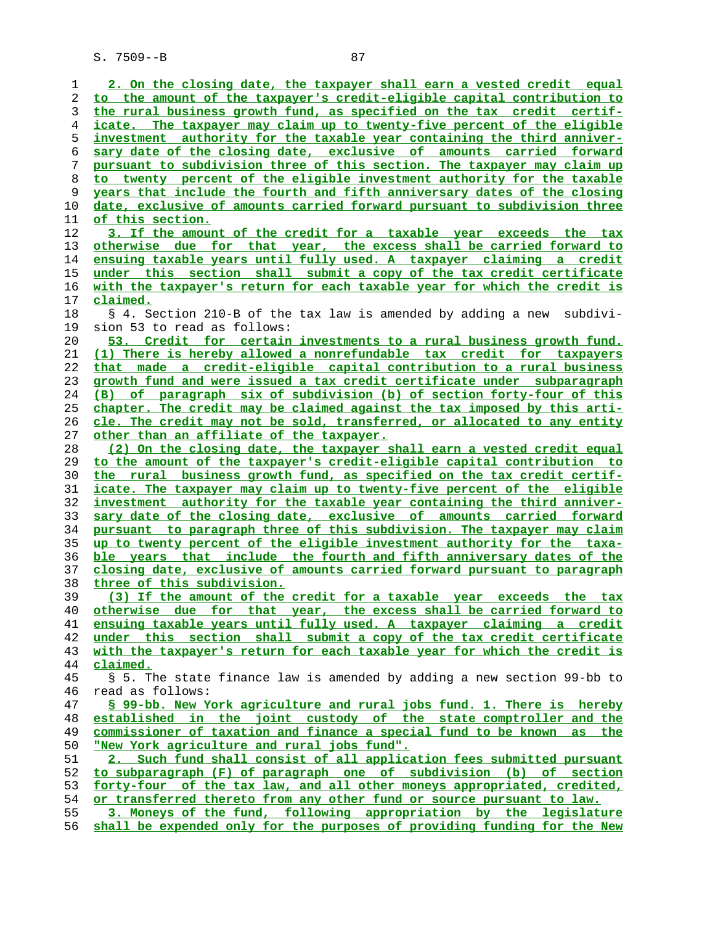**2. On the closing date, the taxpayer shall earn a vested credit equal to the amount of the taxpayer's credit-eligible capital contribution to the rural business growth fund, as specified on the tax credit certif- icate. The taxpayer may claim up to twenty-five percent of the eligible investment authority for the taxable year containing the third anniver- sary date of the closing date, exclusive of amounts carried forward pursuant to subdivision three of this section. The taxpayer may claim up to twenty percent of the eligible investment authority for the taxable years that include the fourth and fifth anniversary dates of the closing date, exclusive of amounts carried forward pursuant to subdivision three of this section. 3. If the amount of the credit for a taxable year exceeds the tax otherwise due for that year, the excess shall be carried forward to ensuing taxable years until fully used. A taxpayer claiming a credit under this section shall submit a copy of the tax credit certificate with the taxpayer's return for each taxable year for which the credit is claimed.** 18 § 4. Section 210-B of the tax law is amended by adding a new subdivi- 19 sion 53 to read as follows: **53. Credit for certain investments to a rural business growth fund. (1) There is hereby allowed a nonrefundable tax credit for taxpayers that made a credit-eligible capital contribution to a rural business growth fund and were issued a tax credit certificate under subparagraph (B) of paragraph six of subdivision (b) of section forty-four of this chapter. The credit may be claimed against the tax imposed by this arti- cle. The credit may not be sold, transferred, or allocated to any entity other than an affiliate of the taxpayer. (2) On the closing date, the taxpayer shall earn a vested credit equal to the amount of the taxpayer's credit-eligible capital contribution to the rural business growth fund, as specified on the tax credit certif- icate. The taxpayer may claim up to twenty-five percent of the eligible investment authority for the taxable year containing the third anniver- sary date of the closing date, exclusive of amounts carried forward pursuant to paragraph three of this subdivision. The taxpayer may claim up to twenty percent of the eligible investment authority for the taxa- ble years that include the fourth and fifth anniversary dates of the closing date, exclusive of amounts carried forward pursuant to paragraph three of this subdivision. (3) If the amount of the credit for a taxable year exceeds the tax otherwise due for that year, the excess shall be carried forward to ensuing taxable years until fully used. A taxpayer claiming a credit under this section shall submit a copy of the tax credit certificate with the taxpayer's return for each taxable year for which the credit is claimed.** 45 § 5. The state finance law is amended by adding a new section 99-bb to 46 read as follows: **§ 99-bb. New York agriculture and rural jobs fund. 1. There is hereby established in the joint custody of the state comptroller and the commissioner of taxation and finance a special fund to be known as the "New York agriculture and rural jobs fund". 2. Such fund shall consist of all application fees submitted pursuant to subparagraph (F) of paragraph one of subdivision (b) of section forty-four of the tax law, and all other moneys appropriated, credited, or transferred thereto from any other fund or source pursuant to law. 3. Moneys of the fund, following appropriation by the legislature shall be expended only for the purposes of providing funding for the New**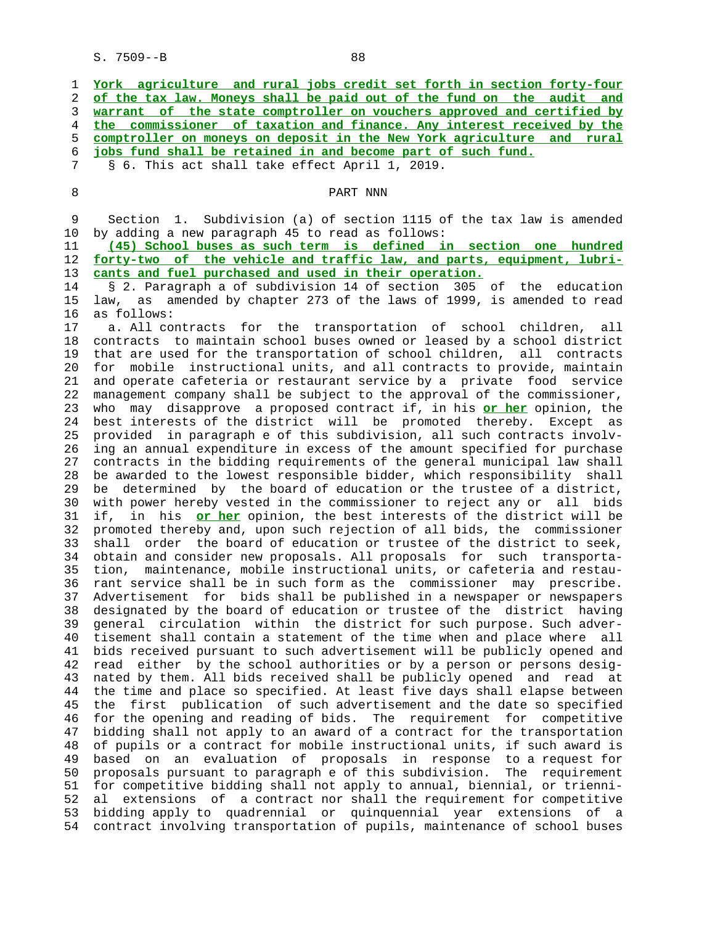1 **York agriculture and rural jobs credit set forth in section forty-four** 2 **of the tax law. Moneys shall be paid out of the fund on the audit and**

| 3  | warrant of the state comptroller on vouchers approved and certified by       |
|----|------------------------------------------------------------------------------|
| 4  | the commissioner of taxation and finance. Any interest received by the       |
| 5  | comptroller on moneys on deposit in the New York agriculture and rural       |
| 6  | jobs fund shall be retained in and become part of such fund.                 |
| 7  | § 6. This act shall take effect April 1, 2019.                               |
|    |                                                                              |
| 8  | PART NNN                                                                     |
| 9  | Section 1. Subdivision (a) of section 1115 of the tax law is amended         |
| 10 | by adding a new paragraph 45 to read as follows:                             |
| 11 | (45) School buses as such term is defined in section one hundred             |
| 12 | forty-two of the vehicle and traffic law, and parts, equipment, lubri-       |
| 13 | cants and fuel purchased and used in their operation.                        |
| 14 | § 2. Paragraph a of subdivision 14 of section 305 of the education           |
| 15 | as amended by chapter 273 of the laws of 1999, is amended to read<br>law,    |
| 16 | as follows:                                                                  |
| 17 | a. All contracts for the transportation of<br>school children,<br>all        |
| 18 | contracts to maintain school buses owned or leased by a school district      |
| 19 | that are used for the transportation of school children, all contracts       |
| 20 | instructional units, and all contracts to provide, maintain<br>mobile<br>for |
| 21 | and operate cafeteria or restaurant service by a private food<br>service     |
| 22 | management company shall be subject to the approval of the commissioner,     |
| 23 | may disapprove a proposed contract if, in his or her opinion, the<br>who     |
| 24 | best interests of the district will be promoted thereby. Except as           |
| 25 | provided in paragraph e of this subdivision, all such contracts involv-      |
| 26 | ing an annual expenditure in excess of the amount specified for purchase     |
| 27 | contracts in the bidding requirements of the general municipal law shall     |
| 28 | be awarded to the lowest responsible bidder, which responsibility<br>shall   |
| 29 | determined by the board of education or the trustee of a district,<br>be     |
| 30 | with power hereby vested in the commissioner to reject any or all bids       |
| 31 | in his or her opinion, the best interests of the district will be<br>if,     |
| 32 | promoted thereby and, upon such rejection of all bids, the commissioner      |
| 33 | order the board of education or trustee of the district to seek,<br>shall    |
| 34 | obtain and consider new proposals. All proposals for such transporta-        |
| 35 | maintenance, mobile instructional units, or cafeteria and restau-<br>tion,   |
| 36 | rant service shall be in such form as the commissioner may prescribe.        |
| 37 | Advertisement for bids shall be published in a newspaper or newspapers       |
| 38 | designated by the board of education or trustee of the district having       |
| 39 | general circulation within the district for such purpose. Such adver-        |
| 40 | tisement shall contain a statement of the time when and place where all      |
| 41 | bids received pursuant to such advertisement will be publicly opened and     |
| 42 | read either by the school authorities or by a person or persons desig-       |
| 43 | nated by them. All bids received shall be publicly opened and<br>read<br>at  |
| 44 | the time and place so specified. At least five days shall elapse between     |
| 45 | first publication of such advertisement and the date so specified<br>the     |
| 46 | for the opening and reading of bids. The requirement for competitive         |
| 47 | bidding shall not apply to an award of a contract for the transportation     |
| 48 | of pupils or a contract for mobile instructional units, if such award is     |
| 49 | evaluation of proposals in response to a request for<br>based on an          |
| 50 | proposals pursuant to paragraph e of this subdivision.<br>The<br>requirement |
| 51 | for competitive bidding shall not apply to annual, biennial, or trienni-     |
| 52 | extensions of a contract nor shall the requirement for competitive<br>al -   |
| 53 | bidding apply to quadrennial or quinquennial year extensions<br>of a         |
| 54 | contract involving transportation of pupils, maintenance of school buses     |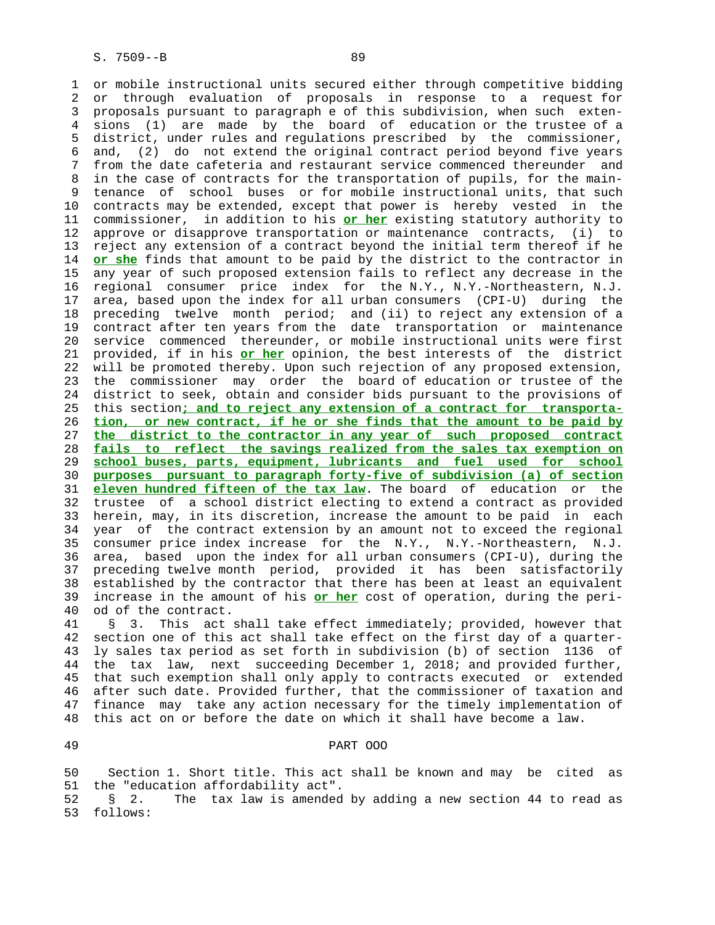1 or mobile instructional units secured either through competitive bidding 2 or through evaluation of proposals in response to a request for 3 proposals pursuant to paragraph e of this subdivision, when such exten- 4 sions (1) are made by the board of education or the trustee of a 5 district, under rules and regulations prescribed by the commissioner, 6 and, (2) do not extend the original contract period beyond five years 7 from the date cafeteria and restaurant service commenced thereunder and 8 in the case of contracts for the transportation of pupils, for the main- 9 tenance of school buses or for mobile instructional units, that such 10 contracts may be extended, except that power is hereby vested in the 11 commissioner, in addition to his **or her** existing statutory authority to 12 approve or disapprove transportation or maintenance contracts, (i) to 13 reject any extension of a contract beyond the initial term thereof if he 14 **or she** finds that amount to be paid by the district to the contractor in 15 any year of such proposed extension fails to reflect any decrease in the 16 regional consumer price index for the N.Y., N.Y.-Northeastern, N.J. 17 area, based upon the index for all urban consumers (CPI-U) during the 18 preceding twelve month period; and (ii) to reject any extension of a 19 contract after ten years from the date transportation or maintenance 20 service commenced thereunder, or mobile instructional units were first 21 provided, if in his **or her** opinion, the best interests of the district 22 will be promoted thereby. Upon such rejection of any proposed extension, 23 the commissioner may order the board of education or trustee of the 24 district to seek, obtain and consider bids pursuant to the provisions of 25 this section**; and to reject any extension of a contract for transporta-** 26 **tion, or new contract, if he or she finds that the amount to be paid by** 27 **the district to the contractor in any year of such proposed contract** 28 **fails to reflect the savings realized from the sales tax exemption on** 29 **school buses, parts, equipment, lubricants and fuel used for school** 30 **purposes pursuant to paragraph forty-five of subdivision (a) of section** 31 **eleven hundred fifteen of the tax law**. The board of education or the 32 trustee of a school district electing to extend a contract as provided 33 herein, may, in its discretion, increase the amount to be paid in each 34 year of the contract extension by an amount not to exceed the regional 35 consumer price index increase for the N.Y., N.Y.-Northeastern, N.J. 36 area, based upon the index for all urban consumers (CPI-U), during the 37 preceding twelve month period, provided it has been satisfactorily 38 established by the contractor that there has been at least an equivalent 39 increase in the amount of his **or her** cost of operation, during the peri- 40 od of the contract.

 41 § 3. This act shall take effect immediately; provided, however that 42 section one of this act shall take effect on the first day of a quarter- 43 ly sales tax period as set forth in subdivision (b) of section 1136 of 44 the tax law, next succeeding December 1, 2018; and provided further, 45 that such exemption shall only apply to contracts executed or extended 46 after such date. Provided further, that the commissioner of taxation and 47 finance may take any action necessary for the timely implementation of 48 this act on or before the date on which it shall have become a law.

## 49 PART OOO

 50 Section 1. Short title. This act shall be known and may be cited as 51 the "education affordability act".

 52 § 2. The tax law is amended by adding a new section 44 to read as 53 follows: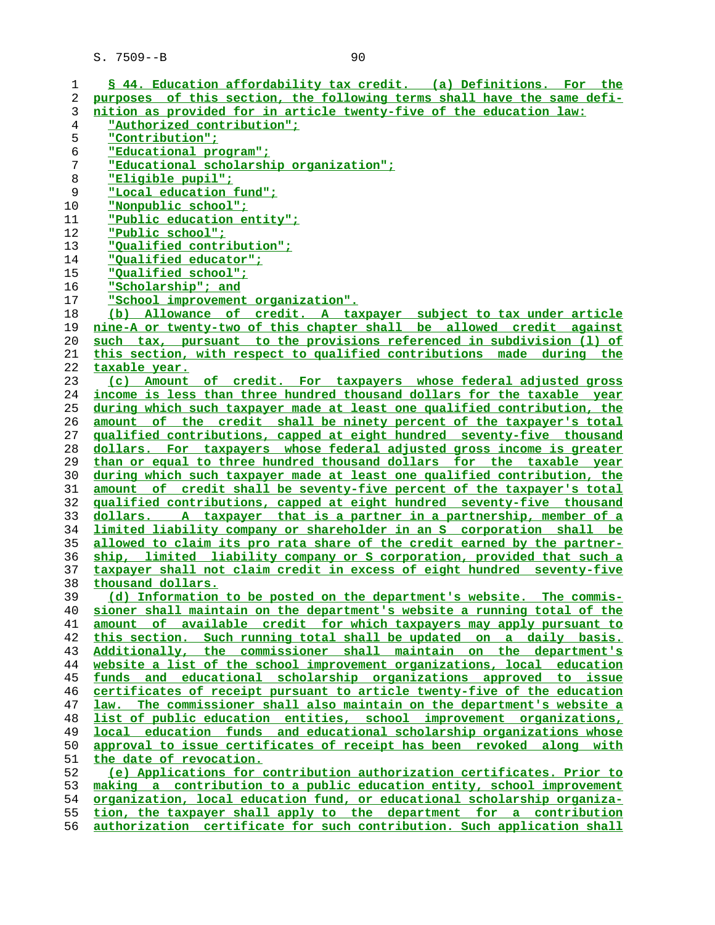| 1  | \$ 44. Education affordability tax credit. (a) Definitions. For the      |
|----|--------------------------------------------------------------------------|
| 2  | purposes of this section, the following terms shall have the same defi-  |
| 3  | nition as provided for in article twenty-five of the education law:      |
| 4  | <u> "Authorized contribution";</u>                                       |
| 5  | "Contribution";                                                          |
| 6  | "Educational program";                                                   |
| 7  | "Educational scholarship organization";                                  |
|    |                                                                          |
| 8  | <u> "Eligible pupil";</u>                                                |
| 9  | "Local education fund";                                                  |
| 10 | "Nonpublic school";                                                      |
| 11 | "Public education entity";                                               |
| 12 | "Public school";                                                         |
| 13 | <u>"Qualified contribution";</u>                                         |
| 14 | <u> "Qualified educator";</u>                                            |
|    | "Qualified school";                                                      |
| 15 |                                                                          |
| 16 | "Scholarship"; and                                                       |
| 17 | <u>"School improvement organization".</u>                                |
| 18 | (b) Allowance of credit. A taxpayer subject to tax under article         |
| 19 | nine-A or twenty-two of this chapter shall be allowed credit against     |
| 20 | such tax, pursuant to the provisions referenced in subdivision (1) of    |
| 21 | this section, with respect to qualified contributions made during the    |
| 22 | taxable year.                                                            |
| 23 | (c) Amount of credit. For taxpayers whose federal adjusted gross         |
| 24 | income is less than three hundred thousand dollars for the taxable year  |
|    |                                                                          |
| 25 | during which such taxpayer made at least one qualified contribution, the |
| 26 | amount of the credit shall be ninety percent of the taxpayer's total     |
| 27 | qualified contributions, capped at eight hundred seventy-five thousand   |
| 28 | dollars. For taxpayers whose federal adjusted gross income is greater    |
| 29 | than or equal to three hundred thousand dollars for the taxable year     |
| 30 | during which such taxpayer made at least one qualified contribution, the |
| 31 | amount of credit shall be seventy-five percent of the taxpayer's total   |
| 32 | qualified contributions, capped at eight hundred seventy-five thousand   |
| 33 | dollars. A taxpayer that is a partner in a partnership, member of a      |
| 34 | limited liability company or shareholder in an S corporation shall be    |
|    |                                                                          |
| 35 | allowed to claim its pro rata share of the credit earned by the partner- |
| 36 | ship, limited liability company or S corporation, provided that such a   |
| 37 | taxpayer shall not claim credit in excess of eight hundred seventy-five  |
| 38 | thousand dollars.                                                        |
| 39 | (d) Information to be posted on the department's website.<br>The commis- |
| 40 | sioner shall maintain on the department's website a running total of the |
| 41 | amount of available credit for which taxpayers may apply pursuant to     |
| 42 | this section. Such running total shall be updated on a daily basis.      |
| 43 | Additionally, the commissioner shall maintain on the department's        |
| 44 | website a list of the school improvement organizations, local education  |
| 45 | funds and educational scholarship organizations approved to issue        |
|    |                                                                          |
| 46 | certificates of receipt pursuant to article twenty-five of the education |
| 47 | law. The commissioner shall also maintain on the department's website a  |
| 48 | list of public education entities, school improvement organizations,     |
| 49 | local education funds and educational scholarship organizations whose    |
| 50 | approval to issue certificates of receipt has been revoked along with    |
| 51 | the date of revocation.                                                  |
| 52 | (e) Applications for contribution authorization certificates. Prior to   |
| 53 | making a contribution to a public education entity, school improvement   |
| 54 | organization, local education fund, or educational scholarship organiza- |
| 55 | tion, the taxpayer shall apply to the department for a contribution      |
|    |                                                                          |
| 56 | authorization certificate for such contribution. Such application shall  |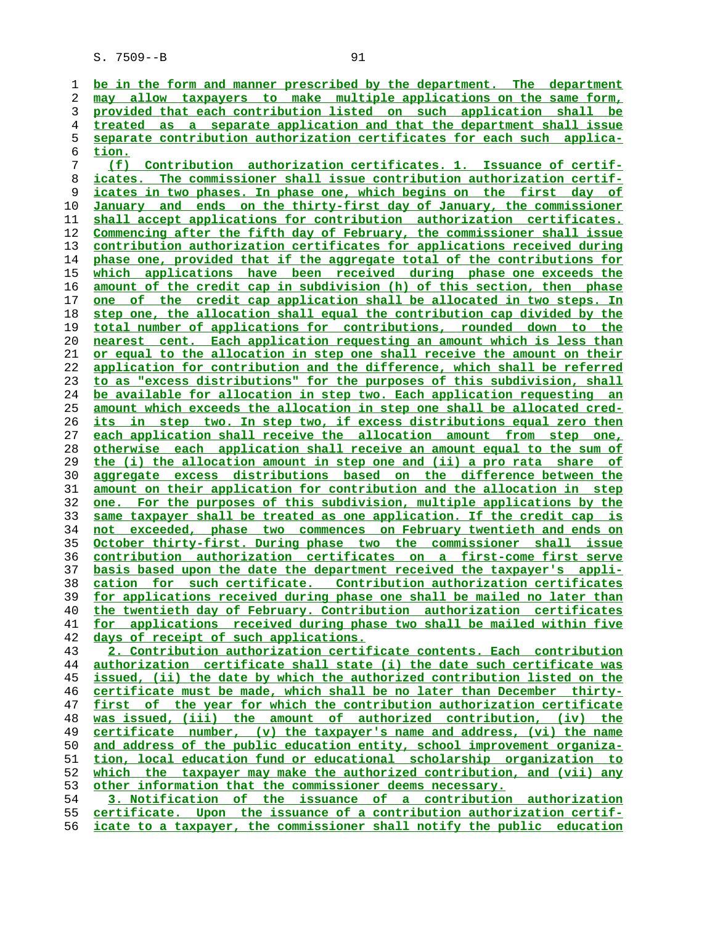**be in the form and manner prescribed by the department. The department may allow taxpayers to make multiple applications on the same form, provided that each contribution listed on such application shall be treated as a separate application and that the department shall issue separate contribution authorization certificates for each such applica- tion. (f) Contribution authorization certificates. 1. Issuance of certif- icates. The commissioner shall issue contribution authorization certif- icates in two phases. In phase one, which begins on the first day of January and ends on the thirty-first day of January, the commissioner shall accept applications for contribution authorization certificates. Commencing after the fifth day of February, the commissioner shall issue contribution authorization certificates for applications received during phase one, provided that if the aggregate total of the contributions for which applications have been received during phase one exceeds the amount of the credit cap in subdivision (h) of this section, then phase one of the credit cap application shall be allocated in two steps. In step one, the allocation shall equal the contribution cap divided by the total number of applications for contributions, rounded down to the nearest cent. Each application requesting an amount which is less than or equal to the allocation in step one shall receive the amount on their application for contribution and the difference, which shall be referred to as "excess distributions" for the purposes of this subdivision, shall be available for allocation in step two. Each application requesting an amount which exceeds the allocation in step one shall be allocated cred- its in step two. In step two, if excess distributions equal zero then each application shall receive the allocation amount from step one, otherwise each application shall receive an amount equal to the sum of the (i) the allocation amount in step one and (ii) a pro rata share of aggregate excess distributions based on the difference between the amount on their application for contribution and the allocation in step one. For the purposes of this subdivision, multiple applications by the same taxpayer shall be treated as one application. If the credit cap is not exceeded, phase two commences on February twentieth and ends on October thirty-first. During phase two the commissioner shall issue contribution authorization certificates on a first-come first serve basis based upon the date the department received the taxpayer's appli- cation for such certificate. Contribution authorization certificates for applications received during phase one shall be mailed no later than the twentieth day of February. Contribution authorization certificates for applications received during phase two shall be mailed within five days of receipt of such applications. 2. Contribution authorization certificate contents. Each contribution authorization certificate shall state (i) the date such certificate was issued, (ii) the date by which the authorized contribution listed on the certificate must be made, which shall be no later than December thirty- first of the year for which the contribution authorization certificate was issued, (iii) the amount of authorized contribution, (iv) the certificate number, (v) the taxpayer's name and address, (vi) the name and address of the public education entity, school improvement organiza- tion, local education fund or educational scholarship organization to which the taxpayer may make the authorized contribution, and (vii) any other information that the commissioner deems necessary. 3. Notification of the issuance of a contribution authorization certificate. Upon the issuance of a contribution authorization certif- icate to a taxpayer, the commissioner shall notify the public education**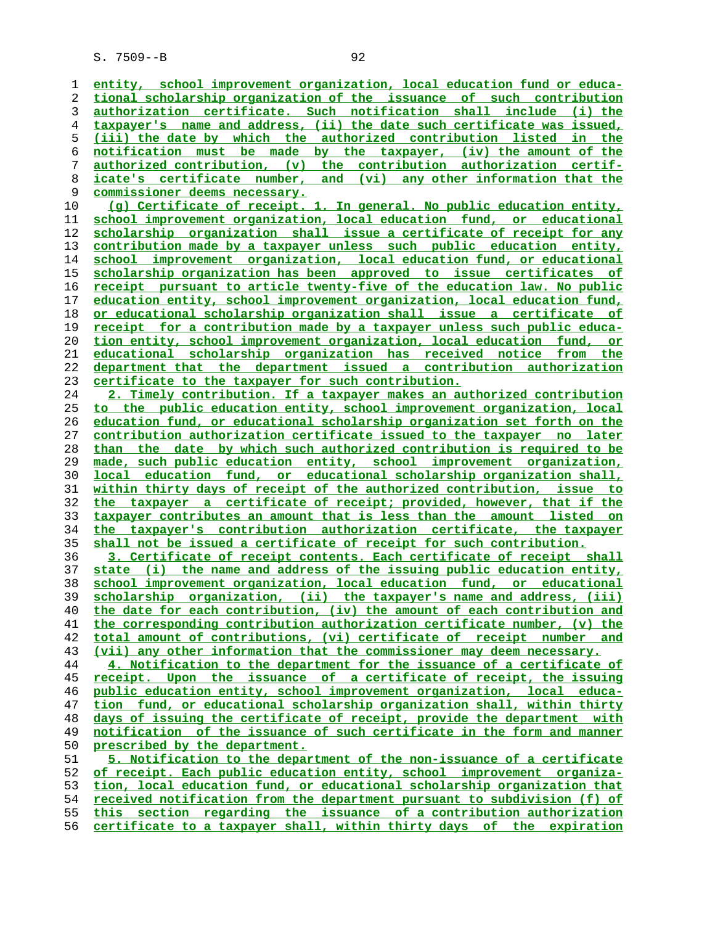**entity, school improvement organization, local education fund or educa- tional scholarship organization of the issuance of such contribution authorization certificate. Such notification shall include (i) the taxpayer's name and address, (ii) the date such certificate was issued, (iii) the date by which the authorized contribution listed in the notification must be made by the taxpayer, (iv) the amount of the authorized contribution, (v) the contribution authorization certif- icate's certificate number, and (vi) any other information that the commissioner deems necessary. (g) Certificate of receipt. 1. In general. No public education entity, school improvement organization, local education fund, or educational scholarship organization shall issue a certificate of receipt for any contribution made by a taxpayer unless such public education entity, school improvement organization, local education fund, or educational scholarship organization has been approved to issue certificates of receipt pursuant to article twenty-five of the education law. No public education entity, school improvement organization, local education fund, or educational scholarship organization shall issue a certificate of receipt for a contribution made by a taxpayer unless such public educa- tion entity, school improvement organization, local education fund, or educational scholarship organization has received notice from the department that the department issued a contribution authorization certificate to the taxpayer for such contribution. 2. Timely contribution. If a taxpayer makes an authorized contribution to the public education entity, school improvement organization, local education fund, or educational scholarship organization set forth on the contribution authorization certificate issued to the taxpayer no later than the date by which such authorized contribution is required to be made, such public education entity, school improvement organization, local education fund, or educational scholarship organization shall, within thirty days of receipt of the authorized contribution, issue to the taxpayer a certificate of receipt; provided, however, that if the taxpayer contributes an amount that is less than the amount listed on the taxpayer's contribution authorization certificate, the taxpayer shall not be issued a certificate of receipt for such contribution. 3. Certificate of receipt contents. Each certificate of receipt shall state (i) the name and address of the issuing public education entity, school improvement organization, local education fund, or educational scholarship organization, (ii) the taxpayer's name and address, (iii) the date for each contribution, (iv) the amount of each contribution and the corresponding contribution authorization certificate number, (v) the total amount of contributions, (vi) certificate of receipt number and (vii) any other information that the commissioner may deem necessary. 4. Notification to the department for the issuance of a certificate of receipt. Upon the issuance of a certificate of receipt, the issuing public education entity, school improvement organization, local educa- tion fund, or educational scholarship organization shall, within thirty days of issuing the certificate of receipt, provide the department with notification of the issuance of such certificate in the form and manner prescribed by the department. 5. Notification to the department of the non-issuance of a certificate**

**of receipt. Each public education entity, school improvement organiza- tion, local education fund, or educational scholarship organization that received notification from the department pursuant to subdivision (f) of this section regarding the issuance of a contribution authorization certificate to a taxpayer shall, within thirty days of the expiration**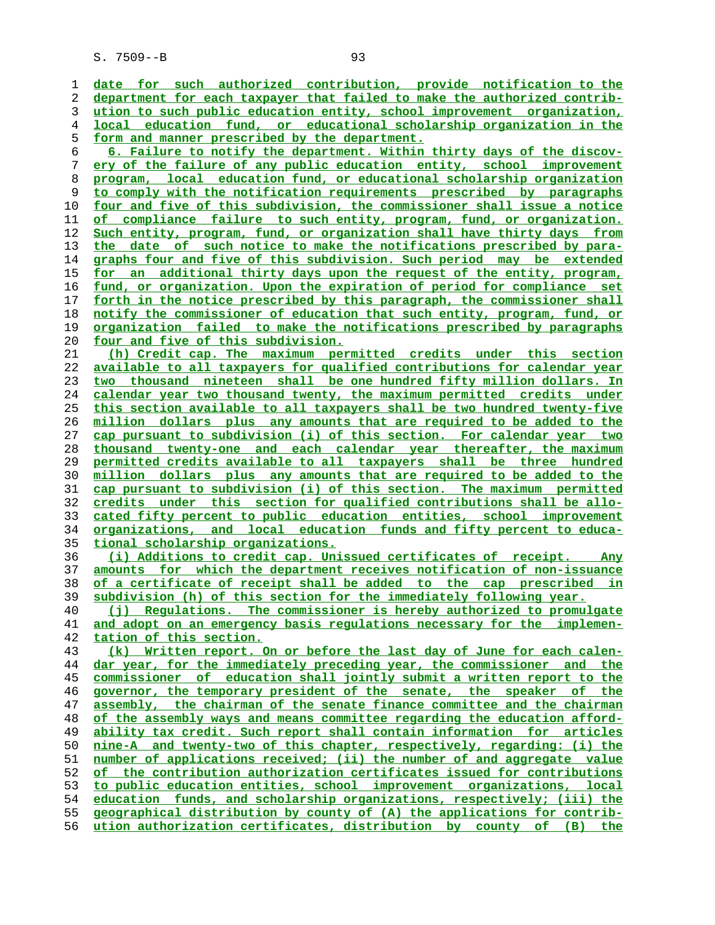S. 7509--B 93 **date for such authorized contribution, provide notification to the department for each taxpayer that failed to make the authorized contrib- ution to such public education entity, school improvement organization, local education fund, or educational scholarship organization in the form and manner prescribed by the department. 6. Failure to notify the department. Within thirty days of the discov- ery of the failure of any public education entity, school improvement program, local education fund, or educational scholarship organization to comply with the notification requirements prescribed by paragraphs four and five of this subdivision, the commissioner shall issue a notice of compliance failure to such entity, program, fund, or organization. Such entity, program, fund, or organization shall have thirty days from the date of such notice to make the notifications prescribed by para- graphs four and five of this subdivision. Such period may be extended for an additional thirty days upon the request of the entity, program, fund, or organization. Upon the expiration of period for compliance set forth in the notice prescribed by this paragraph, the commissioner shall notify the commissioner of education that such entity, program, fund, or organization failed to make the notifications prescribed by paragraphs four and five of this subdivision. (h) Credit cap. The maximum permitted credits under this section available to all taxpayers for qualified contributions for calendar year two thousand nineteen shall be one hundred fifty million dollars. In calendar year two thousand twenty, the maximum permitted credits under this section available to all taxpayers shall be two hundred twenty-five million dollars plus any amounts that are required to be added to the cap pursuant to subdivision (i) of this section. For calendar year two thousand twenty-one and each calendar year thereafter, the maximum permitted credits available to all taxpayers shall be three hundred million dollars plus any amounts that are required to be added to the cap pursuant to subdivision (i) of this section. The maximum permitted credits under this section for qualified contributions shall be allo- cated fifty percent to public education entities, school improvement organizations, and local education funds and fifty percent to educa- tional scholarship organizations. (i) Additions to credit cap. Unissued certificates of receipt. Any amounts for which the department receives notification of non-issuance of a certificate of receipt shall be added to the cap prescribed in subdivision (h) of this section for the immediately following year. (j) Regulations. The commissioner is hereby authorized to promulgate**

**and adopt on an emergency basis regulations necessary for the implemen- tation of this section.**

**(k) Written report. On or before the last day of June for each calen- dar year, for the immediately preceding year, the commissioner and the commissioner of education shall jointly submit a written report to the governor, the temporary president of the senate, the speaker of the assembly, the chairman of the senate finance committee and the chairman of the assembly ways and means committee regarding the education afford- ability tax credit. Such report shall contain information for articles nine-A and twenty-two of this chapter, respectively, regarding: (i) the number of applications received; (ii) the number of and aggregate value of the contribution authorization certificates issued for contributions to public education entities, school improvement organizations, local education funds, and scholarship organizations, respectively; (iii) the geographical distribution by county of (A) the applications for contrib- ution authorization certificates, distribution by county of (B) the**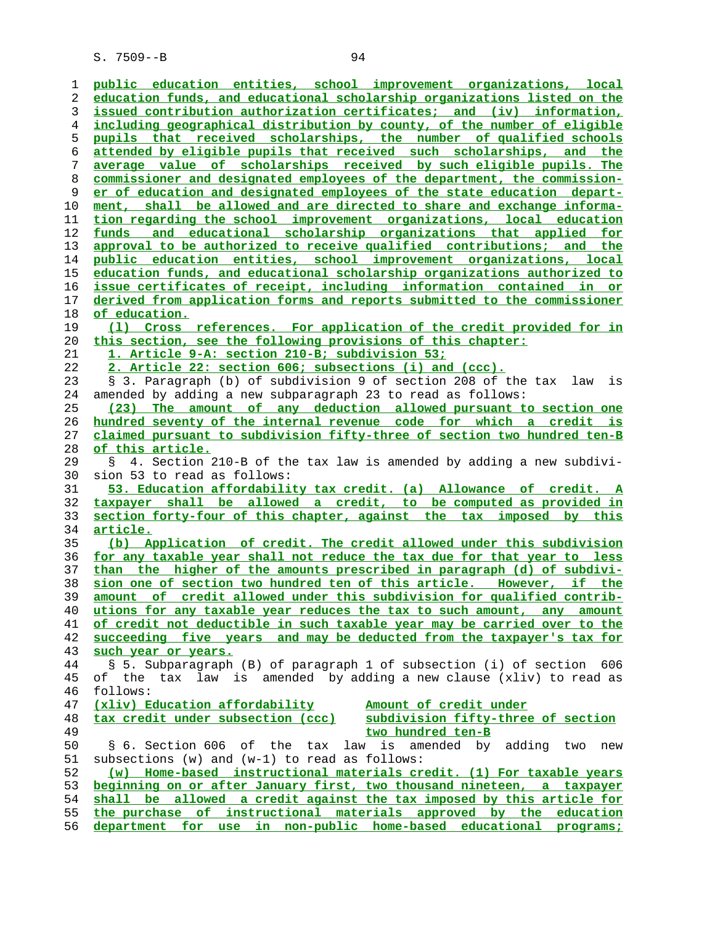**public education entities, school improvement organizations, local education funds, and educational scholarship organizations listed on the issued contribution authorization certificates; and (iv) information, including geographical distribution by county, of the number of eligible pupils that received scholarships, the number of qualified schools attended by eligible pupils that received such scholarships, and the average value of scholarships received by such eligible pupils. The commissioner and designated employees of the department, the commission- er of education and designated employees of the state education depart- ment, shall be allowed and are directed to share and exchange informa- tion regarding the school improvement organizations, local education funds and educational scholarship organizations that applied for approval to be authorized to receive qualified contributions; and the public education entities, school improvement organizations, local education funds, and educational scholarship organizations authorized to issue certificates of receipt, including information contained in or derived from application forms and reports submitted to the commissioner of education. (l) Cross references. For application of the credit provided for in this section, see the following provisions of this chapter: 1. Article 9-A: section 210-B; subdivision 53; 2. Article 22: section 606; subsections (i) and (ccc).** 23 § 3. Paragraph (b) of subdivision 9 of section 208 of the tax law is 24 amended by adding a new subparagraph 23 to read as follows: **(23) The amount of any deduction allowed pursuant to section one hundred seventy of the internal revenue code for which a credit is claimed pursuant to subdivision fifty-three of section two hundred ten-B of this article.** 29 § 4. Section 210-B of the tax law is amended by adding a new subdivi- 30 sion 53 to read as follows: **53. Education affordability tax credit. (a) Allowance of credit. A taxpayer shall be allowed a credit, to be computed as provided in section forty-four of this chapter, against the tax imposed by this article. (b) Application of credit. The credit allowed under this subdivision for any taxable year shall not reduce the tax due for that year to less than the higher of the amounts prescribed in paragraph (d) of subdivi- sion one of section two hundred ten of this article. However, if the amount of credit allowed under this subdivision for qualified contrib- utions for any taxable year reduces the tax to such amount, any amount of credit not deductible in such taxable year may be carried over to the succeeding five years and may be deducted from the taxpayer's tax for such year or years.** 44 § 5. Subparagraph (B) of paragraph 1 of subsection (i) of section 606 45 of the tax law is amended by adding a new clause (xliv) to read as 46 follows: **(xliv) Education affordability Amount of credit under tax credit under subsection (ccc) subdivision fifty-three of section two hundred ten-B** 50 § 6. Section 606 of the tax law is amended by adding two new 51 subsections (w) and (w-1) to read as follows: **(w) Home-based instructional materials credit. (1) For taxable years beginning on or after January first, two thousand nineteen, a taxpayer shall be allowed a credit against the tax imposed by this article for the purchase of instructional materials approved by the education department for use in non-public home-based educational programs;**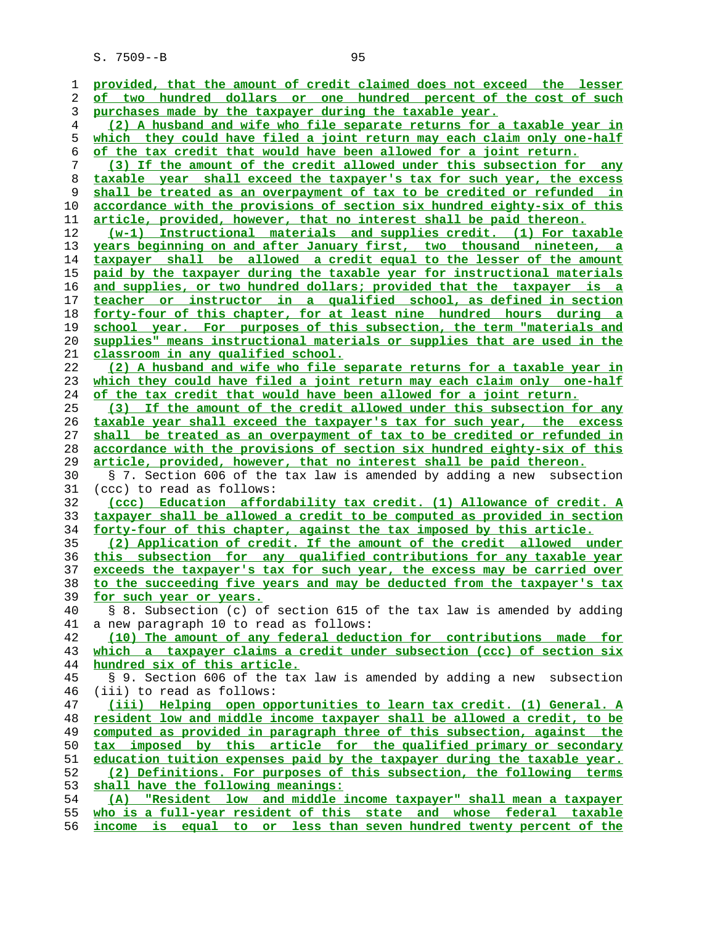**provided, that the amount of credit claimed does not exceed the lesser of two hundred dollars or one hundred percent of the cost of such purchases made by the taxpayer during the taxable year. (2) A husband and wife who file separate returns for a taxable year in which they could have filed a joint return may each claim only one-half of the tax credit that would have been allowed for a joint return. (3) If the amount of the credit allowed under this subsection for any taxable year shall exceed the taxpayer's tax for such year, the excess shall be treated as an overpayment of tax to be credited or refunded in accordance with the provisions of section six hundred eighty-six of this article, provided, however, that no interest shall be paid thereon. (w-1) Instructional materials and supplies credit. (1) For taxable years beginning on and after January first, two thousand nineteen, a taxpayer shall be allowed a credit equal to the lesser of the amount paid by the taxpayer during the taxable year for instructional materials and supplies, or two hundred dollars; provided that the taxpayer is a teacher or instructor in a qualified school, as defined in section forty-four of this chapter, for at least nine hundred hours during a school year. For purposes of this subsection, the term "materials and supplies" means instructional materials or supplies that are used in the classroom in any qualified school. (2) A husband and wife who file separate returns for a taxable year in which they could have filed a joint return may each claim only one-half of the tax credit that would have been allowed for a joint return. (3) If the amount of the credit allowed under this subsection for any taxable year shall exceed the taxpayer's tax for such year, the excess shall be treated as an overpayment of tax to be credited or refunded in accordance with the provisions of section six hundred eighty-six of this article, provided, however, that no interest shall be paid thereon.** 30 § 7. Section 606 of the tax law is amended by adding a new subsection 31 (ccc) to read as follows: **(ccc) Education affordability tax credit. (1) Allowance of credit. A taxpayer shall be allowed a credit to be computed as provided in section forty-four of this chapter, against the tax imposed by this article. (2) Application of credit. If the amount of the credit allowed under this subsection for any qualified contributions for any taxable year exceeds the taxpayer's tax for such year, the excess may be carried over to the succeeding five years and may be deducted from the taxpayer's tax for such year or years.** 40 § 8. Subsection (c) of section 615 of the tax law is amended by adding 41 a new paragraph 10 to read as follows: **(10) The amount of any federal deduction for contributions made for which a taxpayer claims a credit under subsection (ccc) of section six hundred six of this article.** 45 § 9. Section 606 of the tax law is amended by adding a new subsection 46 (iii) to read as follows: **(iii) Helping open opportunities to learn tax credit. (1) General. A resident low and middle income taxpayer shall be allowed a credit, to be computed as provided in paragraph three of this subsection, against the tax imposed by this article for the qualified primary or secondary education tuition expenses paid by the taxpayer during the taxable year. (2) Definitions. For purposes of this subsection, the following terms shall have the following meanings: (A) "Resident low and middle income taxpayer" shall mean a taxpayer who is a full-year resident of this state and whose federal taxable income is equal to or less than seven hundred twenty percent of the**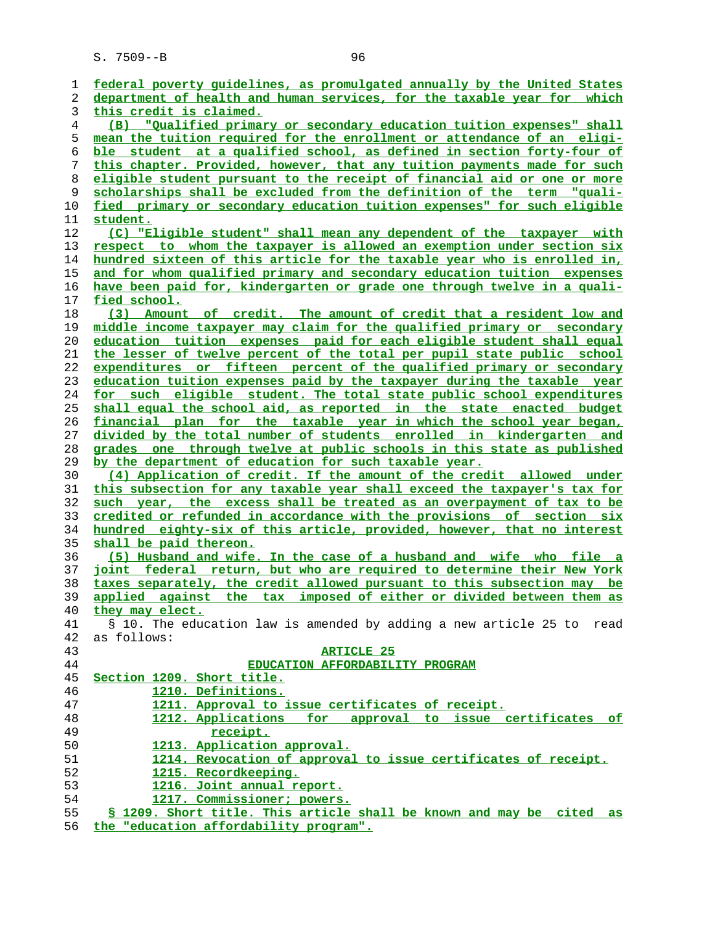| 1        | federal poverty quidelines, as promulgated annually by the United States        |
|----------|---------------------------------------------------------------------------------|
| 2        | department of health and human services, for the taxable year for which         |
| 3        | this credit is claimed.                                                         |
| 4        | (B) "Qualified primary or secondary education tuition expenses" shall           |
| 5        | mean the tuition required for the enrollment or attendance of an eligi-         |
| 6        | ble student at a qualified school, as defined in section forty-four of          |
| 7        | this chapter. Provided, however, that any tuition payments made for such        |
| 8        | eligible student pursuant to the receipt of financial aid or one or more        |
| 9        | scholarships shall be excluded from the definition of the term "quali-          |
| 10       | fied primary or secondary education tuition expenses" for such eligible         |
| 11       | student.                                                                        |
| 12       | (C) "Eligible student" shall mean any dependent of the taxpayer with            |
| 13       | <u>respect to whom the taxpayer is allowed an exemption under section six</u>   |
| 14       | hundred sixteen of this article for the taxable year who is enrolled in,        |
| 15       | <u>and for whom qualified primary and secondary education tuition expenses</u>  |
| 16       | <u>have been paid for, kindergarten or grade one through twelve in a quali-</u> |
| 17       | fied school.                                                                    |
| 18       | Amount of credit. The amount of credit that a resident low and<br>(3)           |
| 19       | middle income taxpayer may claim for the qualified primary or secondary         |
| 20       | <u>education tuition expenses paid for each eligible student shall equal</u>    |
| 21       | the lesser of twelve percent of the total per pupil state public school         |
| 22       | expenditures or fifteen percent of the qualified primary or secondary           |
| 23       | education tuition expenses paid by the taxpayer during the taxable year         |
| 24       | for such eligible student. The total state public school expenditures           |
| 25       | shall equal the school aid, as reported in the state enacted budget             |
| 26       | financial plan for the taxable year in which the school year began,             |
| 27       | divided by the total number of students enrolled in kindergarten and            |
| 28       | grades one through twelve at public schools in this state as published          |
| 29       | by the department of education for such taxable year.                           |
| 30       | (4) Application of credit. If the amount of the credit allowed under            |
| 31       | <u>this subsection for any taxable year shall exceed the taxpayer's tax for</u> |
| 32       | such year, the excess shall be treated as an overpayment of tax to be           |
| 33       | credited or refunded in accordance with the provisions of section six           |
| 34       | hundred eighty-six of this article, provided, however, that no interest         |
| 35       | shall be paid thereon.                                                          |
| 36       | (5) Husband and wife. In the case of a husband and wife who file a              |
| 37       | joint federal return, but who are required to determine their New York          |
| 38       | taxes separately, the credit allowed pursuant to this subsection may be         |
| 39       | applied against the tax imposed of either or divided between them as            |
| 40       | they may elect.                                                                 |
| 41       | § 10. The education law is amended by adding a new article 25 to read           |
| 42       | as follows:                                                                     |
| 43<br>44 | <b>ARTICLE 25</b>                                                               |
| 45       | EDUCATION AFFORDABILITY PROGRAM                                                 |
| 46       | Section 1209. Short title.<br>1210. Definitions.                                |
| 47       | 1211. Approval to issue certificates of receipt.                                |
| 48       | 1212. Applications for approval to issue certificates of                        |
| 49       | receipt.                                                                        |
| 50       | 1213. Application approval.                                                     |
| 51       | 1214. Revocation of approval to issue certificates of receipt.                  |
| 52       | 1215. Recordkeeping.                                                            |
| 53       | 1216. Joint annual report.                                                      |
| 54       | 1217. Commissioner; powers.                                                     |
| 55       | § 1209. Short title. This article shall be known and may be cited as            |
| 56       | the "education affordability program".                                          |
|          |                                                                                 |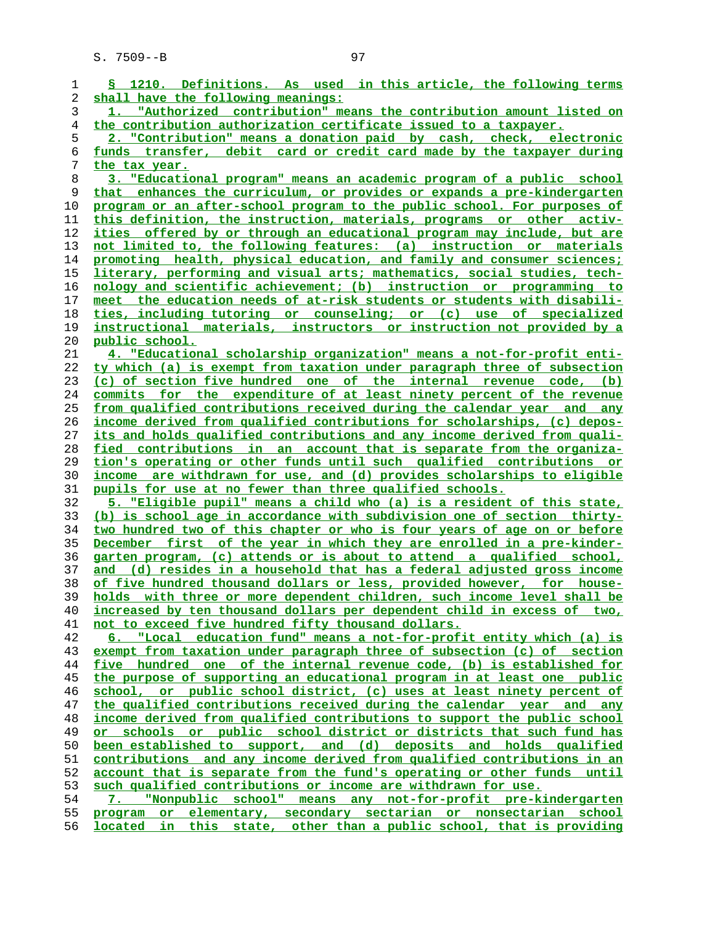| 1  | § 1210. Definitions. As used in this article, the following terms               |
|----|---------------------------------------------------------------------------------|
| 2  | shall have the following meanings:                                              |
| 3  | 1. "Authorized contribution" means the contribution amount listed on            |
| 4  | the contribution authorization certificate issued to a taxpayer.                |
| 5  | 2. "Contribution" means a donation paid by cash, check, electronic              |
| 6  | funds transfer, debit card or credit card made by the taxpayer during           |
| 7  | the tax year.                                                                   |
| 8  |                                                                                 |
|    | 3. "Educational program" means an academic program of a public school           |
| 9  | that enhances the curriculum, or provides or expands a pre-kindergarten         |
| 10 | program or an after-school program to the public school. For purposes of        |
| 11 | this definition, the instruction, materials, programs or other activ-           |
| 12 | ities offered by or through an educational program may include, but are         |
| 13 | not limited to, the following features: (a) instruction or materials            |
| 14 | promoting health, physical education, and family and consumer sciences;         |
| 15 | <u>literary, performing and visual arts; mathematics, social studies, tech-</u> |
| 16 | nology and scientific achievement; (b) instruction or programming to            |
| 17 | meet the education needs of at-risk students or students with disabili-         |
| 18 | ties, including tutoring or counseling; or (c) use of specialized               |
| 19 | instructional materials, instructors or instruction not provided by a           |
| 20 | public school.                                                                  |
| 21 | 4. "Educational scholarship organization" means a not-for-profit enti-          |
| 22 | ty which (a) is exempt from taxation under paragraph three of subsection        |
|    | (c) of section five hundred one of the internal revenue code, (b)               |
| 23 |                                                                                 |
| 24 | commits for the expenditure of at least ninety percent of the revenue           |
| 25 | from qualified contributions received during the calendar year and any          |
| 26 | income derived from qualified contributions for scholarships, (c) depos-        |
| 27 | its and holds qualified contributions and any income derived from quali-        |
| 28 | fied contributions in an account that is separate from the organiza-            |
| 29 | tion's operating or other funds until such qualified contributions or           |
| 30 | income are withdrawn for use, and (d) provides scholarships to eligible         |
| 31 | pupils for use at no fewer than three qualified schools.                        |
| 32 | 5. "Eligible pupil" means a child who (a) is a resident of this state,          |
| 33 | (b) is school age in accordance with subdivision one of section thirty-         |
| 34 | two hundred two of this chapter or who is four years of age on or before        |
| 35 | December first of the year in which they are enrolled in a pre-kinder-          |
| 36 | garten program, (c) attends or is about to attend a qualified school,           |
| 37 | <u>and (d) resides in a household that has a federal adjusted gross income</u>  |
| 38 | of five hundred thousand dollars or less, provided however, for house-          |
| 39 | holds with three or more dependent children, such income level shall be         |
| 40 | increased by ten thousand dollars per dependent child in excess of two,         |
| 41 | not to exceed five hundred fifty thousand dollars.                              |
| 42 | "Local education fund" means a not-for-profit entity which (a) is               |
| 43 | exempt from taxation under paragraph three of subsection (c) of section         |
| 44 | five hundred one of the internal revenue code, (b) is established for           |
| 45 | the purpose of supporting an educational program in at least one public         |
| 46 | school, or public school district, (c) uses at least ninety percent of          |
| 47 | the qualified contributions received during the calendar year and any           |
| 48 | income derived from qualified contributions to support the public school        |
| 49 | or schools or public school district or districts that such fund has            |
| 50 | been established to support, and (d) deposits and holds qualified               |
| 51 | contributions and any income derived from qualified contributions in an         |
| 52 | account that is separate from the fund's operating or other funds until         |
| 53 | such qualified contributions or income are withdrawn for use.                   |
| 54 | "Nonpublic school" means any not-for-profit pre-kindergarten                    |
| 55 | program or elementary, secondary sectarian or nonsectarian school               |
| 56 | located in this state, other than a public school, that is providing            |
|    |                                                                                 |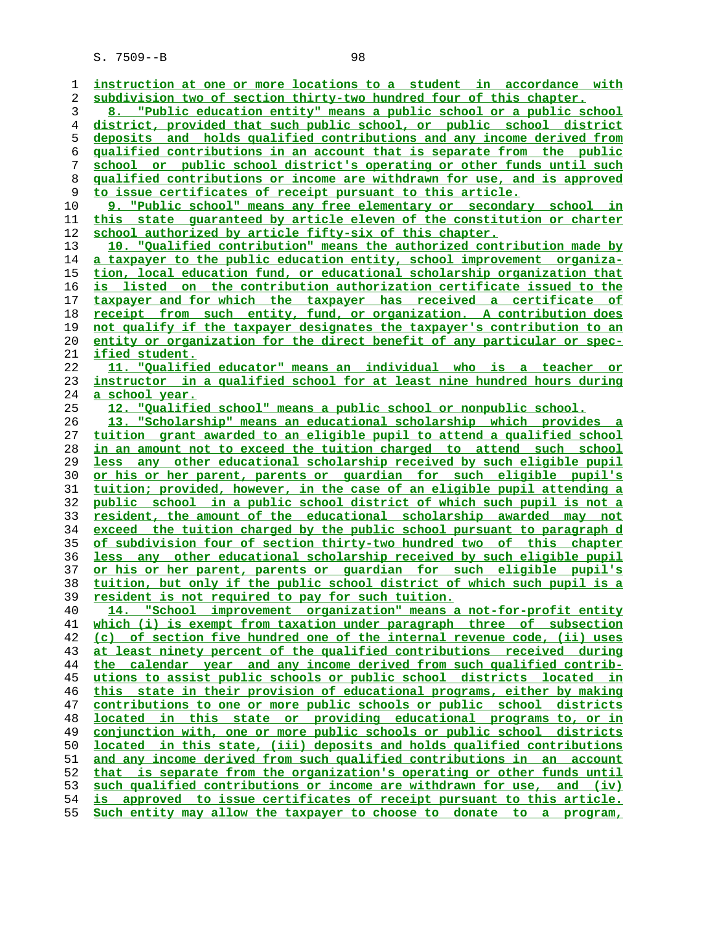**instruction at one or more locations to a student in accordance with subdivision two of section thirty-two hundred four of this chapter. 8. "Public education entity" means a public school or a public school district, provided that such public school, or public school district deposits and holds qualified contributions and any income derived from qualified contributions in an account that is separate from the public school or public school district's operating or other funds until such qualified contributions or income are withdrawn for use, and is approved to issue certificates of receipt pursuant to this article. 9. "Public school" means any free elementary or secondary school in this state guaranteed by article eleven of the constitution or charter** school authorized by article fifty-six of this chapter. **10. "Qualified contribution" means the authorized contribution made by a taxpayer to the public education entity, school improvement organiza- tion, local education fund, or educational scholarship organization that is listed on the contribution authorization certificate issued to the taxpayer and for which the taxpayer has received a certificate of receipt from such entity, fund, or organization. A contribution does not qualify if the taxpayer designates the taxpayer's contribution to an entity or organization for the direct benefit of any particular or spec- ified student. 11. "Qualified educator" means an individual who is a teacher or instructor in a qualified school for at least nine hundred hours during a school year. 12. "Qualified school" means a public school or nonpublic school. 13. "Scholarship" means an educational scholarship which provides a tuition grant awarded to an eligible pupil to attend a qualified school in an amount not to exceed the tuition charged to attend such school less any other educational scholarship received by such eligible pupil or his or her parent, parents or guardian for such eligible pupil's tuition; provided, however, in the case of an eligible pupil attending a public school in a public school district of which such pupil is not a resident, the amount of the educational scholarship awarded may not exceed the tuition charged by the public school pursuant to paragraph d of subdivision four of section thirty-two hundred two of this chapter less any other educational scholarship received by such eligible pupil or his or her parent, parents or guardian for such eligible pupil's tuition, but only if the public school district of which such pupil is a resident is not required to pay for such tuition. 14. "School improvement organization" means a not-for-profit entity which (i) is exempt from taxation under paragraph three of subsection (c) of section five hundred one of the internal revenue code, (ii) uses at least ninety percent of the qualified contributions received during the calendar year and any income derived from such qualified contrib- utions to assist public schools or public school districts located in this state in their provision of educational programs, either by making contributions to one or more public schools or public school districts located in this state or providing educational programs to, or in conjunction with, one or more public schools or public school districts located in this state, (iii) deposits and holds qualified contributions and any income derived from such qualified contributions in an account that is separate from the organization's operating or other funds until such qualified contributions or income are withdrawn for use, and (iv) is approved to issue certificates of receipt pursuant to this article. Such entity may allow the taxpayer to choose to donate to a program,**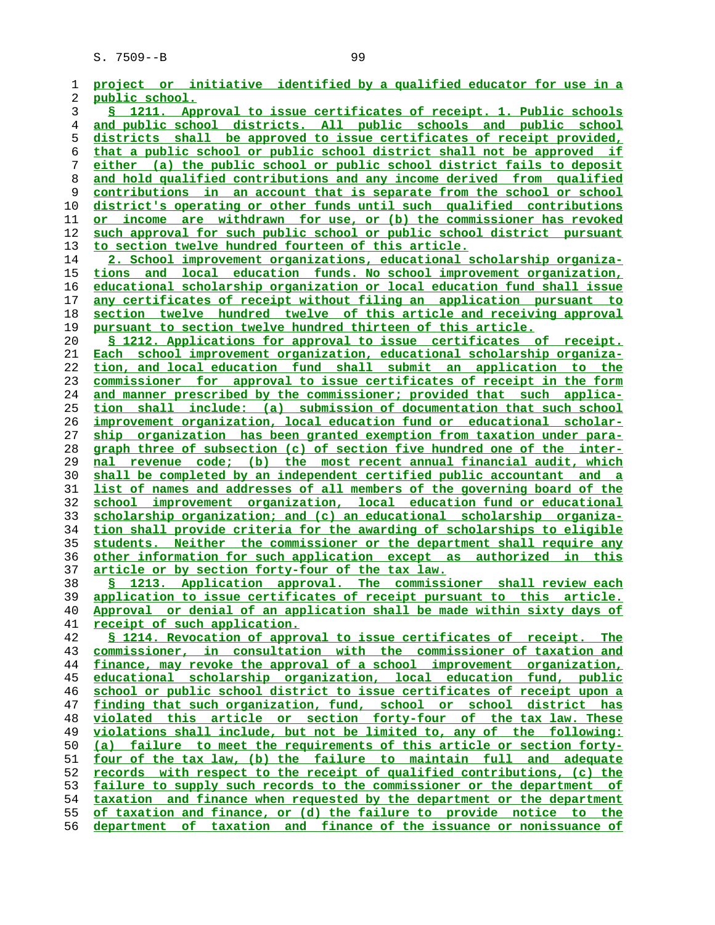| ı  | project or initiative identified by a qualified educator for use in a    |
|----|--------------------------------------------------------------------------|
| 2  | public school.                                                           |
| 3  | § 1211. Approval to issue certificates of receipt. 1. Public schools     |
| 4  | and public school districts. All public schools and public school        |
| 5  | districts shall be approved to issue certificates of receipt provided,   |
| 6  | that a public school or public school district shall not be approved if  |
| 7  | either (a) the public school or public school district fails to deposit  |
| 8  | and hold qualified contributions and any income derived from qualified   |
| 9  | contributions in an account that is separate from the school or school   |
|    |                                                                          |
| 10 | district's operating or other funds until such qualified contributions   |
| 11 | are withdrawn for use, or (b) the commissioner has revoked<br>or income  |
| 12 | such approval for such public school or public school district pursuant  |
| 13 | to section twelve hundred fourteen of this article.                      |
| 14 | 2. School improvement organizations, educational scholarship organiza-   |
| 15 | tions and local education funds. No school improvement organization,     |
| 16 | educational scholarship organization or local education fund shall issue |
| 17 | any certificates of receipt without filing an application pursuant to    |
| 18 | section twelve hundred twelve of this article and receiving approval     |
| 19 | pursuant to section twelve hundred thirteen of this article.             |
| 20 | \$ 1212. Applications for approval to issue certificates of receipt.     |
| 21 | Each school improvement organization, educational scholarship organiza-  |
| 22 | tion, and local education fund shall submit an application to the        |
| 23 | commissioner for approval to issue certificates of receipt in the form   |
| 24 | and manner prescribed by the commissioner; provided that such applica-   |
| 25 | tion shall include: (a) submission of documentation that such school     |
| 26 | improvement organization, local education fund or educational scholar-   |
| 27 | ship organization has been granted exemption from taxation under para-   |
| 28 | graph three of subsection (c) of section five hundred one of the inter-  |
| 29 | nal revenue code; (b) the most recent annual financial audit, which      |
| 30 | shall be completed by an independent certified public accountant and a   |
| 31 | list of names and addresses of all members of the governing board of the |
|    |                                                                          |
| 32 | school improvement organization, local education fund or educational     |
| 33 | scholarship organization; and (c) an educational scholarship organiza-   |
| 34 | tion shall provide criteria for the awarding of scholarships to eligible |
| 35 | students. Neither the commissioner or the department shall require any   |
| 36 | other information for such application except as authorized<br>in this   |
| 37 | article or by section forty-four of the tax law.                         |
| 38 | § 1213. Application approval. The commissioner shall review each         |
| 39 | application to issue certificates of receipt pursuant to this article.   |
| 40 | Approval or denial of an application shall be made within sixty days of  |
| 41 | receipt of such application.                                             |
| 42 | § 1214. Revocation of approval to issue certificates of receipt. The     |
| 43 | commissioner, in consultation with the commissioner of taxation and      |
| 44 | finance, may revoke the approval of a school improvement organization,   |
| 45 | educational scholarship organization, local education fund, public       |
| 46 | school or public school district to issue certificates of receipt upon a |
| 47 | finding that such organization, fund, school or school district has      |
| 48 | violated this article or section forty-four of the tax law. These        |
| 49 | violations shall include, but not be limited to, any of the following:   |
| 50 | (a) failure to meet the requirements of this article or section forty-   |
| 51 | four of the tax law, (b) the failure to maintain full and adequate       |
| 52 | records with respect to the receipt of qualified contributions, (c) the  |
| 53 | failure to supply such records to the commissioner or the department of  |
| 54 | taxation and finance when requested by the department or the department  |
| 55 | of taxation and finance, or (d) the failure to provide notice to the     |
| 56 | department of taxation and finance of the issuance or nonissuance of     |
|    |                                                                          |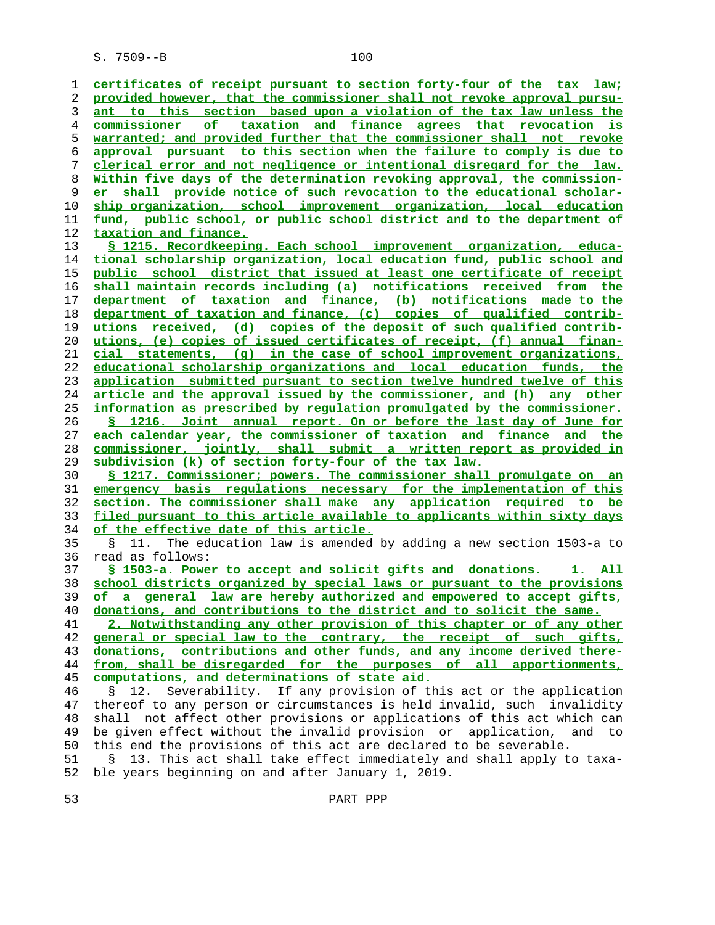**certificates of receipt pursuant to section forty-four of the tax law; provided however, that the commissioner shall not revoke approval pursu- ant to this section based upon a violation of the tax law unless the commissioner of taxation and finance agrees that revocation is warranted; and provided further that the commissioner shall not revoke approval pursuant to this section when the failure to comply is due to clerical error and not negligence or intentional disregard for the law. Within five days of the determination revoking approval, the commission- er shall provide notice of such revocation to the educational scholar- ship organization, school improvement organization, local education fund, public school, or public school district and to the department of taxation and finance. § 1215. Recordkeeping. Each school improvement organization, educa- tional scholarship organization, local education fund, public school and public school district that issued at least one certificate of receipt shall maintain records including (a) notifications received from the department of taxation and finance, (b) notifications made to the department of taxation and finance, (c) copies of qualified contrib- utions received, (d) copies of the deposit of such qualified contrib- utions, (e) copies of issued certificates of receipt, (f) annual finan- cial statements, (g) in the case of school improvement organizations, educational scholarship organizations and local education funds, the application submitted pursuant to section twelve hundred twelve of this article and the approval issued by the commissioner, and (h) any other information as prescribed by regulation promulgated by the commissioner. § 1216. Joint annual report. On or before the last day of June for each calendar year, the commissioner of taxation and finance and the commissioner, jointly, shall submit a written report as provided in subdivision (k) of section forty-four of the tax law. § 1217. Commissioner; powers. The commissioner shall promulgate on an emergency basis regulations necessary for the implementation of this section. The commissioner shall make any application required to be filed pursuant to this article available to applicants within sixty days of the effective date of this article.** 35 § 11. The education law is amended by adding a new section 1503-a to 36 read as follows: **§ 1503-a. Power to accept and solicit gifts and donations. 1. All school districts organized by special laws or pursuant to the provisions of a general law are hereby authorized and empowered to accept gifts, donations, and contributions to the district and to solicit the same. 2. Notwithstanding any other provision of this chapter or of any other general or special law to the contrary, the receipt of such gifts, donations, contributions and other funds, and any income derived there- from, shall be disregarded for the purposes of all apportionments, computations, and determinations of state aid.** 46 § 12. Severability. If any provision of this act or the application 47 thereof to any person or circumstances is held invalid, such invalidity 48 shall not affect other provisions or applications of this act which can 49 be given effect without the invalid provision or application, and to 50 this end the provisions of this act are declared to be severable. 51 § 13. This act shall take effect immediately and shall apply to taxa- 52 ble years beginning on and after January 1, 2019.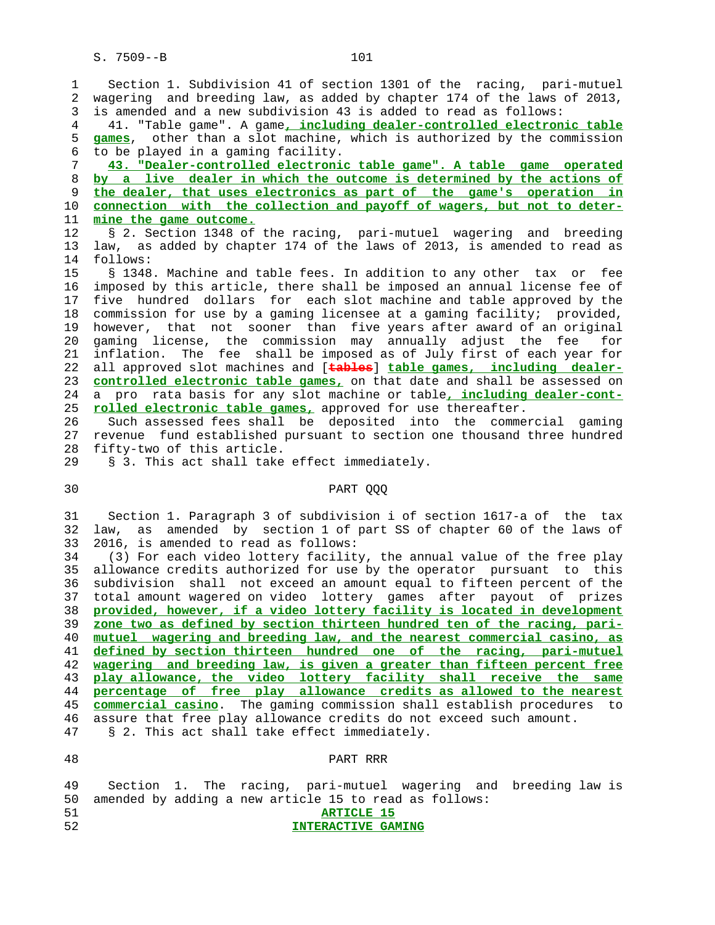1 Section 1. Subdivision 41 of section 1301 of the racing, pari-mutuel 2 wagering and breeding law, as added by chapter 174 of the laws of 2013, 3 is amended and a new subdivision 43 is added to read as follows: 4 41. "Table game". A game**, including dealer-controlled electronic table** 5 **games**, other than a slot machine, which is authorized by the commission 6 to be played in a gaming facility. 7 **43. "Dealer-controlled electronic table game". A table game operated** 8 **by a live dealer in which the outcome is determined by the actions of** 9 **the dealer, that uses electronics as part of the game's operation in** 10 **connection with the collection and payoff of wagers, but not to deter-** 11 **mine the game outcome.** 12 § 2. Section 1348 of the racing, pari-mutuel wagering and breeding 13 law, as added by chapter 174 of the laws of 2013, is amended to read as 14 follows: 15 § 1348. Machine and table fees. In addition to any other tax or fee 16 imposed by this article, there shall be imposed an annual license fee of 17 five hundred dollars for each slot machine and table approved by the 18 commission for use by a gaming licensee at a gaming facility; provided, 19 however, that not sooner than five years after award of an original 20 gaming license, the commission may annually adjust the fee for 21 inflation. The fee shall be imposed as of July first of each year for 22 all approved slot machines and [**tables**] **table games, including dealer-** 23 **controlled electronic table games,** on that date and shall be assessed on 24 a pro rata basis for any slot machine or table**, including dealer-cont-** 25 **rolled electronic table games,** approved for use thereafter. 26 Such assessed fees shall be deposited into the commercial gaming 27 revenue fund established pursuant to section one thousand three hundred 28 fifty-two of this article. 29 § 3. This act shall take effect immediately. 30 PART QQQ 31 Section 1. Paragraph 3 of subdivision i of section 1617-a of the tax 32 law, as amended by section 1 of part SS of chapter 60 of the laws of 33 2016, is amended to read as follows: 34 (3) For each video lottery facility, the annual value of the free play 35 allowance credits authorized for use by the operator pursuant to this 36 subdivision shall not exceed an amount equal to fifteen percent of the 37 total amount wagered on video lottery games after payout of prizes 38 **provided, however, if a video lottery facility is located in development** 39 **zone two as defined by section thirteen hundred ten of the racing, pari-** 40 **mutuel wagering and breeding law, and the nearest commercial casino, as** 41 **defined by section thirteen hundred one of the racing, pari-mutuel** 42 **wagering and breeding law, is given a greater than fifteen percent free** 43 **play allowance, the video lottery facility shall receive the same** 44 **percentage of free play allowance credits as allowed to the nearest** 45 **commercial casino**. The gaming commission shall establish procedures to 46 assure that free play allowance credits do not exceed such amount.<br>47 § 2. This act shall take effect immediately. § 2. This act shall take effect immediately.

## 48 PART RRR

 49 Section 1. The racing, pari-mutuel wagering and breeding law is 50 amended by adding a new article 15 to read as follows: 51 **ARTICLE 15** 52 **INTERACTIVE GAMING**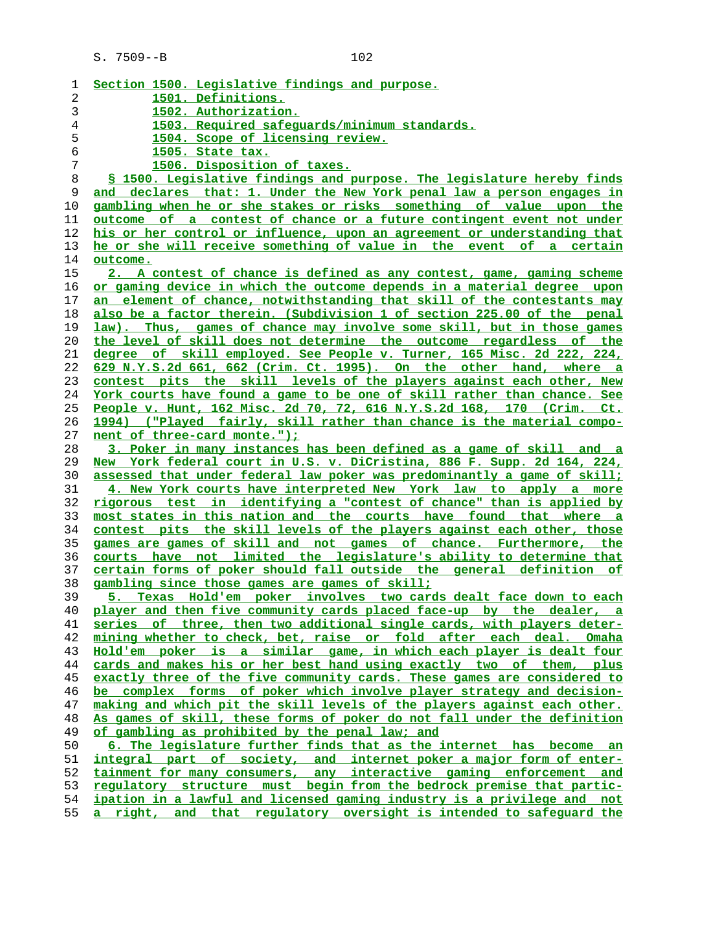| 1  | Section 1500. Legislative findings and purpose.                              |
|----|------------------------------------------------------------------------------|
| 2  | 1501, Definitions.                                                           |
| 3  | 1502. Authorization.                                                         |
| 4  | 1503. Required safequards/minimum standards.                                 |
| 5  | 1504. Scope of licensing review.                                             |
| 6  | 1505. State tax.                                                             |
| 7  | 1506. Disposition of taxes.                                                  |
| 8  | § 1500. Legislative findings and purpose. The legislature hereby finds       |
| 9  | and declares that: 1. Under the New York penal law a person engages in       |
| 10 | gambling when he or she stakes or risks something of value upon the          |
| 11 | outcome of a contest of chance or a future contingent event not under        |
| 12 | his or her control or influence, upon an agreement or understanding that     |
| 13 | he or she will receive something of value in the event of a certain          |
| 14 | <u>outcome.</u>                                                              |
| 15 | 2. A contest of chance is defined as any contest, game, gaming scheme        |
|    |                                                                              |
| 16 | or gaming device in which the outcome depends in a material degree upon      |
| 17 | an element of chance, notwithstanding that skill of the contestants may      |
| 18 | also be a factor therein. (Subdivision 1 of section 225.00 of the penal      |
| 19 | law). Thus, games of chance may involve some skill, but in those games       |
| 20 | the level of skill does not determine the outcome regardless of the          |
| 21 | degree of skill employed. See People v. Turner, 165 Misc. 2d 222, 224,       |
| 22 | 629 N.Y.S.2d 661, 662 (Crim. Ct. 1995). On the other hand, where a           |
| 23 | contest pits the skill levels of the players against each other, New         |
| 24 | York courts have found a game to be one of skill rather than chance. See     |
| 25 | <u>People v. Hunt, 162 Misc. 2d 70, 72, 616 N.Y.S.2d 168, 170 (Crim. Ct.</u> |
| 26 | 1994) ("Played fairly, skill rather than chance is the material compo-       |
| 27 | nent of three-card monte.");                                                 |
| 28 | 3. Poker in many instances has been defined as a game of skill and a         |
| 29 | New York federal court in U.S. v. DiCristina, 886 F. Supp. 2d 164, 224,      |
| 30 | assessed that under federal law poker was predominantly a game of skill;     |
| 31 | 4. New York courts have interpreted New York law to apply a more             |
| 32 | rigorous test in identifying a "contest of chance" than is applied by        |
| 33 | most states in this nation and the courts have found that where a            |
| 34 | contest pits the skill levels of the players against each other, those       |
| 35 | games are games of skill and not games of chance. Furthermore, the           |
| 36 | courts have not limited the legislature's ability to determine that          |
| 37 | certain forms of poker should fall outside the general definition of         |
| 38 | gambling since those games are games of skill;                               |
| 39 | Texas Hold'em poker involves two cards dealt face down to each<br>5.         |
| 40 | player and then five community cards placed face-up by the dealer, a         |
| 41 | series of three, then two additional single cards, with players deter-       |
| 42 | mining whether to check, bet, raise or fold after each deal. Omaha           |
| 43 | Hold'em poker is a similar game, in which each player is dealt four          |
| 44 | cards and makes his or her best hand using exactly two of them, plus         |
| 45 | exactly three of the five community cards. These games are considered to     |
| 46 | be complex forms of poker which involve player strategy and decision-        |
| 47 | making and which pit the skill levels of the players against each other.     |
| 48 | As games of skill, these forms of poker do not fall under the definition     |
| 49 | of gambling as prohibited by the penal law; and                              |
| 50 | 6. The legislature further finds that as the internet has become an          |
| 51 | integral part of society, and internet poker a major form of enter-          |
| 52 | tainment for many consumers, any interactive gaming enforcement and          |
| 53 | regulatory structure must begin from the bedrock premise that partic-        |
| 54 | ipation in a lawful and licensed gaming industry is a privilege and not      |
| 55 | a right, and that regulatory oversight is intended to safeguard the          |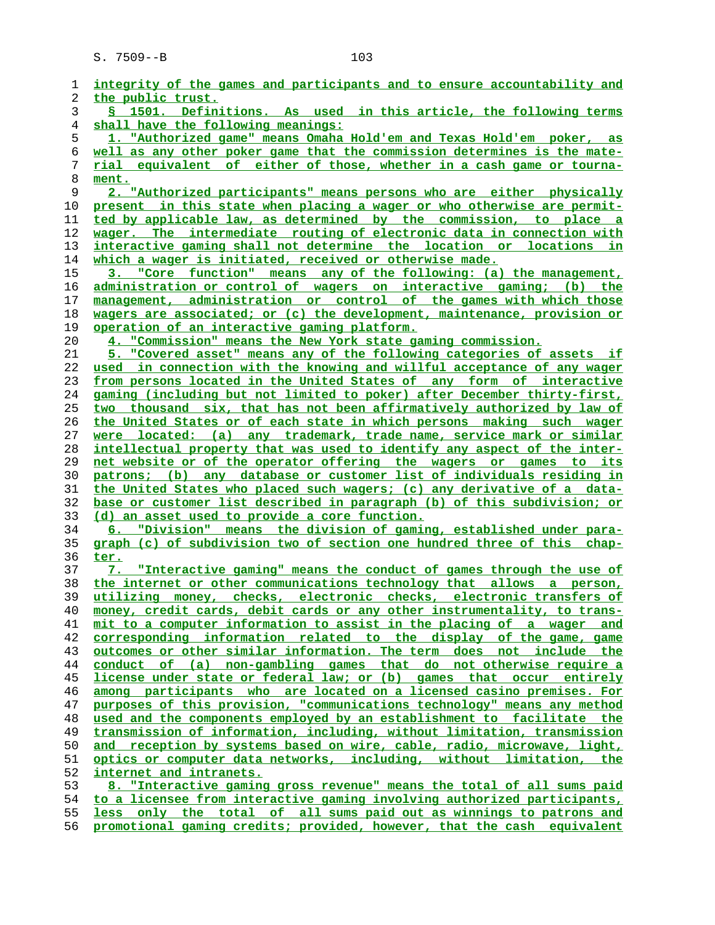| ı  | integrity of the games and participants and to ensure accountability and                                                                       |
|----|------------------------------------------------------------------------------------------------------------------------------------------------|
| 2  | the public trust.                                                                                                                              |
| 3  | \$ 1501. Definitions. As used in this article, the following terms                                                                             |
| 4  | shall have the following meanings:                                                                                                             |
| 5  | 1. "Authorized game" means Omaha Hold'em and Texas Hold'em poker, as                                                                           |
| 6  | well as any other poker game that the commission determines is the mate-                                                                       |
| 7  | rial equivalent of either of those, whether in a cash game or tourna-                                                                          |
| 8  | ment.                                                                                                                                          |
| 9  | 2. "Authorized participants" means persons who are either physically                                                                           |
| 10 | present in this state when placing a wager or who otherwise are permit-                                                                        |
| 11 | ted by applicable law, as determined by the commission, to place a                                                                             |
| 12 | wager. The intermediate routing of electronic data in connection with                                                                          |
| 13 | interactive gaming shall not determine the location or locations in                                                                            |
| 14 | which a wager is initiated, received or otherwise made.                                                                                        |
| 15 | 3. "Core function" means any of the following: (a) the management,                                                                             |
| 16 | administration or control of wagers on interactive gaming; (b) the                                                                             |
| 17 | management, administration or control of the games with which those                                                                            |
| 18 | wagers are associated; or (c) the development, maintenance, provision or                                                                       |
| 19 | <u>operation of an interactive gaming platform.</u>                                                                                            |
| 20 | 4. "Commission" means the New York state gaming commission.                                                                                    |
| 21 | 5. "Covered asset" means any of the following categories of assets if                                                                          |
| 22 | used in connection with the knowing and willful acceptance of any wager                                                                        |
| 23 | from persons located in the United States of any form of interactive                                                                           |
| 24 | gaming (including but not limited to poker) after December thirty-first,                                                                       |
| 25 | two thousand six, that has not been affirmatively authorized by law of                                                                         |
| 26 | the United States or of each state in which persons making such wager                                                                          |
| 27 | were located: (a) any trademark, trade name, service mark or similar                                                                           |
| 28 | intellectual property that was used to identify any aspect of the inter-                                                                       |
| 29 | net website or of the operator offering the wagers or games to its                                                                             |
| 30 | patrons; (b) any database or customer list of individuals residing in                                                                          |
| 31 | the United States who placed such wagers; (c) any derivative of a data-                                                                        |
| 32 | base or customer list described in paragraph (b) of this subdivision; or                                                                       |
| 33 | (d) an asset used to provide a core function.                                                                                                  |
| 34 | 6. "Division" means the division of gaming, established under para-                                                                            |
| 35 | graph (c) of subdivision two of section one hundred three of this chap-                                                                        |
| 36 | ter.                                                                                                                                           |
| 37 |                                                                                                                                                |
| 38 | 7. "Interactive gaming" means the conduct of games through the use of<br>the internet or other communications technology that allows a person, |
| 39 | utilizing money, checks, electronic checks, electronic transfers of                                                                            |
| 40 | money, credit cards, debit cards or any other instrumentality, to trans-                                                                       |
| 41 | mit to a computer information to assist in the placing of a wager and                                                                          |
| 42 | corresponding information related to the display of the game, game                                                                             |
| 43 | outcomes or other similar information. The term does not include the                                                                           |
| 44 | conduct of (a) non-gambling games that do not otherwise require a                                                                              |
| 45 | license under state or federal law; or (b) games that occur entirely                                                                           |
| 46 | among participants who are located on a licensed casino premises. For                                                                          |
| 47 | purposes of this provision, "communications technology" means any method                                                                       |
| 48 | used and the components employed by an establishment to facilitate the                                                                         |
| 49 | transmission of information, including, without limitation, transmission                                                                       |
| 50 | and reception by systems based on wire, cable, radio, microwave, light,                                                                        |
| 51 | optics or computer data networks, including, without limitation, the                                                                           |
| 52 | internet and intranets.                                                                                                                        |
| 53 | 8. "Interactive gaming gross revenue" means the total of all sums paid                                                                         |
| 54 | to a licensee from interactive gaming involving authorized participants,                                                                       |
| 55 | less only the total of all sums paid out as winnings to patrons and                                                                            |
| 56 | promotional gaming credits; provided, however, that the cash equivalent                                                                        |
|    |                                                                                                                                                |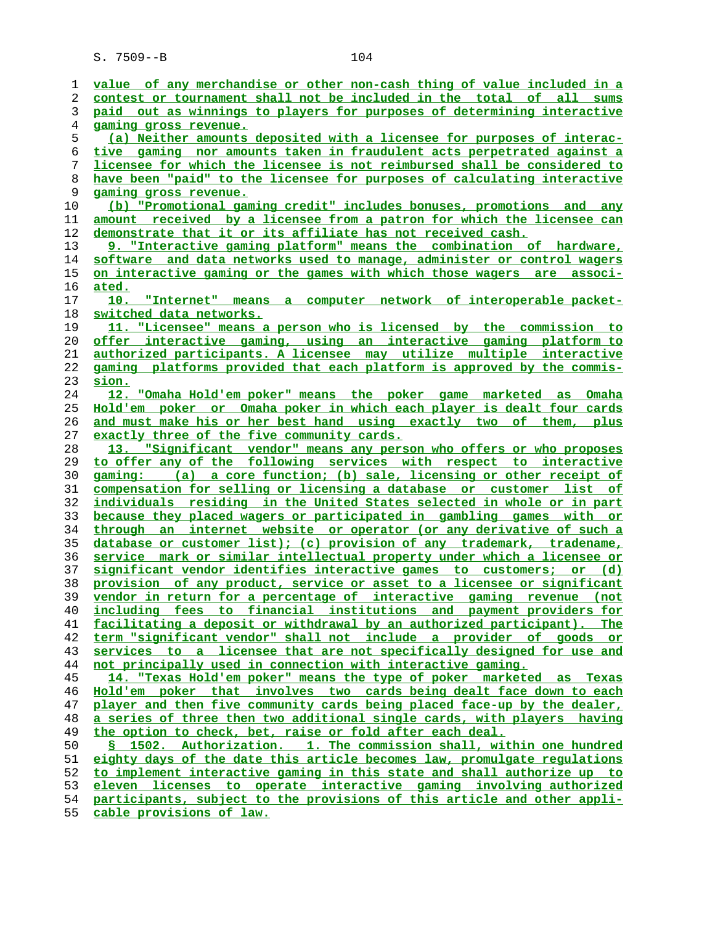|        | value of any merchandise or other non-cash thing of value included in a        |
|--------|--------------------------------------------------------------------------------|
| 1<br>2 | contest or tournament shall not be included in the total of all sums           |
|        |                                                                                |
| 3      | paid out as winnings to players for purposes of determining interactive        |
| 4      | gaming gross revenue.                                                          |
| 5      | (a) Neither amounts deposited with a licensee for purposes of interac-         |
| 6      | tive gaming nor amounts taken in fraudulent acts perpetrated against a         |
| 7      | licensee for which the licensee is not reimbursed shall be considered to       |
| 8      | have been "paid" to the licensee for purposes of calculating interactive       |
| 9      | gaming gross revenue.                                                          |
| 10     | (b) "Promotional gaming credit" includes bonuses, promotions and<br>any        |
| 11     | amount received by a licensee from a patron for which the licensee can         |
| 12     | demonstrate that it or its affiliate has not received cash.                    |
| 13     | 9. "Interactive gaming platform" means the combination of hardware,            |
| 14     | software and data networks used to manage, administer or control wagers        |
| 15     | on interactive gaming or the games with which those wagers are associ-         |
| 16     | ated.                                                                          |
| 17     | 10.<br>"Internet" means a computer network of interoperable packet-            |
| 18     | <u>switched data networks.</u>                                                 |
| 19     | 11. "Licensee" means a person who is licensed by the commission to             |
| 20     | offer interactive gaming, using an interactive gaming platform to              |
| 21     | authorized participants. A licensee may utilize multiple interactive           |
| 22     | gaming platforms provided that each platform is approved by the commis-        |
| 23     | sion.                                                                          |
| 24     | 12. "Omaha Hold'em poker" means the poker game marketed as Omaha               |
| 25     | Hold'em poker or Omaha poker in which each player is dealt four cards          |
| 26     | and must make his or her best hand using exactly two of them, plus             |
| 27     | exactly three of the five community cards.                                     |
| 28     | "Significant vendor" means any person who offers or who proposes<br>13.        |
| 29     | to offer any of the following services with respect to interactive             |
| 30     | gaming: (a) a core function; (b) sale, licensing or other receipt of           |
| 31     | compensation for selling or licensing a database or customer list of           |
| 32     | individuals residing in the United States selected in whole or in part         |
| 33     | because they placed wagers or participated in gambling games with or           |
| 34     | through an internet website or operator (or any derivative of such a           |
| 35     | database or customer list); (c) provision of any trademark, tradename,         |
| 36     | service mark or similar intellectual property under which a licensee or        |
| 37     | significant vendor identifies interactive games to customers; or (d)           |
| 38     | <u>provision of any product, service or asset to a licensee or significant</u> |
| 39     | vendor in return for a percentage of interactive gaming revenue (not           |
| 40     | including fees to financial institutions and payment providers for             |
| 41     | facilitating a deposit or withdrawal by an authorized participant).<br>The     |
| 42     | term "significant vendor" shall not include a provider of goods or             |
| 43     | services to a licensee that are not specifically designed for use and          |
| 44     | not principally used in connection with interactive gaming.                    |
| 45     | 14. "Texas Hold'em poker" means the type of poker marketed as Texas            |
| 46     | Hold'em poker that involves two cards being dealt face down to each            |
| 47     | player and then five community cards being placed face-up by the dealer,       |
| 48     | a series of three then two additional single cards, with players having        |
| 49     | the option to check, bet, raise or fold after each deal.                       |
| 50     | § 1502. Authorization. 1. The commission shall, within one hundred             |
| 51     | eighty days of the date this article becomes law, promulgate regulations       |
| 52     | to implement interactive gaming in this state and shall authorize up to        |
| 53     | eleven licenses to operate interactive gaming involving authorized             |
| 54     | participants, subject to the provisions of this article and other appli-       |
| 55     | cable provisions of law                                                        |

**cable provisions of law.**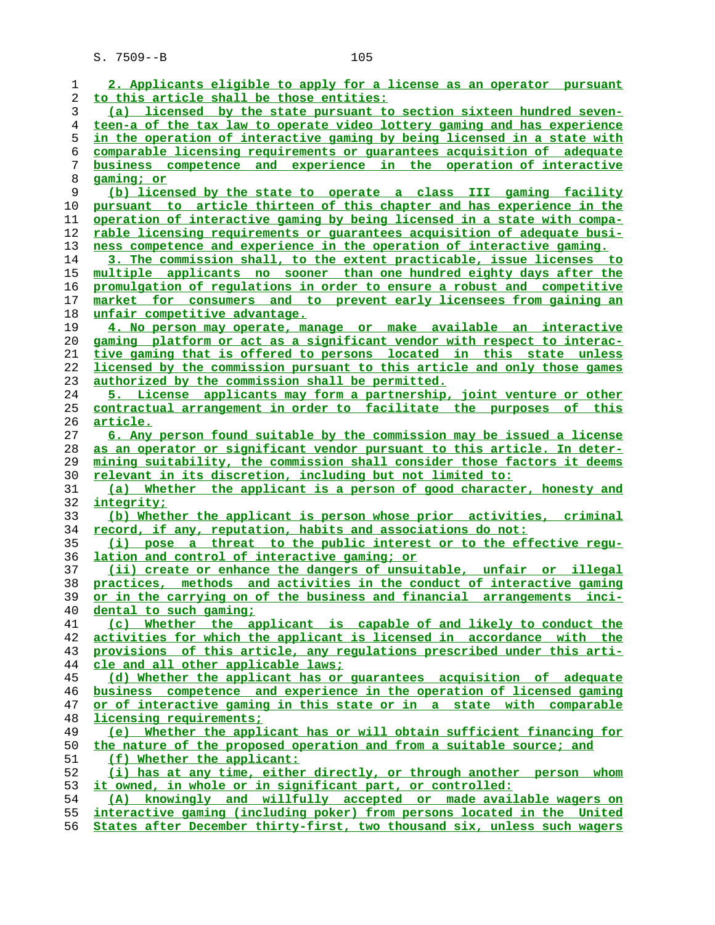| 1  | 2. Applicants eligible to apply for a license as an operator pursuant           |
|----|---------------------------------------------------------------------------------|
| 2  | <u>to this article shall be those entities:</u>                                 |
| 3  | (a) licensed by the state pursuant to section sixteen hundred seven-            |
| 4  | teen-a of the tax law to operate video lottery gaming and has experience        |
| 5  | in the operation of interactive gaming by being licensed in a state with        |
|    |                                                                                 |
| 6  | comparable licensing requirements or quarantees acquisition of adequate         |
| 7  | business competence and experience in the operation of interactive              |
| 8  | gaming; or                                                                      |
| 9  | (b) licensed by the state to operate a class III gaming facility                |
| 10 | pursuant to article thirteen of this chapter and has experience in the          |
| 11 | operation of interactive gaming by being licensed in a state with compa-        |
|    |                                                                                 |
| 12 | <u>rable licensing requirements or quarantees acquisition of adequate busi-</u> |
| 13 | ness competence and experience in the operation of interactive gaming.          |
| 14 | 3. The commission shall, to the extent practicable, issue licenses to           |
| 15 | multiple applicants no sooner than one hundred eighty days after the            |
| 16 | promulgation of regulations in order to ensure a robust and competitive         |
| 17 | market for consumers and to prevent early licensees from gaining an             |
|    |                                                                                 |
| 18 | unfair competitive advantage.                                                   |
| 19 | 4. No person may operate, manage or make available an interactive               |
| 20 | gaming platform or act as a significant vendor with respect to interac-         |
| 21 | tive gaming that is offered to persons located in this state unless             |
| 22 | licensed by the commission pursuant to this article and only those games        |
| 23 | authorized by the commission shall be permitted.                                |
| 24 | 5. License applicants may form a partnership, joint venture or other            |
|    |                                                                                 |
| 25 | contractual arrangement in order to facilitate the purposes of this             |
| 26 | article.                                                                        |
| 27 | 6. Any person found suitable by the commission may be issued a license          |
| 28 | <u>as an operator or significant vendor pursuant to this article. In deter-</u> |
| 29 | mining suitability, the commission shall consider those factors it deems        |
| 30 | <u>relevant in its discretion, including but not limited to:</u>                |
| 31 | (a) Whether the applicant is a person of good character, honesty and            |
|    |                                                                                 |
| 32 | integrity;                                                                      |
| 33 | (b) Whether the applicant is person whose prior activities, criminal            |
| 34 | <u>record, if any, reputation, habits and associations do not:</u>              |
| 35 | (i) pose a threat to the public interest or to the effective requ-              |
| 36 | lation and control of interactive gaming; or                                    |
| 37 | (ii) create or enhance the dangers of unsuitable, unfair or illegal             |
| 38 | practices, methods and activities in the conduct of interactive gaming          |
| 39 | or in the carrying on of the business and financial arrangements inci-          |
|    |                                                                                 |
| 40 | dental to such gaming;                                                          |
| 41 | (c) Whether the applicant is capable of and likely to conduct the               |
| 42 | activities for which the applicant is licensed in accordance with the           |
| 43 | provisions of this article, any regulations prescribed under this arti-         |
| 44 | cle and all other applicable laws;                                              |
| 45 | (d) Whether the applicant has or quarantees acquisition of adequate             |
| 46 | business competence and experience in the operation of licensed gaming          |
| 47 | or of interactive gaming in this state or in a state with comparable            |
|    |                                                                                 |
| 48 | licensing requirements;                                                         |
| 49 | (e) Whether the applicant has or will obtain sufficient financing for           |
| 50 | the nature of the proposed operation and from a suitable source; and            |
| 51 | (f) Whether the applicant:                                                      |
| 52 | (i) has at any time, either directly, or through another person whom            |
| 53 | it owned, in whole or in significant part, or controlled:                       |
| 54 | (A) knowingly and willfully accepted or made available wagers on                |
|    |                                                                                 |
| 55 | interactive gaming (including poker) from persons located in the United         |
| 56 | States after December thirty-first, two thousand six, unless such wagers        |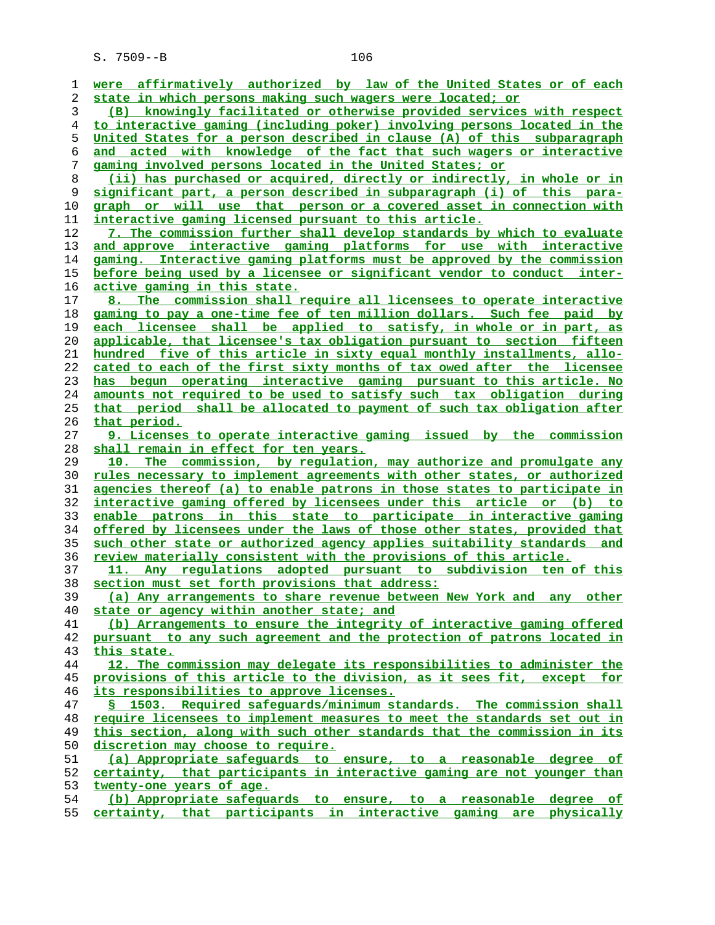| 1        | were affirmatively authorized by law of the United States or of each                                                       |
|----------|----------------------------------------------------------------------------------------------------------------------------|
| 2        | state in which persons making such wagers were located; or                                                                 |
| 3        | (B) knowingly facilitated or otherwise provided services with respect                                                      |
| 4        | to interactive gaming (including poker) involving persons located in the                                                   |
| 5        | United States for a person described in clause (A) of this subparagraph                                                    |
| 6        | and acted with knowledge of the fact that such wagers or interactive                                                       |
| 7        | gaming involved persons located in the United States; or                                                                   |
| 8        | (ii) has purchased or acquired, directly or indirectly, in whole or in                                                     |
| 9        | significant part, a person described in subparagraph (i) of this para-                                                     |
| 10       | graph or will use that person or a covered asset in connection with                                                        |
| 11       | interactive gaming licensed pursuant to this article.                                                                      |
| 12       | 7. The commission further shall develop standards by which to evaluate                                                     |
| 13       | and approve interactive gaming platforms for use with interactive                                                          |
| 14       | gaming. Interactive gaming platforms must be approved by the commission                                                    |
| 15       | before being used by a licensee or significant vendor to conduct inter-                                                    |
| 16       | <u>active gaming in this state.</u>                                                                                        |
| 17       | 8. The commission shall require all licensees to operate interactive                                                       |
| 18       | gaming to pay a one-time fee of ten million dollars. Such fee paid by                                                      |
| 19       | each licensee shall be applied to satisfy, in whole or in part, as                                                         |
| 20       | applicable, that licensee's tax obligation pursuant to section fifteen                                                     |
| 21       | hundred five of this article in sixty equal monthly installments, allo-                                                    |
| 22       | cated to each of the first sixty months of tax owed after the licensee                                                     |
| 23       | has begun operating interactive gaming pursuant to this article. No                                                        |
| 24       | amounts not required to be used to satisfy such tax obligation during                                                      |
| 25       | that period shall be allocated to payment of such tax obligation after                                                     |
| 26       | that period.                                                                                                               |
| 27       | 9. Licenses to operate interactive gaming issued by the commission                                                         |
| 28       | shall remain in effect for ten years.                                                                                      |
| 29       | 10. The commission, by regulation, may authorize and promulgate any                                                        |
| 30       | rules necessary to implement agreements with other states, or authorized                                                   |
| 31       | agencies thereof (a) to enable patrons in those states to participate in                                                   |
| 32       | interactive gaming offered by licensees under this article or (b) to                                                       |
| 33       | enable patrons in this state to participate in interactive gaming                                                          |
| 34       | <u>offered by licensees under the laws of those other states, provided that</u>                                            |
| 35       | such other state or authorized agency applies suitability standards and                                                    |
| 36       | <u>review materially consistent with the provisions of this article.</u>                                                   |
| 37       | 11. Any regulations adopted pursuant to subdivision ten of this                                                            |
| 38<br>39 | section must set forth provisions that address:<br>(a) Any arrangements to share revenue between New York and any<br>other |
| 40       | state or agency within another state; and                                                                                  |
| 41       | (b) Arrangements to ensure the integrity of interactive gaming offered                                                     |
| 42       | pursuant to any such agreement and the protection of patrons located in                                                    |
| 43       | this state.                                                                                                                |
| 44       | 12. The commission may delegate its responsibilities to administer the                                                     |
| 45       | provisions of this article to the division, as it sees fit, except for                                                     |
| 46       | its responsibilities to approve licenses.                                                                                  |
| 47       | § 1503. Required safequards/minimum standards. The commission shall                                                        |
| 48       | require licensees to implement measures to meet the standards set out in                                                   |
| 49       | this section, along with such other standards that the commission in its                                                   |
| 50       | discretion may choose to require.                                                                                          |
| 51       | (a) Appropriate safeguards to ensure, to a reasonable degree of                                                            |
| 52       | certainty, that participants in interactive gaming are not younger than                                                    |
| 53       | twenty-one years of age.                                                                                                   |
| 54       | (b) Appropriate safequards to ensure, to a reasonable degree of                                                            |
| 55       | certainty, that participants in interactive gaming are physically                                                          |
|          |                                                                                                                            |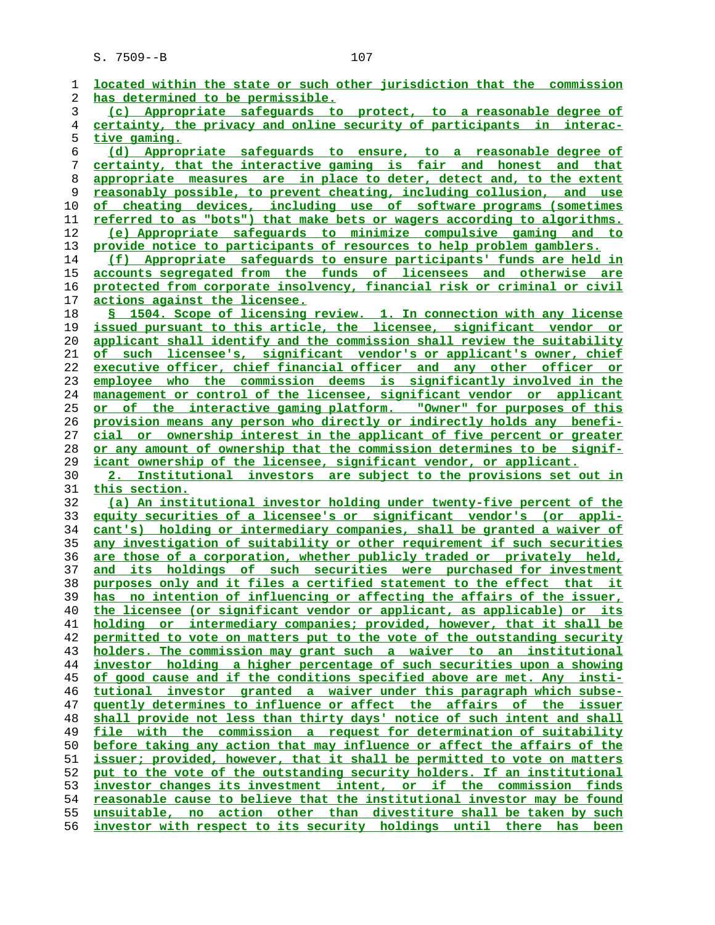| 1  | located within the state or such other jurisdiction that the commission    |
|----|----------------------------------------------------------------------------|
|    |                                                                            |
| 2  | has determined to be permissible.                                          |
| 3  | (c) Appropriate safeguards to protect, to a reasonable degree of           |
| 4  | certainty, the privacy and online security of participants in interac-     |
| 5  | <u>tive gaming.</u>                                                        |
| 6  | (d) Appropriate safeguards to ensure, to a reasonable degree of            |
| 7  | certainty, that the interactive gaming is fair and honest and that         |
| 8  | appropriate measures are in place to deter, detect and, to the extent      |
| 9  | reasonably possible, to prevent cheating, including collusion, and use     |
|    |                                                                            |
| 10 | of cheating devices, including use of software programs (sometimes         |
| 11 | referred to as "bots") that make bets or wagers according to algorithms.   |
| 12 | (e) Appropriate safequards to minimize compulsive gaming and to            |
| 13 | provide notice to participants of resources to help problem gamblers.      |
| 14 | (f) Appropriate safeguards to ensure participants' funds are held in       |
| 15 | accounts segregated from the funds of licensees and otherwise are          |
| 16 | protected from corporate insolvency, financial risk or criminal or civil   |
| 17 | actions against the licensee.                                              |
| 18 | § 1504. Scope of licensing review. 1. In connection with any license       |
| 19 | issued pursuant to this article, the licensee, significant vendor or       |
|    |                                                                            |
| 20 | applicant shall identify and the commission shall review the suitability   |
| 21 | of such licensee's, significant vendor's or applicant's owner, chief       |
| 22 | executive officer, chief financial officer and any other officer or        |
| 23 | employee who the commission deems is significantly involved in the         |
| 24 | management or control of the licensee, significant vendor or applicant     |
| 25 | or of the interactive gaming platform. "Owner" for purposes of this        |
| 26 | provision means any person who directly or indirectly holds any benefi-    |
| 27 | cial or ownership interest in the applicant of five percent or greater     |
| 28 | or any amount of ownership that the commission determines to be signif-    |
| 29 | icant ownership of the licensee, significant vendor, or applicant.         |
| 30 | 2. Institutional investors are subject to the provisions set out in        |
| 31 | this section.                                                              |
|    |                                                                            |
| 32 | (a) An institutional investor holding under twenty-five percent of the     |
| 33 | equity securities of a licensee's or significant vendor's (or appli-       |
| 34 | cant's) holding or intermediary companies, shall be granted a waiver of    |
| 35 | any investigation of suitability or other requirement if such securities   |
| 36 | are those of a corporation, whether publicly traded or privately held,     |
| 37 | and its holdings of such securities were purchased for investment          |
| 38 | purposes only and it files a certified statement to the effect that it     |
| 39 | has no intention of influencing or affecting the affairs of the issuer,    |
| 40 | the licensee (or significant vendor or applicant, as applicable) or its    |
| 41 | holding or intermediary companies; provided, however, that it shall be     |
| 42 | permitted to vote on matters put to the vote of the outstanding security   |
| 43 | holders. The commission may grant such a waiver to an institutional        |
| 44 | investor holding a higher percentage of such securities upon a showing     |
|    | of good cause and if the conditions specified above are met. Any insti-    |
| 45 |                                                                            |
| 46 | tutional investor granted a waiver under this paragraph which subse-       |
| 47 | <u>quently determines to influence or affect the affairs of the issuer</u> |
| 48 | shall provide not less than thirty days' notice of such intent and shall   |
| 49 | file with the commission a request for determination of suitability        |
| 50 | before taking any action that may influence or affect the affairs of the   |
| 51 | issuer; provided, however, that it shall be permitted to vote on matters   |
| 52 | put to the vote of the outstanding security holders. If an institutional   |
| 53 | investor changes its investment intent, or if the commission finds         |
| 54 | reasonable cause to believe that the institutional investor may be found   |
| 55 | unsuitable, no action other than divestiture shall be taken by such        |
| 56 | investor with respect to its security holdings until there has been        |
|    |                                                                            |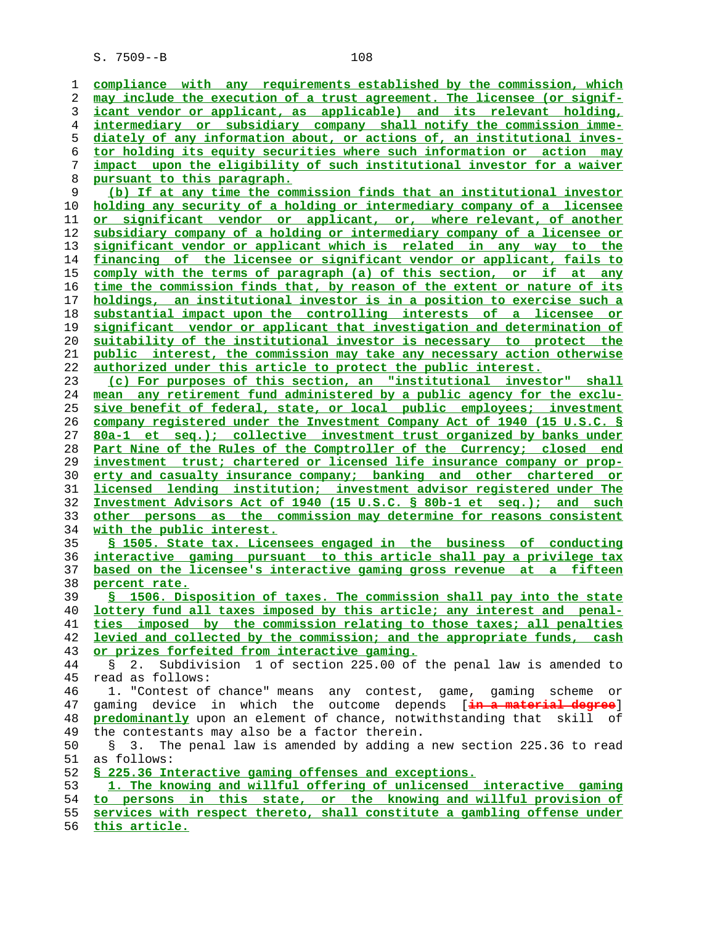**compliance with any requirements established by the commission, which may include the execution of a trust agreement. The licensee (or signif- icant vendor or applicant, as applicable) and its relevant holding, intermediary or subsidiary company shall notify the commission imme- diately of any information about, or actions of, an institutional inves- tor holding its equity securities where such information or action may impact upon the eligibility of such institutional investor for a waiver pursuant to this paragraph. (b) If at any time the commission finds that an institutional investor holding any security of a holding or intermediary company of a licensee or significant vendor or applicant, or, where relevant, of another subsidiary company of a holding or intermediary company of a licensee or significant vendor or applicant which is related in any way to the financing of the licensee or significant vendor or applicant, fails to comply with the terms of paragraph (a) of this section, or if at any time the commission finds that, by reason of the extent or nature of its holdings, an institutional investor is in a position to exercise such a substantial impact upon the controlling interests of a licensee or significant vendor or applicant that investigation and determination of suitability of the institutional investor is necessary to protect the public interest, the commission may take any necessary action otherwise authorized under this article to protect the public interest. (c) For purposes of this section, an "institutional investor" shall mean any retirement fund administered by a public agency for the exclu- sive benefit of federal, state, or local public employees; investment company registered under the Investment Company Act of 1940 (15 U.S.C. § 80a-1 et seq.); collective investment trust organized by banks under Part Nine of the Rules of the Comptroller of the Currency; closed end investment trust; chartered or licensed life insurance company or prop- erty and casualty insurance company; banking and other chartered or licensed lending institution; investment advisor registered under The Investment Advisors Act of 1940 (15 U.S.C. § 80b-1 et seq.); and such other persons as the commission may determine for reasons consistent with the public interest. § 1505. State tax. Licensees engaged in the business of conducting interactive gaming pursuant to this article shall pay a privilege tax based on the licensee's interactive gaming gross revenue at a fifteen percent rate. § 1506. Disposition of taxes. The commission shall pay into the state lottery fund all taxes imposed by this article; any interest and penal- ties imposed by the commission relating to those taxes; all penalties levied and collected by the commission; and the appropriate funds, cash or prizes forfeited from interactive gaming.** 44 § 2. Subdivision 1 of section 225.00 of the penal law is amended to 45 read as follows: 46 1. "Contest of chance" means any contest, game, gaming scheme or 47 gaming device in which the outcome depends [**in a material degree**] **predominantly** upon an element of chance, notwithstanding that skill of 49 the contestants may also be a factor therein. 50 § 3. The penal law is amended by adding a new section 225.36 to read 51 as follows: **§ 225.36 Interactive gaming offenses and exceptions. 1. The knowing and willful offering of unlicensed interactive gaming to persons in this state, or the knowing and willful provision of services with respect thereto, shall constitute a gambling offense under this article.**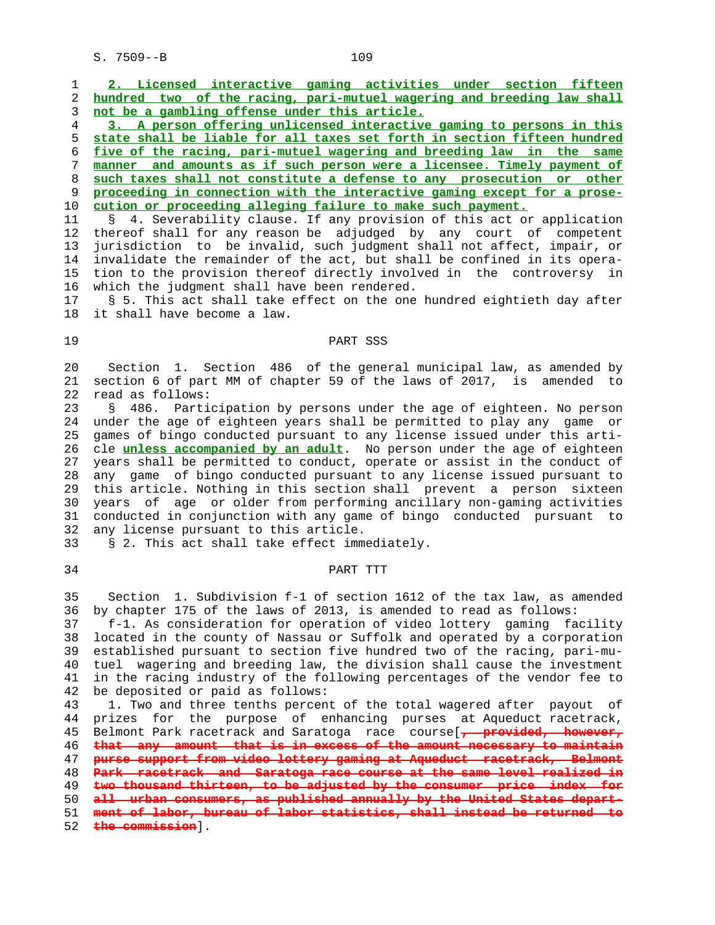1 **2. Licensed interactive gaming activities under section fifteen** 2 **hundred two of the racing, pari-mutuel wagering and breeding law shall** 3 **not be a gambling offense under this article.**

**3. A person offering unlicensed interactive gaming to persons in this state shall be liable for all taxes set forth in section fifteen hundred five of the racing, pari-mutuel wagering and breeding law in the same manner and amounts as if such person were a licensee. Timely payment of such taxes shall not constitute a defense to any prosecution or other proceeding in connection with the interactive gaming except for a prose- cution or proceeding alleging failure to make such payment.**

 11 § 4. Severability clause. If any provision of this act or application 12 thereof shall for any reason be adjudged by any court of competent 13 jurisdiction to be invalid, such judgment shall not affect, impair, or 14 invalidate the remainder of the act, but shall be confined in its opera- 15 tion to the provision thereof directly involved in the controversy in 16 which the judgment shall have been rendered.

 17 § 5. This act shall take effect on the one hundred eightieth day after 18 it shall have become a law.

# 19 PART SSS

 20 Section 1. Section 486 of the general municipal law, as amended by 21 section 6 of part MM of chapter 59 of the laws of 2017, is amended to 22 read as follows:

 23 § 486. Participation by persons under the age of eighteen. No person 24 under the age of eighteen years shall be permitted to play any game or 25 games of bingo conducted pursuant to any license issued under this arti- 26 cle **unless accompanied by an adult**. No person under the age of eighteen 27 years shall be permitted to conduct, operate or assist in the conduct of 28 any game of bingo conducted pursuant to any license issued pursuant to 29 this article. Nothing in this section shall prevent a person sixteen 30 years of age or older from performing ancillary non-gaming activities 31 conducted in conjunction with any game of bingo conducted pursuant to 32 any license pursuant to this article.

33 § 2. This act shall take effect immediately.

## 34 PART TTT

 35 Section 1. Subdivision f-1 of section 1612 of the tax law, as amended 36 by chapter 175 of the laws of 2013, is amended to read as follows:

 37 f-1. As consideration for operation of video lottery gaming facility 38 located in the county of Nassau or Suffolk and operated by a corporation 39 established pursuant to section five hundred two of the racing, pari-mu- 40 tuel wagering and breeding law, the division shall cause the investment 41 in the racing industry of the following percentages of the vendor fee to 42 be deposited or paid as follows:

 43 1. Two and three tenths percent of the total wagered after payout of 44 prizes for the purpose of enhancing purses at Aqueduct racetrack, 45 Belmont Park racetrack and Saratoga race course[**, provided, however, that any amount that is in excess of the amount necessary to maintain purse support from video lottery gaming at Aqueduct racetrack, Belmont Park racetrack and Saratoga race course at the same level realized in two thousand thirteen, to be adjusted by the consumer price index for all urban consumers, as published annually by the United States depart- ment of labor, bureau of labor statistics, shall instead be returned to the commission**].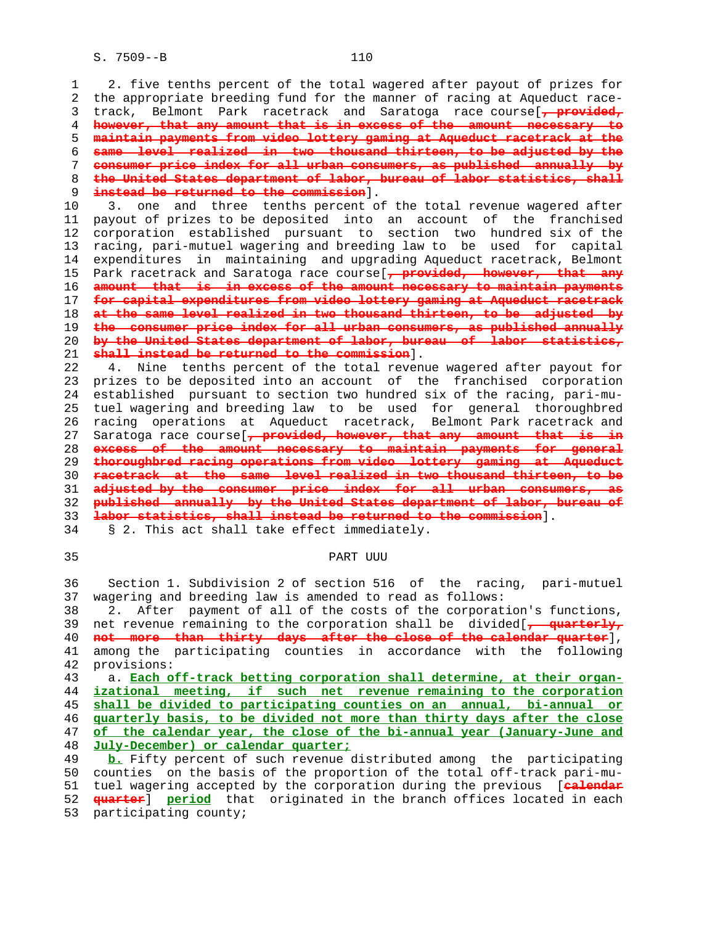1 2. five tenths percent of the total wagered after payout of prizes for 2 the appropriate breeding fund for the manner of racing at Aqueduct race- 3 track, Belmont Park racetrack and Saratoga race course[**, provided, however, that any amount that is in excess of the amount necessary to maintain payments from video lottery gaming at Aqueduct racetrack at the same level realized in two thousand thirteen, to be adjusted by the consumer price index for all urban consumers, as published annually by the United States department of labor, bureau of labor statistics, shall instead be returned to the commission**].

 10 3. one and three tenths percent of the total revenue wagered after 11 payout of prizes to be deposited into an account of the franchised 12 corporation established pursuant to section two hundred six of the 13 racing, pari-mutuel wagering and breeding law to be used for capital 14 expenditures in maintaining and upgrading Aqueduct racetrack, Belmont 15 Park racetrack and Saratoga race course[**, provided, however, that any** 16 **amount that is in excess of the amount necessary to maintain payments** 17 **for capital expenditures from video lottery gaming at Aqueduct racetrack** 18 **at the same level realized in two thousand thirteen, to be adjusted by** 19 **the consumer price index for all urban consumers, as published annually** 20 **by the United States department of labor, bureau of labor statistics,** 21 **shall instead be returned to the commission**].

 22 4. Nine tenths percent of the total revenue wagered after payout for 23 prizes to be deposited into an account of the franchised corporation 24 established pursuant to section two hundred six of the racing, pari-mu- 25 tuel wagering and breeding law to be used for general thoroughbred 26 racing operations at Aqueduct racetrack, Belmont Park racetrack and 27 Saratoga race course[**, provided, however, that any amount that is in** 28 **excess of the amount necessary to maintain payments for general** 29 **thoroughbred racing operations from video lottery gaming at Aqueduct** 30 **racetrack at the same level realized in two thousand thirteen, to be** 31 **adjusted by the consumer price index for all urban consumers, as** 32 **published annually by the United States department of labor, bureau of** 33 **labor statistics, shall instead be returned to the commission**].

34 § 2. This act shall take effect immediately.

## 35 PART UUU

 36 Section 1. Subdivision 2 of section 516 of the racing, pari-mutuel 37 wagering and breeding law is amended to read as follows:

 38 2. After payment of all of the costs of the corporation's functions, 39 net revenue remaining to the corporation shall be divided[**, quarterly,** 40 **not more than thirty days after the close of the calendar quarter**], 41 among the participating counties in accordance with the following 42 provisions: 43 a. **Each off-track betting corporation shall determine, at their organ-** 44 **izational meeting, if such net revenue remaining to the corporation** 45 **shall be divided to participating counties on an annual, bi-annual or** 46 **quarterly basis, to be divided not more than thirty days after the close** 47 **of the calendar year, the close of the bi-annual year (January-June and** 48 **July-December) or calendar quarter;** 49 **b.** Fifty percent of such revenue distributed among the participating

 50 counties on the basis of the proportion of the total off-track pari-mu- 51 tuel wagering accepted by the corporation during the previous [**calendar** 52 **quarter**] **period** that originated in the branch offices located in each 53 participating county;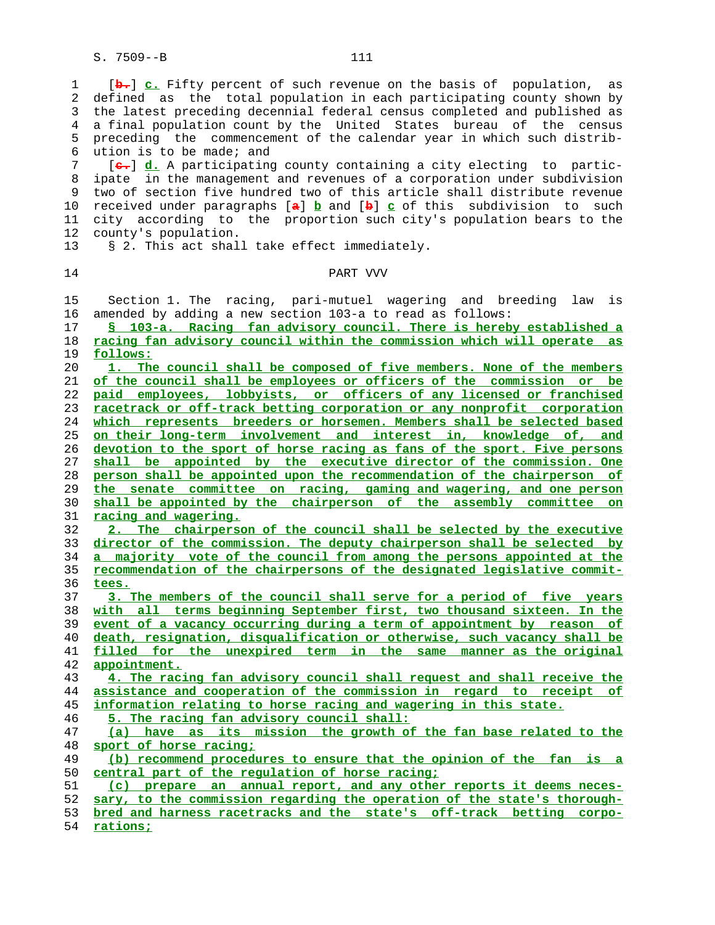1 [**b.**] **c.** Fifty percent of such revenue on the basis of population, as 2 defined as the total population in each participating county shown by 3 the latest preceding decennial federal census completed and published as 4 a final population count by the United States bureau of the census 5 preceding the commencement of the calendar year in which such distrib- 6 ution is to be made; and

 7 [**c.**] **d.** A participating county containing a city electing to partic- 8 ipate in the management and revenues of a corporation under subdivision<br>9 two of section five hundred two of this article shall distribute revenue two of section five hundred two of this article shall distribute revenue 10 received under paragraphs [**a**] **b** and [**b**] **c** of this subdivision to such 11 city according to the proportion such city's population bears to the 12 county's population.

13 § 2. This act shall take effect immediately.

# **PART VVV**

 15 Section 1. The racing, pari-mutuel wagering and breeding law is 16 amended by adding a new section 103-a to read as follows:

**§ 103-a. Racing fan advisory council. There is hereby established a racing fan advisory council within the commission which will operate as follows: 1. The council shall be composed of five members. None of the members of the council shall be employees or officers of the commission or be paid employees, lobbyists, or officers of any licensed or franchised racetrack or off-track betting corporation or any nonprofit corporation which represents breeders or horsemen. Members shall be selected based on their long-term involvement and interest in, knowledge of, and devotion to the sport of horse racing as fans of the sport. Five persons shall be appointed by the executive director of the commission. One person shall be appointed upon the recommendation of the chairperson of the senate committee on racing, gaming and wagering, and one person shall be appointed by the chairperson of the assembly committee on racing and wagering. 2. The chairperson of the council shall be selected by the executive director of the commission. The deputy chairperson shall be selected by**

**a majority vote of the council from among the persons appointed at the recommendation of the chairpersons of the designated legislative commit- tees.**

**3. The members of the council shall serve for a period of five years with all terms beginning September first, two thousand sixteen. In the event of a vacancy occurring during a term of appointment by reason of death, resignation, disqualification or otherwise, such vacancy shall be filled for the unexpired term in the same manner as the original appointment. 4. The racing fan advisory council shall request and shall receive the assistance and cooperation of the commission in regard to receipt of information relating to horse racing and wagering in this state. 5. The racing fan advisory council shall: (a) have as its mission the growth of the fan base related to the sport of horse racing; (b) recommend procedures to ensure that the opinion of the fan is a central part of the regulation of horse racing;**

**(c) prepare an annual report, and any other reports it deems neces-**

**sary, to the commission regarding the operation of the state's thorough-**

**bred and harness racetracks and the state's off-track betting corpo-**

**rations;**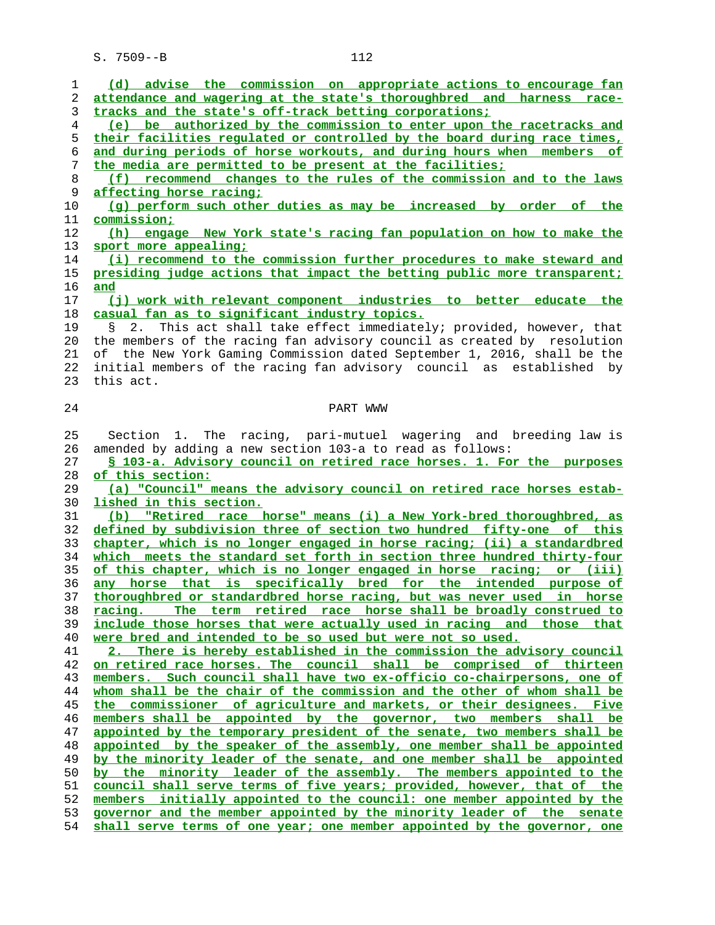|    | (d) advise the commission on appropriate actions to encourage fan                                                                                 |
|----|---------------------------------------------------------------------------------------------------------------------------------------------------|
| 2  | attendance and wagering at the state's thoroughbred and harness race-                                                                             |
| 3  | tracks and the state's off-track betting corporations;                                                                                            |
| 4  | (e) be authorized by the commission to enter upon the racetracks and                                                                              |
| 5  | their facilities regulated or controlled by the board during race times,                                                                          |
| 6  | and during periods of horse workouts, and during hours when members of                                                                            |
| 7  | the media are permitted to be present at the facilities;                                                                                          |
| 8  | (f) recommend changes to the rules of the commission and to the laws                                                                              |
| 9  | affecting horse racing;                                                                                                                           |
| 10 | (g) perform such other duties as may be increased by order of the                                                                                 |
| 11 | commission;                                                                                                                                       |
| 12 | (h) engage New York state's racing fan population on how to make the                                                                              |
| 13 | sport more appealing;                                                                                                                             |
| 14 | (i) recommend to the commission further procedures to make steward and                                                                            |
| 15 | presiding judge actions that impact the betting public more transparent;                                                                          |
| 16 | and                                                                                                                                               |
| 17 | (j) work with relevant component industries to better educate the                                                                                 |
| 18 | casual fan as to significant industry topics.                                                                                                     |
| 19 | This act shall take effect immediately; provided, however, that<br>Ş.<br>2.                                                                       |
| 20 | the members of the racing fan advisory council as created by resolution                                                                           |
| 21 | of the New York Gaming Commission dated September 1, 2016, shall be the                                                                           |
| 22 | initial members of the racing fan advisory council as established by                                                                              |
| 23 | this act.                                                                                                                                         |
|    |                                                                                                                                                   |
| 24 | PART WWW                                                                                                                                          |
|    |                                                                                                                                                   |
| 25 | Section 1. The racing, pari-mutuel wagering and breeding law is                                                                                   |
| 26 | amended by adding a new section 103-a to read as follows:                                                                                         |
| 27 | § 103-a. Advisory council on retired race horses. 1. For the purposes                                                                             |
| 28 | of this section:                                                                                                                                  |
| 29 | (a) "Council" means the advisory council on retired race horses estab-                                                                            |
| 30 | lished in this section.                                                                                                                           |
| 31 | "Retired race horse" means (i) a New York-bred thoroughbred, as<br>(b)                                                                            |
| 32 | defined by subdivision three of section two hundred fifty-one of this                                                                             |
| 33 | chapter, which is no longer engaged in horse racing; (ii) a standardbred                                                                          |
| 34 | which meets the standard set forth in section three hundred thirty-four                                                                           |
| 35 |                                                                                                                                                   |
|    | of this chapter, which is no longer engaged in horse racing; or (iii)                                                                             |
| 36 | any horse that is specifically bred for the intended purpose of                                                                                   |
| 37 | thoroughbred or standardbred horse racing, but was never used in horse                                                                            |
| 38 | The term retired race horse shall be broadly construed to<br><u>racing.</u>                                                                       |
| 39 | include those horses that were actually used in racing and those that                                                                             |
| 40 | were bred and intended to be so used but were not so used.                                                                                        |
| 41 | 2. There is hereby established in the commission the advisory council                                                                             |
| 42 | <u>on retired race horses. The council shall be comprised of thirteen</u>                                                                         |
| 43 | members. Such council shall have two ex-officio co-chairpersons, one of                                                                           |
| 44 | whom shall be the chair of the commission and the other of whom shall be                                                                          |
| 45 | the commissioner of agriculture and markets, or their designees. Five                                                                             |
| 46 | members shall be appointed by the governor, two members shall be                                                                                  |
| 47 | appointed by the temporary president of the senate, two members shall be                                                                          |
| 48 | appointed by the speaker of the assembly, one member shall be appointed                                                                           |
| 49 | by the minority leader of the senate, and one member shall be appointed                                                                           |
| 50 | by the minority leader of the assembly. The members appointed to the                                                                              |
| 51 | council shall serve terms of five years; provided, however, that of the                                                                           |
| 52 | members initially appointed to the council: one member appointed by the<br>governor and the member appointed by the minority leader of the senate |
| 53 |                                                                                                                                                   |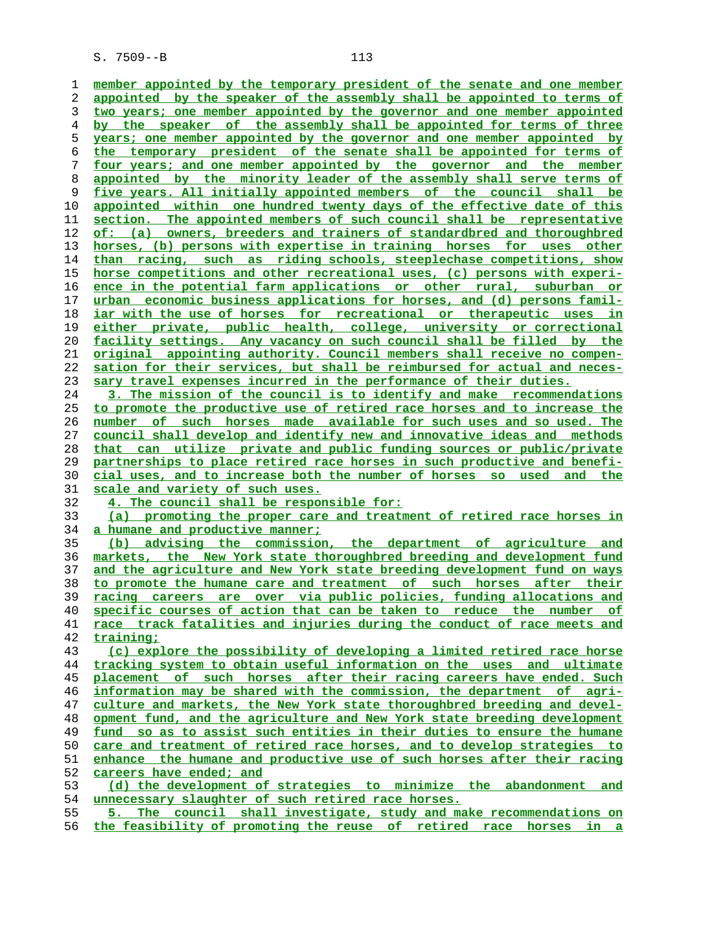**member appointed by the temporary president of the senate and one member appointed by the speaker of the assembly shall be appointed to terms of two years; one member appointed by the governor and one member appointed by the speaker of the assembly shall be appointed for terms of three years; one member appointed by the governor and one member appointed by the temporary president of the senate shall be appointed for terms of four years; and one member appointed by the governor and the member appointed by the minority leader of the assembly shall serve terms of five years. All initially appointed members of the council shall be appointed within one hundred twenty days of the effective date of this section. The appointed members of such council shall be representative of: (a) owners, breeders and trainers of standardbred and thoroughbred horses, (b) persons with expertise in training horses for uses other than racing, such as riding schools, steeplechase competitions, show horse competitions and other recreational uses, (c) persons with experi- ence in the potential farm applications or other rural, suburban or urban economic business applications for horses, and (d) persons famil- iar with the use of horses for recreational or therapeutic uses in either private, public health, college, university or correctional facility settings. Any vacancy on such council shall be filled by the original appointing authority. Council members shall receive no compen- sation for their services, but shall be reimbursed for actual and neces- sary travel expenses incurred in the performance of their duties. 3. The mission of the council is to identify and make recommendations to promote the productive use of retired race horses and to increase the number of such horses made available for such uses and so used. The council shall develop and identify new and innovative ideas and methods that can utilize private and public funding sources or public/private partnerships to place retired race horses in such productive and benefi- cial uses, and to increase both the number of horses so used and the scale and variety of such uses. 4. The council shall be responsible for: (a) promoting the proper care and treatment of retired race horses in a humane and productive manner; (b) advising the commission, the department of agriculture and markets, the New York state thoroughbred breeding and development fund and the agriculture and New York state breeding development fund on ways to promote the humane care and treatment of such horses after their racing careers are over via public policies, funding allocations and specific courses of action that can be taken to reduce the number of race track fatalities and injuries during the conduct of race meets and training; (c) explore the possibility of developing a limited retired race horse tracking system to obtain useful information on the uses and ultimate placement of such horses after their racing careers have ended. Such information may be shared with the commission, the department of agri- culture and markets, the New York state thoroughbred breeding and devel- opment fund, and the agriculture and New York state breeding development** fund so as to assist such entities in their duties to ensure the humane **care and treatment of retired race horses, and to develop strategies to enhance the humane and productive use of such horses after their racing careers have ended; and (d) the development of strategies to minimize the abandonment and unnecessary slaughter of such retired race horses. 5. The council shall investigate, study and make recommendations on the feasibility of promoting the reuse of retired race horses in a**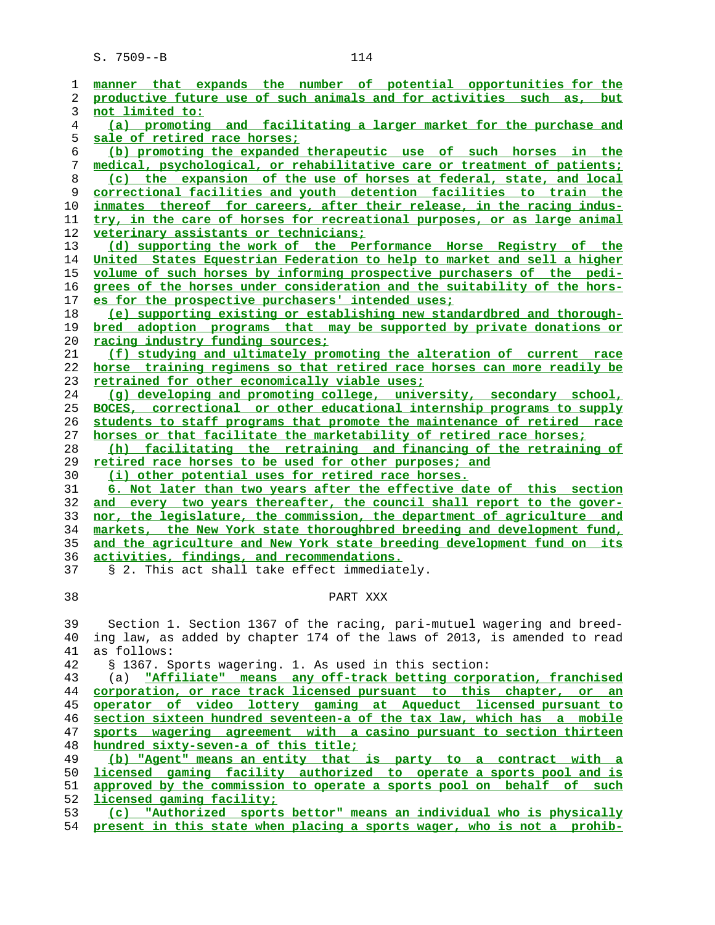| 1        | manner that expands the number of potential opportunities for the                                                                               |
|----------|-------------------------------------------------------------------------------------------------------------------------------------------------|
| 2        | productive future use of such animals and for activities such as, but                                                                           |
| 3        | not limited to:                                                                                                                                 |
| 4        | (a) promoting and facilitating a larger market for the purchase and                                                                             |
| 5        | sale of retired race horses;                                                                                                                    |
| 6        | (b) promoting the expanded therapeutic use of such horses in the                                                                                |
| 7        | medical, psychological, or rehabilitative care or treatment of patients;                                                                        |
| 8        | (c) the expansion of the use of horses at federal, state, and local                                                                             |
|          |                                                                                                                                                 |
| 9        | correctional facilities and youth detention facilities to train the                                                                             |
| 10       | inmates thereof for careers, after their release, in the racing indus-                                                                          |
| 11       | try, in the care of horses for recreational purposes, or as large animal                                                                        |
| 12       | veterinary assistants or technicians:                                                                                                           |
| 13       | (d) supporting the work of the Performance Horse Registry of the                                                                                |
| 14       | United States Equestrian Federation to help to market and sell a higher                                                                         |
| 15       | volume of such horses by informing prospective purchasers of the pedi-                                                                          |
| 16       | grees of the horses under consideration and the suitability of the hors-                                                                        |
| 17       | es for the prospective purchasers' intended uses;                                                                                               |
| 18       | (e) supporting existing or establishing new standardbred and thorough-                                                                          |
| 19       | bred adoption programs that may be supported by private donations or                                                                            |
|          |                                                                                                                                                 |
| 20       | racing industry funding sources;                                                                                                                |
| 21       | (f) studying and ultimately promoting the alteration of current race                                                                            |
| 22       | horse training regimens so that retired race horses can more readily be                                                                         |
| 23       | retrained for other economically viable uses;                                                                                                   |
| 24       | (q) developing and promoting college, university, secondary school,                                                                             |
| 25       | BOCES, correctional or other educational internship programs to supply                                                                          |
| 26       | students to staff programs that promote the maintenance of retired race                                                                         |
| 27       | horses or that facilitate the marketability of retired race horses;                                                                             |
| 28       | (h) facilitating the retraining and financing of the retraining of                                                                              |
| 29       | retired race horses to be used for other purposes; and                                                                                          |
|          |                                                                                                                                                 |
|          |                                                                                                                                                 |
| 30       | (i) other potential uses for retired race horses.                                                                                               |
| 31       | <u>6. Not later than two years after the effective date of this section</u>                                                                     |
| 32       | and every two years thereafter, the council shall report to the gover-                                                                          |
| 33       | nor, the legislature, the commission, the department of agriculture and                                                                         |
| 34       | markets, the New York state thoroughbred breeding and development fund,                                                                         |
| 35       | and the agriculture and New York state breeding development fund on its                                                                         |
| 36       | activities, findings, and recommendations.                                                                                                      |
| 37       | § 2. This act shall take effect immediately.                                                                                                    |
|          |                                                                                                                                                 |
| 38       | PART XXX                                                                                                                                        |
|          |                                                                                                                                                 |
| 39       | Section 1. Section 1367 of the racing, pari-mutuel wagering and breed-                                                                          |
| 40       | ing law, as added by chapter 174 of the laws of 2013, is amended to read                                                                        |
| 41       | as follows:                                                                                                                                     |
| 42       | § 1367. Sports wagering. 1. As used in this section:                                                                                            |
| 43       | (a) "Affiliate" means any off-track betting corporation, franchised                                                                             |
| 44       |                                                                                                                                                 |
|          | corporation, or race track licensed pursuant to this chapter, or an                                                                             |
| 45       | operator of video lottery gaming at Aqueduct licensed pursuant to                                                                               |
| 46       | section sixteen hundred seventeen-a of the tax law, which has a mobile                                                                          |
| 47       | sports wagering agreement with a casino pursuant to section thirteen                                                                            |
| 48       | hundred sixty-seven-a of this title;                                                                                                            |
| 49       | (b) "Agent" means an entity that is party to a contract with a                                                                                  |
| 50       | licensed gaming facility authorized to operate a sports pool and is                                                                             |
| 51       | approved by the commission to operate a sports pool on behalf of such                                                                           |
| 52       | licensed gaming facility;                                                                                                                       |
| 53<br>54 | (c) "Authorized sports bettor" means an individual who is physically<br>present in this state when placing a sports wager, who is not a prohib- |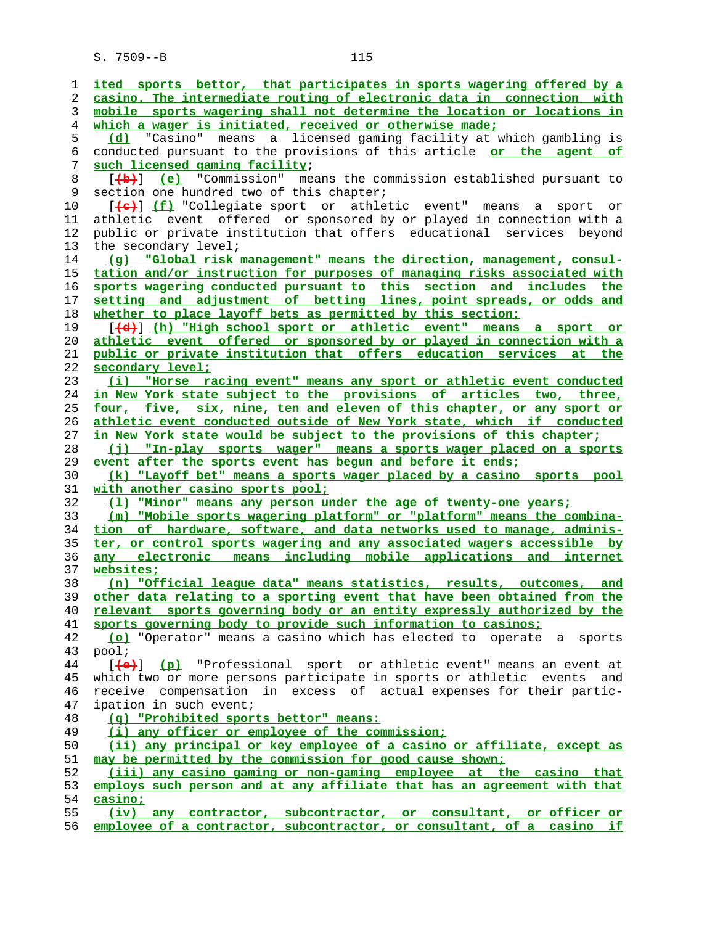| 1              | ited sports bettor, that participates in sports wagering offered by a                                                                       |
|----------------|---------------------------------------------------------------------------------------------------------------------------------------------|
| $\overline{2}$ | casino. The intermediate routing of electronic data in connection with                                                                      |
| 3              | mobile sports wagering shall not determine the location or locations in                                                                     |
| 4              | which a wager is initiated, received or otherwise made;                                                                                     |
| 5              | (d) "Casino" means a licensed gaming facility at which gambling is                                                                          |
| 6              | conducted pursuant to the provisions of this article or the agent of                                                                        |
| 7              | such licensed gaming facility;                                                                                                              |
| 8              | [(b) (e) "Commission" means the commission established pursuant to                                                                          |
| 9              | section one hundred two of this chapter;                                                                                                    |
| 10             | [(e)] (f) "Collegiate sport or athletic event" means<br>a<br>sport<br>or                                                                    |
| 11             | athletic event offered or sponsored by or played in connection with a                                                                       |
| 12             | public or private institution that offers educational services beyond                                                                       |
| 13             | the secondary level;                                                                                                                        |
| 14             | (q) "Global risk management" means the direction, management, consul-                                                                       |
| 15             | tation and/or instruction for purposes of managing risks associated with                                                                    |
| 16             | sports wagering conducted pursuant to this section and includes the                                                                         |
| 17             | setting and adjustment of betting lines, point spreads, or odds and                                                                         |
| 18             | whether to place layoff bets as permitted by this section;                                                                                  |
| 19             | [(d) In) "High school sport or athletic event" means a sport or                                                                             |
| 20             | athletic event offered or sponsored by or played in connection with a                                                                       |
| 21             | public or private institution that offers education services at the                                                                         |
| 22             | secondary level;                                                                                                                            |
| 23<br>24       | (i) "Horse racing event" means any sport or athletic event conducted<br>in New York state subject to the provisions of articles two, three, |
| 25             | four, five, six, nine, ten and eleven of this chapter, or any sport or                                                                      |
| 26             | athletic event conducted outside of New York state, which if conducted                                                                      |
| 27             | in New York state would be subject to the provisions of this chapter;                                                                       |
| 28             | "In-play sports wager" means a sports wager placed on a sports<br>(1)                                                                       |
| 29             | event after the sports event has begun and before it ends;                                                                                  |
| 30             | (k) "Layoff bet" means a sports wager placed by a casino sports pool                                                                        |
| 31             | with another casino sports pool;                                                                                                            |
| 32             | (1) "Minor" means any person under the age of twenty-one years;                                                                             |
| 33             | (m) "Mobile sports wagering platform" or "platform" means the combina-                                                                      |
| 34             | tion of hardware, software, and data networks used to manage, adminis-                                                                      |
| 35             | ter, or control sports wagering and any associated wagers accessible by                                                                     |
| 36             | any electronic means including mobile applications and internet                                                                             |
| 37             | websites;                                                                                                                                   |
| 38             | (n) "Official league data" means statistics, results, outcomes, and                                                                         |
| 39             | other data relating to a sporting event that have been obtained from the                                                                    |
| 40             | relevant sports governing body or an entity expressly authorized by the                                                                     |
| 41             | sports governing body to provide such information to casinos;                                                                               |
| 42             | (o) "Operator" means a casino which has elected to operate a<br>sports                                                                      |
| 43             | pool;                                                                                                                                       |
| 44             | [(e)] (p) "Professional sport or athletic event" means an event at                                                                          |
| 45             | which two or more persons participate in sports or athletic events and                                                                      |
| 46             | receive compensation in excess of actual expenses for their partic-                                                                         |
| 47             | ipation in such event;                                                                                                                      |
| 48             | (q) "Prohibited sports bettor" means:                                                                                                       |
| 49             | (i) any officer or employee of the commission;                                                                                              |
| 50             | (ii) any principal or key employee of a casino or affiliate, except as                                                                      |
| 51             | may be permitted by the commission for good cause shown;                                                                                    |
| 52             | (iii) any casino gaming or non-gaming employee at the casino that                                                                           |
| 53             | employs such person and at any affiliate that has an agreement with that                                                                    |
| 54             | casino;                                                                                                                                     |
| 55             | (iv) any contractor, subcontractor, or consultant, or officer or                                                                            |
| 56             | employee of a contractor, subcontractor, or consultant, of a casino if                                                                      |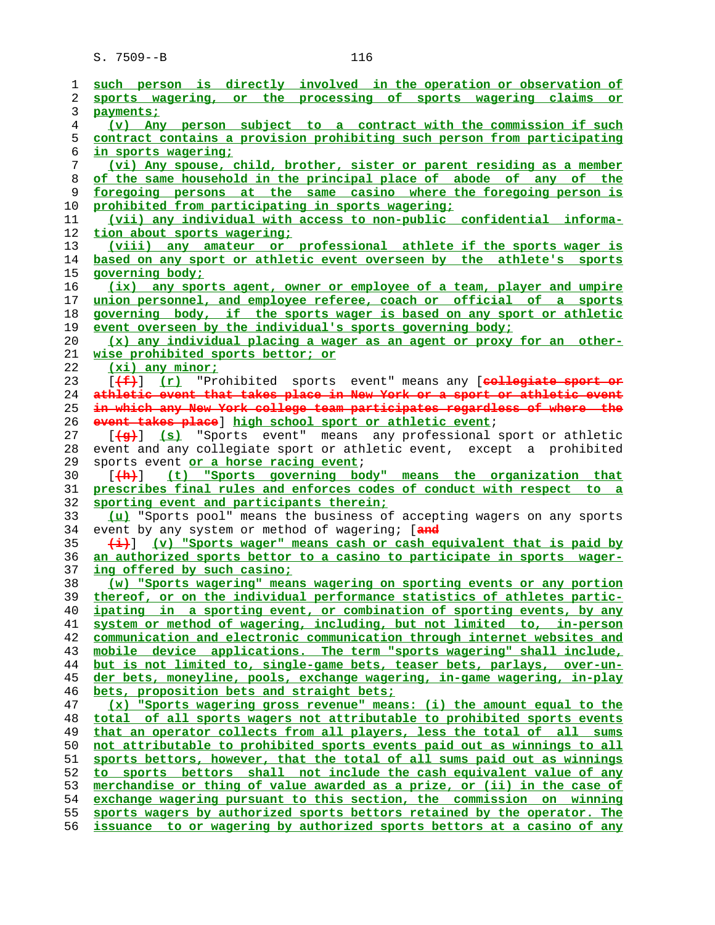| 1              | such person is directly involved in the operation or observation of                    |
|----------------|----------------------------------------------------------------------------------------|
| 2              | sports wagering, or the processing of sports wagering claims or                        |
| 3              | payments;                                                                              |
| $\overline{4}$ | (v) Any person subject to a contract with the commission if such                       |
| 5              | contract contains a provision prohibiting such person from participating               |
| 6              | in sports wagering;                                                                    |
| 7              | (vi) Any spouse, child, brother, sister or parent residing as a member                 |
| 8              | of the same household in the principal place of abode of any of the                    |
| 9              | foregoing persons at the same casino where the foregoing person is                     |
| 10             | prohibited from participating in sports wagering;                                      |
| 11             | (vii) any individual with access to non-public confidential informa-                   |
| 12             | tion about sports wagering;                                                            |
| 13             | (viii) any amateur or professional athlete if the sports wager is                      |
| 14             | based on any sport or athletic event overseen by the athlete's sports                  |
| 15             | governing body;                                                                        |
| 16             | (ix) any sports agent, owner or employee of a team, player and umpire                  |
| 17             | union personnel, and employee referee, coach or official of a sports                   |
| 18             | governing body, if the sports wager is based on any sport or athletic                  |
| 19             | event overseen by the individual's sports governing body;                              |
| 20             | (x) any individual placing a wager as an agent or proxy for an other-                  |
| 21             | wise prohibited sports bettor; or                                                      |
| 22             | $(xi)$ any minor;                                                                      |
| 23             | "Prohibited sports event" means any [collegiate sport or<br>$[\frac{2}{2}]\frac{1}{2}$ |
| 24             | athletic event that takes place in New York or a sport or athletic event               |
| 25             | in which any New York college team participates regardless of where the                |
| 26             | event takes place] high school sport or athletic event;                                |
| 27             | [(g) [s) "Sports event" means any professional sport or athletic                       |
| 28             | event and any collegiate sport or athletic event, except a prohibited                  |
| 29             | sports event or a horse racing event;                                                  |
| 30             | (t) "Sports governing body" means the organization that<br>$[+h]$                      |
| 31             | prescribes final rules and enforces codes of conduct with respect to a                 |
| 32             | sporting event and participants therein;                                               |
| 33             | (u) "Sports pool" means the business of accepting wagers on any sports                 |
| 34             | event by any system or method of wagering; [and                                        |
| 35             | (i) (v) "Sports wager" means cash or cash equivalent that is paid by                   |
| 36             | an authorized sports bettor to a casino to participate in sports wager-                |
| 37             | ing offered by such casino;                                                            |
| 38             | (w) "Sports wagering" means wagering on sporting events or any portion                 |
| 39             | thereof, or on the individual performance statistics of athletes partic-               |
| 40             | ipating in a sporting event, or combination of sporting events, by any                 |
| 41             | system or method of wagering, including, but not limited to, in-person                 |
| 42             | communication and electronic communication through internet websites and               |
| 43             | mobile device applications. The term "sports wagering" shall include,                  |
| 44             | but is not limited to, single-game bets, teaser bets, parlays, over-un-                |
| 45             | der bets, moneyline, pools, exchange wagering, in-game wagering, in-play               |
| 46             | bets, proposition bets and straight bets;                                              |
| 47             | (x) "Sports wagering gross revenue" means: (i) the amount equal to the                 |
| 48             | total of all sports wagers not attributable to prohibited sports events                |
| 49             | that an operator collects from all players, less the total of all sums                 |
| 50             | not attributable to prohibited sports events paid out as winnings to all               |
| 51             | sports bettors, however, that the total of all sums paid out as winnings               |
| 52             | to sports bettors shall not include the cash equivalent value of any                   |
| 53             | merchandise or thing of value awarded as a prize, or (ii) in the case of               |
| 54             | exchange wagering pursuant to this section, the commission on winning                  |
| 55             | sports wagers by authorized sports bettors retained by the operator. The               |
| 56             | issuance to or wagering by authorized sports bettors at a casino of any                |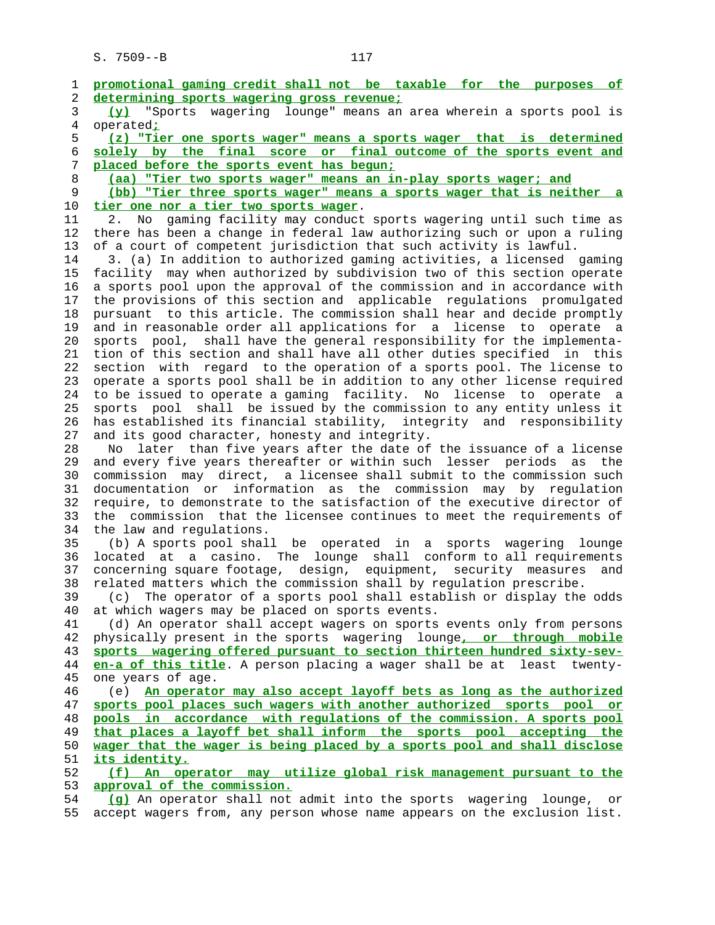| 1              | promotional gaming credit shall not be taxable for the purposes of                                                                            |
|----------------|-----------------------------------------------------------------------------------------------------------------------------------------------|
| 2              | determining sports wagering gross revenue;                                                                                                    |
| 3              | wagering lounge" means an area wherein a sports pool is<br>$(v)$ "Sports                                                                      |
| $\overline{4}$ | operated <sub>:</sub>                                                                                                                         |
| 5              | (z) "Tier one sports wager" means a sports wager that is determined                                                                           |
| 6              | solely by the final score or final outcome of the sports event and                                                                            |
| 7              | placed before the sports event has begun;                                                                                                     |
| 8              | (aa) "Tier two sports wager" means an in-play sports wager; and                                                                               |
| 9              | (bb) "Tier three sports wager" means a sports wager that is neither a                                                                         |
| 10             | tier one nor a tier two sports wager.                                                                                                         |
| 11             | No<br>gaming facility may conduct sports wagering until such time as<br>2.                                                                    |
| 12             | there has been a change in federal law authorizing such or upon a ruling                                                                      |
| 13             | of a court of competent jurisdiction that such activity is lawful.                                                                            |
| 14             | 3. (a) In addition to authorized gaming activities, a licensed gaming                                                                         |
| 15             | facility may when authorized by subdivision two of this section operate                                                                       |
| 16             | a sports pool upon the approval of the commission and in accordance with                                                                      |
| 17             | the provisions of this section and applicable regulations promulgated                                                                         |
| 18             | pursuant to this article. The commission shall hear and decide promptly                                                                       |
| 19             | and in reasonable order all applications for a license to operate a                                                                           |
| 20             | sports pool, shall have the general responsibility for the implementa-                                                                        |
| 21             | tion of this section and shall have all other duties specified in this                                                                        |
| 22             | section with regard to the operation of a sports pool. The license to                                                                         |
| 23             | operate a sports pool shall be in addition to any other license required                                                                      |
| 24             | to be issued to operate a gaming facility. No license to operate a                                                                            |
| 25             | sports pool shall be issued by the commission to any entity unless it                                                                         |
| 26             | has established its financial stability, integrity and responsibility                                                                         |
| 27             | and its good character, honesty and integrity.                                                                                                |
| 28             | later than five years after the date of the issuance of a license<br>No.                                                                      |
| 29             | and every five years thereafter or within such lesser periods<br>as the                                                                       |
| 30             | commission may direct, a licensee shall submit to the commission such                                                                         |
| 31             | documentation or information as the commission may by regulation                                                                              |
| 32             | require, to demonstrate to the satisfaction of the executive director of                                                                      |
| 33             | the commission that the licensee continues to meet the requirements of                                                                        |
| 34             | the law and regulations.                                                                                                                      |
| 35             | (b) A sports pool shall be operated in a<br>sports wagering lounge                                                                            |
| 36             | located at a casino. The lounge shall conform to all requirements                                                                             |
| 37             | concerning square footage, design, equipment, security measures<br>and                                                                        |
| 38             | related matters which the commission shall by regulation prescribe.                                                                           |
| 39             | (c) The operator of a sports pool shall establish or display the odds                                                                         |
| 40<br>41       | at which wagers may be placed on sports events.                                                                                               |
| 42             | (d) An operator shall accept wagers on sports events only from persons<br>physically present in the sports wagering lounge, or through mobile |
| 43             | sports wagering offered pursuant to section thirteen hundred sixty-sev-                                                                       |
| 44             | en-a of this title. A person placing a wager shall be at least twenty-                                                                        |
| 45             | one years of age.                                                                                                                             |
| 46             | (e) An operator may also accept layoff bets as long as the authorized                                                                         |
| 47             | sports pool places such wagers with another authorized sports pool or                                                                         |
| 48             | pools in accordance with regulations of the commission. A sports pool                                                                         |
| 49             | that places a layoff bet shall inform the sports pool accepting the                                                                           |
| 50             | wager that the wager is being placed by a sports pool and shall disclose                                                                      |
| 51             | its identity.                                                                                                                                 |
| 52             | (f) An operator may utilize global risk management pursuant to the                                                                            |
| 53             | approval of the commission.                                                                                                                   |
| 54             | (g) An operator shall not admit into the sports wagering<br>lounge,<br>or                                                                     |
| 55             | accept wagers from, any person whose name appears on the exclusion list.                                                                      |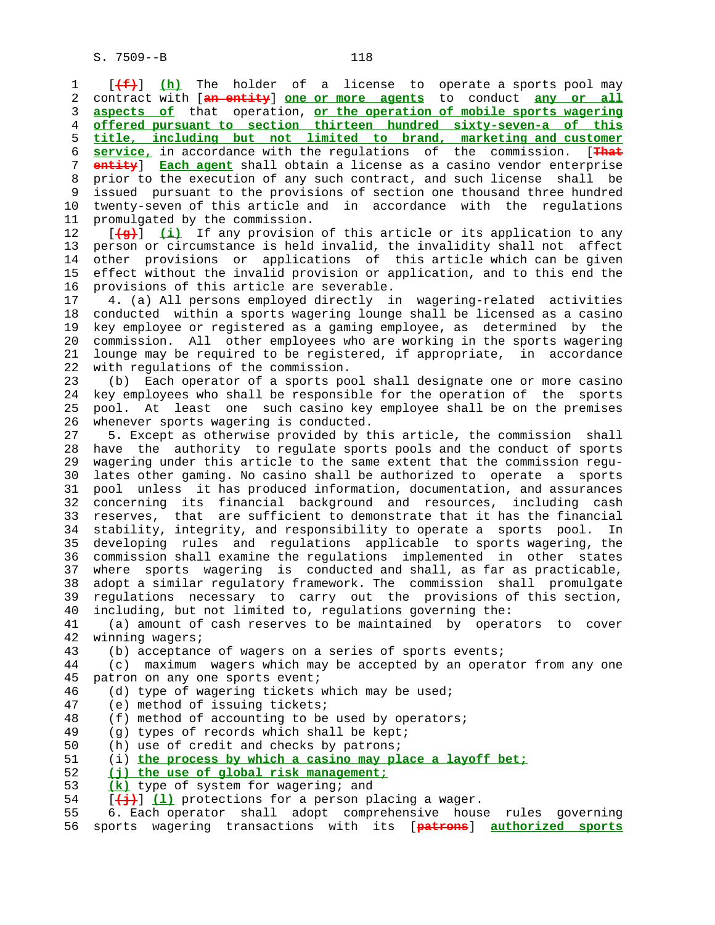1 [**(f)**] **(h)** The holder of a license to operate a sports pool may 2 contract with [**an entity**] **one or more agents** to conduct **any or all** 3 **aspects of** that operation, **or the operation of mobile sports wagering** 4 **offered pursuant to section thirteen hundred sixty-seven-a of this** 5 **title, including but not limited to brand, marketing and customer** 6 **service,** in accordance with the regulations of the commission. [**That** 7 **entity**] **Each agent** shall obtain a license as a casino vendor enterprise 8 prior to the execution of any such contract, and such license shall be<br>9 issued pursuant to the provisions of section one thousand three hundred issued pursuant to the provisions of section one thousand three hundred 10 twenty-seven of this article and in accordance with the regulations 11 promulgated by the commission.

 12 [**(g)**] **(i)** If any provision of this article or its application to any 13 person or circumstance is held invalid, the invalidity shall not affect 14 other provisions or applications of this article which can be given 15 effect without the invalid provision or application, and to this end the 16 provisions of this article are severable.

 17 4. (a) All persons employed directly in wagering-related activities 18 conducted within a sports wagering lounge shall be licensed as a casino 19 key employee or registered as a gaming employee, as determined by the 20 commission. All other employees who are working in the sports wagering 21 lounge may be required to be registered, if appropriate, in accordance 22 with regulations of the commission.

 23 (b) Each operator of a sports pool shall designate one or more casino 24 key employees who shall be responsible for the operation of the sports 25 pool. At least one such casino key employee shall be on the premises 26 whenever sports wagering is conducted.

 27 5. Except as otherwise provided by this article, the commission shall 28 have the authority to regulate sports pools and the conduct of sports 29 wagering under this article to the same extent that the commission regu- 30 lates other gaming. No casino shall be authorized to operate a sports 31 pool unless it has produced information, documentation, and assurances 32 concerning its financial background and resources, including cash 33 reserves, that are sufficient to demonstrate that it has the financial 34 stability, integrity, and responsibility to operate a sports pool. In 35 developing rules and regulations applicable to sports wagering, the 36 commission shall examine the regulations implemented in other states 37 where sports wagering is conducted and shall, as far as practicable, 38 adopt a similar regulatory framework. The commission shall promulgate 39 regulations necessary to carry out the provisions of this section, 40 including, but not limited to, regulations governing the:

 41 (a) amount of cash reserves to be maintained by operators to cover 42 winning wagers;

43 (b) acceptance of wagers on a series of sports events;

 44 (c) maximum wagers which may be accepted by an operator from any one 45 patron on any one sports event;

46 (d) type of wagering tickets which may be used;

- 47 (e) method of issuing tickets;
- 48 (f) method of accounting to be used by operators;<br>49 (q) types of records which shall be kept;
- (g) types of records which shall be kept;

50 (h) use of credit and checks by patrons;

51 (i) **the process by which a casino may place a layoff bet;**

52 **(j) the use of global risk management;**

53 **(k)** type of system for wagering; and

54 [**(j)**] **(l)** protections for a person placing a wager.

 55 6. Each operator shall adopt comprehensive house rules governing 56 sports wagering transactions with its [**patrons**] **authorized sports**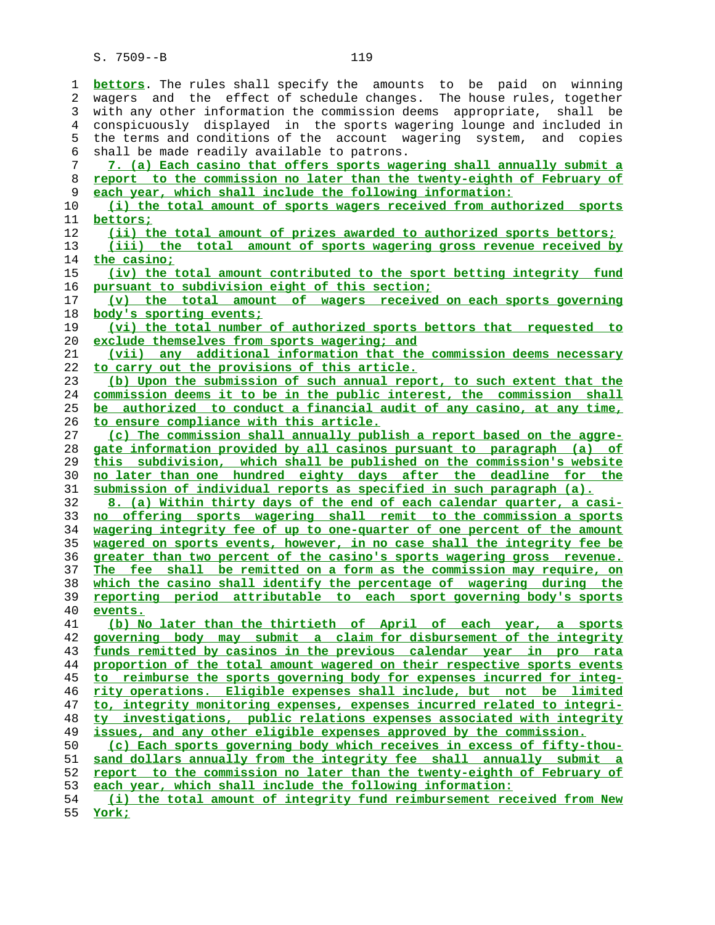**bettors**. The rules shall specify the amounts to be paid on winning 2 wagers and the effect of schedule changes. The house rules, together 3 with any other information the commission deems appropriate, shall be 4 conspicuously displayed in the sports wagering lounge and included in 5 the terms and conditions of the account wagering system, and copies 6 shall be made readily available to patrons. **7. (a) Each casino that offers sports wagering shall annually submit a report to the commission no later than the twenty-eighth of February of each year, which shall include the following information: (i) the total amount of sports wagers received from authorized sports bettors; (ii) the total amount of prizes awarded to authorized sports bettors; (iii) the total amount of sports wagering gross revenue received by the casino; (iv) the total amount contributed to the sport betting integrity fund pursuant to subdivision eight of this section; (v) the total amount of wagers received on each sports governing body's sporting events; (vi) the total number of authorized sports bettors that requested to exclude themselves from sports wagering; and (vii) any additional information that the commission deems necessary to carry out the provisions of this article. (b) Upon the submission of such annual report, to such extent that the commission deems it to be in the public interest, the commission shall be authorized to conduct a financial audit of any casino, at any time, to ensure compliance with this article. (c) The commission shall annually publish a report based on the aggre- gate information provided by all casinos pursuant to paragraph (a) of this subdivision, which shall be published on the commission's website no later than one hundred eighty days after the deadline for the submission of individual reports as specified in such paragraph (a). 8. (a) Within thirty days of the end of each calendar quarter, a casi- no offering sports wagering shall remit to the commission a sports wagering integrity fee of up to one-quarter of one percent of the amount wagered on sports events, however, in no case shall the integrity fee be greater than two percent of the casino's sports wagering gross revenue. The fee shall be remitted on a form as the commission may require, on which the casino shall identify the percentage of wagering during the reporting period attributable to each sport governing body's sports events. (b) No later than the thirtieth of April of each year, a sports governing body may submit a claim for disbursement of the integrity funds remitted by casinos in the previous calendar year in pro rata proportion of the total amount wagered on their respective sports events to reimburse the sports governing body for expenses incurred for integ- rity operations. Eligible expenses shall include, but not be limited to, integrity monitoring expenses, expenses incurred related to integri- ty investigations, public relations expenses associated with integrity issues, and any other eligible expenses approved by the commission. (c) Each sports governing body which receives in excess of fifty-thou- sand dollars annually from the integrity fee shall annually submit a report to the commission no later than the twenty-eighth of February of each year, which shall include the following information: (i) the total amount of integrity fund reimbursement received from New York;**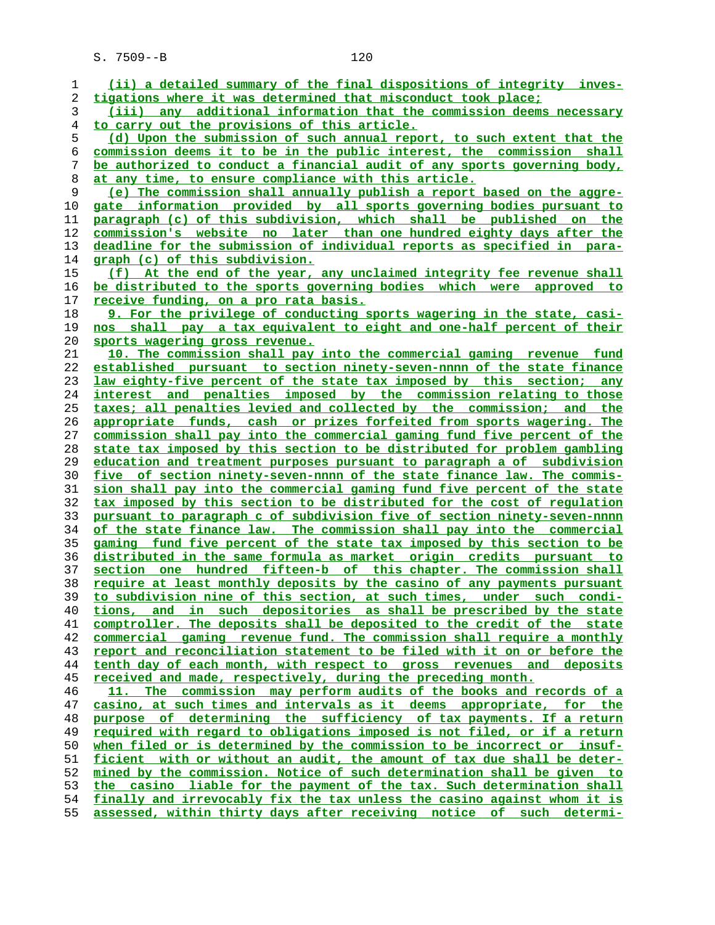**(ii) a detailed summary of the final dispositions of integrity inves- tigations where it was determined that misconduct took place; (iii) any additional information that the commission deems necessary to carry out the provisions of this article. (d) Upon the submission of such annual report, to such extent that the commission deems it to be in the public interest, the commission shall be authorized to conduct a financial audit of any sports governing body, at any time, to ensure compliance with this article. (e) The commission shall annually publish a report based on the aggre- gate information provided by all sports governing bodies pursuant to paragraph (c) of this subdivision, which shall be published on the commission's website no later than one hundred eighty days after the deadline for the submission of individual reports as specified in para- graph (c) of this subdivision. (f) At the end of the year, any unclaimed integrity fee revenue shall be distributed to the sports governing bodies which were approved to receive funding, on a pro rata basis. 9. For the privilege of conducting sports wagering in the state, casi- nos shall pay a tax equivalent to eight and one-half percent of their sports wagering gross revenue. 10. The commission shall pay into the commercial gaming revenue fund established pursuant to section ninety-seven-nnnn of the state finance law eighty-five percent of the state tax imposed by this section; any interest and penalties imposed by the commission relating to those taxes; all penalties levied and collected by the commission; and the appropriate funds, cash or prizes forfeited from sports wagering. The commission shall pay into the commercial gaming fund five percent of the state tax imposed by this section to be distributed for problem gambling education and treatment purposes pursuant to paragraph a of subdivision five of section ninety-seven-nnnn of the state finance law. The commis- sion shall pay into the commercial gaming fund five percent of the state tax imposed by this section to be distributed for the cost of regulation pursuant to paragraph c of subdivision five of section ninety-seven-nnnn of the state finance law. The commission shall pay into the commercial gaming fund five percent of the state tax imposed by this section to be distributed in the same formula as market origin credits pursuant to section one hundred fifteen-b of this chapter. The commission shall require at least monthly deposits by the casino of any payments pursuant to subdivision nine of this section, at such times, under such condi- tions, and in such depositories as shall be prescribed by the state comptroller. The deposits shall be deposited to the credit of the state commercial gaming revenue fund. The commission shall require a monthly report and reconciliation statement to be filed with it on or before the tenth day of each month, with respect to gross revenues and deposits received and made, respectively, during the preceding month. 11. The commission may perform audits of the books and records of a casino, at such times and intervals as it deems appropriate, for the purpose of determining the sufficiency of tax payments. If a return required with regard to obligations imposed is not filed, or if a return when filed or is determined by the commission to be incorrect or insuf- ficient with or without an audit, the amount of tax due shall be deter- mined by the commission. Notice of such determination shall be given to the casino liable for the payment of the tax. Such determination shall finally and irrevocably fix the tax unless the casino against whom it is assessed, within thirty days after receiving notice of such determi-**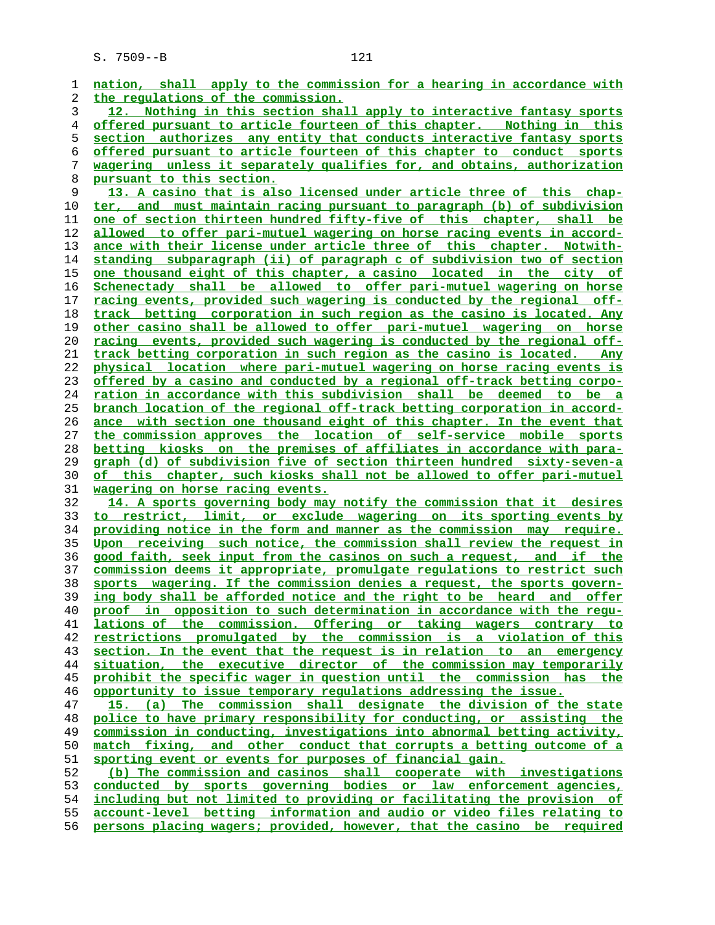**nation, shall apply to the commission for a hearing in accordance with the regulations of the commission. 12. Nothing in this section shall apply to interactive fantasy sports offered pursuant to article fourteen of this chapter. Nothing in this section authorizes any entity that conducts interactive fantasy sports offered pursuant to article fourteen of this chapter to conduct sports wagering unless it separately qualifies for, and obtains, authorization pursuant to this section. 13. A casino that is also licensed under article three of this chap- ter, and must maintain racing pursuant to paragraph (b) of subdivision one of section thirteen hundred fifty-five of this chapter, shall be allowed to offer pari-mutuel wagering on horse racing events in accord- ance with their license under article three of this chapter. Notwith- standing subparagraph (ii) of paragraph c of subdivision two of section one thousand eight of this chapter, a casino located in the city of Schenectady shall be allowed to offer pari-mutuel wagering on horse racing events, provided such wagering is conducted by the regional off- track betting corporation in such region as the casino is located. Any other casino shall be allowed to offer pari-mutuel wagering on horse racing events, provided such wagering is conducted by the regional off- track betting corporation in such region as the casino is located. Any physical location where pari-mutuel wagering on horse racing events is offered by a casino and conducted by a regional off-track betting corpo- ration in accordance with this subdivision shall be deemed to be a branch location of the regional off-track betting corporation in accord- ance with section one thousand eight of this chapter. In the event that the commission approves the location of self-service mobile sports betting kiosks on the premises of affiliates in accordance with para- graph (d) of subdivision five of section thirteen hundred sixty-seven-a of this chapter, such kiosks shall not be allowed to offer pari-mutuel wagering on horse racing events. 14. A sports governing body may notify the commission that it desires to restrict, limit, or exclude wagering on its sporting events by providing notice in the form and manner as the commission may require. Upon receiving such notice, the commission shall review the request in good faith, seek input from the casinos on such a request, and if the commission deems it appropriate, promulgate regulations to restrict such sports wagering. If the commission denies a request, the sports govern- ing body shall be afforded notice and the right to be heard and offer proof in opposition to such determination in accordance with the regu- lations of the commission. Offering or taking wagers contrary to restrictions promulgated by the commission is a violation of this section. In the event that the request is in relation to an emergency situation, the executive director of the commission may temporarily prohibit the specific wager in question until the commission has the opportunity to issue temporary regulations addressing the issue. 15. (a) The commission shall designate the division of the state police to have primary responsibility for conducting, or assisting the commission in conducting, investigations into abnormal betting activity, match fixing, and other conduct that corrupts a betting outcome of a sporting event or events for purposes of financial gain. (b) The commission and casinos shall cooperate with investigations conducted by sports governing bodies or law enforcement agencies, including but not limited to providing or facilitating the provision of account-level betting information and audio or video files relating to persons placing wagers; provided, however, that the casino be required**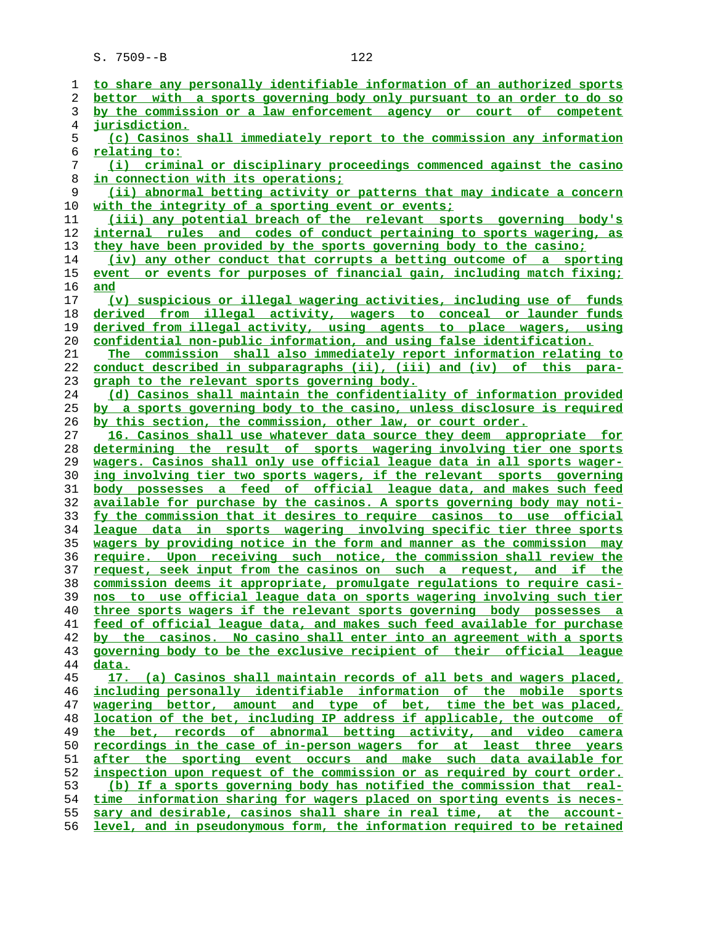| ı  | to share any personally identifiable information of an authorized sports                                                                    |
|----|---------------------------------------------------------------------------------------------------------------------------------------------|
| 2  | bettor with a sports governing body only pursuant to an order to do so                                                                      |
| 3  | by the commission or a law enforcement agency or court of competent                                                                         |
| 4  | jurisdiction.                                                                                                                               |
| 5  | (c) Casinos shall immediately report to the commission any information                                                                      |
| 6  | relating to:                                                                                                                                |
| 7  | (i) criminal or disciplinary proceedings commenced against the casino                                                                       |
| 8  | in connection with its operations;                                                                                                          |
| 9  | (ii) abnormal betting activity or patterns that may indicate a concern                                                                      |
| 10 | with the integrity of a sporting event or events;                                                                                           |
| 11 | (iii) any potential breach of the relevant sports governing body's                                                                          |
| 12 | internal rules and codes of conduct pertaining to sports wagering, as                                                                       |
| 13 | they have been provided by the sports governing body to the casino;                                                                         |
| 14 | (iv) any other conduct that corrupts a betting outcome of a sporting                                                                        |
| 15 | or events for purposes of financial gain, including match fixing;<br>event                                                                  |
| 16 | and                                                                                                                                         |
| 17 | (v) suspicious or illegal wagering activities, including use of funds                                                                       |
| 18 | derived from illegal activity, wagers to conceal or launder funds                                                                           |
| 19 | derived from illegal activity, using agents to place wagers, using                                                                          |
| 20 | confidential non-public information, and using false identification.                                                                        |
| 21 | The commission shall also immediately report information relating to                                                                        |
| 22 | conduct described in subparagraphs (ii), (iii) and (iv) of this para-                                                                       |
| 23 | graph to the relevant sports governing body.                                                                                                |
| 24 | (d) Casinos shall maintain the confidentiality of information provided                                                                      |
| 25 | by a sports governing body to the casino, unless disclosure is required                                                                     |
| 26 | by this section, the commission, other law, or court order.                                                                                 |
| 27 | 16. Casinos shall use whatever data source they deem appropriate for                                                                        |
| 28 | determining the result of sports wagering involving tier one sports                                                                         |
| 29 | wagers. Casinos shall only use official league data in all sports wager-                                                                    |
| 30 | <u>ing involving tier two sports wagers, if the relevant sports governing</u>                                                               |
| 31 | body possesses a feed of official league data, and makes such feed                                                                          |
| 32 | available for purchase by the casinos. A sports governing body may noti-                                                                    |
| 33 | fy the commission that it desires to require casinos to use official                                                                        |
| 34 | league data in sports wagering involving specific tier three sports                                                                         |
| 35 | wagers by providing notice in the form and manner as the commission may                                                                     |
| 36 | require. Upon receiving such notice, the commission shall review the                                                                        |
| 37 | request, seek input from the casinos on such a request, and if the                                                                          |
| 38 | commission deems it appropriate, promulgate regulations to require casi-                                                                    |
| 39 | nos to use official league data on sports wagering involving such tier                                                                      |
| 40 | three sports wagers if the relevant sports governing body possesses a                                                                       |
| 41 | feed of official league data, and makes such feed available for purchase                                                                    |
| 42 | by the casinos. No casino shall enter into an agreement with a sports                                                                       |
| 43 | governing body to be the exclusive recipient of their official league                                                                       |
|    |                                                                                                                                             |
| 44 | data.                                                                                                                                       |
| 45 | 17. (a) Casinos shall maintain records of all bets and wagers placed,<br>including personally identifiable information of the mobile sports |
| 46 |                                                                                                                                             |
| 47 | wagering bettor, amount and type of bet, time the bet was placed,                                                                           |
| 48 | location of the bet, including IP address if applicable, the outcome of                                                                     |
| 49 | the bet, records of abnormal betting activity, and video camera                                                                             |
| 50 | recordings in the case of in-person wagers for at least three years                                                                         |
| 51 | after the sporting event occurs and make such data available for                                                                            |
| 52 | inspection upon request of the commission or as required by court order.                                                                    |
| 53 | (b) If a sports governing body has notified the commission that real-                                                                       |
| 54 | time information sharing for wagers placed on sporting events is neces-                                                                     |
| 55 | sary and desirable, casinos shall share in real time, at the account-                                                                       |
| 56 | level, and in pseudonymous form, the information required to be retained                                                                    |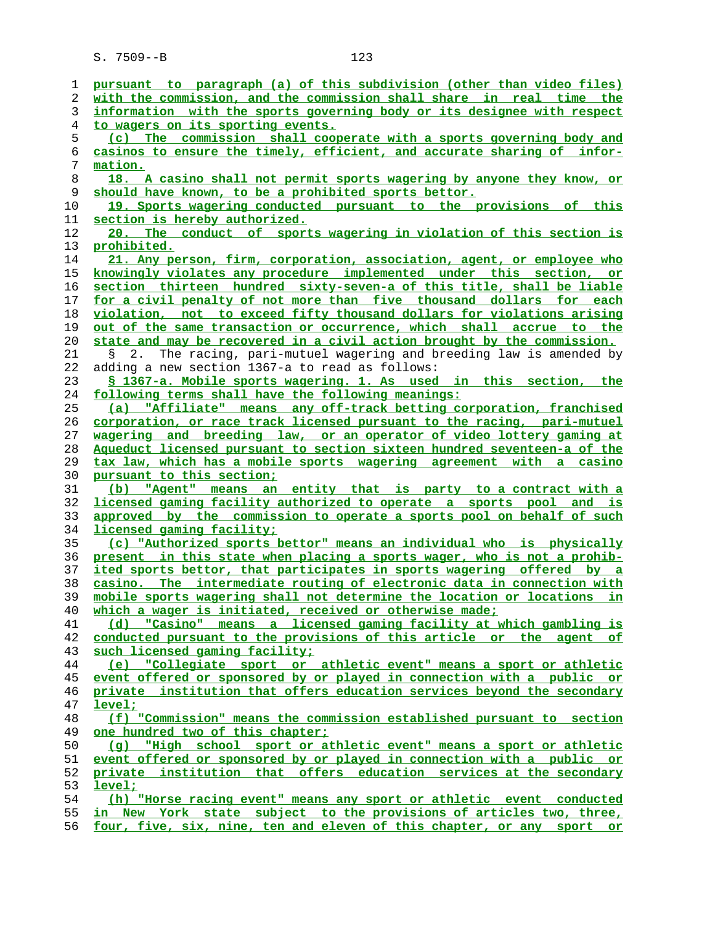| ı.             | pursuant to paragraph (a) of this subdivision (other than video files)                                                                        |
|----------------|-----------------------------------------------------------------------------------------------------------------------------------------------|
| 2              | with the commission, and the commission shall share in real time the                                                                          |
| 3              | information with the sports governing body or its designee with respect                                                                       |
| $\overline{4}$ | to wagers on its sporting events.                                                                                                             |
| 5              | (c) The commission shall cooperate with a sports governing body and                                                                           |
| 6              | casinos to ensure the timely, efficient, and accurate sharing of infor-                                                                       |
| 7              | mation.                                                                                                                                       |
| 8              | 18. A casino shall not permit sports wagering by anyone they know, or                                                                         |
| 9              | should have known, to be a prohibited sports bettor.                                                                                          |
| 10             | 19. Sports wagering conducted pursuant to the provisions of this                                                                              |
| 11             | section is hereby authorized.                                                                                                                 |
| 12             | 20. The conduct of sports wagering in violation of this section is                                                                            |
| 13             | prohibited.                                                                                                                                   |
| 14             | 21. Any person, firm, corporation, association, agent, or employee who                                                                        |
| 15             | knowingly violates any procedure implemented under this section, or                                                                           |
| 16             | section thirteen hundred sixty-seven-a of this title, shall be liable                                                                         |
| 17             | for a civil penalty of not more than five thousand dollars for each                                                                           |
| 18             | violation, not to exceed fifty thousand dollars for violations arising                                                                        |
| 19             | out of the same transaction or occurrence, which shall accrue to the                                                                          |
| 20             | state and may be recovered in a civil action brought by the commission.                                                                       |
| 21             | The racing, pari-mutuel wagering and breeding law is amended by<br>2.<br>$S_{\rm c}$                                                          |
| 22             | adding a new section 1367-a to read as follows:                                                                                               |
| 23             | § 1367-a. Mobile sports wagering. 1. As used in this section, the                                                                             |
| 24             | following terms shall have the following meanings:                                                                                            |
| 25             | (a) "Affiliate" means any off-track betting corporation, franchised                                                                           |
| 26             | corporation, or race track licensed pursuant to the racing, pari-mutuel                                                                       |
| 27             | wagering and breeding law, or an operator of video lottery gaming at                                                                          |
| 28             | Aqueduct licensed pursuant to section sixteen hundred seventeen-a of the                                                                      |
| 29             | tax law, which has a mobile sports wagering agreement with a casino                                                                           |
| 30             | pursuant to this section;                                                                                                                     |
| 31             | "Agent" means an entity that is party to a contract with a<br>(b)                                                                             |
| 32             | licensed gaming facility authorized to operate a sports pool and is                                                                           |
| 33             | approved by the commission to operate a sports pool on behalf of such                                                                         |
| 34             | licensed gaming facility;                                                                                                                     |
| 35             | (c) "Authorized sports bettor" means an individual who is physically                                                                          |
| 36             | present in this state when placing a sports wager, who is not a prohib-                                                                       |
| 37             | ited sports bettor, that participates in sports wagering offered by a                                                                         |
| 38             | casino. The intermediate routing of electronic data in connection with                                                                        |
| 39             | <u>mobile sports wagering shall not determine the location or locations in</u>                                                                |
| 40             | which a wager is initiated, received or otherwise made;                                                                                       |
| 41             | (d) "Casino" means a licensed gaming facility at which gambling is                                                                            |
| 42             | conducted pursuant to the provisions of this article or the agent of                                                                          |
| 43             | such licensed gaming facility;                                                                                                                |
| 44             | (e) "Collegiate sport or athletic event" means a sport or athletic                                                                            |
| 45             | event offered or sponsored by or played in connection with a public or                                                                        |
| 46             | private institution that offers education services beyond the secondary                                                                       |
| 47             | level;                                                                                                                                        |
| 48             | (f) "Commission" means the commission established pursuant to section                                                                         |
| 49             | one hundred two of this chapter;<br>"High school sport or athletic event" means a sport or athletic<br>(q)                                    |
| 50             |                                                                                                                                               |
| 51<br>52       | event offered or sponsored by or played in connection with a public or<br>private institution that offers education services at the secondary |
| 53             | level;                                                                                                                                        |
| 54             | (h) "Horse racing event" means any sport or athletic event conducted                                                                          |
| 55             | in New York state subject to the provisions of articles two, three,                                                                           |
| 56             | four, five, six, nine, ten and eleven of this chapter, or any sport or                                                                        |
|                |                                                                                                                                               |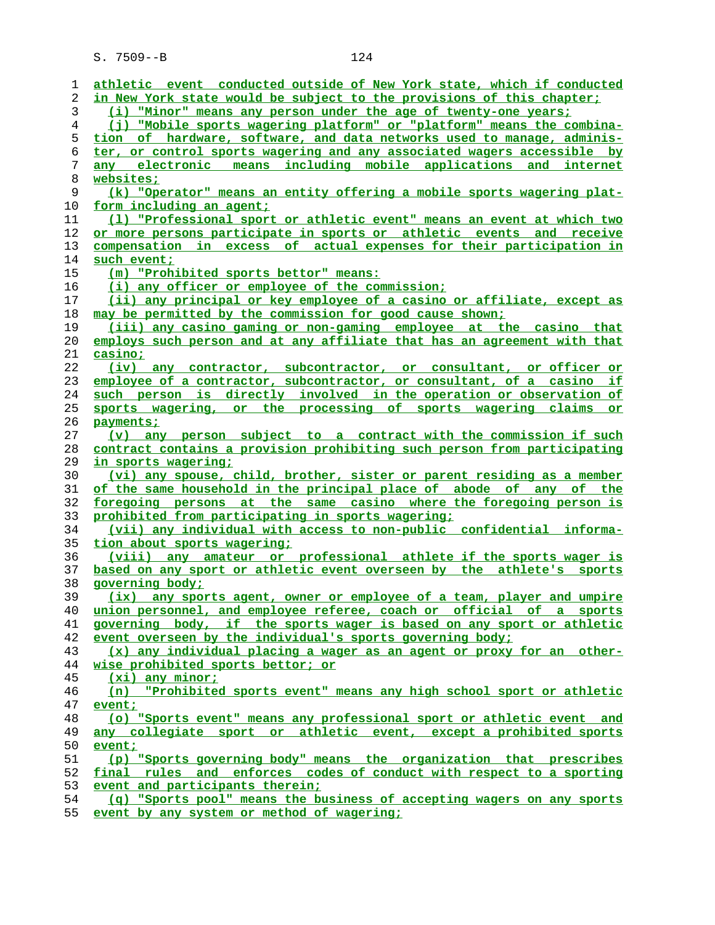| 1  | athletic event conducted outside of New York state, which if conducted         |
|----|--------------------------------------------------------------------------------|
| 2  | in New York state would be subject to the provisions of this chapter;          |
|    |                                                                                |
| 3  | (i) "Minor" means any person under the age of twenty-one years;                |
| 4  | (j) "Mobile sports wagering platform" or "platform" means the combina-         |
| 5  | tion of hardware, software, and data networks used to manage, adminis-         |
| 6  | ter, or control sports wagering and any associated wagers accessible by        |
| 7  | any electronic means including mobile applications and internet                |
| 8  | websites;                                                                      |
| 9  | (k) "Operator" means an entity offering a mobile sports wagering plat-         |
| 10 | form including an agent;                                                       |
| 11 | (1) "Professional sport or athletic event" means an event at which two         |
| 12 | or more persons participate in sports or athletic events and receive           |
| 13 | compensation in excess of actual expenses for their participation in           |
| 14 | such event;                                                                    |
| 15 |                                                                                |
|    | (m) "Prohibited sports bettor" means:                                          |
| 16 | (i) any officer or employee of the commission;                                 |
| 17 | (ii) any principal or key employee of a casino or affiliate, except as         |
| 18 | may be permitted by the commission for good cause shown;                       |
| 19 | (iii) any casino gaming or non-gaming employee at the casino that              |
| 20 | employs such person and at any affiliate that has an agreement with that       |
| 21 | casino:                                                                        |
| 22 | (iv) any contractor, subcontractor, or consultant, or officer or               |
| 23 | employee of a contractor, subcontractor, or consultant, of a casino if         |
| 24 | such person is directly involved in the operation or observation of            |
| 25 | sports wagering, or the processing of sports wagering claims or                |
| 26 | payments;                                                                      |
| 27 | any person subject to a contract with the commission if such<br>$(\mathbf{v})$ |
| 28 | contract contains a provision prohibiting such person from participating       |
| 29 | <u>in sports wagering;</u>                                                     |
|    |                                                                                |
| 30 | (vi) any spouse, child, brother, sister or parent residing as a member         |
| 31 | of the same household in the principal place of abode of any of the            |
| 32 | foregoing persons at the same casino where the foregoing person is             |
| 33 | prohibited from participating in sports wagering;                              |
| 34 | (vii) any individual with access to non-public confidential informa-           |
| 35 | tion about sports wagering;                                                    |
| 36 | (viii) any amateur or professional athlete if the sports wager is              |
| 37 | based on any sport or athletic event overseen by the athlete's sports          |
| 38 | governing body;                                                                |
| 39 | any sports agent, owner or employee of a team, player and umpire<br>(ix)       |
| 40 | union personnel, and employee referee, coach or official of a sports           |
| 41 | governing body, if the sports wager is based on any sport or athletic          |
| 42 | event overseen by the individual's sports governing body;                      |
| 43 | (x) any individual placing a wager as an agent or proxy for an other-          |
| 44 | wise prohibited sports bettor; or                                              |
| 45 | (xi) any minor;                                                                |
| 46 | (n) "Prohibited sports event" means any high school sport or athletic          |
|    |                                                                                |
| 47 | event;                                                                         |
| 48 | (o) "Sports event" means any professional sport or athletic event and          |
| 49 | any collegiate sport or athletic event, except a prohibited sports             |
| 50 | event;                                                                         |
| 51 | (p) "Sports governing body" means the organization that prescribes             |
| 52 | final rules and enforces codes of conduct with respect to a sporting           |
| 53 | event and participants therein;                                                |
| 54 | (q) "Sports pool" means the business of accepting wagers on any sports         |

**event by any system or method of wagering;**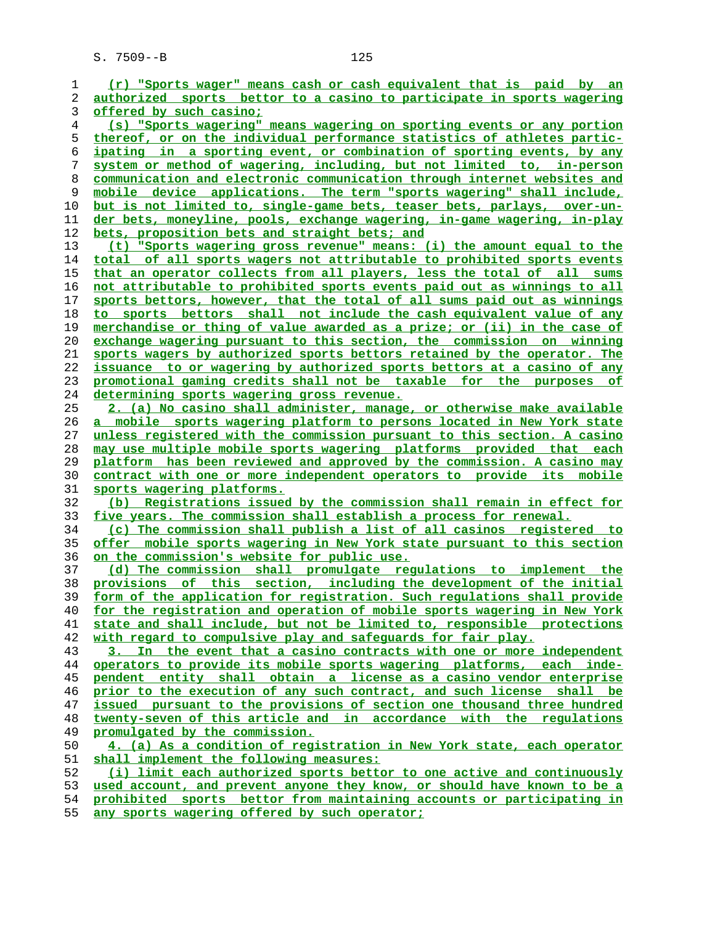| 1        | (r) "Sports wager" means cash or cash equivalent that is paid by an                                                                                |
|----------|----------------------------------------------------------------------------------------------------------------------------------------------------|
| 2        | authorized sports bettor to a casino to participate in sports wagering                                                                             |
| 3        | offered by such casino;                                                                                                                            |
|          |                                                                                                                                                    |
| 4        | (s) "Sports wagering" means wagering on sporting events or any portion                                                                             |
| 5        | thereof, or on the individual performance statistics of athletes partic-                                                                           |
| 6        | <u>ipating in a sporting event, or combination of sporting events, by any</u>                                                                      |
| 7        | system or method of wagering, including, but not limited to, in-person                                                                             |
|          |                                                                                                                                                    |
| 8        | communication and electronic communication through internet websites and                                                                           |
| 9        | mobile device applications. The term "sports wagering" shall include,                                                                              |
| 10       | but is not limited to, single-game bets, teaser bets, parlays, over-un-                                                                            |
| 11       | der bets, moneyline, pools, exchange wagering, in-game wagering, in-play                                                                           |
| 12       | bets, proposition bets and straight bets; and                                                                                                      |
|          |                                                                                                                                                    |
| 13       | (t) "Sports wagering gross revenue" means: (i) the amount equal to the                                                                             |
| 14       | total of all sports wagers not attributable to prohibited sports events                                                                            |
| 15       | that an operator collects from all players, less the total of all sums                                                                             |
| 16       | not attributable to prohibited sports events paid out as winnings to all                                                                           |
|          |                                                                                                                                                    |
| 17       | sports bettors, however, that the total of all sums paid out as winnings                                                                           |
| 18       | sports bettors shall not include the cash equivalent value of any<br>to                                                                            |
| 19       | merchandise or thing of value awarded as a prize; or (ii) in the case of                                                                           |
| 20       | exchange wagering pursuant to this section, the commission on winning                                                                              |
|          |                                                                                                                                                    |
| 21       | sports wagers by authorized sports bettors retained by the operator. The                                                                           |
| 22       | issuance to or wagering by authorized sports bettors at a casino of any                                                                            |
| 23       | promotional gaming credits shall not be taxable for the purposes of                                                                                |
| 24       | determining sports wagering gross revenue.                                                                                                         |
|          |                                                                                                                                                    |
| 25       | 2. (a) No casino shall administer, manage, or otherwise make available                                                                             |
| 26       | mobile sports wagering platform to persons located in New York state<br>a                                                                          |
| 27       | unless registered with the commission pursuant to this section. A casino                                                                           |
| 28       | may use multiple mobile sports wagering platforms provided that each                                                                               |
| 29       | platform has been reviewed and approved by the commission. A casino may                                                                            |
|          |                                                                                                                                                    |
| 30       | <u>contract with one or more independent operators to provide its mobile</u>                                                                       |
| 31       | <u>sports wagering platforms.</u>                                                                                                                  |
| 32       | Registrations issued by the commission shall remain in effect for<br>(b)                                                                           |
| 33       | five years. The commission shall establish a process for renewal.                                                                                  |
|          | (c) The commission shall publish a list of all casinos registered to                                                                               |
| 34       |                                                                                                                                                    |
| 35       | <u>offer mobile sports wagering in New York state pursuant to this section</u>                                                                     |
| 36       | <u>on the commission's website for public use.</u>                                                                                                 |
| 37       | (d) The commission shall promulgate regulations to implement the                                                                                   |
| 38       | provisions of this section, including the development of the initial                                                                               |
| 39       |                                                                                                                                                    |
|          |                                                                                                                                                    |
|          | form of the application for registration. Such regulations shall provide                                                                           |
| 40       | for the registration and operation of mobile sports wagering in New York                                                                           |
| 41       | state and shall include, but not be limited to, responsible protections                                                                            |
|          |                                                                                                                                                    |
| 42       | with regard to compulsive play and safeguards for fair play.                                                                                       |
| 43       | 3. In the event that a casino contracts with one or more independent                                                                               |
| 44       | operators to provide its mobile sports wagering platforms, each inde-                                                                              |
| 45       | pendent entity shall obtain a license as a casino vendor enterprise                                                                                |
| 46       | prior to the execution of any such contract, and such license shall be                                                                             |
|          |                                                                                                                                                    |
| 47       | issued pursuant to the provisions of section one thousand three hundred                                                                            |
| 48       | twenty-seven of this article and in accordance with the regulations                                                                                |
| 49       | promulgated by the commission.                                                                                                                     |
| 50       | 4. (a) As a condition of registration in New York state, each operator                                                                             |
|          |                                                                                                                                                    |
| 51       | shall implement the following measures:                                                                                                            |
| 52       | (i) limit each authorized sports bettor to one active and continuously                                                                             |
| 53<br>54 | used account, and prevent anyone they know, or should have known to be a<br>prohibited sports bettor from maintaining accounts or participating in |

**any sports wagering offered by such operator;**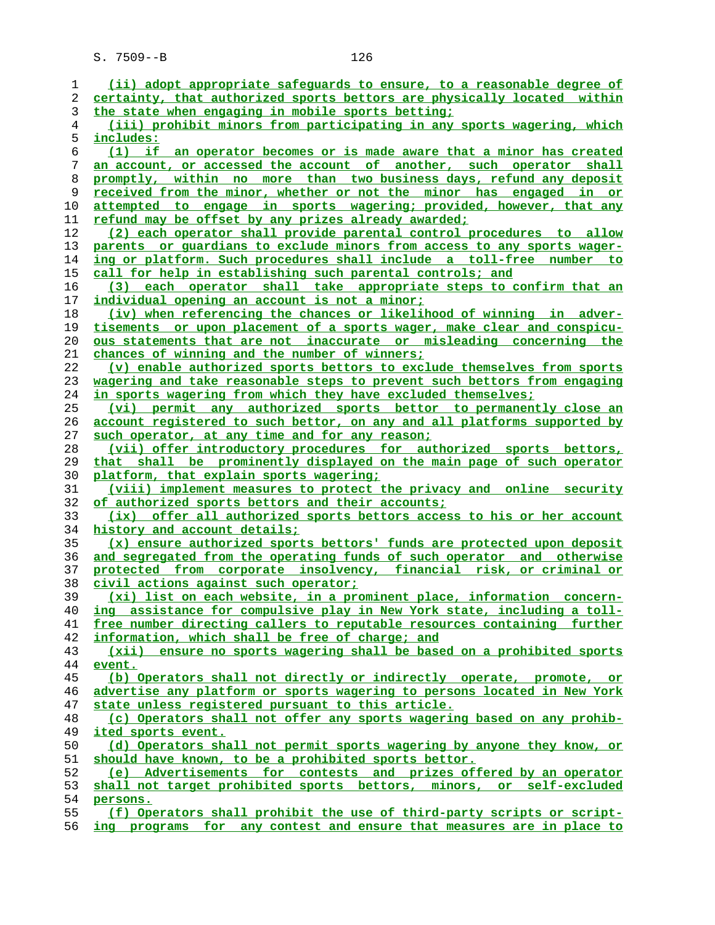| ı              | (ii) adopt appropriate safequards to ensure, to a reasonable degree of   |
|----------------|--------------------------------------------------------------------------|
| 2              | certainty, that authorized sports bettors are physically located within  |
| 3              | the state when engaging in mobile sports betting;                        |
| $\overline{4}$ | (iii) prohibit minors from participating in any sports wagering, which   |
| 5              | includes:                                                                |
| 6              | (1) if an operator becomes or is made aware that a minor has created     |
| 7              | an account, or accessed the account of another, such operator shall      |
| 8              | promptly, within no more than two business days, refund any deposit      |
| 9              | received from the minor, whether or not the minor has engaged in or      |
| 10             | attempted to engage in sports wagering; provided, however, that any      |
| 11             | refund may be offset by any prizes already awarded;                      |
| 12             | (2) each operator shall provide parental control procedures to allow     |
| 13             | parents or guardians to exclude minors from access to any sports wager-  |
| 14             | ing or platform. Such procedures shall include a toll-free number to     |
| 15             | call for help in establishing such parental controls; and                |
| 16             | (3) each operator shall take appropriate steps to confirm that an        |
| 17             | individual opening an account is not a minor:                            |
| 18             | (iv) when referencing the chances or likelihood of winning in adver-     |
| 19             | tisements or upon placement of a sports wager, make clear and conspicu-  |
| 20             | ous statements that are not inaccurate or misleading concerning the      |
| 21             | chances of winning and the number of winners;                            |
| 22             | (v) enable authorized sports bettors to exclude themselves from sports   |
| 23             | wagering and take reasonable steps to prevent such bettors from engaging |
| 24             | in sports wagering from which they have excluded themselves;             |
| 25             | (vi) permit any authorized sports bettor to permanently close an         |
| 26             | account registered to such bettor, on any and all platforms supported by |
| 27             | such operator, at any time and for any reason;                           |
| 28             | (vii) offer introductory procedures for authorized sports bettors,       |
| 29             | that shall be prominently displayed on the main page of such operator    |
| 30             | platform, that explain sports wagering;                                  |
| 31             | (viii) implement measures to protect the privacy and online security     |
| 32             | of authorized sports bettors and their accounts;                         |
| 33             | (ix) offer all authorized sports bettors access to his or her account    |
| 34             | history and account details;                                             |
| 35             | (x) ensure authorized sports bettors' funds are protected upon deposit   |
| 36             | and segregated from the operating funds of such operator and otherwise   |
| 37             | protected from corporate insolvency, financial risk, or criminal or      |
| 38             | civil actions against such operator;                                     |
| 39             | (xi) list on each website, in a prominent place, information concern-    |
| 40             | ing assistance for compulsive play in New York state, including a toll-  |
| 41             | free number directing callers to reputable resources containing further  |
| 42             | information, which shall be free of charge; and                          |
| 43             | ensure no sports wagering shall be based on a prohibited sports<br>(xii) |
| 44             | event.                                                                   |
| 45             | (b) Operators shall not directly or indirectly operate, promote, or      |
| 46             | advertise any platform or sports wagering to persons located in New York |
| 47             | state unless registered pursuant to this article.                        |
| 48             | (c) Operators shall not offer any sports wagering based on any prohib-   |
| 49             | ited sports event.                                                       |
| 50             | (d) Operators shall not permit sports wagering by anyone they know, or   |
|                | should have known, to be a prohibited sports bettor.                     |
| 51<br>52       |                                                                          |
| 53             | (e) Advertisements for contests and prizes offered by an operator        |
| 54             | shall not target prohibited sports bettors, minors, or self-excluded     |
|                | persons.                                                                 |
| 55             | (f) Operators shall prohibit the use of third-party scripts or script-   |
| 56             | ing programs for any contest and ensure that measures are in place to    |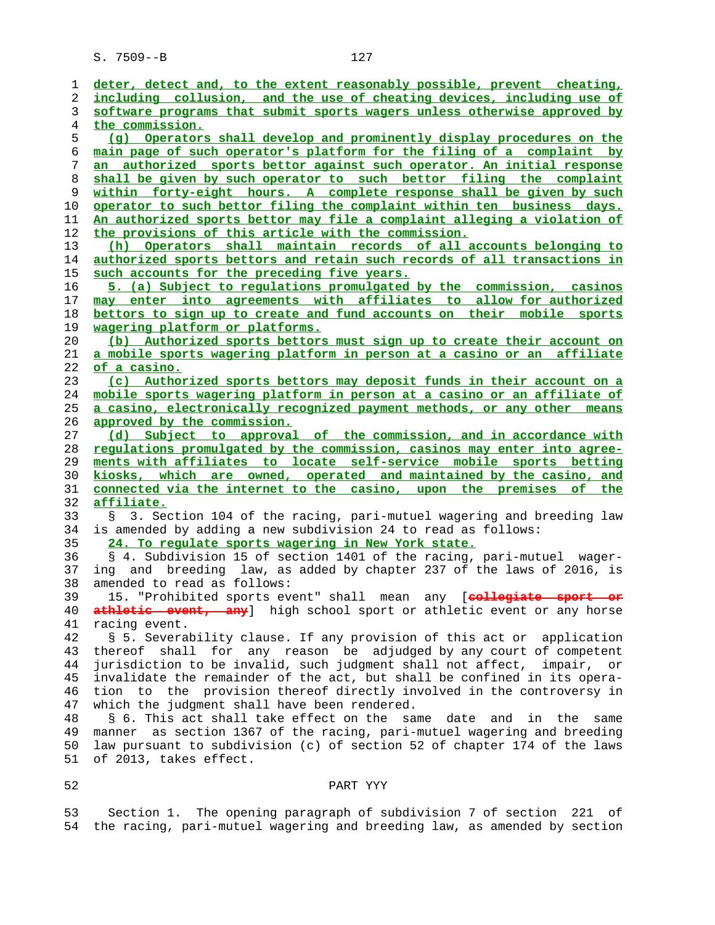| 1  | deter, detect and, to the extent reasonably possible, prevent cheating,         |
|----|---------------------------------------------------------------------------------|
| 2  | including collusion, and the use of cheating devices, including use of          |
| 3  | software programs that submit sports wagers unless otherwise approved by        |
| 4  | the commission.                                                                 |
| 5  | (q) Operators shall develop and prominently display procedures on the           |
| 6  | main page of such operator's platform for the filing of a complaint by          |
| 7  | an authorized sports bettor against such operator. An initial response          |
| 8  | shall be given by such operator to such bettor filing the complaint             |
| 9  | within forty-eight hours. A complete response shall be given by such            |
| 10 | operator to such bettor filing the complaint within ten business days.          |
| 11 | An authorized sports bettor may file a complaint alleging a violation of        |
| 12 | the provisions of this article with the commission.                             |
| 13 | (h) Operators shall maintain records of all accounts belonging to               |
| 14 | <u>authorized sports bettors and retain such records of all transactions in</u> |
| 15 | such accounts for the preceding five years.                                     |
| 16 | 5. (a) Subject to regulations promulgated by the commission, casinos            |
| 17 | enter into agreements with affiliates to allow for authorized<br>may            |
| 18 | bettors to sign up to create and fund accounts on their mobile sports           |
| 19 | wagering platform or platforms.                                                 |
| 20 | (b) Authorized sports bettors must sign up to create their account on           |
| 21 | <u>a mobile sports wagering platform in person at a casino or an affiliate</u>  |
| 22 | of a casino.                                                                    |
| 23 | (c) Authorized sports bettors may deposit funds in their account on a           |
| 24 | mobile sports wagering platform in person at a casino or an affiliate of        |
| 25 | a casino, electronically recognized payment methods, or any other means         |
| 26 | approved by the commission.                                                     |
| 27 | (d) Subject to approval of the commission, and in accordance with               |
| 28 | regulations promulgated by the commission, casinos may enter into agree-        |
| 29 | ments with affiliates to locate self-service mobile sports betting              |
| 30 | kiosks, which are owned, operated and maintained by the casino, and             |
| 31 | connected via the internet to the casino, upon the premises of the              |
| 32 | <u>affiliate.</u>                                                               |
| 33 | 3. Section 104 of the racing, pari-mutuel wagering and breeding law<br>S.       |
| 34 | is amended by adding a new subdivision 24 to read as follows:                   |
| 35 | 24. To regulate sports wagering in New York state.                              |
| 36 | § 4. Subdivision 15 of section 1401 of the racing, pari-mutuel wager-           |
| 37 | ing and breeding law, as added by chapter 237 of the laws of 2016, is           |
| 38 | amended to read as follows:                                                     |
| 39 | 15. "Prohibited sports event" shall mean any<br>[eellegiate<br><del>sport</del> |
| 40 | athletic event, any l high school sport or athletic event or any horse          |
| 41 | racing event.                                                                   |
| 42 | § 5. Severability clause. If any provision of this act or application           |
| 43 | shall for any reason be adjudged by any court of competent<br>thereof           |
| 44 | jurisdiction to be invalid, such judgment shall not affect, impair, or          |
| 45 | invalidate the remainder of the act, but shall be confined in its opera-        |
| 46 | tion to the provision thereof directly involved in the controversy in           |
| 47 | which the judgment shall have been rendered.                                    |
| 48 | § 6. This act shall take effect on the same<br>date and<br>the<br>in<br>same    |
| 49 | manner as section 1367 of the racing, pari-mutuel wagering and breeding         |
| 50 | law pursuant to subdivision (c) of section 52 of chapter 174 of the laws        |
| 51 | of 2013, takes effect.                                                          |
|    |                                                                                 |
| 52 | PART YYY                                                                        |

 53 Section 1. The opening paragraph of subdivision 7 of section 221 of 54 the racing, pari-mutuel wagering and breeding law, as amended by section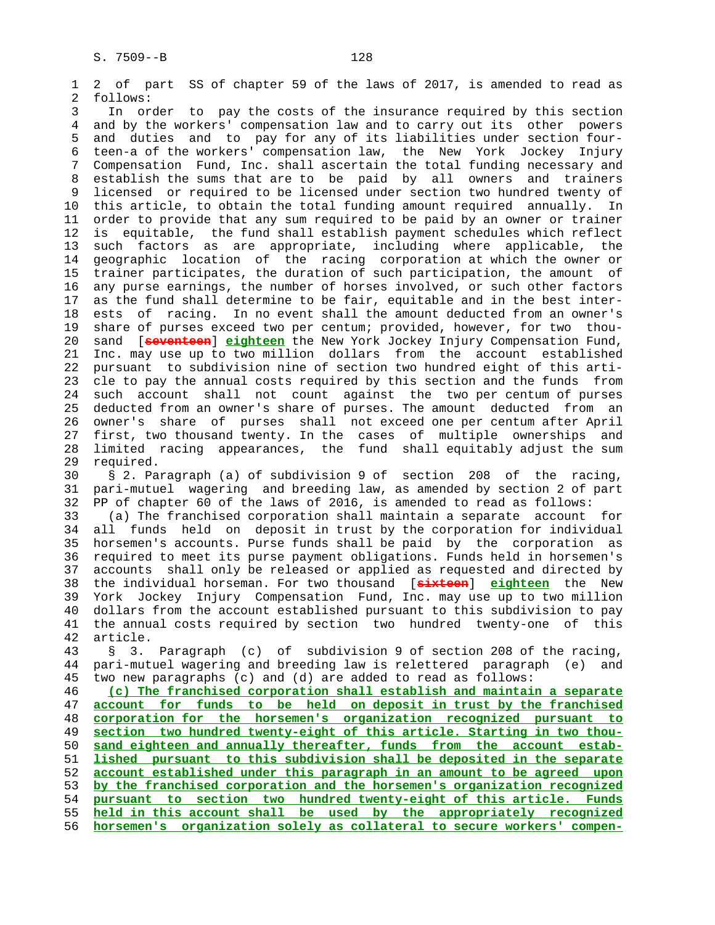1 2 of part SS of chapter 59 of the laws of 2017, is amended to read as 2 follows: 3 In order to pay the costs of the insurance required by this section

 4 and by the workers' compensation law and to carry out its other powers 5 and duties and to pay for any of its liabilities under section four- 6 teen-a of the workers' compensation law, the New York Jockey Injury 7 Compensation Fund, Inc. shall ascertain the total funding necessary and 8 establish the sums that are to be paid by all owners and trainers 9 licensed or required to be licensed under section two hundred twenty of 10 this article, to obtain the total funding amount required annually. In 11 order to provide that any sum required to be paid by an owner or trainer 12 is equitable, the fund shall establish payment schedules which reflect 13 such factors as are appropriate, including where applicable, the 14 geographic location of the racing corporation at which the owner or 15 trainer participates, the duration of such participation, the amount of 16 any purse earnings, the number of horses involved, or such other factors 17 as the fund shall determine to be fair, equitable and in the best inter- 18 ests of racing. In no event shall the amount deducted from an owner's 19 share of purses exceed two per centum; provided, however, for two thou- 20 sand [**seventeen**] **eighteen** the New York Jockey Injury Compensation Fund, 21 Inc. may use up to two million dollars from the account established 22 pursuant to subdivision nine of section two hundred eight of this arti- 23 cle to pay the annual costs required by this section and the funds from 24 such account shall not count against the two per centum of purses 25 deducted from an owner's share of purses. The amount deducted from an 26 owner's share of purses shall not exceed one per centum after April 27 first, two thousand twenty. In the cases of multiple ownerships and 28 limited racing appearances, the fund shall equitably adjust the sum 29 required.

 30 § 2. Paragraph (a) of subdivision 9 of section 208 of the racing, 31 pari-mutuel wagering and breeding law, as amended by section 2 of part 32 PP of chapter 60 of the laws of 2016, is amended to read as follows:

 33 (a) The franchised corporation shall maintain a separate account for 34 all funds held on deposit in trust by the corporation for individual 35 horsemen's accounts. Purse funds shall be paid by the corporation as 36 required to meet its purse payment obligations. Funds held in horsemen's 37 accounts shall only be released or applied as requested and directed by 38 the individual horseman. For two thousand [**sixteen**] **eighteen** the New 39 York Jockey Injury Compensation Fund, Inc. may use up to two million 40 dollars from the account established pursuant to this subdivision to pay 41 the annual costs required by section two hundred twenty-one of this 42 article.

 43 § 3. Paragraph (c) of subdivision 9 of section 208 of the racing, 44 pari-mutuel wagering and breeding law is relettered paragraph (e) and 45 two new paragraphs (c) and (d) are added to read as follows:

**(c) The franchised corporation shall establish and maintain a separate account for funds to be held on deposit in trust by the franchised corporation for the horsemen's organization recognized pursuant to section two hundred twenty-eight of this article. Starting in two thou- sand eighteen and annually thereafter, funds from the account estab- lished pursuant to this subdivision shall be deposited in the separate account established under this paragraph in an amount to be agreed upon by the franchised corporation and the horsemen's organization recognized pursuant to section two hundred twenty-eight of this article. Funds held in this account shall be used by the appropriately recognized horsemen's organization solely as collateral to secure workers' compen-**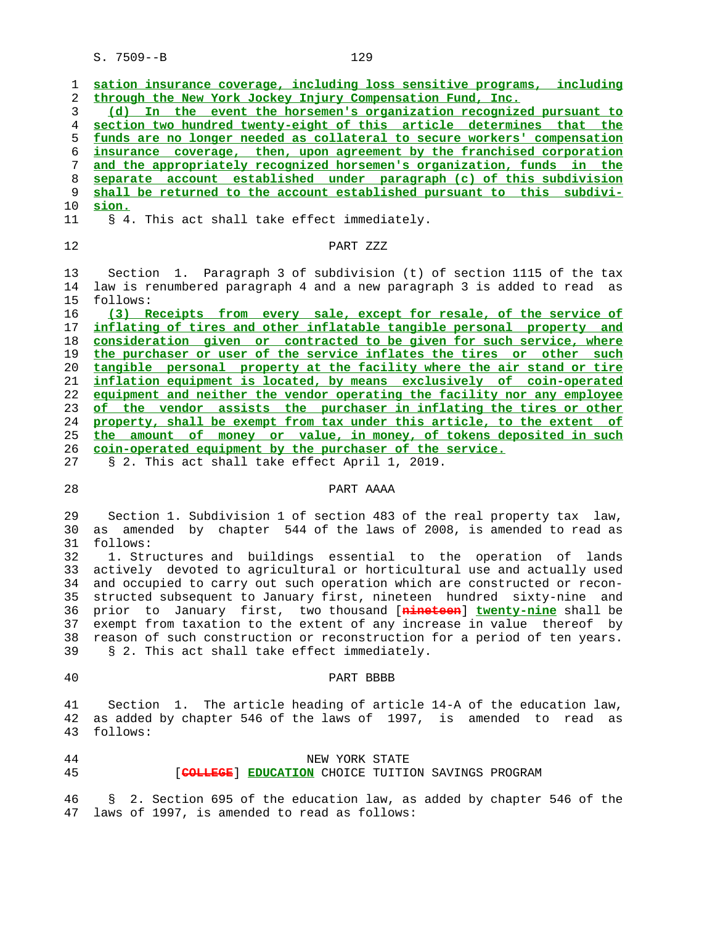| through the New York Jockey Injury Compensation Fund, Inc.<br>(d) In the event the horsemen's organization recognized pursuant to                                                                                                                                                                                                                                           |
|-----------------------------------------------------------------------------------------------------------------------------------------------------------------------------------------------------------------------------------------------------------------------------------------------------------------------------------------------------------------------------|
| section two hundred twenty-eight of this article determines that the                                                                                                                                                                                                                                                                                                        |
| funds are no longer needed as collateral to secure workers' compensation                                                                                                                                                                                                                                                                                                    |
| insurance coverage, then, upon agreement by the franchised corporation                                                                                                                                                                                                                                                                                                      |
| and the appropriately recognized horsemen's organization, funds in the                                                                                                                                                                                                                                                                                                      |
| separate account established under paragraph (c) of this subdivision                                                                                                                                                                                                                                                                                                        |
| shall be returned to the account established pursuant to this subdivi-                                                                                                                                                                                                                                                                                                      |
| <u>sion.</u>                                                                                                                                                                                                                                                                                                                                                                |
| § 4. This act shall take effect immediately.                                                                                                                                                                                                                                                                                                                                |
| PART ZZZ                                                                                                                                                                                                                                                                                                                                                                    |
| Section 1. Paragraph 3 of subdivision (t) of section 1115 of the tax                                                                                                                                                                                                                                                                                                        |
| law is renumbered paragraph 4 and a new paragraph 3 is added to read as                                                                                                                                                                                                                                                                                                     |
| follows:                                                                                                                                                                                                                                                                                                                                                                    |
| (3) Receipts from every sale, except for resale, of the service of                                                                                                                                                                                                                                                                                                          |
| inflating of tires and other inflatable tangible personal property and                                                                                                                                                                                                                                                                                                      |
| consideration given or contracted to be given for such service, where                                                                                                                                                                                                                                                                                                       |
| the purchaser or user of the service inflates the tires or other such                                                                                                                                                                                                                                                                                                       |
| tangible personal property at the facility where the air stand or tire                                                                                                                                                                                                                                                                                                      |
| inflation equipment is located, by means exclusively of coin-operated                                                                                                                                                                                                                                                                                                       |
| equipment and neither the vendor operating the facility nor any employee<br>of the vendor assists the purchaser in inflating the tires or other                                                                                                                                                                                                                             |
| property, shall be exempt from tax under this article, to the extent of                                                                                                                                                                                                                                                                                                     |
| the amount of money or value, in money, of tokens deposited in such                                                                                                                                                                                                                                                                                                         |
| coin-operated equipment by the purchaser of the service.                                                                                                                                                                                                                                                                                                                    |
|                                                                                                                                                                                                                                                                                                                                                                             |
| § 2. This act shall take effect April 1, 2019.                                                                                                                                                                                                                                                                                                                              |
| PART AAAA                                                                                                                                                                                                                                                                                                                                                                   |
|                                                                                                                                                                                                                                                                                                                                                                             |
| Section 1. Subdivision 1 of section 483 of the real property tax law,<br>amended by chapter 544 of the laws of 2008, is amended to read as                                                                                                                                                                                                                                  |
|                                                                                                                                                                                                                                                                                                                                                                             |
|                                                                                                                                                                                                                                                                                                                                                                             |
| as<br>follows:                                                                                                                                                                                                                                                                                                                                                              |
| and occupied to carry out such operation which are constructed or recon-                                                                                                                                                                                                                                                                                                    |
| structed subsequent to January first, nineteen hundred sixty-nine                                                                                                                                                                                                                                                                                                           |
|                                                                                                                                                                                                                                                                                                                                                                             |
|                                                                                                                                                                                                                                                                                                                                                                             |
| reason of such construction or reconstruction for a period of ten years.<br>§ 2. This act shall take effect immediately.                                                                                                                                                                                                                                                    |
| PART BBBB                                                                                                                                                                                                                                                                                                                                                                   |
|                                                                                                                                                                                                                                                                                                                                                                             |
| Section 1. The article heading of article 14-A of the education law,                                                                                                                                                                                                                                                                                                        |
| follows:                                                                                                                                                                                                                                                                                                                                                                    |
| as added by chapter 546 of the laws of 1997, is amended to read as                                                                                                                                                                                                                                                                                                          |
| 1. Structures and buildings essential to the operation of lands<br>actively devoted to agricultural or horticultural use and actually used<br>and<br>prior to January first, two thousand [nineteen] twenty-nine shall be<br>exempt from taxation to the extent of any increase in value thereof by<br>NEW YORK STATE<br>[COLLEGE] EDUCATION CHOICE TUITION SAVINGS PROGRAM |
| 2. Section 695 of the education law, as added by chapter 546 of the<br>S.                                                                                                                                                                                                                                                                                                   |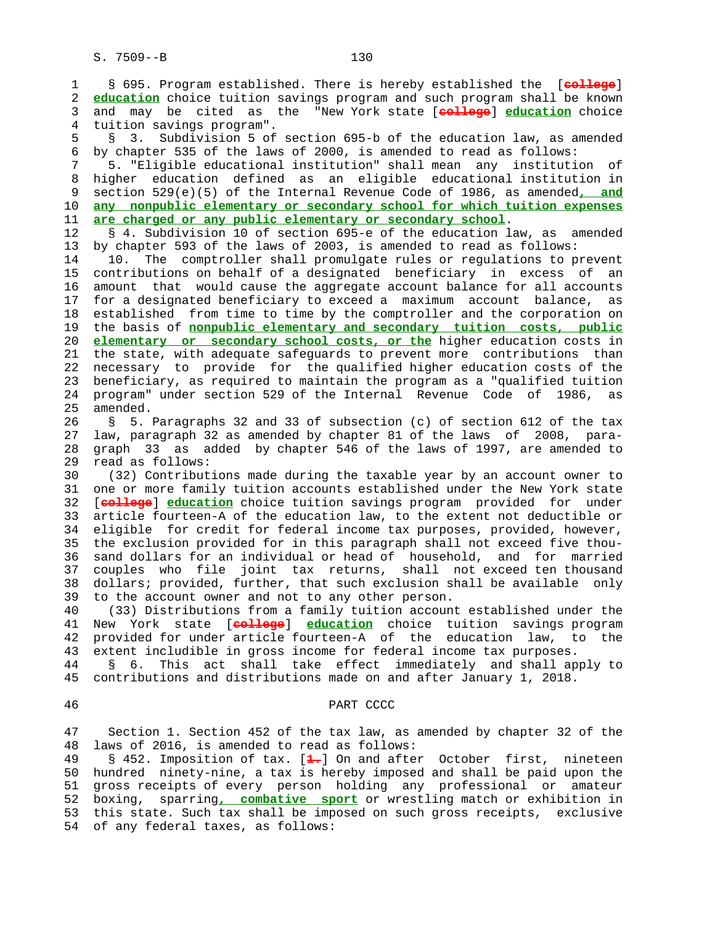1 § 695. Program established. There is hereby established the [**college**] 2 **education** choice tuition savings program and such program shall be known 3 and may be cited as the "New York state [**college**] **education** choice 4 tuition savings program". 5 § 3. Subdivision 5 of section 695-b of the education law, as amended 6 by chapter 535 of the laws of 2000, is amended to read as follows: 7 5. "Eligible educational institution" shall mean any institution of 8 higher education defined as an eligible educational institution in<br>9 section 529(e)(5) of the Internal Revenue Code of 1986, as amended, and 9 section 529(e)(5) of the Internal Revenue Code of 1986, as amended**, and** 10 **any nonpublic elementary or secondary school for which tuition expenses** 11 **are charged or any public elementary or secondary school**. 12 § 4. Subdivision 10 of section 695-e of the education law, as amended 13 by chapter 593 of the laws of 2003, is amended to read as follows: 14 10. The comptroller shall promulgate rules or regulations to prevent 15 contributions on behalf of a designated beneficiary in excess of an 16 amount that would cause the aggregate account balance for all accounts 17 for a designated beneficiary to exceed a maximum account balance, as 18 established from time to time by the comptroller and the corporation on 19 the basis of **nonpublic elementary and secondary tuition costs, public** 20 **elementary or secondary school costs, or the** higher education costs in 21 the state, with adequate safeguards to prevent more contributions than 22 necessary to provide for the qualified higher education costs of the 23 beneficiary, as required to maintain the program as a "qualified tuition 24 program" under section 529 of the Internal Revenue Code of 1986, as 25 amended. 26 § 5. Paragraphs 32 and 33 of subsection (c) of section 612 of the tax 27 law, paragraph 32 as amended by chapter 81 of the laws of 2008, para- 28 graph 33 as added by chapter 546 of the laws of 1997, are amended to 29 read as follows: 30 (32) Contributions made during the taxable year by an account owner to 31 one or more family tuition accounts established under the New York state 32 [**college**] **education** choice tuition savings program provided for under

 33 article fourteen-A of the education law, to the extent not deductible or 34 eligible for credit for federal income tax purposes, provided, however, 35 the exclusion provided for in this paragraph shall not exceed five thou- 36 sand dollars for an individual or head of household, and for married 37 couples who file joint tax returns, shall not exceed ten thousand 38 dollars; provided, further, that such exclusion shall be available only

 39 to the account owner and not to any other person. 40 (33) Distributions from a family tuition account established under the 41 New York state [**college**] **education** choice tuition savings program 42 provided for under article fourteen-A of the education law, to the 43 extent includible in gross income for federal income tax purposes.

 44 § 6. This act shall take effect immediately and shall apply to 45 contributions and distributions made on and after January 1, 2018.

## 46 PART CCCC

 47 Section 1. Section 452 of the tax law, as amended by chapter 32 of the 48 laws of 2016, is amended to read as follows:

 49 § 452. Imposition of tax. [**1.**] On and after October first, nineteen 50 hundred ninety-nine, a tax is hereby imposed and shall be paid upon the 51 gross receipts of every person holding any professional or amateur 52 boxing, sparring**, combative sport** or wrestling match or exhibition in 53 this state. Such tax shall be imposed on such gross receipts, exclusive 54 of any federal taxes, as follows: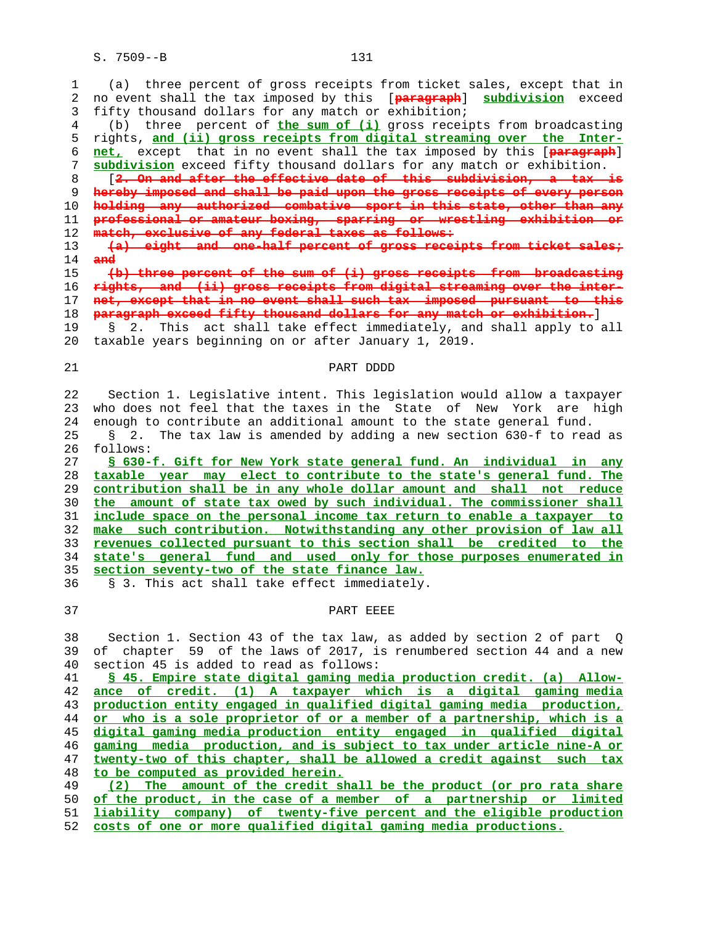1 (a) three percent of gross receipts from ticket sales, except that in 2 no event shall the tax imposed by this [**paragraph**] **subdivision** exceed 3 fifty thousand dollars for any match or exhibition; 4 (b) three percent of **the sum of (i)** gross receipts from broadcasting 5 rights, **and (ii) gross receipts from digital streaming over the Inter- net,** except that in no event shall the tax imposed by this [**paragraph**] **subdivision** exceed fifty thousand dollars for any match or exhibition. 8 [**2. On and after the effective date of this subdivision, a tax is hereby imposed and shall be paid upon the gross receipts of every person holding any authorized combative sport in this state, other than any professional or amateur boxing, sparring or wrestling exhibition or match, exclusive of any federal taxes as follows: (a) eight and one-half percent of gross receipts from ticket sales; and (b) three percent of the sum of (i) gross receipts from broadcasting rights, and (ii) gross receipts from digital streaming over the inter- net, except that in no event shall such tax imposed pursuant to this paragraph exceed fifty thousand dollars for any match or exhibition.**] 19 § 2. This act shall take effect immediately, and shall apply to all 20 taxable years beginning on or after January 1, 2019. 21 PART DDDD 22 Section 1. Legislative intent. This legislation would allow a taxpayer 23 who does not feel that the taxes in the State of New York are high 24 enough to contribute an additional amount to the state general fund. 25 § 2. The tax law is amended by adding a new section 630-f to read as 26 follows: **§ 630-f. Gift for New York state general fund. An individual in any taxable year may elect to contribute to the state's general fund. The contribution shall be in any whole dollar amount and shall not reduce the amount of state tax owed by such individual. The commissioner shall include space on the personal income tax return to enable a taxpayer to make such contribution. Notwithstanding any other provision of law all revenues collected pursuant to this section shall be credited to the state's general fund and used only for those purposes enumerated in section seventy-two of the state finance law.** 36 § 3. This act shall take effect immediately. 37 PART EEEE 38 Section 1. Section 43 of the tax law, as added by section 2 of part Q 39 of chapter 59 of the laws of 2017, is renumbered section 44 and a new 40 section 45 is added to read as follows: **§ 45. Empire state digital gaming media production credit. (a) Allow- ance of credit. (1) A taxpayer which is a digital gaming media production entity engaged in qualified digital gaming media production, or who is a sole proprietor of or a member of a partnership, which is a digital gaming media production entity engaged in qualified digital gaming media production, and is subject to tax under article nine-A or twenty-two of this chapter, shall be allowed a credit against such tax to be computed as provided herein. (2) The amount of the credit shall be the product (or pro rata share of the product, in the case of a member of a partnership or limited liability company) of twenty-five percent and the eligible production**

**costs of one or more qualified digital gaming media productions.**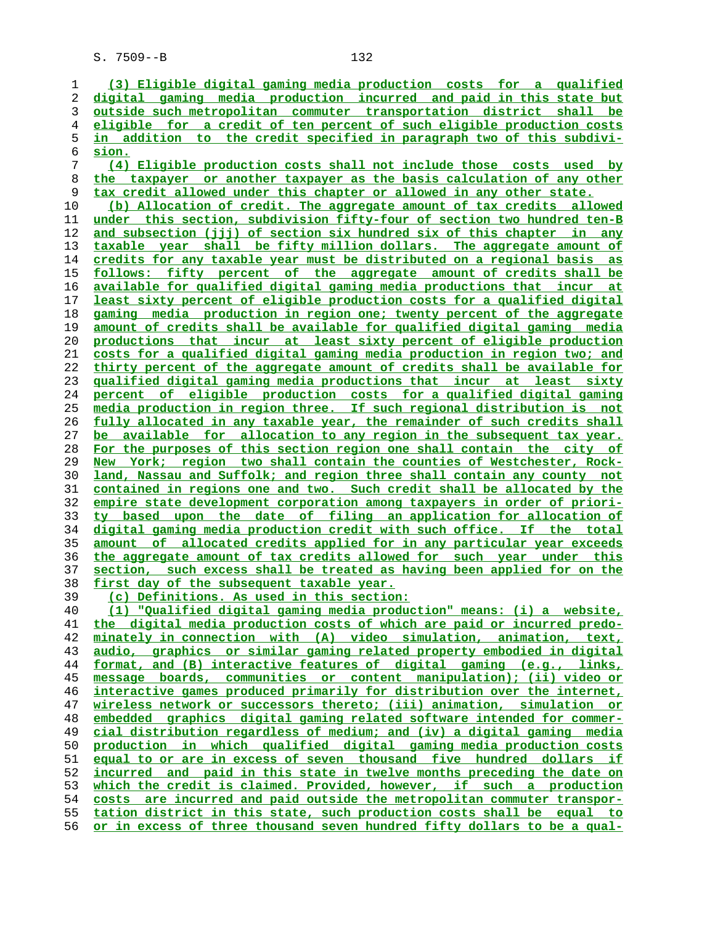**(3) Eligible digital gaming media production costs for a qualified digital gaming media production incurred and paid in this state but outside such metropolitan commuter transportation district shall be eligible for a credit of ten percent of such eligible production costs in addition to the credit specified in paragraph two of this subdivi- sion. (4) Eligible production costs shall not include those costs used by the taxpayer or another taxpayer as the basis calculation of any other tax credit allowed under this chapter or allowed in any other state. (b) Allocation of credit. The aggregate amount of tax credits allowed under this section, subdivision fifty-four of section two hundred ten-B** and subsection (jij) of section six hundred six of this chapter in any **taxable year shall be fifty million dollars. The aggregate amount of credits for any taxable year must be distributed on a regional basis as follows: fifty percent of the aggregate amount of credits shall be available for qualified digital gaming media productions that incur at least sixty percent of eligible production costs for a qualified digital gaming media production in region one; twenty percent of the aggregate amount of credits shall be available for qualified digital gaming media productions that incur at least sixty percent of eligible production costs for a qualified digital gaming media production in region two; and thirty percent of the aggregate amount of credits shall be available for qualified digital gaming media productions that incur at least sixty percent of eligible production costs for a qualified digital gaming media production in region three. If such regional distribution is not fully allocated in any taxable year, the remainder of such credits shall be available for allocation to any region in the subsequent tax year. For the purposes of this section region one shall contain the city of New York; region two shall contain the counties of Westchester, Rock- land, Nassau and Suffolk; and region three shall contain any county not contained in regions one and two. Such credit shall be allocated by the empire state development corporation among taxpayers in order of priori- ty based upon the date of filing an application for allocation of digital gaming media production credit with such office. If the total amount of allocated credits applied for in any particular year exceeds the aggregate amount of tax credits allowed for such year under this section, such excess shall be treated as having been applied for on the first day of the subsequent taxable year. (c) Definitions. As used in this section: (1) "Qualified digital gaming media production" means: (i) a website, the digital media production costs of which are paid or incurred predo- minately in connection with (A) video simulation, animation, text, audio, graphics or similar gaming related property embodied in digital format, and (B) interactive features of digital gaming (e.g., links, message boards, communities or content manipulation); (ii) video or interactive games produced primarily for distribution over the internet, wireless network or successors thereto; (iii) animation, simulation or embedded graphics digital gaming related software intended for commer- cial distribution regardless of medium; and (iv) a digital gaming media production in which qualified digital gaming media production costs equal to or are in excess of seven thousand five hundred dollars if incurred and paid in this state in twelve months preceding the date on which the credit is claimed. Provided, however, if such a production costs are incurred and paid outside the metropolitan commuter transpor- tation district in this state, such production costs shall be equal to or in excess of three thousand seven hundred fifty dollars to be a qual-**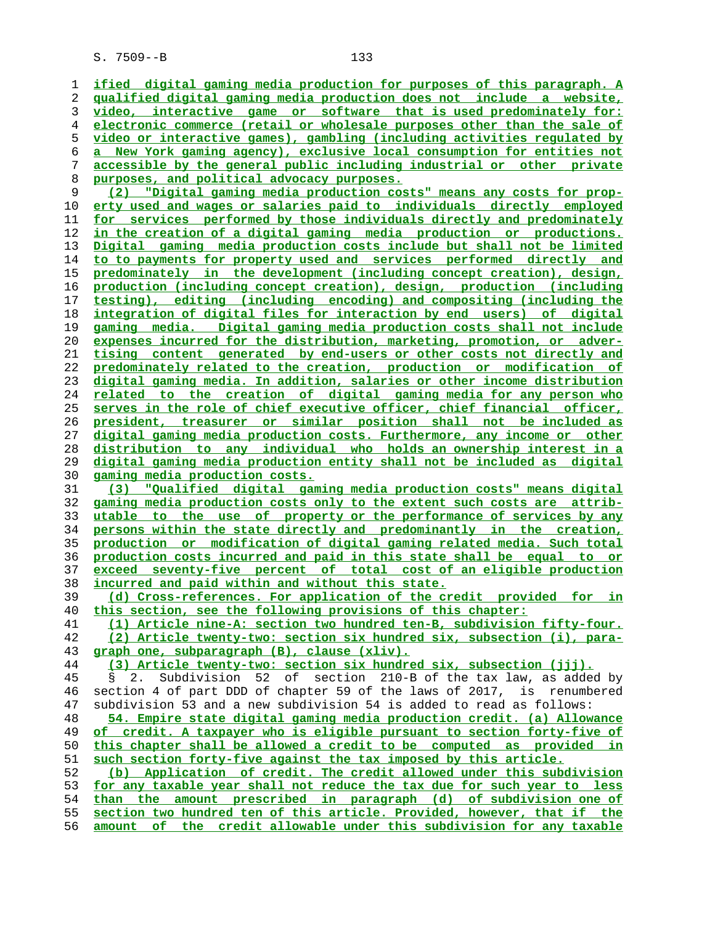**ified digital gaming media production for purposes of this paragraph. A qualified digital gaming media production does not include a website, video, interactive game or software that is used predominately for: electronic commerce (retail or wholesale purposes other than the sale of video or interactive games), gambling (including activities regulated by a New York gaming agency), exclusive local consumption for entities not accessible by the general public including industrial or other private purposes, and political advocacy purposes. (2) "Digital gaming media production costs" means any costs for prop- erty used and wages or salaries paid to individuals directly employed for services performed by those individuals directly and predominately in the creation of a digital gaming media production or productions. Digital gaming media production costs include but shall not be limited to to payments for property used and services performed directly and predominately in the development (including concept creation), design, production (including concept creation), design, production (including testing), editing (including encoding) and compositing (including the integration of digital files for interaction by end users) of digital gaming media. Digital gaming media production costs shall not include expenses incurred for the distribution, marketing, promotion, or adver- tising content generated by end-users or other costs not directly and predominately related to the creation, production or modification of digital gaming media. In addition, salaries or other income distribution related to the creation of digital gaming media for any person who serves in the role of chief executive officer, chief financial officer, president, treasurer or similar position shall not be included as digital gaming media production costs. Furthermore, any income or other distribution to any individual who holds an ownership interest in a digital gaming media production entity shall not be included as digital gaming media production costs. (3) "Qualified digital gaming media production costs" means digital gaming media production costs only to the extent such costs are attrib- utable to the use of property or the performance of services by any persons within the state directly and predominantly in the creation, production or modification of digital gaming related media. Such total production costs incurred and paid in this state shall be equal to or exceed seventy-five percent of total cost of an eligible production incurred and paid within and without this state. (d) Cross-references. For application of the credit provided for in this section, see the following provisions of this chapter: (1) Article nine-A: section two hundred ten-B, subdivision fifty-four. (2) Article twenty-two: section six hundred six, subsection (i), para- graph one, subparagraph (B), clause (xliv). (3) Article twenty-two: section six hundred six, subsection (jjj).** 45 § 2. Subdivision 52 of section 210-B of the tax law, as added by 46 section 4 of part DDD of chapter 59 of the laws of 2017, is renumbered 47 subdivision 53 and a new subdivision 54 is added to read as follows: **54. Empire state digital gaming media production credit. (a) Allowance of credit. A taxpayer who is eligible pursuant to section forty-five of this chapter shall be allowed a credit to be computed as provided in such section forty-five against the tax imposed by this article. (b) Application of credit. The credit allowed under this subdivision for any taxable year shall not reduce the tax due for such year to less than the amount prescribed in paragraph (d) of subdivision one of section two hundred ten of this article. Provided, however, that if the amount of the credit allowable under this subdivision for any taxable**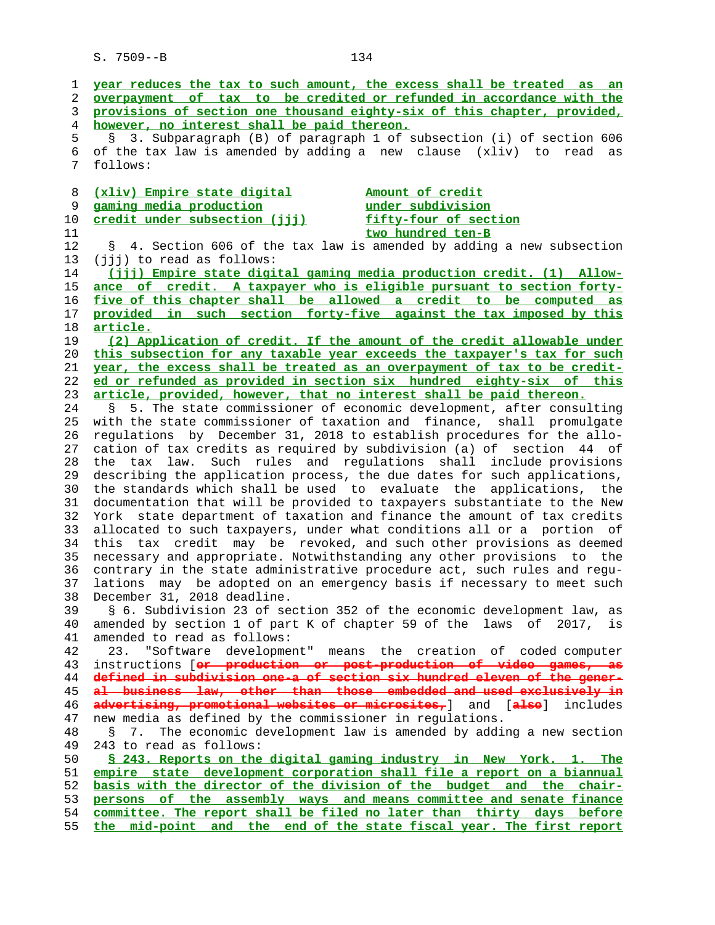| 2 | overpayment of tax to be credited or refunded in accordance with the        |
|---|-----------------------------------------------------------------------------|
| 3 | provisions of section one thousand eighty-six of this chapter, provided,    |
|   | however, no interest shall be paid thereon.                                 |
|   | § 3. Subparagraph (B) of paragraph 1 of subsection (i) of section 606       |
|   | of the tax law is amended by adding a new clause (xliv) to read as          |
|   | follows:                                                                    |
|   |                                                                             |
|   | (xliv) Empire state digital<br>Amount of credit                             |
|   | gaming media production<br>under subdivision                                |
|   | credit under subsection (iii)<br>fifty-four of section                      |
|   | two hundred ten-B                                                           |
|   | 4. Section 606 of the tax law is amended by adding a new subsection<br>S.   |
|   | (jjj) to read as follows:                                                   |
|   | (jjj) Empire state digital gaming media production credit. (1) Allow-       |
|   | ance of credit. A taxpayer who is eligible pursuant to section forty-       |
|   | five of this chapter shall be allowed a credit to be computed as            |
|   | provided in such section forty-five against the tax imposed by this         |
|   |                                                                             |
|   | article.                                                                    |
|   | (2) Application of credit. If the amount of the credit allowable under      |
|   | this subsection for any taxable year exceeds the taxpayer's tax for such    |
|   | year, the excess shall be treated as an overpayment of tax to be credit-    |
|   | ed or refunded as provided in section six hundred eighty-six of this        |
|   | article, provided, however, that no interest shall be paid thereon.         |
|   | 5. The state commissioner of economic development, after consulting<br>S.   |
|   | with the state commissioner of taxation and finance, shall promulgate       |
|   | regulations by December 31, 2018 to establish procedures for the allo-      |
|   | cation of tax credits as required by subdivision (a) of section 44 of       |
|   | the tax law. Such rules and regulations shall include provisions            |
|   | describing the application process, the due dates for such applications,    |
|   | the standards which shall be used to evaluate the applications, the         |
|   | documentation that will be provided to taxpayers substantiate to the New    |
|   | York state department of taxation and finance the amount of tax credits     |
|   | allocated to such taxpayers, under what conditions all or a portion of      |
|   | this tax credit may be revoked, and such other provisions as deemed         |
|   | necessary and appropriate. Notwithstanding any other provisions to the      |
|   | contrary in the state administrative procedure act, such rules and regu-    |
|   | lations may be adopted on an emergency basis if necessary to meet such      |
|   | December 31, 2018 deadline.                                                 |
|   | § 6. Subdivision 23 of section 352 of the economic development law, as      |
|   | amended by section 1 of part K of chapter 59 of the laws of 2017,<br>is     |
|   | amended to read as follows:                                                 |
|   | 23. "Software development" means the creation of coded computer             |
|   | instructions [or production or post-production of video games, as           |
|   | defined in subdivision one-a of section six hundred eleven of the gener-    |
|   | al business law, other than those embedded and used exclusively in          |
|   | advertising, promotional websites or microsites, and [also] includes        |
|   |                                                                             |
|   | new media as defined by the commissioner in regulations.                    |
|   | The economic development law is amended by adding a new section<br>S.<br>7. |
|   | 243 to read as follows:                                                     |
|   | \$ 243. Reports on the digital gaming industry in New York. 1. The          |
|   | empire state development corporation shall file a report on a biannual      |
|   | basis with the director of the division of the budget and the chair-        |
|   | persons of the assembly ways and means committee and senate finance         |
|   | committee. The report shall be filed no later than thirty days before       |
|   |                                                                             |
|   | the mid-point and the end of the state fiscal year. The first report        |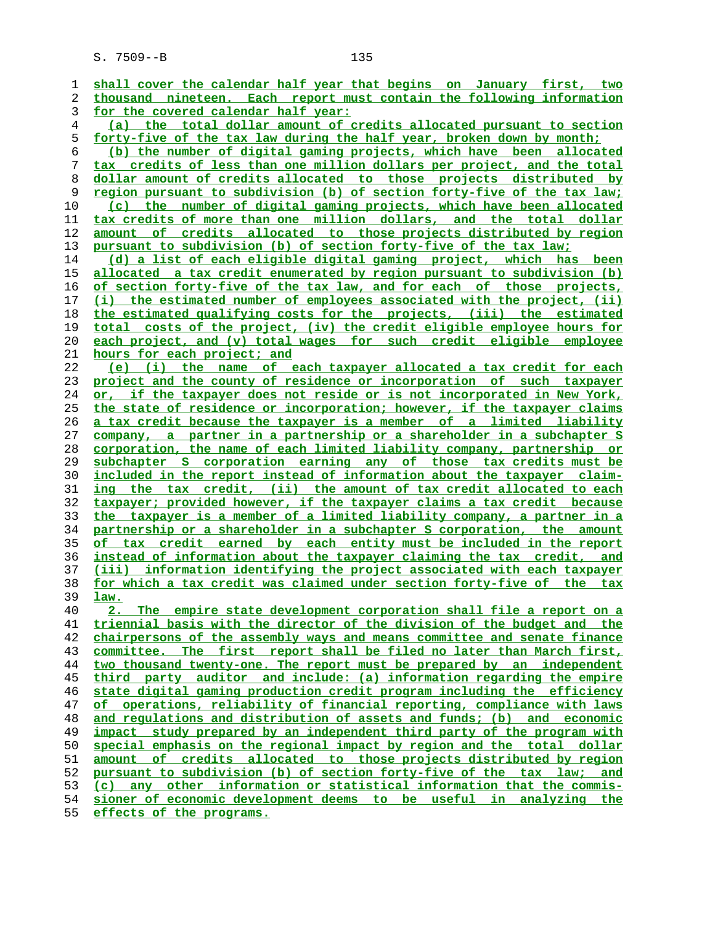**shall cover the calendar half year that begins on January first, two thousand nineteen. Each report must contain the following information for the covered calendar half year: (a) the total dollar amount of credits allocated pursuant to section forty-five of the tax law during the half year, broken down by month; (b) the number of digital gaming projects, which have been allocated tax credits of less than one million dollars per project, and the total dollar amount of credits allocated to those projects distributed by region pursuant to subdivision (b) of section forty-five of the tax law; (c) the number of digital gaming projects, which have been allocated tax credits of more than one million dollars, and the total dollar amount of credits allocated to those projects distributed by region pursuant to subdivision (b) of section forty-five of the tax law; (d) a list of each eligible digital gaming project, which has been allocated a tax credit enumerated by region pursuant to subdivision (b) of section forty-five of the tax law, and for each of those projects, (i) the estimated number of employees associated with the project, (ii) the estimated qualifying costs for the projects, (iii) the estimated total costs of the project, (iv) the credit eligible employee hours for each project, and (v) total wages for such credit eligible employee hours for each project; and (e) (i) the name of each taxpayer allocated a tax credit for each project and the county of residence or incorporation of such taxpayer or, if the taxpayer does not reside or is not incorporated in New York, the state of residence or incorporation; however, if the taxpayer claims a tax credit because the taxpayer is a member of a limited liability company, a partner in a partnership or a shareholder in a subchapter S corporation, the name of each limited liability company, partnership or subchapter S corporation earning any of those tax credits must be included in the report instead of information about the taxpayer claim- ing the tax credit, (ii) the amount of tax credit allocated to each taxpayer; provided however, if the taxpayer claims a tax credit because the taxpayer is a member of a limited liability company, a partner in a partnership or a shareholder in a subchapter S corporation, the amount of tax credit earned by each entity must be included in the report instead of information about the taxpayer claiming the tax credit, and (iii) information identifying the project associated with each taxpayer for which a tax credit was claimed under section forty-five of the tax law. 2. The empire state development corporation shall file a report on a triennial basis with the director of the division of the budget and the chairpersons of the assembly ways and means committee and senate finance committee. The first report shall be filed no later than March first, two thousand twenty-one. The report must be prepared by an independent third party auditor and include: (a) information regarding the empire state digital gaming production credit program including the efficiency of operations, reliability of financial reporting, compliance with laws and regulations and distribution of assets and funds; (b) and economic impact study prepared by an independent third party of the program with special emphasis on the regional impact by region and the total dollar amount of credits allocated to those projects distributed by region pursuant to subdivision (b) of section forty-five of the tax law; and (c) any other information or statistical information that the commis- sioner of economic development deems to be useful in analyzing the effects of the programs.**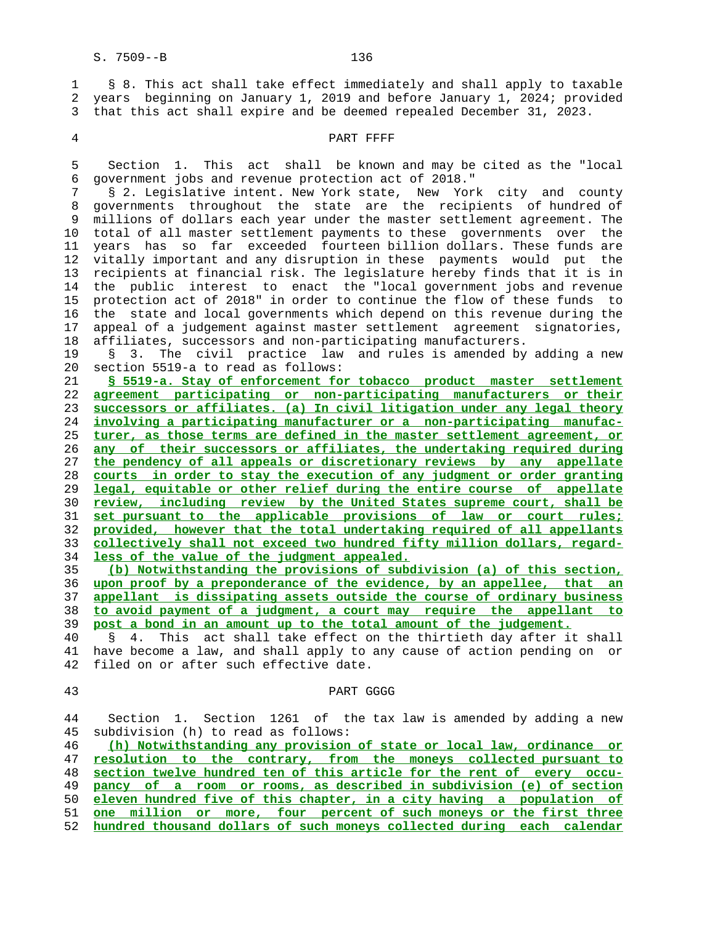1 § 8. This act shall take effect immediately and shall apply to taxable 2 years beginning on January 1, 2019 and before January 1, 2024; provided 3 that this act shall expire and be deemed repealed December 31, 2023.

### 4 PART FFFF

 5 Section 1. This act shall be known and may be cited as the "local 6 government jobs and revenue protection act of 2018."

 7 § 2. Legislative intent. New York state, New York city and county 8 governments throughout the state are the recipients of hundred of 9 millions of dollars each year under the master settlement agreement. The 10 total of all master settlement payments to these governments over the 11 years has so far exceeded fourteen billion dollars. These funds are 12 vitally important and any disruption in these payments would put the 13 recipients at financial risk. The legislature hereby finds that it is in 14 the public interest to enact the "local government jobs and revenue 15 protection act of 2018" in order to continue the flow of these funds to 16 the state and local governments which depend on this revenue during the 17 appeal of a judgement against master settlement agreement signatories, 18 affiliates, successors and non-participating manufacturers.

 19 § 3. The civil practice law and rules is amended by adding a new 20 section 5519-a to read as follows:

**§ 5519-a. Stay of enforcement for tobacco product master settlement agreement participating or non-participating manufacturers or their successors or affiliates. (a) In civil litigation under any legal theory involving a participating manufacturer or a non-participating manufac- turer, as those terms are defined in the master settlement agreement, or any of their successors or affiliates, the undertaking required during the pendency of all appeals or discretionary reviews by any appellate courts in order to stay the execution of any judgment or order granting legal, equitable or other relief during the entire course of appellate review, including review by the United States supreme court, shall be set pursuant to the applicable provisions of law or court rules; provided, however that the total undertaking required of all appellants collectively shall not exceed two hundred fifty million dollars, regard- less of the value of the judgment appealed.**

**(b) Notwithstanding the provisions of subdivision (a) of this section, upon proof by a preponderance of the evidence, by an appellee, that an appellant is dissipating assets outside the course of ordinary business to avoid payment of a judgment, a court may require the appellant to post a bond in an amount up to the total amount of the judgement.**

 40 § 4. This act shall take effect on the thirtieth day after it shall 41 have become a law, and shall apply to any cause of action pending on or 42 filed on or after such effective date.

## 43 PART GGGG

 44 Section 1. Section 1261 of the tax law is amended by adding a new 45 subdivision (h) to read as follows:

**(h) Notwithstanding any provision of state or local law, ordinance or resolution to the contrary, from the moneys collected pursuant to section twelve hundred ten of this article for the rent of every occu- pancy of a room or rooms, as described in subdivision (e) of section eleven hundred five of this chapter, in a city having a population of one million or more, four percent of such moneys or the first three hundred thousand dollars of such moneys collected during each calendar**